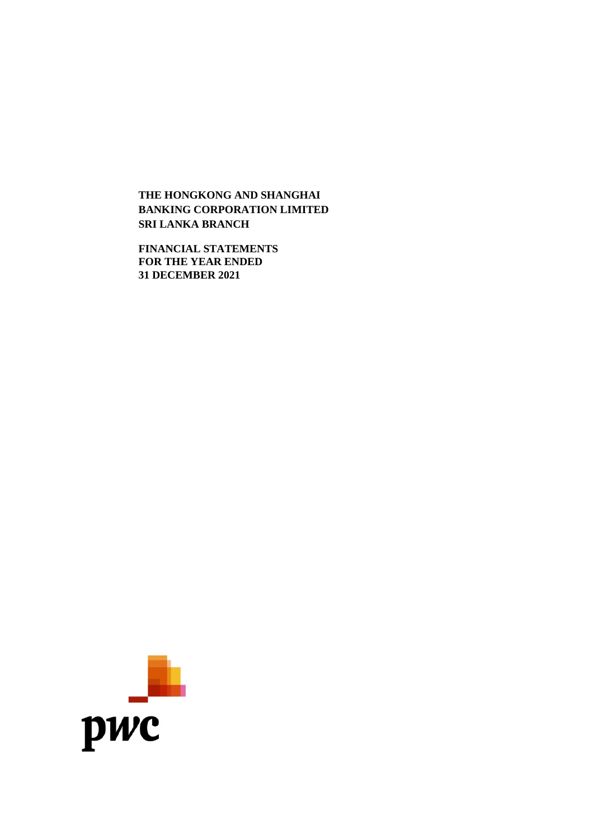# **THE HONGKONG AND SHANGHAI BANKING CORPORATION LIMITED SRI LANKA BRANCH**

**FINANCIAL STATEMENTS FOR THE YEAR ENDED 31 DECEMBER 2021**

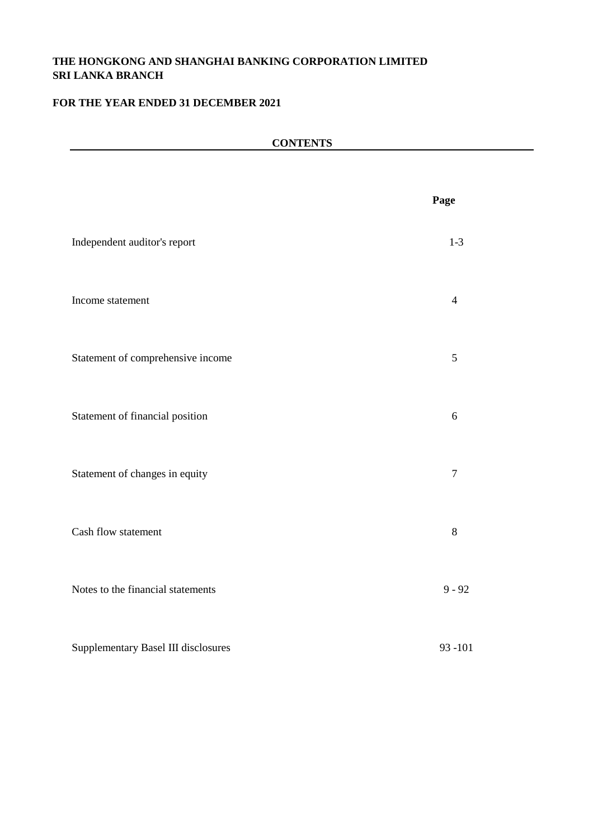# **THE HONGKONG AND SHANGHAI BANKING CORPORATION LIMITED SRI LANKA BRANCH**

# **FOR THE YEAR ENDED 31 DECEMBER 2021**

| <b>CONTENTS</b>                     |                  |  |  |
|-------------------------------------|------------------|--|--|
|                                     | Page             |  |  |
| Independent auditor's report        | $1 - 3$          |  |  |
| Income statement                    | $\overline{4}$   |  |  |
| Statement of comprehensive income   | 5                |  |  |
| Statement of financial position     | $\sqrt{6}$       |  |  |
| Statement of changes in equity      | $\boldsymbol{7}$ |  |  |
| Cash flow statement                 | $8\,$            |  |  |
| Notes to the financial statements   | $9 - 92$         |  |  |
| Supplementary Basel III disclosures | 93-101           |  |  |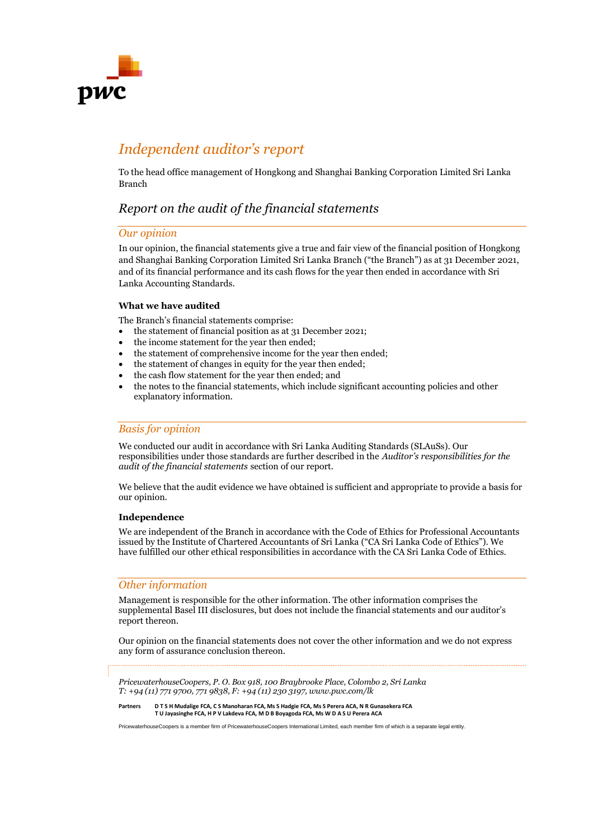

# *Independent auditor's report*

To the head office management of Hongkong and Shanghai Banking Corporation Limited Sri Lanka Branch

# *Report on the audit of the financial statements*

# *Our opinion*

In our opinion, the financial statements give a true and fair view of the financial position of Hongkong and Shanghai Banking Corporation Limited Sri Lanka Branch ("the Branch") as at 31 December 2021, and of its financial performance and its cash flows for the year then ended in accordance with Sri Lanka Accounting Standards.

# **What we have audited**

The Branch's financial statements comprise:

- the statement of financial position as at 31 December 2021;
- the income statement for the year then ended;
- the statement of comprehensive income for the year then ended;
- the statement of changes in equity for the year then ended;
- the cash flow statement for the year then ended; and
- the notes to the financial statements, which include significant accounting policies and other explanatory information.

# *Basis for opinion*

We conducted our audit in accordance with Sri Lanka Auditing Standards (SLAuSs). Our responsibilities under those standards are further described in the *Auditor's responsibilities for the audit of the financial statements* section of our report.

We believe that the audit evidence we have obtained is sufficient and appropriate to provide a basis for our opinion.

#### **Independence**

We are independent of the Branch in accordance with the Code of Ethics for Professional Accountants issued by the Institute of Chartered Accountants of Sri Lanka ("CA Sri Lanka Code of Ethics"). We have fulfilled our other ethical responsibilities in accordance with the CA Sri Lanka Code of Ethics.

# *Other information*

Management is responsible for the other information. The other information comprises the supplemental Basel III disclosures, but does not include the financial statements and our auditor's report thereon.

Our opinion on the financial statements does not cover the other information and we do not express any form of assurance conclusion thereon.

*PricewaterhouseCoopers, P. O. Box 918, 100 Braybrooke Place, Colombo 2, Sri Lanka T: +94 (11) 771 9700, 771 9838, F: +94 (11) 230 3197, www.pwc.com/lk*

**Partners D T S H Mudalige FCA, C S Manoharan FCA, Ms S Hadgie FCA, Ms S Perera ACA, N R Gunasekera FCA T U Jayasinghe FCA, H P V Lakdeva FCA, M D B Boyagoda FCA, Ms W D A S U Perera ACA**

PricewaterhouseCoopers is a member firm of PricewaterhouseCoopers International Limited, each member firm of which is a separate legal entity.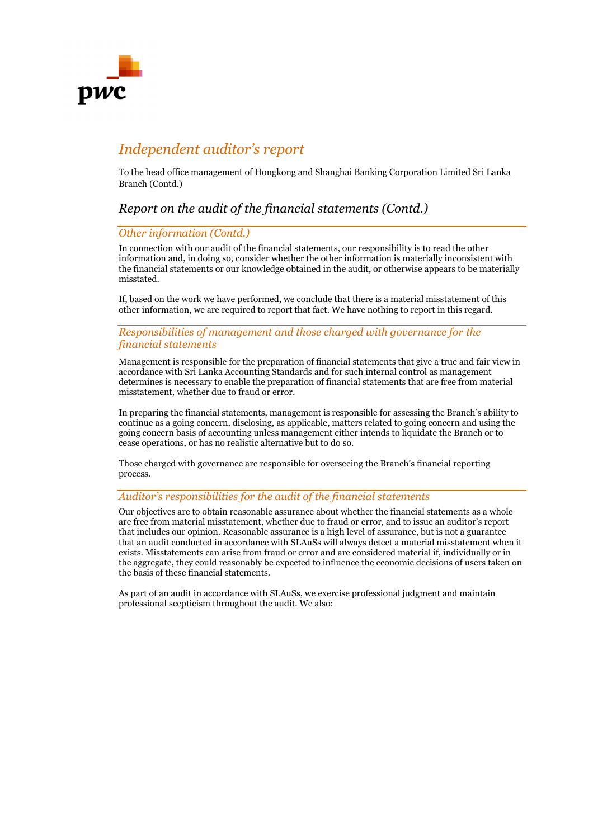

# *Independent auditor's report*

To the head office management of Hongkong and Shanghai Banking Corporation Limited Sri Lanka Branch (Contd.)

# *Report on the audit of the financial statements (Contd.)*

# *Other information (Contd.)*

In connection with our audit of the financial statements, our responsibility is to read the other information and, in doing so, consider whether the other information is materially inconsistent with the financial statements or our knowledge obtained in the audit, or otherwise appears to be materially misstated.

If, based on the work we have performed, we conclude that there is a material misstatement of this other information, we are required to report that fact. We have nothing to report in this regard.

# *Responsibilities of management and those charged with governance for the financial statements*

Management is responsible for the preparation of financial statements that give a true and fair view in accordance with Sri Lanka Accounting Standards and for such internal control as management determines is necessary to enable the preparation of financial statements that are free from material misstatement, whether due to fraud or error.

In preparing the financial statements, management is responsible for assessing the Branch's ability to continue as a going concern, disclosing, as applicable, matters related to going concern and using the going concern basis of accounting unless management either intends to liquidate the Branch or to cease operations, or has no realistic alternative but to do so.

Those charged with governance are responsible for overseeing the Branch's financial reporting process.

# *Auditor's responsibilities for the audit of the financial statements*

Our objectives are to obtain reasonable assurance about whether the financial statements as a whole are free from material misstatement, whether due to fraud or error, and to issue an auditor's report that includes our opinion. Reasonable assurance is a high level of assurance, but is not a guarantee that an audit conducted in accordance with SLAuSs will always detect a material misstatement when it exists. Misstatements can arise from fraud or error and are considered material if, individually or in the aggregate, they could reasonably be expected to influence the economic decisions of users taken on the basis of these financial statements.

As part of an audit in accordance with SLAuSs, we exercise professional judgment and maintain professional scepticism throughout the audit. We also: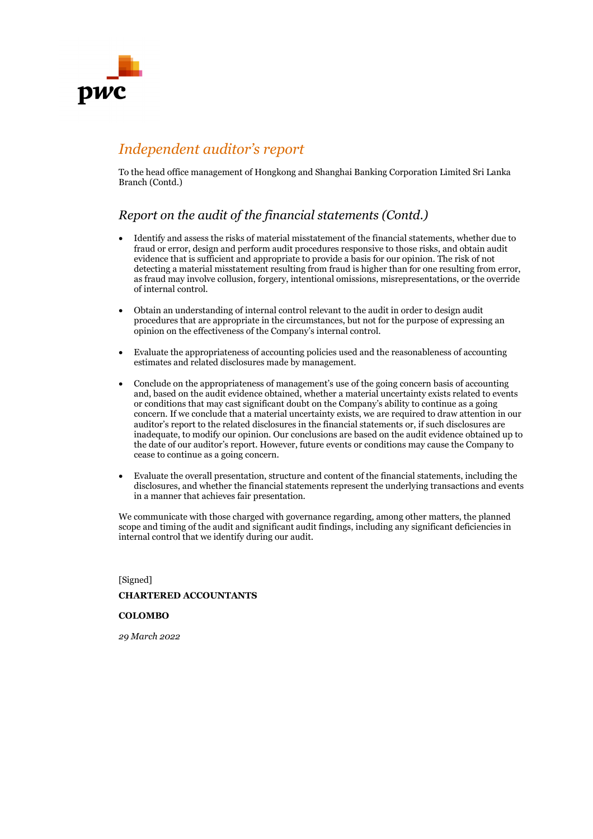

# *Independent auditor's report*

To the head office management of Hongkong and Shanghai Banking Corporation Limited Sri Lanka Branch (Contd.)

# *Report on the audit of the financial statements (Contd.)*

- Identify and assess the risks of material misstatement of the financial statements, whether due to fraud or error, design and perform audit procedures responsive to those risks, and obtain audit evidence that is sufficient and appropriate to provide a basis for our opinion. The risk of not detecting a material misstatement resulting from fraud is higher than for one resulting from error, as fraud may involve collusion, forgery, intentional omissions, misrepresentations, or the override of internal control.
- Obtain an understanding of internal control relevant to the audit in order to design audit procedures that are appropriate in the circumstances, but not for the purpose of expressing an opinion on the effectiveness of the Company's internal control.
- Evaluate the appropriateness of accounting policies used and the reasonableness of accounting estimates and related disclosures made by management.
- Conclude on the appropriateness of management's use of the going concern basis of accounting and, based on the audit evidence obtained, whether a material uncertainty exists related to events or conditions that may cast significant doubt on the Company's ability to continue as a going concern. If we conclude that a material uncertainty exists, we are required to draw attention in our auditor's report to the related disclosures in the financial statements or, if such disclosures are inadequate, to modify our opinion. Our conclusions are based on the audit evidence obtained up to the date of our auditor's report. However, future events or conditions may cause the Company to cease to continue as a going concern.
- Evaluate the overall presentation, structure and content of the financial statements, including the disclosures, and whether the financial statements represent the underlying transactions and events in a manner that achieves fair presentation.

We communicate with those charged with governance regarding, among other matters, the planned scope and timing of the audit and significant audit findings, including any significant deficiencies in internal control that we identify during our audit.

[Signed] **CHARTERED ACCOUNTANTS**

**COLOMBO**

*29 March 2022*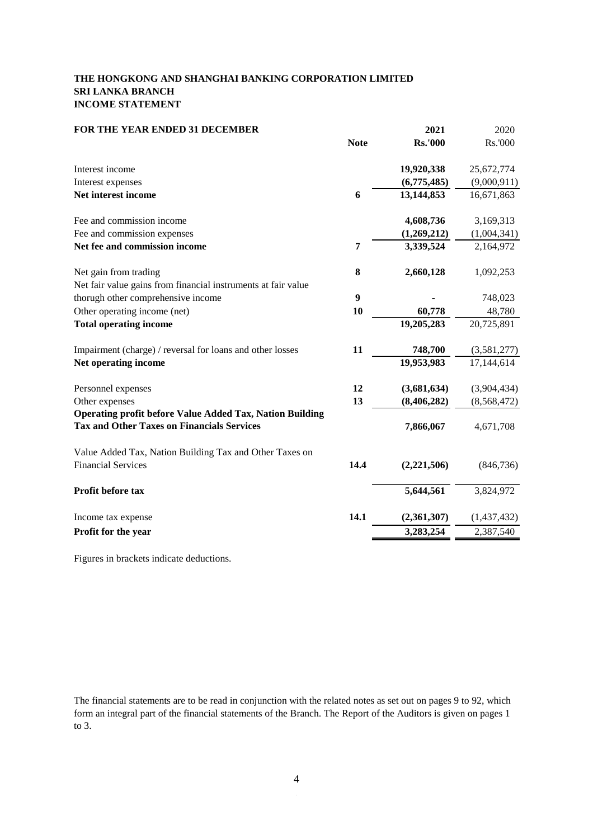# **THE HONGKONG AND SHANGHAI BANKING CORPORATION LIMITED SRI LANKA BRANCH INCOME STATEMENT**

| FOR THE YEAR ENDED 31 DECEMBER                                  |             | 2021           | 2020        |
|-----------------------------------------------------------------|-------------|----------------|-------------|
|                                                                 | <b>Note</b> | <b>Rs.'000</b> | Rs.'000     |
| Interest income                                                 |             | 19,920,338     | 25,672,774  |
| Interest expenses                                               |             | (6,775,485)    | (9,000,911) |
| Net interest income                                             | 6           | 13,144,853     | 16,671,863  |
| Fee and commission income                                       |             | 4,608,736      | 3,169,313   |
| Fee and commission expenses                                     |             | (1,269,212)    | (1,004,341) |
| Net fee and commission income                                   | 7           | 3,339,524      | 2,164,972   |
| Net gain from trading                                           | 8           | 2,660,128      | 1,092,253   |
| Net fair value gains from financial instruments at fair value   |             |                |             |
| thorugh other comprehensive income                              | 9           |                | 748,023     |
| Other operating income (net)                                    | 10          | 60,778         | 48,780      |
| <b>Total operating income</b>                                   |             | 19,205,283     | 20,725,891  |
| Impairment (charge) / reversal for loans and other losses       | 11          | 748,700        | (3,581,277) |
| Net operating income                                            |             | 19,953,983     | 17,144,614  |
| Personnel expenses                                              | 12          | (3,681,634)    | (3,904,434) |
| Other expenses                                                  | 13          | (8, 406, 282)  | (8,568,472) |
| <b>Operating profit before Value Added Tax, Nation Building</b> |             |                |             |
| <b>Tax and Other Taxes on Financials Services</b>               |             | 7,866,067      | 4,671,708   |
| Value Added Tax, Nation Building Tax and Other Taxes on         |             |                |             |
| <b>Financial Services</b>                                       | 14.4        | (2,221,506)    | (846, 736)  |
| Profit before tax                                               |             | 5,644,561      | 3,824,972   |
| Income tax expense                                              | 14.1        | (2,361,307)    | (1,437,432) |
| Profit for the year                                             |             | 3,283,254      | 2,387,540   |

Figures in brackets indicate deductions.

The financial statements are to be read in conjunction with the related notes as set out on pages 9 to 92, which form an integral part of the financial statements of the Branch. The Report of the Auditors is given on pages 1 to 3.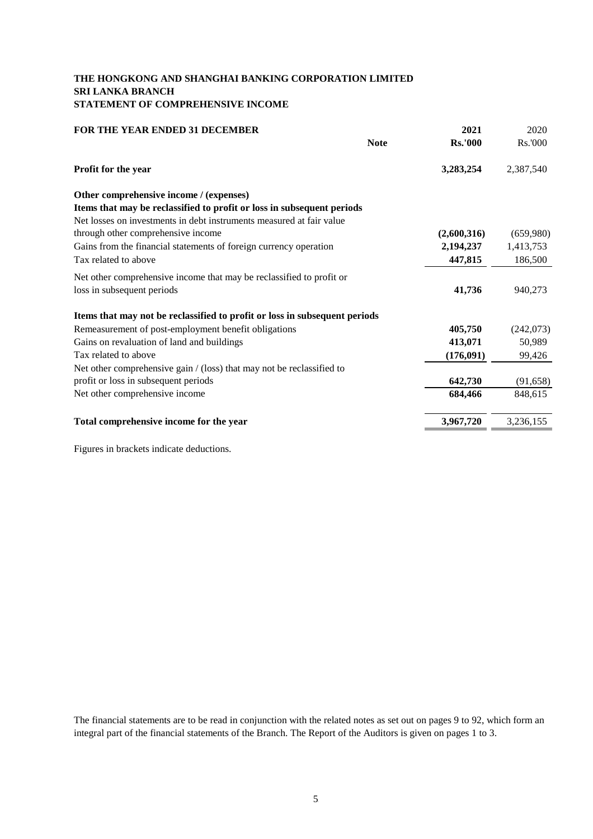# **THE HONGKONG AND SHANGHAI BANKING CORPORATION LIMITED SRI LANKA BRANCH STATEMENT OF COMPREHENSIVE INCOME**

|                                                                   | 2021                                                                                                                                                                                                                                                                                                                                                                          | 2020      |
|-------------------------------------------------------------------|-------------------------------------------------------------------------------------------------------------------------------------------------------------------------------------------------------------------------------------------------------------------------------------------------------------------------------------------------------------------------------|-----------|
| <b>Note</b>                                                       | <b>Rs.'000</b>                                                                                                                                                                                                                                                                                                                                                                | Rs.'000   |
|                                                                   | 3,283,254                                                                                                                                                                                                                                                                                                                                                                     | 2,387,540 |
|                                                                   |                                                                                                                                                                                                                                                                                                                                                                               |           |
|                                                                   |                                                                                                                                                                                                                                                                                                                                                                               |           |
|                                                                   |                                                                                                                                                                                                                                                                                                                                                                               |           |
|                                                                   | (2,600,316)                                                                                                                                                                                                                                                                                                                                                                   | (659,980) |
|                                                                   | 2,194,237                                                                                                                                                                                                                                                                                                                                                                     | 1,413,753 |
|                                                                   | 447,815                                                                                                                                                                                                                                                                                                                                                                       | 186,500   |
|                                                                   |                                                                                                                                                                                                                                                                                                                                                                               |           |
|                                                                   | 41,736                                                                                                                                                                                                                                                                                                                                                                        | 940,273   |
|                                                                   |                                                                                                                                                                                                                                                                                                                                                                               |           |
|                                                                   | 405,750                                                                                                                                                                                                                                                                                                                                                                       | (242,073) |
|                                                                   | 413,071                                                                                                                                                                                                                                                                                                                                                                       | 50,989    |
|                                                                   | (176,091)                                                                                                                                                                                                                                                                                                                                                                     | 99,426    |
|                                                                   |                                                                                                                                                                                                                                                                                                                                                                               |           |
|                                                                   | 642,730                                                                                                                                                                                                                                                                                                                                                                       | (91, 658) |
|                                                                   | 684,466                                                                                                                                                                                                                                                                                                                                                                       | 848,615   |
|                                                                   | 3,967,720                                                                                                                                                                                                                                                                                                                                                                     | 3,236,155 |
| Gains from the financial statements of foreign currency operation | Items that may be reclassified to profit or loss in subsequent periods<br>Net losses on investments in debt instruments measured at fair value<br>Net other comprehensive income that may be reclassified to profit or<br>Items that may not be reclassified to profit or loss in subsequent periods<br>Net other comprehensive gain / (loss) that may not be reclassified to |           |

Figures in brackets indicate deductions.

The financial statements are to be read in conjunction with the related notes as set out on pages 9 to 92, which form an integral part of the financial statements of the Branch. The Report of the Auditors is given on pages 1 to 3.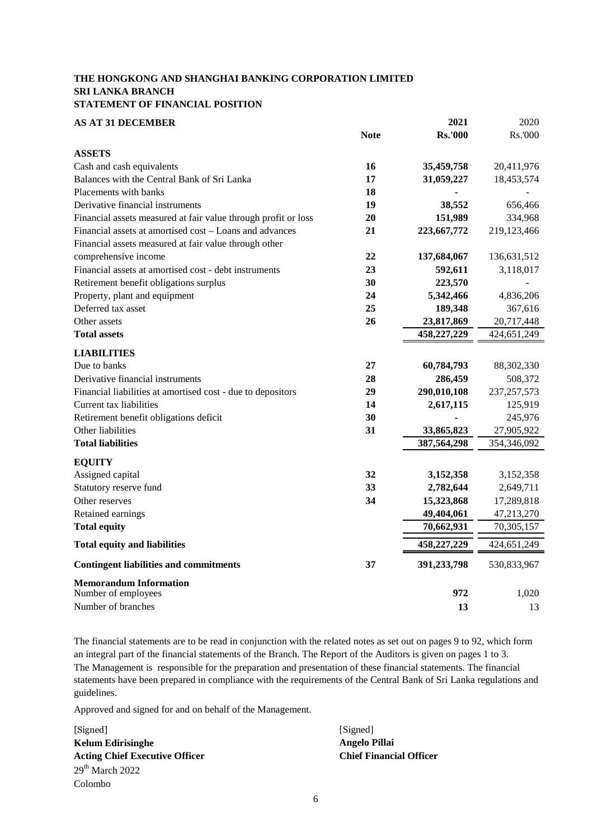# **THE HONGKONG AND SHANGHAI BANKING CORPORATION LIMITED SRI LANKA BRANCH STATEMENT OF FINANCIAL POSITION**

| <b>AS AT 31 DECEMBER</b>                                       |             | 2021           | 2020          |
|----------------------------------------------------------------|-------------|----------------|---------------|
|                                                                | <b>Note</b> | <b>Rs.'000</b> | Rs.'000       |
| <b>ASSETS</b>                                                  |             |                |               |
| Cash and cash equivalents                                      | 16          | 35,459,758     | 20,411,976    |
| Balances with the Central Bank of Sri Lanka                    | 17          | 31,059,227     | 18,453,574    |
| Placements with banks                                          | 18          |                |               |
| Derivative financial instruments                               | 19          | 38,552         | 656,466       |
| Financial assets measured at fair value through profit or loss | 20          | 151,989        | 334,968       |
| Financial assets at amortised cost - Loans and advances        | 21          | 223,667,772    | 219,123,466   |
| Financial assets measured at fair value through other          |             |                |               |
| comprehensive income                                           | 22          | 137,684,067    | 136,631,512   |
| Financial assets at amortised cost - debt instruments          | 23          | 592,611        | 3,118,017     |
| Retirement benefit obligations surplus                         | 30          | 223,570        |               |
| Property, plant and equipment                                  | 24          | 5,342,466      | 4,836,206     |
| Deferred tax asset                                             | 25          | 189,348        | 367,616       |
| Other assets                                                   | 26          | 23,817,869     | 20,717,448    |
| <b>Total assets</b>                                            |             | 458,227,229    | 424,651,249   |
| <b>LIABILITIES</b>                                             |             |                |               |
| Due to banks                                                   | 27          | 60,784,793     | 88,302,330    |
| Derivative financial instruments                               | 28          | 286,459        | 508,372       |
| Financial liabilities at amortised cost - due to depositors    | 29          | 290,010,108    | 237, 257, 573 |
| Current tax liabilities                                        | 14          | 2,617,115      | 125,919       |
| Retirement benefit obligations deficit                         | 30          |                | 245,976       |
| Other liabilities                                              | 31          | 33,865,823     | 27,905,922    |
| <b>Total liabilities</b>                                       |             | 387,564,298    | 354,346,092   |
| <b>EQUITY</b>                                                  |             |                |               |
| Assigned capital                                               | 32          | 3,152,358      | 3,152,358     |
| Statutory reserve fund                                         | 33          | 2,782,644      | 2,649,711     |
| Other reserves                                                 | 34          | 15,323,868     | 17,289,818    |
| Retained earnings                                              |             | 49,404,061     | 47,213,270    |
| <b>Total equity</b>                                            |             | 70,662,931     | 70,305,157    |
| <b>Total equity and liabilities</b>                            |             | 458,227,229    | 424,651,249   |
| <b>Contingent liabilities and commitments</b>                  | 37          | 391,233,798    | 530,833,967   |
| <b>Memorandum Information</b>                                  |             |                |               |
| Number of employees                                            |             | 972            | 1,020         |
| Number of branches                                             |             | 13             | 13            |

The financial statements are to be read in conjunction with the related notes as set out on pages 9 to 92, which form an integral part of the financial statements of the Branch. The Report of the Auditors is given on pages 1 to 3. The Management is responsible for the preparation and presentation of these financial statements. The financial statements have been prepared in compliance with the requirements of the Central Bank of Sri Lanka regulations and guidelines.

Approved and signed for and on behalf of the Management.

| [Signed]                              | [Signed]                       |  |  |
|---------------------------------------|--------------------------------|--|--|
| <b>Kelum Edirisinghe</b>              | Angelo Pillai                  |  |  |
| <b>Acting Chief Executive Officer</b> | <b>Chief Financial Officer</b> |  |  |
| $29th$ March 2022                     |                                |  |  |
| Colombo                               |                                |  |  |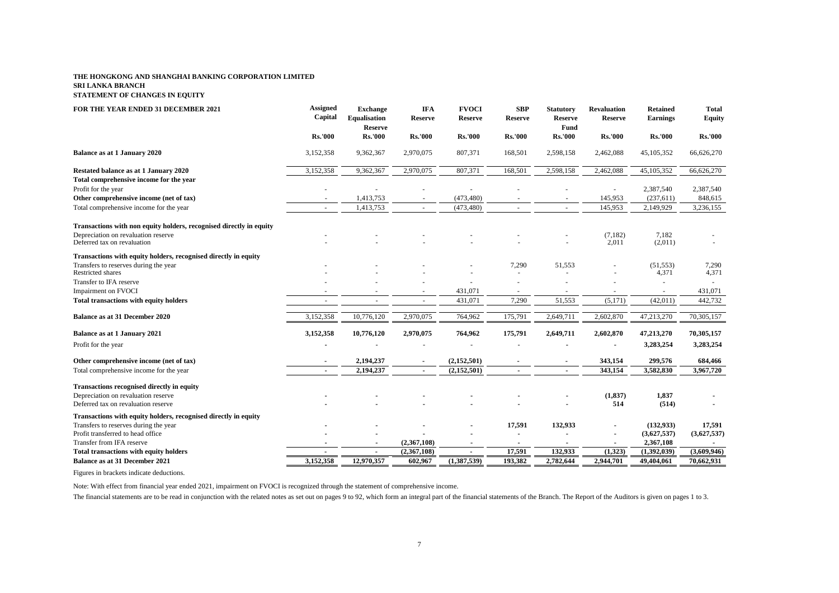#### **THE HONGKONG AND SHANGHAI BANKING CORPORATION LIMITED SRI LANKA BRANCH STATEMENT OF CHANGES IN EQUITY**

| FOR THE YEAR ENDED 31 DECEMBER 2021                                 | <b>Assigned</b><br>Capital | <b>Exchange</b><br><b>Equalisation</b><br><b>Reserve</b> | <b>IFA</b><br><b>Reserve</b> | <b>FVOCI</b><br><b>Reserve</b> | <b>SBP</b><br><b>Reserve</b> | <b>Statutory</b><br><b>Reserve</b><br>Fund | <b>Revaluation</b><br><b>Reserve</b> | <b>Retained</b><br><b>Earnings</b> | <b>Total</b><br><b>Equity</b> |
|---------------------------------------------------------------------|----------------------------|----------------------------------------------------------|------------------------------|--------------------------------|------------------------------|--------------------------------------------|--------------------------------------|------------------------------------|-------------------------------|
|                                                                     | <b>Rs.'000</b>             | <b>Rs.'000</b>                                           | <b>Rs.'000</b>               | <b>Rs.'000</b>                 | <b>Rs.'000</b>               | <b>Rs.'000</b>                             | <b>Rs.'000</b>                       | <b>Rs.'000</b>                     | <b>Rs.'000</b>                |
| <b>Balance as at 1 January 2020</b>                                 | 3,152,358                  | 9,362,367                                                | 2,970,075                    | 807,371                        | 168,501                      | 2,598,158                                  | 2,462,088                            | 45, 105, 352                       | 66,626,270                    |
| Restated balance as at 1 January 2020                               | 3,152,358                  | 9,362,367                                                | 2,970,075                    | 807,371                        | 168,501                      | 2,598,158                                  | 2,462,088                            | 45,105,352                         | 66,626,270                    |
| Total comprehensive income for the year                             |                            |                                                          |                              |                                |                              |                                            |                                      |                                    |                               |
| Profit for the year                                                 |                            |                                                          |                              |                                |                              |                                            |                                      | 2,387,540                          | 2,387,540                     |
| Other comprehensive income (net of tax)                             |                            | 1,413,753                                                |                              | (473, 480)                     |                              |                                            | 145,953                              | (237,611)                          | 848,615                       |
| Total comprehensive income for the year                             | $\bar{a}$                  | 1,413,753                                                | $\sim$                       | (473, 480)                     | ٠                            | $\bar{a}$                                  | 145,953                              | 2,149,929                          | 3,236,155                     |
| Transactions with non equity holders, recognised directly in equity |                            |                                                          |                              |                                |                              |                                            |                                      |                                    |                               |
| Depreciation on revaluation reserve                                 |                            |                                                          |                              |                                |                              |                                            | (7,182)                              | 7,182                              |                               |
| Deferred tax on revaluation                                         |                            |                                                          |                              |                                |                              |                                            | 2,011                                | (2,011)                            |                               |
| Transactions with equity holders, recognised directly in equity     |                            |                                                          |                              |                                |                              |                                            |                                      |                                    |                               |
| Transfers to reserves during the year                               |                            |                                                          |                              |                                | 7,290                        | 51,553                                     |                                      | (51, 553)                          | 7,290                         |
| Restricted shares                                                   |                            |                                                          |                              |                                |                              |                                            |                                      | 4,371                              | 4,371                         |
| Transfer to IFA reserve                                             |                            |                                                          |                              |                                |                              |                                            |                                      |                                    |                               |
| Impairment on FVOCI                                                 |                            |                                                          |                              | 431,071                        |                              |                                            |                                      |                                    | 431,071                       |
| <b>Total transactions with equity holders</b>                       |                            |                                                          | ÷.                           | 431,071                        | 7,290                        | 51,553                                     | (5,171)                              | (42, 011)                          | 442,732                       |
| <b>Balance as at 31 December 2020</b>                               | 3,152,358                  | 10,776,120                                               | 2,970,075                    | 764,962                        | 175,791                      | 2,649,711                                  | 2,602,870                            | 47,213,270                         | 70,305,157                    |
| Balance as at 1 January 2021                                        | 3,152,358                  | 10,776,120                                               | 2,970,075                    | 764,962                        | 175,791                      | 2,649,711                                  | 2,602,870                            | 47,213,270                         | 70,305,157                    |
| Profit for the year                                                 |                            |                                                          |                              |                                |                              |                                            |                                      | 3,283,254                          | 3,283,254                     |
| Other comprehensive income (net of tax)                             | ٠                          | 2,194,237                                                |                              | (2,152,501)                    |                              | $\blacksquare$                             | 343,154                              | 299,576                            | 684,466                       |
| Total comprehensive income for the year                             |                            | 2,194,237                                                | $\blacksquare$               | (2, 152, 501)                  |                              | $\blacksquare$                             | 343,154                              | 3,582,830                          | 3,967,720                     |
| <b>Transactions recognised directly in equity</b>                   |                            |                                                          |                              |                                |                              |                                            |                                      |                                    |                               |
| Depreciation on revaluation reserve                                 |                            |                                                          |                              |                                |                              |                                            | (1, 837)                             | 1,837                              |                               |
| Deferred tax on revaluation reserve                                 |                            |                                                          |                              |                                |                              |                                            | 514                                  | (514)                              |                               |
| Transactions with equity holders, recognised directly in equity     |                            |                                                          |                              |                                |                              |                                            |                                      |                                    |                               |
| Transfers to reserves during the year                               |                            |                                                          |                              |                                | 17,591                       | 132,933                                    |                                      | (132, 933)                         | 17,591                        |
| Profit transferred to head office                                   |                            |                                                          |                              |                                |                              |                                            |                                      | (3,627,537)                        | (3,627,537)                   |
| Transfer from IFA reserve                                           |                            |                                                          | (2,367,108)                  |                                |                              |                                            |                                      | 2,367,108                          |                               |
| <b>Total transactions with equity holders</b>                       |                            |                                                          | (2,367,108)                  |                                | 17,591                       | 132,933                                    | (1, 323)                             | (1,392,039)                        | (3,609,946)                   |
| <b>Balance as at 31 December 2021</b>                               | 3,152,358                  | 12,970,357                                               | 602,967                      | (1,387,539)                    | 193,382                      | 2,782,644                                  | 2,944,701                            | 49,404,061                         | 70,662,931                    |

Figures in brackets indicate deductions.

Note: With effect from financial year ended 2021, impairment on FVOCI is recognized through the statement of comprehensive income.

The financial statements are to be read in conjunction with the related notes as set out on pages 9 to 92, which form an integral part of the financial statements of the Branch. The Report of the Auditors is given on pages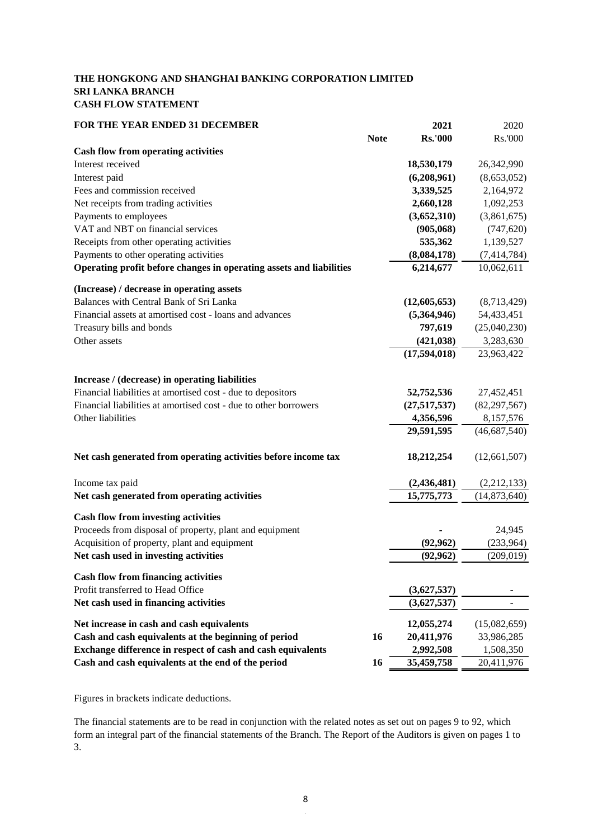# **THE HONGKONG AND SHANGHAI BANKING CORPORATION LIMITED SRI LANKA BRANCH CASH FLOW STATEMENT**

| FOR THE YEAR ENDED 31 DECEMBER                                      |             | 2021           | 2020           |
|---------------------------------------------------------------------|-------------|----------------|----------------|
|                                                                     | <b>Note</b> | <b>Rs.'000</b> | Rs.'000        |
| <b>Cash flow from operating activities</b>                          |             |                |                |
| Interest received                                                   |             | 18,530,179     | 26,342,990     |
| Interest paid                                                       |             | (6,208,961)    | (8,653,052)    |
| Fees and commission received                                        |             | 3,339,525      | 2,164,972      |
| Net receipts from trading activities                                |             | 2,660,128      | 1,092,253      |
| Payments to employees                                               |             | (3,652,310)    | (3,861,675)    |
| VAT and NBT on financial services                                   |             | (905, 068)     | (747, 620)     |
| Receipts from other operating activities                            |             | 535,362        | 1,139,527      |
| Payments to other operating activities                              |             | (8,084,178)    | (7,414,784)    |
| Operating profit before changes in operating assets and liabilities |             | 6,214,677      | 10,062,611     |
| (Increase) / decrease in operating assets                           |             |                |                |
| Balances with Central Bank of Sri Lanka                             |             | (12,605,653)   | (8,713,429)    |
| Financial assets at amortised cost - loans and advances             |             | (5,364,946)    | 54,433,451     |
| Treasury bills and bonds                                            |             | 797,619        | (25,040,230)   |
| Other assets                                                        |             | (421, 038)     | 3,283,630      |
|                                                                     |             | (17,594,018)   | 23,963,422     |
| Increase / (decrease) in operating liabilities                      |             |                |                |
| Financial liabilities at amortised cost - due to depositors         |             | 52,752,536     | 27,452,451     |
| Financial liabilities at amortised cost - due to other borrowers    |             | (27, 517, 537) | (82, 297, 567) |
| Other liabilities                                                   |             | 4,356,596      | 8,157,576      |
|                                                                     |             | 29,591,595     | (46,687,540)   |
| Net cash generated from operating activities before income tax      |             | 18,212,254     | (12, 661, 507) |
| Income tax paid                                                     |             | (2,436,481)    | (2,212,133)    |
| Net cash generated from operating activities                        |             | 15,775,773     | (14, 873, 640) |
|                                                                     |             |                |                |
| <b>Cash flow from investing activities</b>                          |             |                |                |
| Proceeds from disposal of property, plant and equipment             |             |                | 24,945         |
| Acquisition of property, plant and equipment                        |             | (92, 962)      | (233,964)      |
| Net cash used in investing activities                               |             | (92, 962)      | (209, 019)     |
| <b>Cash flow from financing activities</b>                          |             |                |                |
| Profit transferred to Head Office                                   |             | (3,627,537)    |                |
| Net cash used in financing activities                               |             | (3,627,537)    |                |
| Net increase in cash and cash equivalents                           |             | 12,055,274     | (15,082,659)   |
| Cash and cash equivalents at the beginning of period                | 16          | 20,411,976     | 33,986,285     |
| Exchange difference in respect of cash and cash equivalents         |             | 2,992,508      | 1,508,350      |
| Cash and cash equivalents at the end of the period                  | 16          | 35,459,758     | 20,411,976     |

Figures in brackets indicate deductions.

The financial statements are to be read in conjunction with the related notes as set out on pages 9 to 92, which form an integral part of the financial statements of the Branch. The Report of the Auditors is given on pages 1 to 3.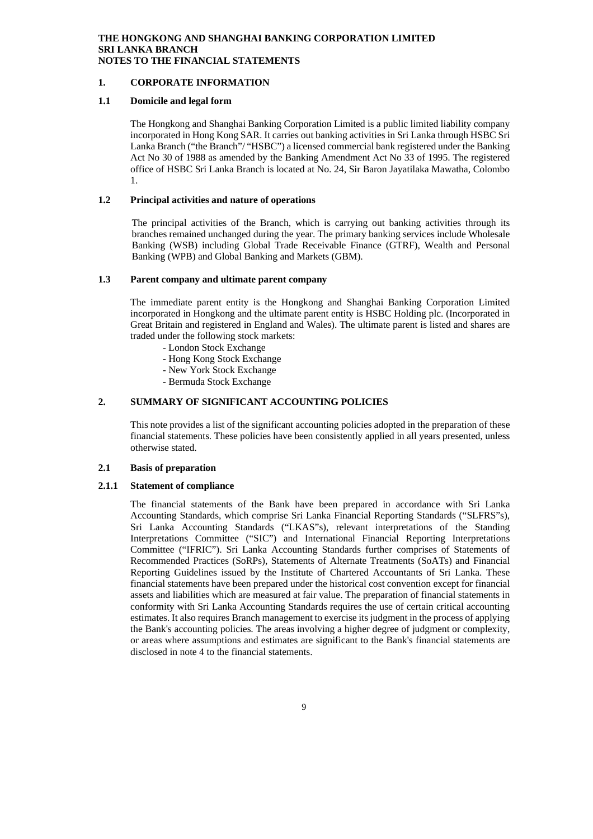# **1. CORPORATE INFORMATION**

#### **1.1 Domicile and legal form**

The Hongkong and Shanghai Banking Corporation Limited is a public limited liability company incorporated in Hong Kong SAR. It carries out banking activities in Sri Lanka through HSBC Sri Lanka Branch ("the Branch"/ "HSBC") a licensed commercial bank registered under the Banking Act No 30 of 1988 as amended by the Banking Amendment Act No 33 of 1995. The registered office of HSBC Sri Lanka Branch is located at No. 24, Sir Baron Jayatilaka Mawatha, Colombo 1.

#### **1.2 Principal activities and nature of operations**

The principal activities of the Branch, which is carrying out banking activities through its branches remained unchanged during the year. The primary banking services include Wholesale Banking (WSB) including Global Trade Receivable Finance (GTRF), Wealth and Personal Banking (WPB) and Global Banking and Markets (GBM).

## **1.3 Parent company and ultimate parent company**

The immediate parent entity is the Hongkong and Shanghai Banking Corporation Limited incorporated in Hongkong and the ultimate parent entity is HSBC Holding plc. (Incorporated in Great Britain and registered in England and Wales). The ultimate parent is listed and shares are traded under the following stock markets:

- London Stock Exchange
- Hong Kong Stock Exchange
- New York Stock Exchange
- Bermuda Stock Exchange

# **2. SUMMARY OF SIGNIFICANT ACCOUNTING POLICIES**

This note provides a list of the significant accounting policies adopted in the preparation of these financial statements. These policies have been consistently applied in all years presented, unless otherwise stated.

# **2.1 Basis of preparation**

#### **2.1.1 Statement of compliance**

The financial statements of the Bank have been prepared in accordance with Sri Lanka Accounting Standards, which comprise Sri Lanka Financial Reporting Standards ("SLFRS"s), Sri Lanka Accounting Standards ("LKAS"s), relevant interpretations of the Standing Interpretations Committee ("SIC") and International Financial Reporting Interpretations Committee ("IFRIC"). Sri Lanka Accounting Standards further comprises of Statements of Recommended Practices (SoRPs), Statements of Alternate Treatments (SoATs) and Financial Reporting Guidelines issued by the Institute of Chartered Accountants of Sri Lanka. These financial statements have been prepared under the historical cost convention except for financial assets and liabilities which are measured at fair value. The preparation of financial statements in conformity with Sri Lanka Accounting Standards requires the use of certain critical accounting estimates. It also requires Branch management to exercise its judgment in the process of applying the Bank's accounting policies. The areas involving a higher degree of judgment or complexity, or areas where assumptions and estimates are significant to the Bank's financial statements are disclosed in note 4 to the financial statements.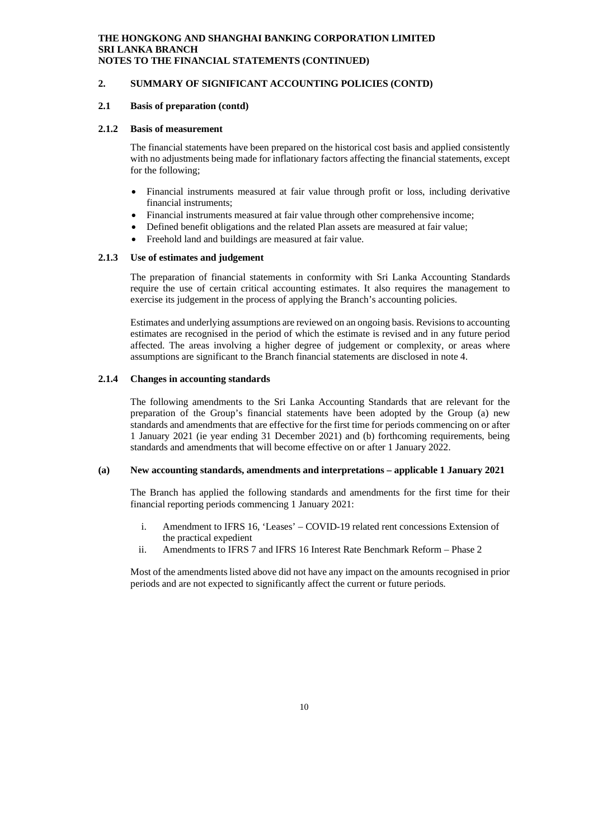# **2.1 Basis of preparation (contd)**

#### **2.1.2 Basis of measurement**

The financial statements have been prepared on the historical cost basis and applied consistently with no adjustments being made for inflationary factors affecting the financial statements, except for the following;

- Financial instruments measured at fair value through profit or loss, including derivative financial instruments;
- Financial instruments measured at fair value through other comprehensive income;
- Defined benefit obligations and the related Plan assets are measured at fair value;
- Freehold land and buildings are measured at fair value.

# **2.1.3 Use of estimates and judgement**

The preparation of financial statements in conformity with Sri Lanka Accounting Standards require the use of certain critical accounting estimates. It also requires the management to exercise its judgement in the process of applying the Branch's accounting policies.

Estimates and underlying assumptions are reviewed on an ongoing basis. Revisions to accounting estimates are recognised in the period of which the estimate is revised and in any future period affected. The areas involving a higher degree of judgement or complexity, or areas where assumptions are significant to the Branch financial statements are disclosed in note 4.

## **2.1.4 Changes in accounting standards**

The following amendments to the Sri Lanka Accounting Standards that are relevant for the preparation of the Group's financial statements have been adopted by the Group (a) new standards and amendments that are effective for the first time for periods commencing on or after 1 January 2021 (ie year ending 31 December 2021) and (b) forthcoming requirements, being standards and amendments that will become effective on or after 1 January 2022.

#### **(a) New accounting standards, amendments and interpretations – applicable 1 January 2021**

The Branch has applied the following standards and amendments for the first time for their financial reporting periods commencing 1 January 2021:

- i. Amendment to IFRS 16, 'Leases' COVID-19 related rent concessions Extension of the practical expedient
- ii. Amendments to IFRS 7 and IFRS 16 Interest Rate Benchmark Reform Phase 2

Most of the amendments listed above did not have any impact on the amounts recognised in prior periods and are not expected to significantly affect the current or future periods.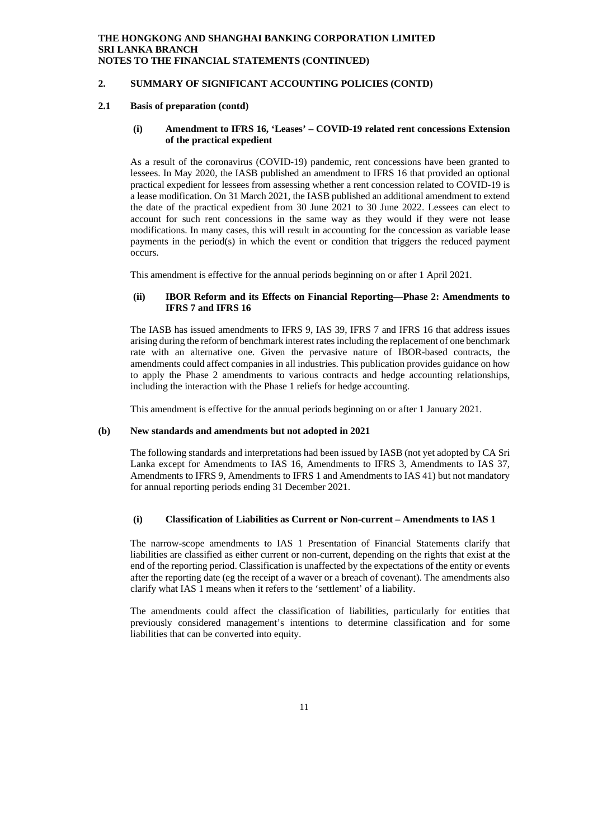# **2.1 Basis of preparation (contd)**

# **(i) Amendment to IFRS 16, 'Leases' – COVID-19 related rent concessions Extension of the practical expedient**

As a result of the coronavirus (COVID-19) pandemic, rent concessions have been granted to lessees. In May 2020, the IASB published an amendment to IFRS 16 that provided an optional practical expedient for lessees from assessing whether a rent concession related to COVID-19 is a lease modification. On 31 March 2021, the IASB published an additional amendment to extend the date of the practical expedient from 30 June 2021 to 30 June 2022. Lessees can elect to account for such rent concessions in the same way as they would if they were not lease modifications. In many cases, this will result in accounting for the concession as variable lease payments in the period(s) in which the event or condition that triggers the reduced payment occurs.

This amendment is effective for the annual periods beginning on or after 1 April 2021.

#### **(ii) IBOR Reform and its Effects on Financial Reporting—Phase 2: Amendments to IFRS 7 and IFRS 16**

The IASB has issued amendments to IFRS 9, IAS 39, IFRS 7 and IFRS 16 that address issues arising during the reform of benchmark interest rates including the replacement of one benchmark rate with an alternative one. Given the pervasive nature of IBOR-based contracts, the amendments could affect companies in all industries. This publication provides guidance on how to apply the Phase 2 amendments to various contracts and hedge accounting relationships, including the interaction with the Phase 1 reliefs for hedge accounting.

This amendment is effective for the annual periods beginning on or after 1 January 2021.

#### **(b) New standards and amendments but not adopted in 2021**

The following standards and interpretations had been issued by IASB (not yet adopted by CA Sri Lanka except for Amendments to IAS 16, Amendments to IFRS 3, Amendments to IAS 37, Amendments to IFRS 9, Amendments to IFRS 1 and Amendments to IAS 41) but not mandatory for annual reporting periods ending 31 December 2021.

# **(i) Classification of Liabilities as Current or Non-current – Amendments to IAS 1**

The narrow-scope amendments to IAS 1 Presentation of Financial Statements clarify that liabilities are classified as either current or non-current, depending on the rights that exist at the end of the reporting period. Classification is unaffected by the expectations of the entity or events after the reporting date (eg the receipt of a waver or a breach of covenant). The amendments also clarify what IAS 1 means when it refers to the 'settlement' of a liability.

The amendments could affect the classification of liabilities, particularly for entities that previously considered management's intentions to determine classification and for some liabilities that can be converted into equity.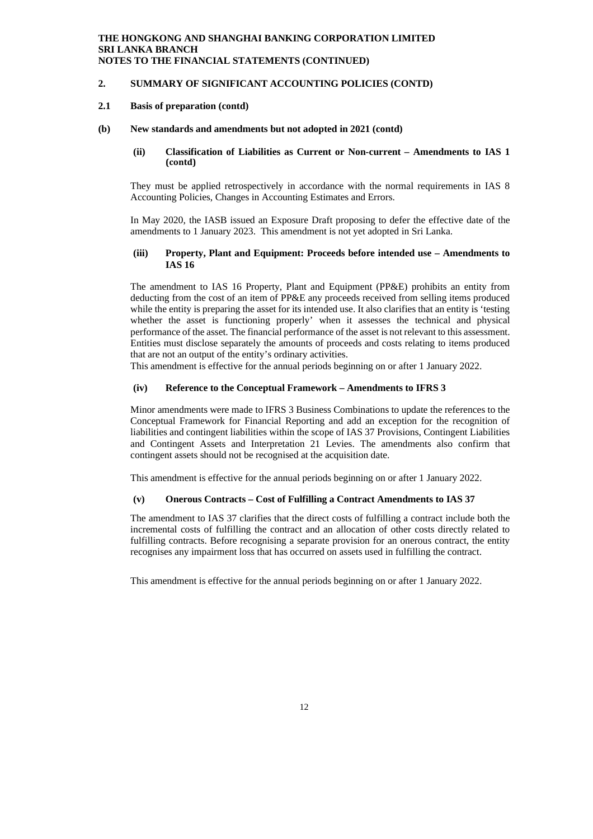# **2.1 Basis of preparation (contd)**

#### **(b) New standards and amendments but not adopted in 2021 (contd)**

# **(ii) Classification of Liabilities as Current or Non-current – Amendments to IAS 1 (contd)**

They must be applied retrospectively in accordance with the normal requirements in IAS 8 Accounting Policies, Changes in Accounting Estimates and Errors.

In May 2020, the IASB issued an Exposure Draft proposing to defer the effective date of the amendments to 1 January 2023. This amendment is not yet adopted in Sri Lanka.

# **(iii) Property, Plant and Equipment: Proceeds before intended use – Amendments to IAS 16**

The amendment to IAS 16 Property, Plant and Equipment (PP&E) prohibits an entity from deducting from the cost of an item of PP&E any proceeds received from selling items produced while the entity is preparing the asset for its intended use. It also clarifies that an entity is 'testing whether the asset is functioning properly' when it assesses the technical and physical performance of the asset. The financial performance of the asset is not relevant to this assessment. Entities must disclose separately the amounts of proceeds and costs relating to items produced that are not an output of the entity's ordinary activities.

This amendment is effective for the annual periods beginning on or after 1 January 2022.

# **(iv) Reference to the Conceptual Framework – Amendments to IFRS 3**

Minor amendments were made to IFRS 3 Business Combinations to update the references to the Conceptual Framework for Financial Reporting and add an exception for the recognition of liabilities and contingent liabilities within the scope of IAS 37 Provisions, Contingent Liabilities and Contingent Assets and Interpretation 21 Levies. The amendments also confirm that contingent assets should not be recognised at the acquisition date.

This amendment is effective for the annual periods beginning on or after 1 January 2022.

## **(v) Onerous Contracts – Cost of Fulfilling a Contract Amendments to IAS 37**

The amendment to IAS 37 clarifies that the direct costs of fulfilling a contract include both the incremental costs of fulfilling the contract and an allocation of other costs directly related to fulfilling contracts. Before recognising a separate provision for an onerous contract, the entity recognises any impairment loss that has occurred on assets used in fulfilling the contract.

This amendment is effective for the annual periods beginning on or after 1 January 2022.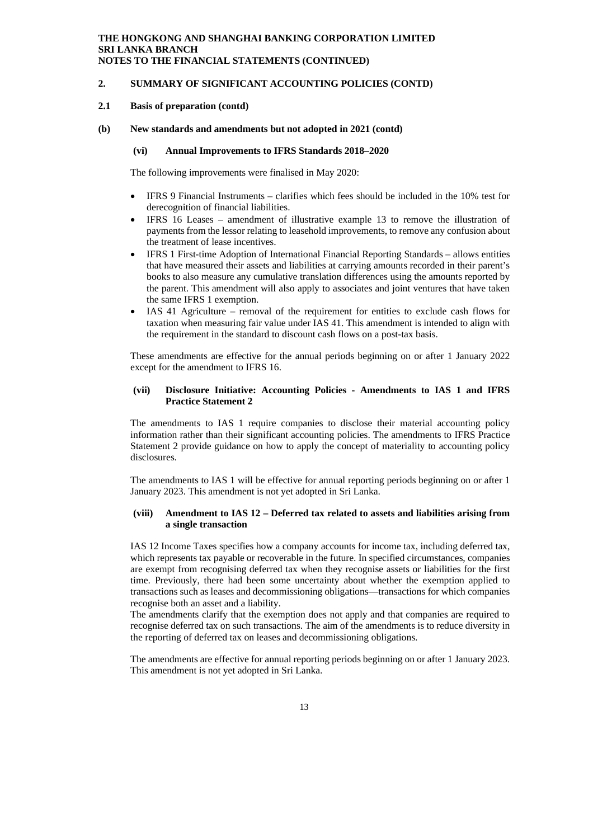# **2.1 Basis of preparation (contd)**

#### **(b) New standards and amendments but not adopted in 2021 (contd)**

#### **(vi) Annual Improvements to IFRS Standards 2018–2020**

The following improvements were finalised in May 2020:

- IFRS 9 Financial Instruments clarifies which fees should be included in the 10% test for derecognition of financial liabilities.
- IFRS 16 Leases amendment of illustrative example 13 to remove the illustration of payments from the lessor relating to leasehold improvements, to remove any confusion about the treatment of lease incentives.
- IFRS 1 First-time Adoption of International Financial Reporting Standards allows entities that have measured their assets and liabilities at carrying amounts recorded in their parent's books to also measure any cumulative translation differences using the amounts reported by the parent. This amendment will also apply to associates and joint ventures that have taken the same IFRS 1 exemption.
- IAS 41 Agriculture removal of the requirement for entities to exclude cash flows for taxation when measuring fair value under IAS 41. This amendment is intended to align with the requirement in the standard to discount cash flows on a post-tax basis.

These amendments are effective for the annual periods beginning on or after 1 January 2022 except for the amendment to IFRS 16.

# **(vii) Disclosure Initiative: Accounting Policies - Amendments to IAS 1 and IFRS Practice Statement 2**

The amendments to IAS 1 require companies to disclose their material accounting policy information rather than their significant accounting policies. The amendments to IFRS Practice Statement 2 provide guidance on how to apply the concept of materiality to accounting policy disclosures.

The amendments to IAS 1 will be effective for annual reporting periods beginning on or after 1 January 2023. This amendment is not yet adopted in Sri Lanka.

# **(viii) Amendment to IAS 12 – Deferred tax related to assets and liabilities arising from a single transaction**

IAS 12 Income Taxes specifies how a company accounts for income tax, including deferred tax, which represents tax payable or recoverable in the future. In specified circumstances, companies are exempt from recognising deferred tax when they recognise assets or liabilities for the first time. Previously, there had been some uncertainty about whether the exemption applied to transactions such as leases and decommissioning obligations—transactions for which companies recognise both an asset and a liability.

The amendments clarify that the exemption does not apply and that companies are required to recognise deferred tax on such transactions. The aim of the amendments is to reduce diversity in the reporting of deferred tax on leases and decommissioning obligations.

The amendments are effective for annual reporting periods beginning on or after 1 January 2023. This amendment is not yet adopted in Sri Lanka.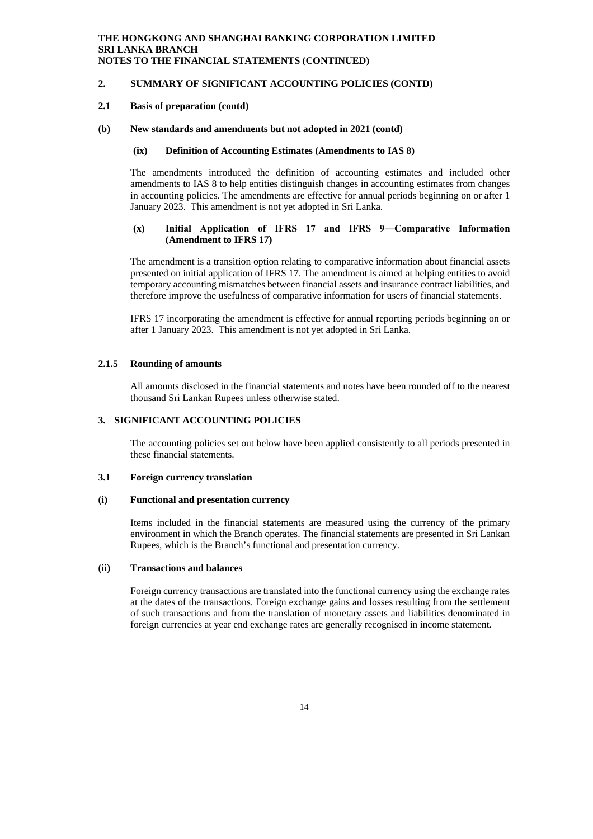# **2.1 Basis of preparation (contd)**

#### **(b) New standards and amendments but not adopted in 2021 (contd)**

#### **(ix) Definition of Accounting Estimates (Amendments to IAS 8)**

The amendments introduced the definition of accounting estimates and included other amendments to IAS 8 to help entities distinguish changes in accounting estimates from changes in accounting policies. The amendments are effective for annual periods beginning on or after 1 January 2023. This amendment is not yet adopted in Sri Lanka.

# **(x) Initial Application of IFRS 17 and IFRS 9―Comparative Information (Amendment to IFRS 17)**

The amendment is a transition option relating to comparative information about financial assets presented on initial application of IFRS 17. The amendment is aimed at helping entities to avoid temporary accounting mismatches between financial assets and insurance contract liabilities, and therefore improve the usefulness of comparative information for users of financial statements.

IFRS 17 incorporating the amendment is effective for annual reporting periods beginning on or after 1 January 2023. This amendment is not yet adopted in Sri Lanka.

#### **2.1.5 Rounding of amounts**

All amounts disclosed in the financial statements and notes have been rounded off to the nearest thousand Sri Lankan Rupees unless otherwise stated.

# **3. SIGNIFICANT ACCOUNTING POLICIES**

The accounting policies set out below have been applied consistently to all periods presented in these financial statements.

# **3.1 Foreign currency translation**

#### **(i) Functional and presentation currency**

Items included in the financial statements are measured using the currency of the primary environment in which the Branch operates. The financial statements are presented in Sri Lankan Rupees, which is the Branch's functional and presentation currency.

#### **(ii) Transactions and balances**

Foreign currency transactions are translated into the functional currency using the exchange rates at the dates of the transactions. Foreign exchange gains and losses resulting from the settlement of such transactions and from the translation of monetary assets and liabilities denominated in foreign currencies at year end exchange rates are generally recognised in income statement.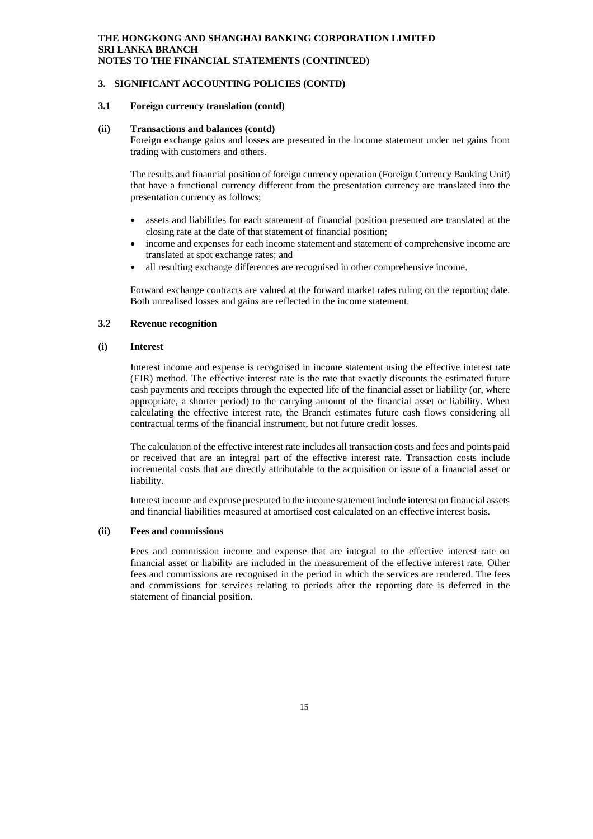## **3.1 Foreign currency translation (contd)**

#### **(ii) Transactions and balances (contd)**

Foreign exchange gains and losses are presented in the income statement under net gains from trading with customers and others.

The results and financial position of foreign currency operation (Foreign Currency Banking Unit) that have a functional currency different from the presentation currency are translated into the presentation currency as follows;

- assets and liabilities for each statement of financial position presented are translated at the closing rate at the date of that statement of financial position;
- income and expenses for each income statement and statement of comprehensive income are translated at spot exchange rates; and
- all resulting exchange differences are recognised in other comprehensive income.

Forward exchange contracts are valued at the forward market rates ruling on the reporting date. Both unrealised losses and gains are reflected in the income statement.

#### **3.2 Revenue recognition**

#### **(i) Interest**

Interest income and expense is recognised in income statement using the effective interest rate (EIR) method. The effective interest rate is the rate that exactly discounts the estimated future cash payments and receipts through the expected life of the financial asset or liability (or, where appropriate, a shorter period) to the carrying amount of the financial asset or liability. When calculating the effective interest rate, the Branch estimates future cash flows considering all contractual terms of the financial instrument, but not future credit losses.

The calculation of the effective interest rate includes all transaction costs and fees and points paid or received that are an integral part of the effective interest rate. Transaction costs include incremental costs that are directly attributable to the acquisition or issue of a financial asset or liability.

Interest income and expense presented in the income statement include interest on financial assets and financial liabilities measured at amortised cost calculated on an effective interest basis.

#### **(ii) Fees and commissions**

Fees and commission income and expense that are integral to the effective interest rate on financial asset or liability are included in the measurement of the effective interest rate. Other fees and commissions are recognised in the period in which the services are rendered. The fees and commissions for services relating to periods after the reporting date is deferred in the statement of financial position.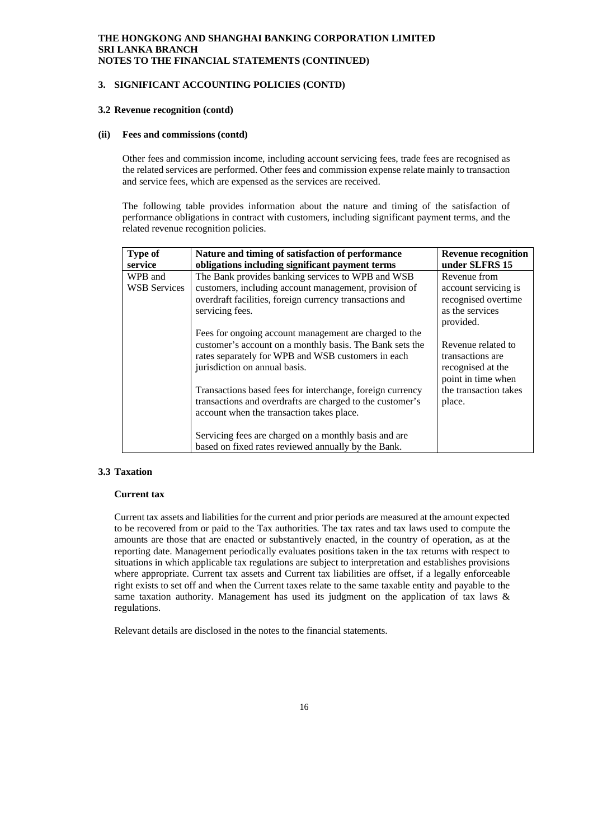# **3. SIGNIFICANT ACCOUNTING POLICIES (CONTD)**

#### **3.2 Revenue recognition (contd)**

#### **(ii) Fees and commissions (contd)**

Other fees and commission income, including account servicing fees, trade fees are recognised as the related services are performed. Other fees and commission expense relate mainly to transaction and service fees, which are expensed as the services are received.

The following table provides information about the nature and timing of the satisfaction of performance obligations in contract with customers, including significant payment terms, and the related revenue recognition policies.

| <b>Type of</b><br>service      | Nature and timing of satisfaction of performance<br>obligations including significant payment terms                                                                                                       | <b>Revenue recognition</b><br>under SLFRS 15                                                |
|--------------------------------|-----------------------------------------------------------------------------------------------------------------------------------------------------------------------------------------------------------|---------------------------------------------------------------------------------------------|
| WPB and<br><b>WSB Services</b> | The Bank provides banking services to WPB and WSB<br>customers, including account management, provision of<br>overdraft facilities, foreign currency transactions and<br>servicing fees.                  | Revenue from<br>account servicing is<br>recognised overtime<br>as the services<br>provided. |
|                                | Fees for ongoing account management are charged to the<br>customer's account on a monthly basis. The Bank sets the<br>rates separately for WPB and WSB customers in each<br>jurisdiction on annual basis. | Revenue related to<br>transactions are<br>recognised at the<br>point in time when           |
|                                | Transactions based fees for interchange, foreign currency<br>transactions and overdrafts are charged to the customer's<br>account when the transaction takes place.                                       | the transaction takes<br>place.                                                             |
|                                | Servicing fees are charged on a monthly basis and are<br>based on fixed rates reviewed annually by the Bank.                                                                                              |                                                                                             |

#### **3.3 Taxation**

#### **Current tax**

Current tax assets and liabilities for the current and prior periods are measured at the amount expected to be recovered from or paid to the Tax authorities. The tax rates and tax laws used to compute the amounts are those that are enacted or substantively enacted, in the country of operation, as at the reporting date. Management periodically evaluates positions taken in the tax returns with respect to situations in which applicable tax regulations are subject to interpretation and establishes provisions where appropriate. Current tax assets and Current tax liabilities are offset, if a legally enforceable right exists to set off and when the Current taxes relate to the same taxable entity and payable to the same taxation authority. Management has used its judgment on the application of tax laws & regulations.

Relevant details are disclosed in the notes to the financial statements.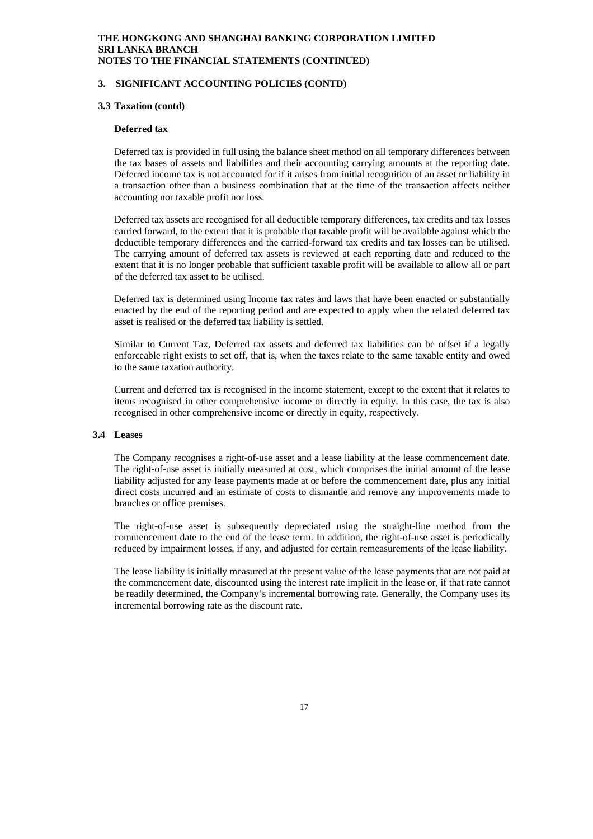#### **3. SIGNIFICANT ACCOUNTING POLICIES (CONTD)**

#### **3.3 Taxation (contd)**

#### **Deferred tax**

Deferred tax is provided in full using the balance sheet method on all temporary differences between the tax bases of assets and liabilities and their accounting carrying amounts at the reporting date. Deferred income tax is not accounted for if it arises from initial recognition of an asset or liability in a transaction other than a business combination that at the time of the transaction affects neither accounting nor taxable profit nor loss.

Deferred tax assets are recognised for all deductible temporary differences, tax credits and tax losses carried forward, to the extent that it is probable that taxable profit will be available against which the deductible temporary differences and the carried-forward tax credits and tax losses can be utilised. The carrying amount of deferred tax assets is reviewed at each reporting date and reduced to the extent that it is no longer probable that sufficient taxable profit will be available to allow all or part of the deferred tax asset to be utilised.

Deferred tax is determined using Income tax rates and laws that have been enacted or substantially enacted by the end of the reporting period and are expected to apply when the related deferred tax asset is realised or the deferred tax liability is settled.

Similar to Current Tax, Deferred tax assets and deferred tax liabilities can be offset if a legally enforceable right exists to set off, that is, when the taxes relate to the same taxable entity and owed to the same taxation authority.

Current and deferred tax is recognised in the income statement, except to the extent that it relates to items recognised in other comprehensive income or directly in equity. In this case, the tax is also recognised in other comprehensive income or directly in equity, respectively.

#### **3.4 Leases**

The Company recognises a right-of-use asset and a lease liability at the lease commencement date. The right-of-use asset is initially measured at cost, which comprises the initial amount of the lease liability adjusted for any lease payments made at or before the commencement date, plus any initial direct costs incurred and an estimate of costs to dismantle and remove any improvements made to branches or office premises.

The right-of-use asset is subsequently depreciated using the straight-line method from the commencement date to the end of the lease term. In addition, the right-of-use asset is periodically reduced by impairment losses, if any, and adjusted for certain remeasurements of the lease liability.

The lease liability is initially measured at the present value of the lease payments that are not paid at the commencement date, discounted using the interest rate implicit in the lease or, if that rate cannot be readily determined, the Company's incremental borrowing rate. Generally, the Company uses its incremental borrowing rate as the discount rate.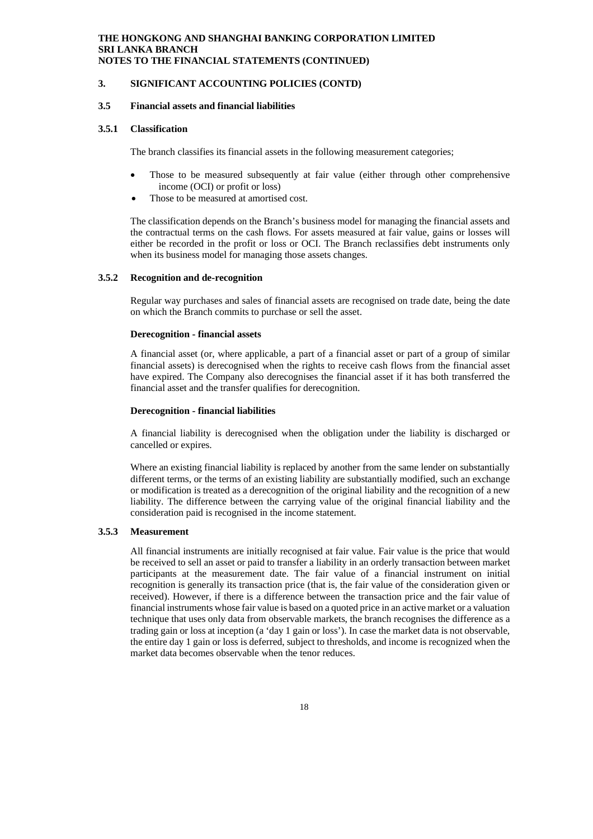# **3.5 Financial assets and financial liabilities**

#### **3.5.1 Classification**

The branch classifies its financial assets in the following measurement categories;

- Those to be measured subsequently at fair value (either through other comprehensive income (OCI) or profit or loss)
- Those to be measured at amortised cost.

The classification depends on the Branch's business model for managing the financial assets and the contractual terms on the cash flows. For assets measured at fair value, gains or losses will either be recorded in the profit or loss or OCI. The Branch reclassifies debt instruments only when its business model for managing those assets changes.

## **3.5.2 Recognition and de-recognition**

Regular way purchases and sales of financial assets are recognised on trade date, being the date on which the Branch commits to purchase or sell the asset.

#### **Derecognition - financial assets**

A financial asset (or, where applicable, a part of a financial asset or part of a group of similar financial assets) is derecognised when the rights to receive cash flows from the financial asset have expired. The Company also derecognises the financial asset if it has both transferred the financial asset and the transfer qualifies for derecognition.

#### **Derecognition - financial liabilities**

A financial liability is derecognised when the obligation under the liability is discharged or cancelled or expires.

Where an existing financial liability is replaced by another from the same lender on substantially different terms, or the terms of an existing liability are substantially modified, such an exchange or modification is treated as a derecognition of the original liability and the recognition of a new liability. The difference between the carrying value of the original financial liability and the consideration paid is recognised in the income statement.

# **3.5.3 Measurement**

All financial instruments are initially recognised at fair value. Fair value is the price that would be received to sell an asset or paid to transfer a liability in an orderly transaction between market participants at the measurement date. The fair value of a financial instrument on initial recognition is generally its transaction price (that is, the fair value of the consideration given or received). However, if there is a difference between the transaction price and the fair value of financial instruments whose fair value is based on a quoted price in an active market or a valuation technique that uses only data from observable markets, the branch recognises the difference as a trading gain or loss at inception (a 'day 1 gain or loss'). In case the market data is not observable, the entire day 1 gain or loss is deferred, subject to thresholds, and income is recognized when the market data becomes observable when the tenor reduces.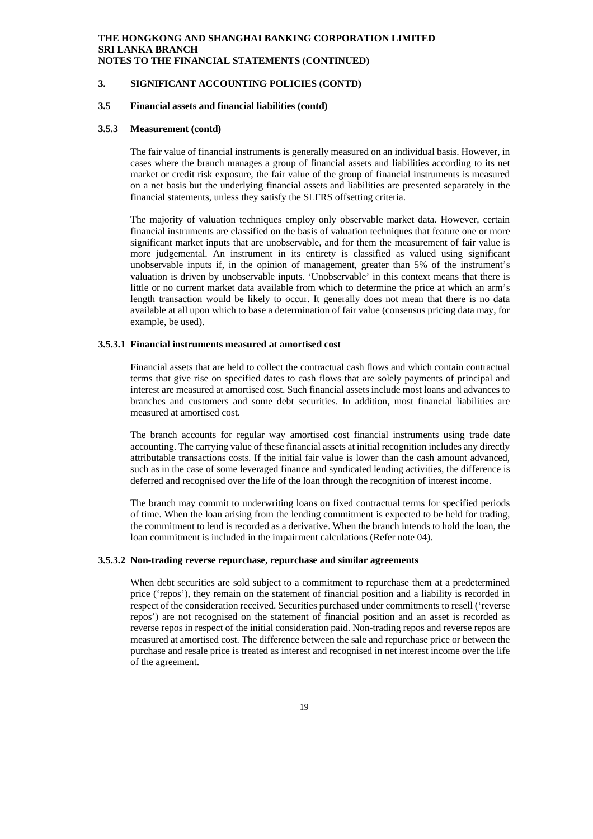## **3.5 Financial assets and financial liabilities (contd)**

#### **3.5.3 Measurement (contd)**

The fair value of financial instruments is generally measured on an individual basis. However, in cases where the branch manages a group of financial assets and liabilities according to its net market or credit risk exposure, the fair value of the group of financial instruments is measured on a net basis but the underlying financial assets and liabilities are presented separately in the financial statements, unless they satisfy the SLFRS offsetting criteria.

The majority of valuation techniques employ only observable market data. However, certain financial instruments are classified on the basis of valuation techniques that feature one or more significant market inputs that are unobservable, and for them the measurement of fair value is more judgemental. An instrument in its entirety is classified as valued using significant unobservable inputs if, in the opinion of management, greater than 5% of the instrument's valuation is driven by unobservable inputs. 'Unobservable' in this context means that there is little or no current market data available from which to determine the price at which an arm's length transaction would be likely to occur. It generally does not mean that there is no data available at all upon which to base a determination of fair value (consensus pricing data may, for example, be used).

# **3.5.3.1 Financial instruments measured at amortised cost**

Financial assets that are held to collect the contractual cash flows and which contain contractual terms that give rise on specified dates to cash flows that are solely payments of principal and interest are measured at amortised cost. Such financial assets include most loans and advances to branches and customers and some debt securities. In addition, most financial liabilities are measured at amortised cost.

The branch accounts for regular way amortised cost financial instruments using trade date accounting. The carrying value of these financial assets at initial recognition includes any directly attributable transactions costs. If the initial fair value is lower than the cash amount advanced, such as in the case of some leveraged finance and syndicated lending activities, the difference is deferred and recognised over the life of the loan through the recognition of interest income.

The branch may commit to underwriting loans on fixed contractual terms for specified periods of time. When the loan arising from the lending commitment is expected to be held for trading, the commitment to lend is recorded as a derivative. When the branch intends to hold the loan, the loan commitment is included in the impairment calculations (Refer note 04).

# **3.5.3.2 Non-trading reverse repurchase, repurchase and similar agreements**

When debt securities are sold subject to a commitment to repurchase them at a predetermined price ('repos'), they remain on the statement of financial position and a liability is recorded in respect of the consideration received. Securities purchased under commitments to resell ('reverse repos') are not recognised on the statement of financial position and an asset is recorded as reverse repos in respect of the initial consideration paid. Non-trading repos and reverse repos are measured at amortised cost. The difference between the sale and repurchase price or between the purchase and resale price is treated as interest and recognised in net interest income over the life of the agreement.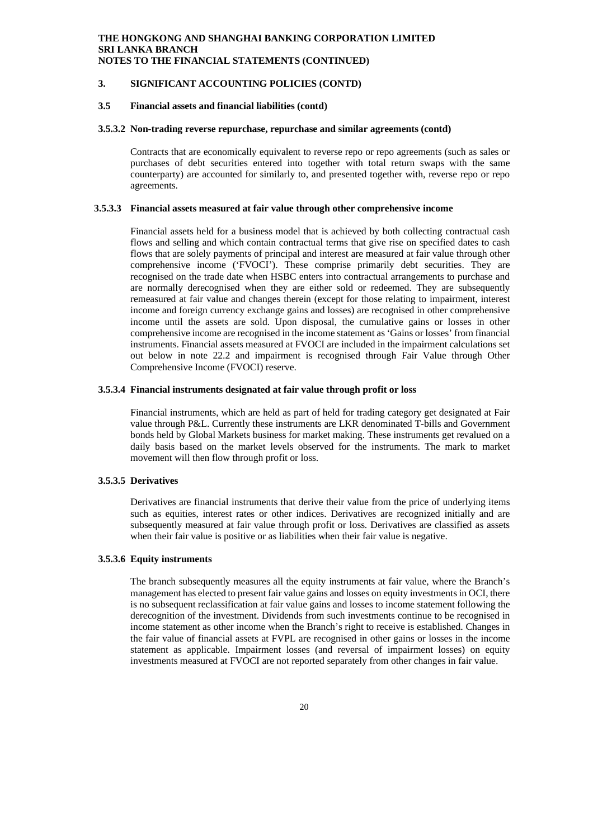# **3.5 Financial assets and financial liabilities (contd)**

#### **3.5.3.2 Non-trading reverse repurchase, repurchase and similar agreements (contd)**

Contracts that are economically equivalent to reverse repo or repo agreements (such as sales or purchases of debt securities entered into together with total return swaps with the same counterparty) are accounted for similarly to, and presented together with, reverse repo or repo agreements.

#### **3.5.3.3 Financial assets measured at fair value through other comprehensive income**

Financial assets held for a business model that is achieved by both collecting contractual cash flows and selling and which contain contractual terms that give rise on specified dates to cash flows that are solely payments of principal and interest are measured at fair value through other comprehensive income ('FVOCI'). These comprise primarily debt securities. They are recognised on the trade date when HSBC enters into contractual arrangements to purchase and are normally derecognised when they are either sold or redeemed. They are subsequently remeasured at fair value and changes therein (except for those relating to impairment, interest income and foreign currency exchange gains and losses) are recognised in other comprehensive income until the assets are sold. Upon disposal, the cumulative gains or losses in other comprehensive income are recognised in the income statement as 'Gains or losses' from financial instruments. Financial assets measured at FVOCI are included in the impairment calculations set out below in note 22.2 and impairment is recognised through Fair Value through Other Comprehensive Income (FVOCI) reserve.

# **3.5.3.4 Financial instruments designated at fair value through profit or loss**

Financial instruments, which are held as part of held for trading category get designated at Fair value through P&L. Currently these instruments are LKR denominated T-bills and Government bonds held by Global Markets business for market making. These instruments get revalued on a daily basis based on the market levels observed for the instruments. The mark to market movement will then flow through profit or loss.

#### **3.5.3.5 Derivatives**

Derivatives are financial instruments that derive their value from the price of underlying items such as equities, interest rates or other indices. Derivatives are recognized initially and are subsequently measured at fair value through profit or loss. Derivatives are classified as assets when their fair value is positive or as liabilities when their fair value is negative.

#### **3.5.3.6 Equity instruments**

The branch subsequently measures all the equity instruments at fair value, where the Branch's management has elected to present fair value gains and losses on equity investments in OCI, there is no subsequent reclassification at fair value gains and losses to income statement following the derecognition of the investment. Dividends from such investments continue to be recognised in income statement as other income when the Branch's right to receive is established. Changes in the fair value of financial assets at FVPL are recognised in other gains or losses in the income statement as applicable. Impairment losses (and reversal of impairment losses) on equity investments measured at FVOCI are not reported separately from other changes in fair value.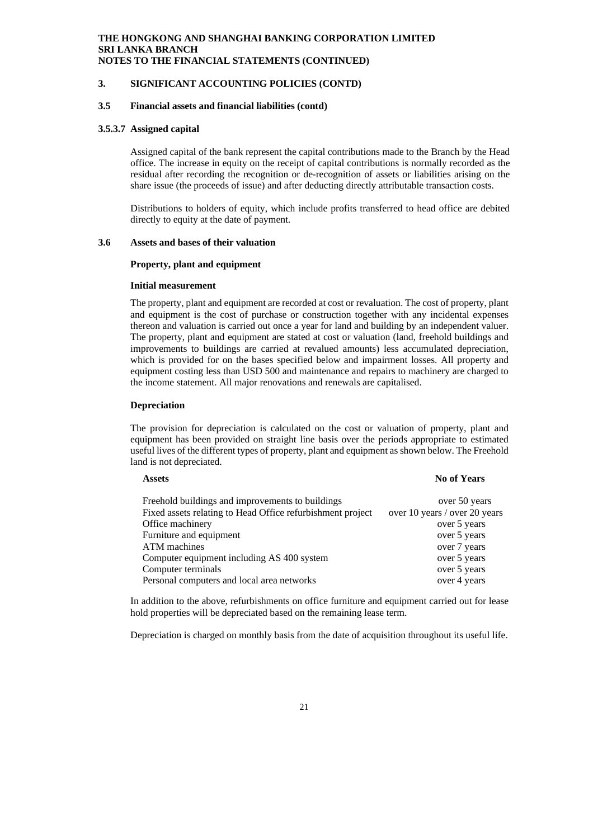# **3.5 Financial assets and financial liabilities (contd)**

#### **3.5.3.7 Assigned capital**

Assigned capital of the bank represent the capital contributions made to the Branch by the Head office. The increase in equity on the receipt of capital contributions is normally recorded as the residual after recording the recognition or de-recognition of assets or liabilities arising on the share issue (the proceeds of issue) and after deducting directly attributable transaction costs.

Distributions to holders of equity, which include profits transferred to head office are debited directly to equity at the date of payment.

#### **3.6 Assets and bases of their valuation**

#### **Property, plant and equipment**

#### **Initial measurement**

The property, plant and equipment are recorded at cost or revaluation. The cost of property, plant and equipment is the cost of purchase or construction together with any incidental expenses thereon and valuation is carried out once a year for land and building by an independent valuer. The property, plant and equipment are stated at cost or valuation (land, freehold buildings and improvements to buildings are carried at revalued amounts) less accumulated depreciation, which is provided for on the bases specified below and impairment losses. All property and equipment costing less than USD 500 and maintenance and repairs to machinery are charged to the income statement. All major renovations and renewals are capitalised.

#### **Depreciation**

The provision for depreciation is calculated on the cost or valuation of property, plant and equipment has been provided on straight line basis over the periods appropriate to estimated useful lives of the different types of property, plant and equipment as shown below. The Freehold land is not depreciated.

#### **Assets** No of Years

| Freehold buildings and improvements to buildings           | over 50 years                 |
|------------------------------------------------------------|-------------------------------|
| Fixed assets relating to Head Office refurbishment project | over 10 years / over 20 years |
| Office machinery                                           | over 5 years                  |
| Furniture and equipment                                    | over 5 years                  |
| ATM machines                                               | over 7 years                  |
| Computer equipment including AS 400 system                 | over 5 years                  |
| Computer terminals                                         | over 5 years                  |
| Personal computers and local area networks                 | over 4 years                  |

In addition to the above, refurbishments on office furniture and equipment carried out for lease hold properties will be depreciated based on the remaining lease term.

Depreciation is charged on monthly basis from the date of acquisition throughout its useful life.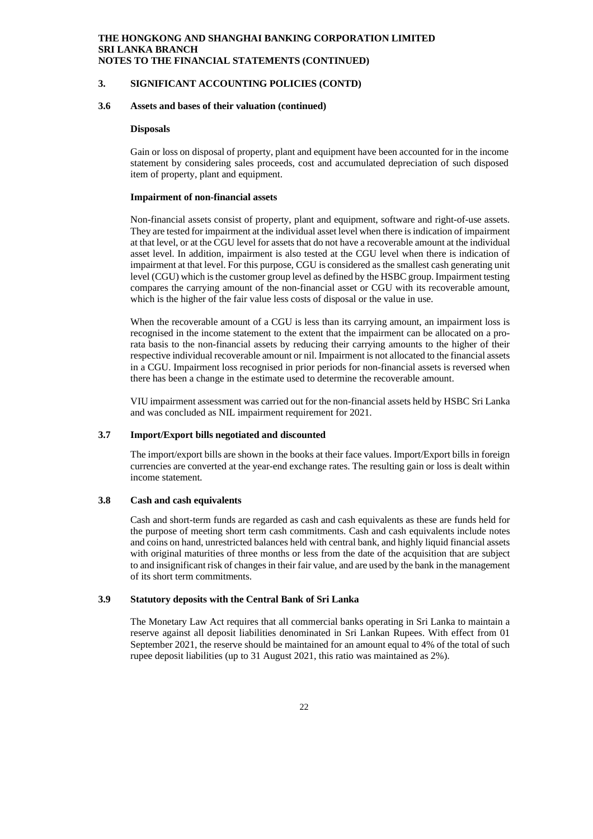# **3. SIGNIFICANT ACCOUNTING POLICIES (CONTD)**

## **3.6 Assets and bases of their valuation (continued)**

#### **Disposals**

Gain or loss on disposal of property, plant and equipment have been accounted for in the income statement by considering sales proceeds, cost and accumulated depreciation of such disposed item of property, plant and equipment.

#### **Impairment of non-financial assets**

Non-financial assets consist of property, plant and equipment, software and right-of-use assets. They are tested for impairment at the individual asset level when there is indication of impairment at that level, or at the CGU level for assets that do not have a recoverable amount at the individual asset level. In addition, impairment is also tested at the CGU level when there is indication of impairment at that level. For this purpose, CGU is considered as the smallest cash generating unit level (CGU) which is the customer group level as defined by the HSBC group. Impairment testing compares the carrying amount of the non-financial asset or CGU with its recoverable amount, which is the higher of the fair value less costs of disposal or the value in use.

When the recoverable amount of a CGU is less than its carrying amount, an impairment loss is recognised in the income statement to the extent that the impairment can be allocated on a prorata basis to the non-financial assets by reducing their carrying amounts to the higher of their respective individual recoverable amount or nil. Impairment is not allocated to the financial assets in a CGU. Impairment loss recognised in prior periods for non-financial assets is reversed when there has been a change in the estimate used to determine the recoverable amount.

VIU impairment assessment was carried out for the non-financial assets held by HSBC Sri Lanka and was concluded as NIL impairment requirement for 2021.

#### **3.7 Import/Export bills negotiated and discounted**

The import/export bills are shown in the books at their face values. Import/Export bills in foreign currencies are converted at the year-end exchange rates. The resulting gain or loss is dealt within income statement.

#### **3.8 Cash and cash equivalents**

Cash and short-term funds are regarded as cash and cash equivalents as these are funds held for the purpose of meeting short term cash commitments. Cash and cash equivalents include notes and coins on hand, unrestricted balances held with central bank, and highly liquid financial assets with original maturities of three months or less from the date of the acquisition that are subject to and insignificant risk of changes in their fair value, and are used by the bank in the management of its short term commitments.

# **3.9 Statutory deposits with the Central Bank of Sri Lanka**

The Monetary Law Act requires that all commercial banks operating in Sri Lanka to maintain a reserve against all deposit liabilities denominated in Sri Lankan Rupees. With effect from 01 September 2021, the reserve should be maintained for an amount equal to 4% of the total of such rupee deposit liabilities (up to 31 August 2021, this ratio was maintained as 2%).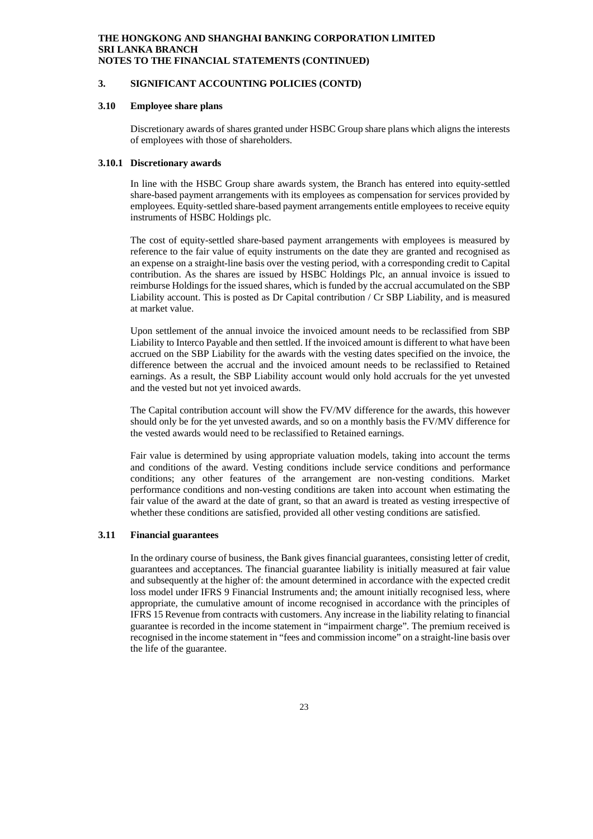## **3.10 Employee share plans**

Discretionary awards of shares granted under HSBC Group share plans which aligns the interests of employees with those of shareholders.

#### **3.10.1 Discretionary awards**

In line with the HSBC Group share awards system, the Branch has entered into equity-settled share-based payment arrangements with its employees as compensation for services provided by employees. Equity-settled share-based payment arrangements entitle employees to receive equity instruments of HSBC Holdings plc.

The cost of equity-settled share-based payment arrangements with employees is measured by reference to the fair value of equity instruments on the date they are granted and recognised as an expense on a straight-line basis over the vesting period, with a corresponding credit to Capital contribution. As the shares are issued by HSBC Holdings Plc, an annual invoice is issued to reimburse Holdings for the issued shares, which is funded by the accrual accumulated on the SBP Liability account. This is posted as Dr Capital contribution / Cr SBP Liability, and is measured at market value.

Upon settlement of the annual invoice the invoiced amount needs to be reclassified from SBP Liability to Interco Payable and then settled. If the invoiced amount is different to what have been accrued on the SBP Liability for the awards with the vesting dates specified on the invoice, the difference between the accrual and the invoiced amount needs to be reclassified to Retained earnings. As a result, the SBP Liability account would only hold accruals for the yet unvested and the vested but not yet invoiced awards.

The Capital contribution account will show the FV/MV difference for the awards, this however should only be for the yet unvested awards, and so on a monthly basis the FV/MV difference for the vested awards would need to be reclassified to Retained earnings.

Fair value is determined by using appropriate valuation models, taking into account the terms and conditions of the award. Vesting conditions include service conditions and performance conditions; any other features of the arrangement are non-vesting conditions. Market performance conditions and non-vesting conditions are taken into account when estimating the fair value of the award at the date of grant, so that an award is treated as vesting irrespective of whether these conditions are satisfied, provided all other vesting conditions are satisfied.

# **3.11 Financial guarantees**

In the ordinary course of business, the Bank gives financial guarantees, consisting letter of credit, guarantees and acceptances. The financial guarantee liability is initially measured at fair value and subsequently at the higher of: the amount determined in accordance with the expected credit loss model under IFRS 9 Financial Instruments and; the amount initially recognised less, where appropriate, the cumulative amount of income recognised in accordance with the principles of IFRS 15 Revenue from contracts with customers. Any increase in the liability relating to financial guarantee is recorded in the income statement in "impairment charge". The premium received is recognised in the income statement in "fees and commission income" on a straight-line basis over the life of the guarantee.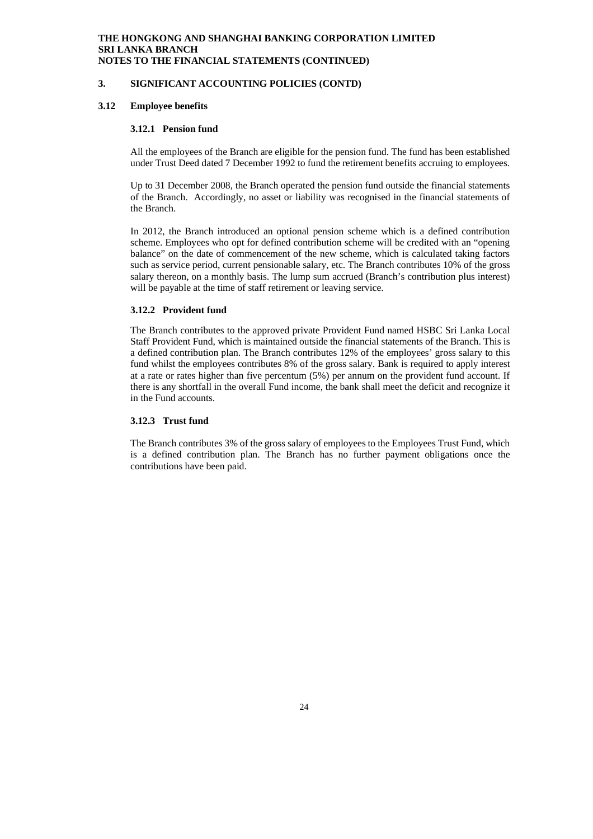# **3.12 Employee benefits**

#### **3.12.1 Pension fund**

All the employees of the Branch are eligible for the pension fund. The fund has been established under Trust Deed dated 7 December 1992 to fund the retirement benefits accruing to employees.

Up to 31 December 2008, the Branch operated the pension fund outside the financial statements of the Branch. Accordingly, no asset or liability was recognised in the financial statements of the Branch.

In 2012, the Branch introduced an optional pension scheme which is a defined contribution scheme. Employees who opt for defined contribution scheme will be credited with an "opening balance" on the date of commencement of the new scheme, which is calculated taking factors such as service period, current pensionable salary, etc. The Branch contributes 10% of the gross salary thereon, on a monthly basis. The lump sum accrued (Branch's contribution plus interest) will be payable at the time of staff retirement or leaving service.

# **3.12.2 Provident fund**

The Branch contributes to the approved private Provident Fund named HSBC Sri Lanka Local Staff Provident Fund, which is maintained outside the financial statements of the Branch. This is a defined contribution plan. The Branch contributes 12% of the employees' gross salary to this fund whilst the employees contributes 8% of the gross salary. Bank is required to apply interest at a rate or rates higher than five percentum (5%) per annum on the provident fund account. If there is any shortfall in the overall Fund income, the bank shall meet the deficit and recognize it in the Fund accounts.

# **3.12.3 Trust fund**

The Branch contributes 3% of the gross salary of employees to the Employees Trust Fund, which is a defined contribution plan. The Branch has no further payment obligations once the contributions have been paid.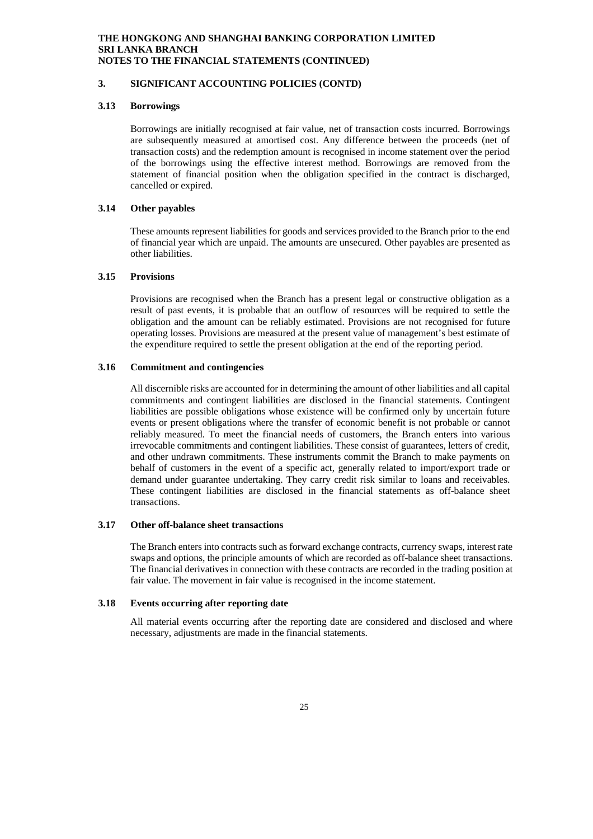# **3.13 Borrowings**

Borrowings are initially recognised at fair value, net of transaction costs incurred. Borrowings are subsequently measured at amortised cost. Any difference between the proceeds (net of transaction costs) and the redemption amount is recognised in income statement over the period of the borrowings using the effective interest method. Borrowings are removed from the statement of financial position when the obligation specified in the contract is discharged, cancelled or expired.

# **3.14 Other payables**

These amounts represent liabilities for goods and services provided to the Branch prior to the end of financial year which are unpaid. The amounts are unsecured. Other payables are presented as other liabilities.

#### **3.15 Provisions**

Provisions are recognised when the Branch has a present legal or constructive obligation as a result of past events, it is probable that an outflow of resources will be required to settle the obligation and the amount can be reliably estimated. Provisions are not recognised for future operating losses. Provisions are measured at the present value of management's best estimate of the expenditure required to settle the present obligation at the end of the reporting period.

#### **3.16 Commitment and contingencies**

All discernible risks are accounted for in determining the amount of other liabilities and all capital commitments and contingent liabilities are disclosed in the financial statements. Contingent liabilities are possible obligations whose existence will be confirmed only by uncertain future events or present obligations where the transfer of economic benefit is not probable or cannot reliably measured. To meet the financial needs of customers, the Branch enters into various irrevocable commitments and contingent liabilities. These consist of guarantees, letters of credit, and other undrawn commitments. These instruments commit the Branch to make payments on behalf of customers in the event of a specific act, generally related to import/export trade or demand under guarantee undertaking. They carry credit risk similar to loans and receivables. These contingent liabilities are disclosed in the financial statements as off-balance sheet transactions.

#### **3.17 Other off-balance sheet transactions**

The Branch enters into contracts such as forward exchange contracts, currency swaps, interest rate swaps and options, the principle amounts of which are recorded as off-balance sheet transactions. The financial derivatives in connection with these contracts are recorded in the trading position at fair value. The movement in fair value is recognised in the income statement.

#### **3.18 Events occurring after reporting date**

All material events occurring after the reporting date are considered and disclosed and where necessary, adjustments are made in the financial statements.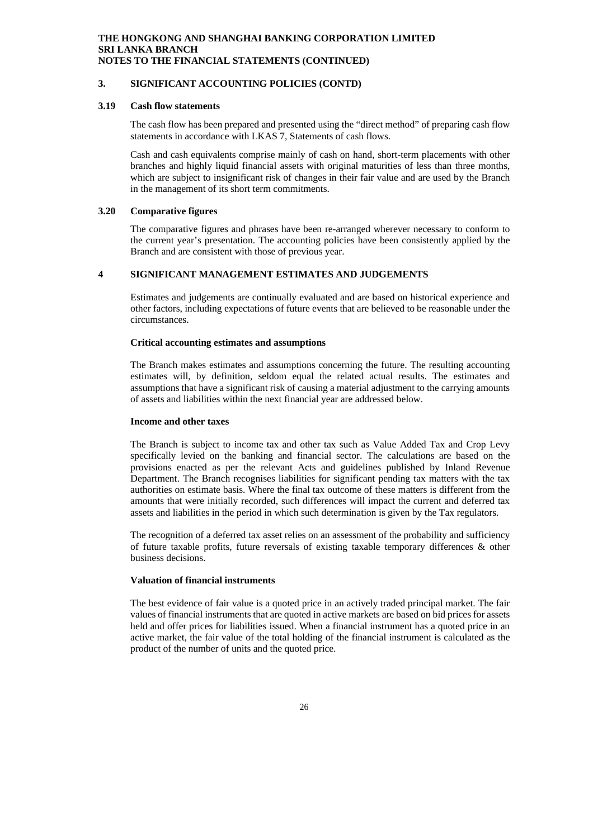# **3.19 Cash flow statements**

The cash flow has been prepared and presented using the "direct method" of preparing cash flow statements in accordance with LKAS 7, Statements of cash flows.

Cash and cash equivalents comprise mainly of cash on hand, short-term placements with other branches and highly liquid financial assets with original maturities of less than three months, which are subject to insignificant risk of changes in their fair value and are used by the Branch in the management of its short term commitments.

#### **3.20 Comparative figures**

The comparative figures and phrases have been re-arranged wherever necessary to conform to the current year's presentation. The accounting policies have been consistently applied by the Branch and are consistent with those of previous year.

# **4 SIGNIFICANT MANAGEMENT ESTIMATES AND JUDGEMENTS**

Estimates and judgements are continually evaluated and are based on historical experience and other factors, including expectations of future events that are believed to be reasonable under the circumstances.

# **Critical accounting estimates and assumptions**

The Branch makes estimates and assumptions concerning the future. The resulting accounting estimates will, by definition, seldom equal the related actual results. The estimates and assumptions that have a significant risk of causing a material adjustment to the carrying amounts of assets and liabilities within the next financial year are addressed below.

#### **Income and other taxes**

The Branch is subject to income tax and other tax such as Value Added Tax and Crop Levy specifically levied on the banking and financial sector. The calculations are based on the provisions enacted as per the relevant Acts and guidelines published by Inland Revenue Department. The Branch recognises liabilities for significant pending tax matters with the tax authorities on estimate basis. Where the final tax outcome of these matters is different from the amounts that were initially recorded, such differences will impact the current and deferred tax assets and liabilities in the period in which such determination is given by the Tax regulators.

The recognition of a deferred tax asset relies on an assessment of the probability and sufficiency of future taxable profits, future reversals of existing taxable temporary differences & other business decisions.

#### **Valuation of financial instruments**

The best evidence of fair value is a quoted price in an actively traded principal market. The fair values of financial instruments that are quoted in active markets are based on bid prices for assets held and offer prices for liabilities issued. When a financial instrument has a quoted price in an active market, the fair value of the total holding of the financial instrument is calculated as the product of the number of units and the quoted price.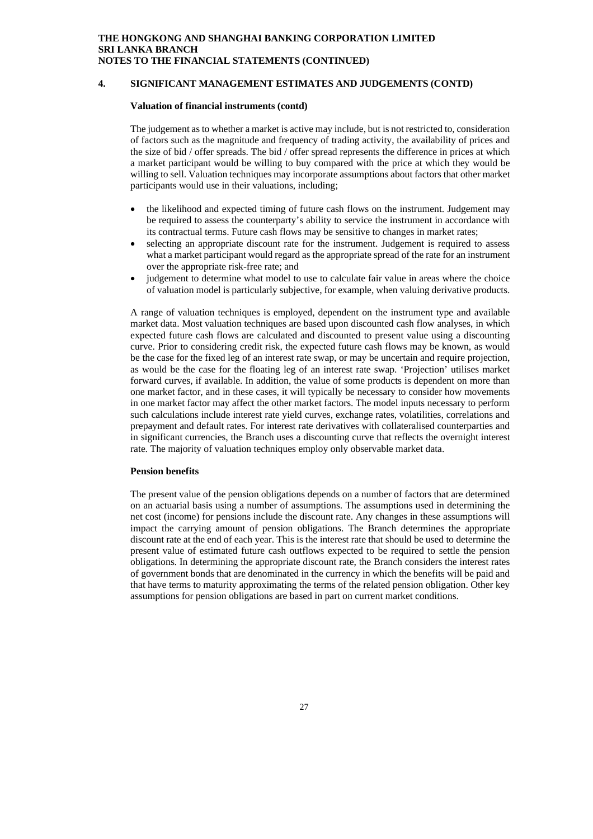# **4. SIGNIFICANT MANAGEMENT ESTIMATES AND JUDGEMENTS (CONTD)**

#### **Valuation of financial instruments (contd)**

The judgement as to whether a market is active may include, but is not restricted to, consideration of factors such as the magnitude and frequency of trading activity, the availability of prices and the size of bid / offer spreads. The bid / offer spread represents the difference in prices at which a market participant would be willing to buy compared with the price at which they would be willing to sell. Valuation techniques may incorporate assumptions about factors that other market participants would use in their valuations, including;

- the likelihood and expected timing of future cash flows on the instrument. Judgement may be required to assess the counterparty's ability to service the instrument in accordance with its contractual terms. Future cash flows may be sensitive to changes in market rates;
- selecting an appropriate discount rate for the instrument. Judgement is required to assess what a market participant would regard as the appropriate spread of the rate for an instrument over the appropriate risk-free rate; and
- judgement to determine what model to use to calculate fair value in areas where the choice of valuation model is particularly subjective, for example, when valuing derivative products.

A range of valuation techniques is employed, dependent on the instrument type and available market data. Most valuation techniques are based upon discounted cash flow analyses, in which expected future cash flows are calculated and discounted to present value using a discounting curve. Prior to considering credit risk, the expected future cash flows may be known, as would be the case for the fixed leg of an interest rate swap, or may be uncertain and require projection, as would be the case for the floating leg of an interest rate swap. 'Projection' utilises market forward curves, if available. In addition, the value of some products is dependent on more than one market factor, and in these cases, it will typically be necessary to consider how movements in one market factor may affect the other market factors. The model inputs necessary to perform such calculations include interest rate yield curves, exchange rates, volatilities, correlations and prepayment and default rates. For interest rate derivatives with collateralised counterparties and in significant currencies, the Branch uses a discounting curve that reflects the overnight interest rate. The majority of valuation techniques employ only observable market data.

#### **Pension benefits**

The present value of the pension obligations depends on a number of factors that are determined on an actuarial basis using a number of assumptions. The assumptions used in determining the net cost (income) for pensions include the discount rate. Any changes in these assumptions will impact the carrying amount of pension obligations. The Branch determines the appropriate discount rate at the end of each year. This is the interest rate that should be used to determine the present value of estimated future cash outflows expected to be required to settle the pension obligations. In determining the appropriate discount rate, the Branch considers the interest rates of government bonds that are denominated in the currency in which the benefits will be paid and that have terms to maturity approximating the terms of the related pension obligation. Other key assumptions for pension obligations are based in part on current market conditions.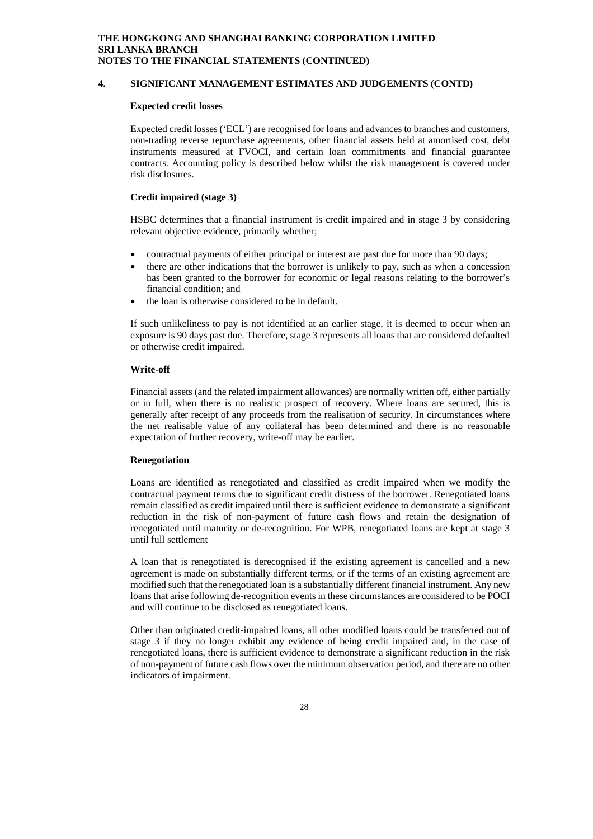# **4. SIGNIFICANT MANAGEMENT ESTIMATES AND JUDGEMENTS (CONTD)**

#### **Expected credit losses**

Expected credit losses ('ECL') are recognised for loans and advances to branches and customers, non-trading reverse repurchase agreements, other financial assets held at amortised cost, debt instruments measured at FVOCI, and certain loan commitments and financial guarantee contracts. Accounting policy is described below whilst the risk management is covered under risk disclosures.

#### **Credit impaired (stage 3)**

HSBC determines that a financial instrument is credit impaired and in stage 3 by considering relevant objective evidence, primarily whether;

- contractual payments of either principal or interest are past due for more than 90 days;
- there are other indications that the borrower is unlikely to pay, such as when a concession has been granted to the borrower for economic or legal reasons relating to the borrower's financial condition; and
- the loan is otherwise considered to be in default.

If such unlikeliness to pay is not identified at an earlier stage, it is deemed to occur when an exposure is 90 days past due. Therefore, stage 3 represents all loans that are considered defaulted or otherwise credit impaired.

#### **Write-off**

Financial assets (and the related impairment allowances) are normally written off, either partially or in full, when there is no realistic prospect of recovery. Where loans are secured, this is generally after receipt of any proceeds from the realisation of security. In circumstances where the net realisable value of any collateral has been determined and there is no reasonable expectation of further recovery, write-off may be earlier.

#### **Renegotiation**

Loans are identified as renegotiated and classified as credit impaired when we modify the contractual payment terms due to significant credit distress of the borrower. Renegotiated loans remain classified as credit impaired until there is sufficient evidence to demonstrate a significant reduction in the risk of non-payment of future cash flows and retain the designation of renegotiated until maturity or de-recognition. For WPB, renegotiated loans are kept at stage 3 until full settlement

A loan that is renegotiated is derecognised if the existing agreement is cancelled and a new agreement is made on substantially different terms, or if the terms of an existing agreement are modified such that the renegotiated loan is a substantially different financial instrument. Any new loans that arise following de-recognition events in these circumstances are considered to be POCI and will continue to be disclosed as renegotiated loans.

Other than originated credit-impaired loans, all other modified loans could be transferred out of stage 3 if they no longer exhibit any evidence of being credit impaired and, in the case of renegotiated loans, there is sufficient evidence to demonstrate a significant reduction in the risk of non-payment of future cash flows over the minimum observation period, and there are no other indicators of impairment.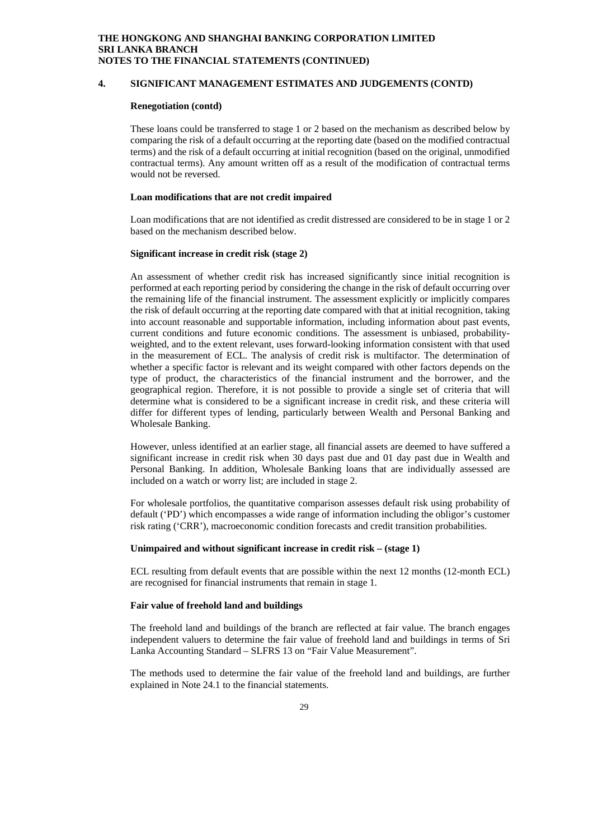# **4. SIGNIFICANT MANAGEMENT ESTIMATES AND JUDGEMENTS (CONTD)**

#### **Renegotiation (contd)**

These loans could be transferred to stage 1 or 2 based on the mechanism as described below by comparing the risk of a default occurring at the reporting date (based on the modified contractual terms) and the risk of a default occurring at initial recognition (based on the original, unmodified contractual terms). Any amount written off as a result of the modification of contractual terms would not be reversed.

#### **Loan modifications that are not credit impaired**

Loan modifications that are not identified as credit distressed are considered to be in stage 1 or 2 based on the mechanism described below.

#### **Significant increase in credit risk (stage 2)**

An assessment of whether credit risk has increased significantly since initial recognition is performed at each reporting period by considering the change in the risk of default occurring over the remaining life of the financial instrument. The assessment explicitly or implicitly compares the risk of default occurring at the reporting date compared with that at initial recognition, taking into account reasonable and supportable information, including information about past events, current conditions and future economic conditions. The assessment is unbiased, probabilityweighted, and to the extent relevant, uses forward-looking information consistent with that used in the measurement of ECL. The analysis of credit risk is multifactor. The determination of whether a specific factor is relevant and its weight compared with other factors depends on the type of product, the characteristics of the financial instrument and the borrower, and the geographical region. Therefore, it is not possible to provide a single set of criteria that will determine what is considered to be a significant increase in credit risk, and these criteria will differ for different types of lending, particularly between Wealth and Personal Banking and Wholesale Banking.

However, unless identified at an earlier stage, all financial assets are deemed to have suffered a significant increase in credit risk when 30 days past due and 01 day past due in Wealth and Personal Banking. In addition, Wholesale Banking loans that are individually assessed are included on a watch or worry list; are included in stage 2.

For wholesale portfolios, the quantitative comparison assesses default risk using probability of default ('PD') which encompasses a wide range of information including the obligor's customer risk rating ('CRR'), macroeconomic condition forecasts and credit transition probabilities.

#### **Unimpaired and without significant increase in credit risk – (stage 1)**

ECL resulting from default events that are possible within the next 12 months (12-month ECL) are recognised for financial instruments that remain in stage 1.

#### **Fair value of freehold land and buildings**

The freehold land and buildings of the branch are reflected at fair value. The branch engages independent valuers to determine the fair value of freehold land and buildings in terms of Sri Lanka Accounting Standard – SLFRS 13 on "Fair Value Measurement".

The methods used to determine the fair value of the freehold land and buildings, are further explained in Note 24.1 to the financial statements.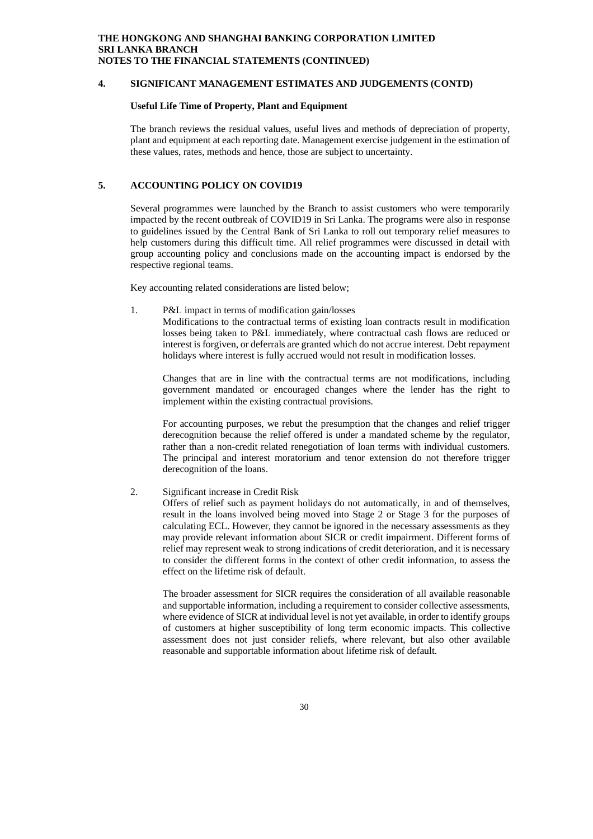# **4. SIGNIFICANT MANAGEMENT ESTIMATES AND JUDGEMENTS (CONTD)**

#### **Useful Life Time of Property, Plant and Equipment**

The branch reviews the residual values, useful lives and methods of depreciation of property, plant and equipment at each reporting date. Management exercise judgement in the estimation of these values, rates, methods and hence, those are subject to uncertainty.

#### **5. ACCOUNTING POLICY ON COVID19**

Several programmes were launched by the Branch to assist customers who were temporarily impacted by the recent outbreak of COVID19 in Sri Lanka. The programs were also in response to guidelines issued by the Central Bank of Sri Lanka to roll out temporary relief measures to help customers during this difficult time. All relief programmes were discussed in detail with group accounting policy and conclusions made on the accounting impact is endorsed by the respective regional teams.

Key accounting related considerations are listed below;

1. P&L impact in terms of modification gain/losses

Modifications to the contractual terms of existing loan contracts result in modification losses being taken to P&L immediately, where contractual cash flows are reduced or interest is forgiven, or deferrals are granted which do not accrue interest. Debt repayment holidays where interest is fully accrued would not result in modification losses.

Changes that are in line with the contractual terms are not modifications, including government mandated or encouraged changes where the lender has the right to implement within the existing contractual provisions.

For accounting purposes, we rebut the presumption that the changes and relief trigger derecognition because the relief offered is under a mandated scheme by the regulator, rather than a non-credit related renegotiation of loan terms with individual customers. The principal and interest moratorium and tenor extension do not therefore trigger derecognition of the loans.

#### 2. Significant increase in Credit Risk

Offers of relief such as payment holidays do not automatically, in and of themselves, result in the loans involved being moved into Stage 2 or Stage 3 for the purposes of calculating ECL. However, they cannot be ignored in the necessary assessments as they may provide relevant information about SICR or credit impairment. Different forms of relief may represent weak to strong indications of credit deterioration, and it is necessary to consider the different forms in the context of other credit information, to assess the effect on the lifetime risk of default.

The broader assessment for SICR requires the consideration of all available reasonable and supportable information, including a requirement to consider collective assessments, where evidence of SICR at individual level is not yet available, in order to identify groups of customers at higher susceptibility of long term economic impacts. This collective assessment does not just consider reliefs, where relevant, but also other available reasonable and supportable information about lifetime risk of default.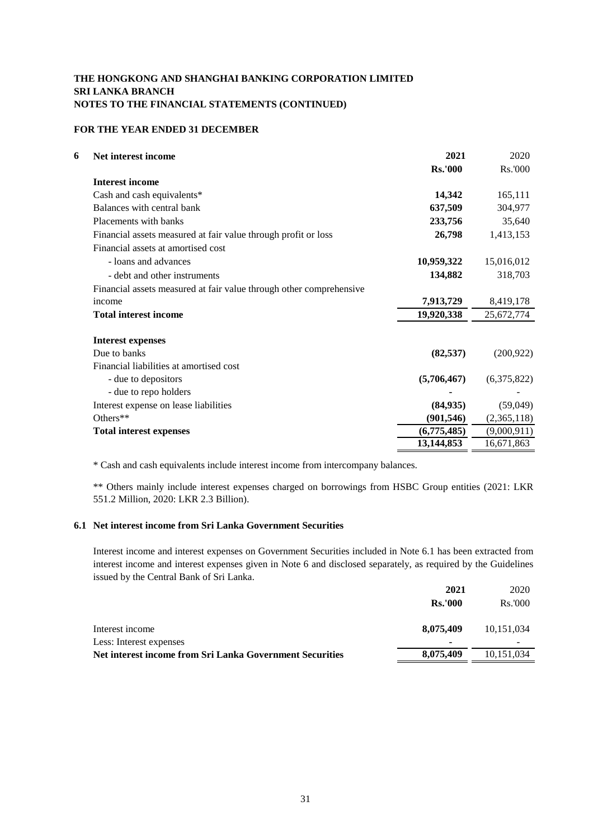# **FOR THE YEAR ENDED 31 DECEMBER**

| 6 | Net interest income                                                 | 2021<br><b>Rs.'000</b> | 2020<br>Rs.'000 |
|---|---------------------------------------------------------------------|------------------------|-----------------|
|   | <b>Interest income</b>                                              |                        |                 |
|   | Cash and cash equivalents*                                          | 14,342                 | 165,111         |
|   | Balances with central bank                                          | 637,509                | 304,977         |
|   | Placements with banks                                               | 233,756                | 35,640          |
|   | Financial assets measured at fair value through profit or loss      | 26,798                 | 1,413,153       |
|   | Financial assets at amortised cost                                  |                        |                 |
|   | - loans and advances                                                | 10,959,322             | 15,016,012      |
|   | - debt and other instruments                                        | 134,882                | 318,703         |
|   | Financial assets measured at fair value through other comprehensive |                        |                 |
|   | income                                                              | 7,913,729              | 8,419,178       |
|   | <b>Total interest income</b>                                        | 19,920,338             | 25,672,774      |
|   |                                                                     |                        |                 |
|   | <b>Interest expenses</b>                                            |                        |                 |
|   | Due to banks                                                        | (82, 537)              | (200, 922)      |
|   | Financial liabilities at amortised cost                             |                        |                 |
|   | - due to depositors                                                 | (5,706,467)            | (6,375,822)     |
|   | - due to repo holders                                               |                        |                 |
|   | Interest expense on lease liabilities                               | (84, 935)              | (59,049)        |
|   | Others**                                                            | (901, 546)             | (2,365,118)     |
|   | <b>Total interest expenses</b>                                      | (6,775,485)            | (9,000,911)     |
|   |                                                                     | 13,144,853             | 16,671,863      |

\* Cash and cash equivalents include interest income from intercompany balances.

\*\* Others mainly include interest expenses charged on borrowings from HSBC Group entities (2021: LKR 551.2 Million, 2020: LKR 2.3 Billion).

# **6.1 Net interest income from Sri Lanka Government Securities**

Interest income and interest expenses on Government Securities included in Note 6.1 has been extracted from interest income and interest expenses given in Note 6 and disclosed separately, as required by the Guidelines issued by the Central Bank of Sri Lanka.

|                                                          | 2021           | 2020       |
|----------------------------------------------------------|----------------|------------|
|                                                          | <b>Rs.'000</b> | Rs.'000    |
| Interest income                                          | 8,075,409      | 10.151.034 |
| Less: Interest expenses                                  | -              |            |
| Net interest income from Sri Lanka Government Securities | 8.075.409      | 10,151,034 |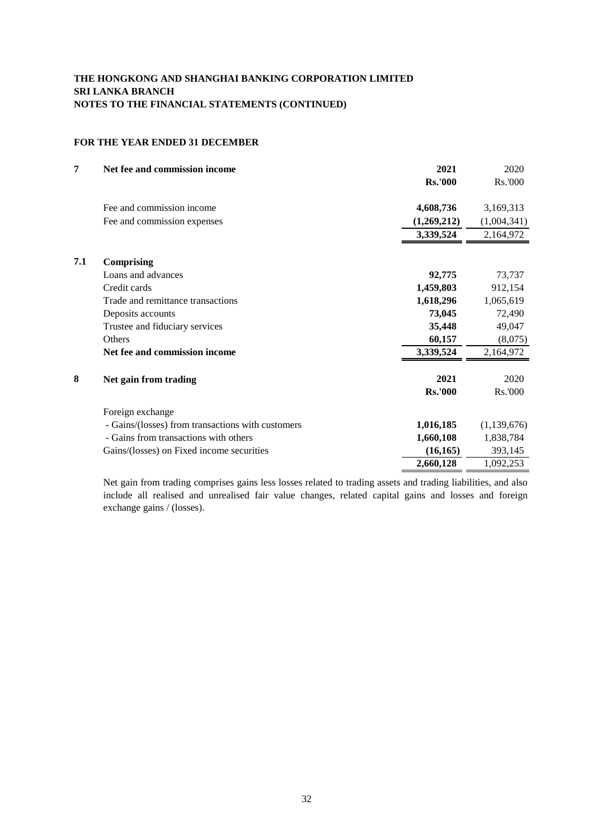# **FOR THE YEAR ENDED 31 DECEMBER**

| 7   | Net fee and commission income                     | 2021           | 2020          |
|-----|---------------------------------------------------|----------------|---------------|
|     |                                                   | <b>Rs.'000</b> | Rs.'000       |
|     | Fee and commission income                         | 4,608,736      | 3,169,313     |
|     | Fee and commission expenses                       | (1,269,212)    | (1,004,341)   |
|     |                                                   | 3,339,524      | 2,164,972     |
| 7.1 | Comprising                                        |                |               |
|     | Loans and advances                                | 92,775         | 73,737        |
|     | Credit cards                                      | 1,459,803      | 912,154       |
|     | Trade and remittance transactions                 | 1,618,296      | 1,065,619     |
|     | Deposits accounts                                 | 73,045         | 72,490        |
|     | Trustee and fiduciary services                    | 35,448         | 49,047        |
|     | <b>Others</b>                                     | 60,157         | (8,075)       |
|     | Net fee and commission income                     | 3,339,524      | 2,164,972     |
| 8   | Net gain from trading                             | 2021           | 2020          |
|     |                                                   | <b>Rs.'000</b> | Rs.'000       |
|     | Foreign exchange                                  |                |               |
|     | - Gains/(losses) from transactions with customers | 1,016,185      | (1, 139, 676) |
|     | - Gains from transactions with others             | 1,660,108      | 1,838,784     |
|     | Gains/(losses) on Fixed income securities         | (16, 165)      | 393,145       |
|     |                                                   | 2,660,128      | 1,092,253     |

Net gain from trading comprises gains less losses related to trading assets and trading liabilities, and also include all realised and unrealised fair value changes, related capital gains and losses and foreign exchange gains / (losses).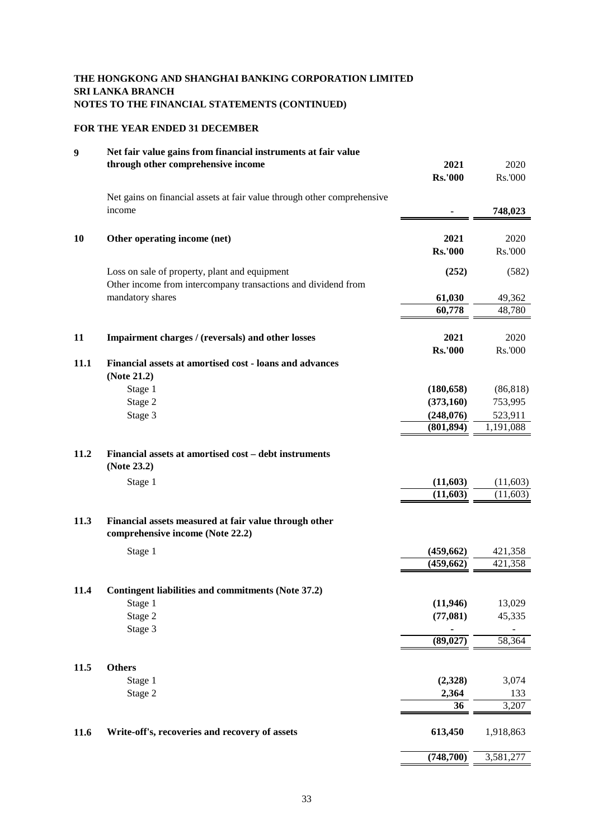# **FOR THE YEAR ENDED 31 DECEMBER**

| $\boldsymbol{9}$ | Net fair value gains from financial instruments at fair value                             |                |           |
|------------------|-------------------------------------------------------------------------------------------|----------------|-----------|
|                  | through other comprehensive income                                                        | 2021           | 2020      |
|                  |                                                                                           | <b>Rs.'000</b> | Rs.'000   |
|                  | Net gains on financial assets at fair value through other comprehensive                   |                |           |
|                  | income                                                                                    |                | 748,023   |
| 10               | Other operating income (net)                                                              | 2021           | 2020      |
|                  |                                                                                           | <b>Rs.'000</b> | Rs.'000   |
|                  | Loss on sale of property, plant and equipment                                             | (252)          | (582)     |
|                  | Other income from intercompany transactions and dividend from                             |                |           |
|                  | mandatory shares                                                                          | 61,030         | 49,362    |
|                  |                                                                                           | 60,778         | 48,780    |
| 11               | Impairment charges / (reversals) and other losses                                         | 2021           | 2020      |
|                  |                                                                                           | <b>Rs.'000</b> | Rs.'000   |
| 11.1             | Financial assets at amortised cost - loans and advances                                   |                |           |
|                  | (Note 21.2)<br>Stage 1                                                                    | (180, 658)     | (86, 818) |
|                  | Stage 2                                                                                   | (373, 160)     | 753,995   |
|                  | Stage 3                                                                                   | (248,076)      | 523,911   |
|                  |                                                                                           | (801, 894)     | 1,191,088 |
| 11.2             | Financial assets at amortised cost - debt instruments<br>(Note 23.2)                      |                |           |
|                  | Stage 1                                                                                   | (11,603)       | (11,603)  |
|                  |                                                                                           | (11,603)       | (11, 603) |
| 11.3             | Financial assets measured at fair value through other<br>comprehensive income (Note 22.2) |                |           |
|                  | Stage 1                                                                                   | (459, 662)     | 421,358   |
|                  |                                                                                           | (459, 662)     | 421,358   |
| 11.4             | Contingent liabilities and commitments (Note 37.2)                                        |                |           |
|                  | Stage 1                                                                                   | (11, 946)      | 13,029    |
|                  | Stage 2                                                                                   | (77, 081)      | 45,335    |
|                  | Stage 3                                                                                   |                |           |
|                  |                                                                                           | (89, 027)      | 58,364    |
| 11.5             | <b>Others</b>                                                                             |                |           |
|                  | Stage 1                                                                                   | (2,328)        | 3,074     |
|                  | Stage 2                                                                                   | 2,364          | 133       |
|                  |                                                                                           | 36             | 3,207     |
| 11.6             | Write-off's, recoveries and recovery of assets                                            | 613,450        | 1,918,863 |
|                  |                                                                                           | (748, 700)     | 3,581,277 |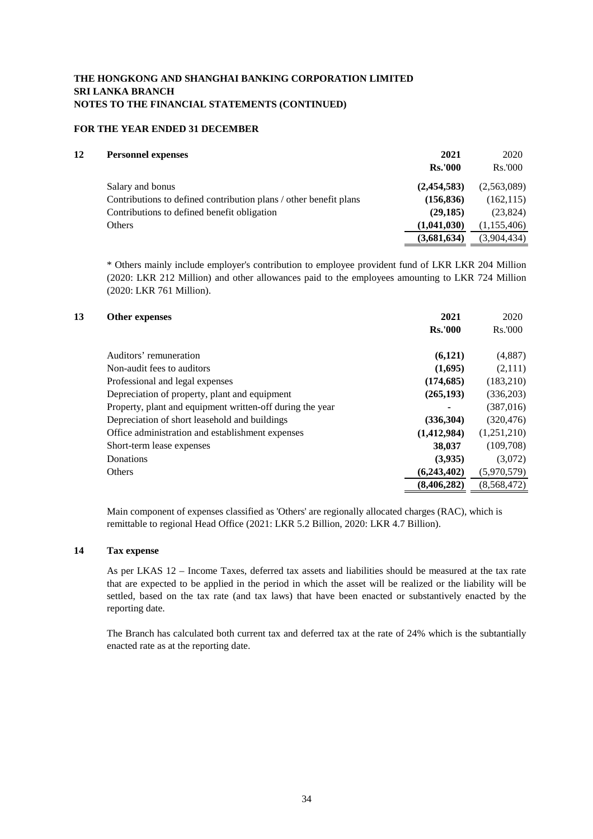# **FOR THE YEAR ENDED 31 DECEMBER**

| 12 | <b>Personnel expenses</b>                                         | 2021           | 2020           |
|----|-------------------------------------------------------------------|----------------|----------------|
|    |                                                                   | <b>Rs.'000</b> | <b>Rs.'000</b> |
|    | Salary and bonus                                                  | (2,454,583)    | (2,563,089)    |
|    | Contributions to defined contribution plans / other benefit plans | (156, 836)     | (162, 115)     |
|    | Contributions to defined benefit obligation                       | (29, 185)      | (23,824)       |
|    | <b>Others</b>                                                     | (1,041,030)    | (1, 155, 406)  |
|    |                                                                   | (3,681,634)    | (3,904,434)    |

\* Others mainly include employer's contribution to employee provident fund of LKR LKR 204 Million (2020: LKR 212 Million) and other allowances paid to the employees amounting to LKR 724 Million (2020: LKR 761 Million).

| 13 | <b>Other expenses</b>                                     | 2021           | 2020        |
|----|-----------------------------------------------------------|----------------|-------------|
|    |                                                           | <b>Rs.'000</b> | Rs.'000     |
|    | Auditors' remuneration                                    | (6,121)        | (4,887)     |
|    | Non-audit fees to auditors                                | (1,695)        | (2,111)     |
|    | Professional and legal expenses                           | (174, 685)     | (183, 210)  |
|    | Depreciation of property, plant and equipment             | (265, 193)     | (336,203)   |
|    | Property, plant and equipment written-off during the year |                | (387,016)   |
|    | Depreciation of short leasehold and buildings             | (336, 304)     | (320, 476)  |
|    | Office administration and establishment expenses          | (1,412,984)    | (1,251,210) |
|    | Short-term lease expenses                                 | 38,037         | (109,708)   |
|    | Donations                                                 | (3,935)        | (3,072)     |
|    | <b>Others</b>                                             | (6,243,402)    | (5,970,579) |
|    |                                                           | (8, 406, 282)  | (8,568,472) |

Main component of expenses classified as 'Others' are regionally allocated charges (RAC), which is remittable to regional Head Office (2021: LKR 5.2 Billion, 2020: LKR 4.7 Billion).

# **14 Tax expense**

As per LKAS 12 – Income Taxes, deferred tax assets and liabilities should be measured at the tax rate that are expected to be applied in the period in which the asset will be realized or the liability will be settled, based on the tax rate (and tax laws) that have been enacted or substantively enacted by the reporting date.

The Branch has calculated both current tax and deferred tax at the rate of 24% which is the subtantially enacted rate as at the reporting date.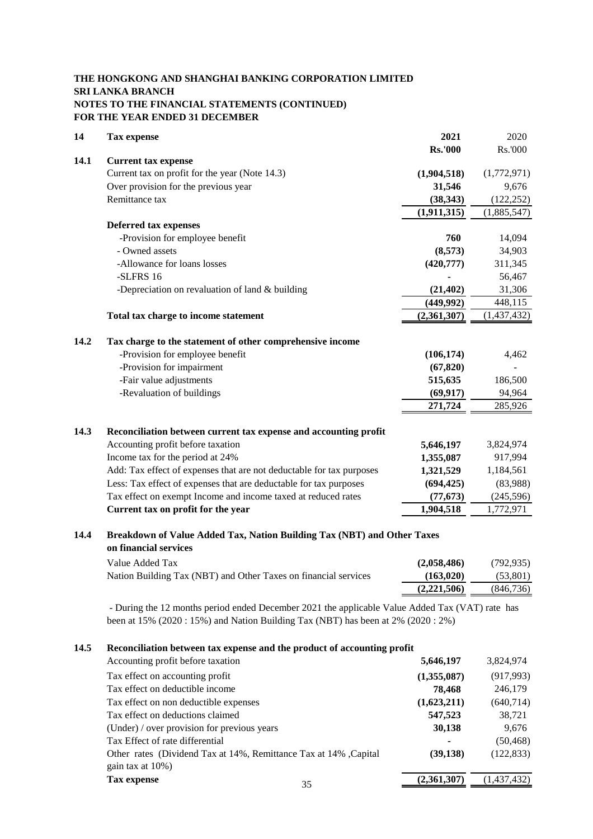## **THE HONGKONG AND SHANGHAI BANKING CORPORATION LIMITED SRI LANKA BRANCH NOTES TO THE FINANCIAL STATEMENTS (CONTINUED) FOR THE YEAR ENDED 31 DECEMBER**

| 14   | <b>Tax expense</b>                                                                                                                                                                 | 2021           | 2020        |
|------|------------------------------------------------------------------------------------------------------------------------------------------------------------------------------------|----------------|-------------|
|      |                                                                                                                                                                                    | <b>Rs.'000</b> | Rs.'000     |
| 14.1 | <b>Current tax expense</b>                                                                                                                                                         |                |             |
|      | Current tax on profit for the year (Note 14.3)                                                                                                                                     | (1,904,518)    | (1,772,971) |
|      | Over provision for the previous year                                                                                                                                               | 31,546         | 9,676       |
|      | Remittance tax                                                                                                                                                                     | (38, 343)      | (122, 252)  |
|      |                                                                                                                                                                                    | (1,911,315)    | (1,885,547) |
|      | <b>Deferred tax expenses</b>                                                                                                                                                       |                |             |
|      | -Provision for employee benefit                                                                                                                                                    | 760            | 14,094      |
|      | - Owned assets                                                                                                                                                                     | (8,573)        | 34,903      |
|      | -Allowance for loans losses                                                                                                                                                        | (420,777)      | 311,345     |
|      | -SLFRS 16                                                                                                                                                                          |                | 56,467      |
|      | -Depreciation on revaluation of land & building                                                                                                                                    | (21, 402)      | 31,306      |
|      |                                                                                                                                                                                    | (449,992)      | 448,115     |
|      | Total tax charge to income statement                                                                                                                                               | (2,361,307)    | (1,437,432) |
|      |                                                                                                                                                                                    |                |             |
| 14.2 | Tax charge to the statement of other comprehensive income                                                                                                                          |                |             |
|      | -Provision for employee benefit                                                                                                                                                    | (106, 174)     | 4,462       |
|      | -Provision for impairment                                                                                                                                                          | (67, 820)      |             |
|      | -Fair value adjustments                                                                                                                                                            | 515,635        | 186,500     |
|      | -Revaluation of buildings                                                                                                                                                          | (69, 917)      | 94,964      |
|      |                                                                                                                                                                                    | 271,724        | 285,926     |
| 14.3 | Reconciliation between current tax expense and accounting profit                                                                                                                   |                |             |
|      | Accounting profit before taxation                                                                                                                                                  | 5,646,197      | 3,824,974   |
|      | Income tax for the period at 24%                                                                                                                                                   | 1,355,087      | 917,994     |
|      | Add: Tax effect of expenses that are not deductable for tax purposes                                                                                                               | 1,321,529      | 1,184,561   |
|      | Less: Tax effect of expenses that are deductable for tax purposes                                                                                                                  | (694, 425)     | (83,988)    |
|      | Tax effect on exempt Income and income taxed at reduced rates                                                                                                                      | (77, 673)      | (245, 596)  |
|      | Current tax on profit for the year                                                                                                                                                 | 1,904,518      | 1,772,971   |
|      |                                                                                                                                                                                    |                |             |
| 14.4 | Breakdown of Value Added Tax, Nation Building Tax (NBT) and Other Taxes<br>on financial services                                                                                   |                |             |
|      | Value Added Tax                                                                                                                                                                    | (2,058,486)    | (792, 935)  |
|      | Nation Building Tax (NBT) and Other Taxes on financial services                                                                                                                    | (163, 020)     | (53, 801)   |
|      |                                                                                                                                                                                    | (2,221,506)    | (846, 736)  |
|      | - During the 12 months period ended December 2021 the applicable Value Added Tax (VAT) rate has<br>been at 15% (2020: 15%) and Nation Building Tax (NBT) has been at 2% (2020: 2%) |                |             |
| 14.5 | Reconciliation between tax expense and the product of accounting profit                                                                                                            |                |             |
|      | Accounting profit before taxation                                                                                                                                                  | 5,646,197      | 3,824,974   |
|      |                                                                                                                                                                                    |                |             |

| Accounting profit before taxation                                        |    | J,UTU,L <i>J I</i> | $3.02 + 77 +$ |
|--------------------------------------------------------------------------|----|--------------------|---------------|
| Tax effect on accounting profit                                          |    | (1,355,087)        | (917, 993)    |
| Tax effect on deductible income                                          |    | 78,468             | 246,179       |
| Tax effect on non deductible expenses                                    |    | (1,623,211)        | (640, 714)    |
| Tax effect on deductions claimed                                         |    | 547,523            | 38,721        |
| (Under) / over provision for previous years                              |    | 30,138             | 9,676         |
| Tax Effect of rate differential                                          |    | ٠                  | (50, 468)     |
| Capital Other rates (Dividend Tax at 14%, Remittance Tax at 14%, Capital |    | (39, 138)          | (122, 833)    |
| gain tax at $10\%$ )                                                     |    |                    |               |
| Tax expense                                                              | 35 | (2,361,307)        | (1,437,432)   |
|                                                                          |    |                    |               |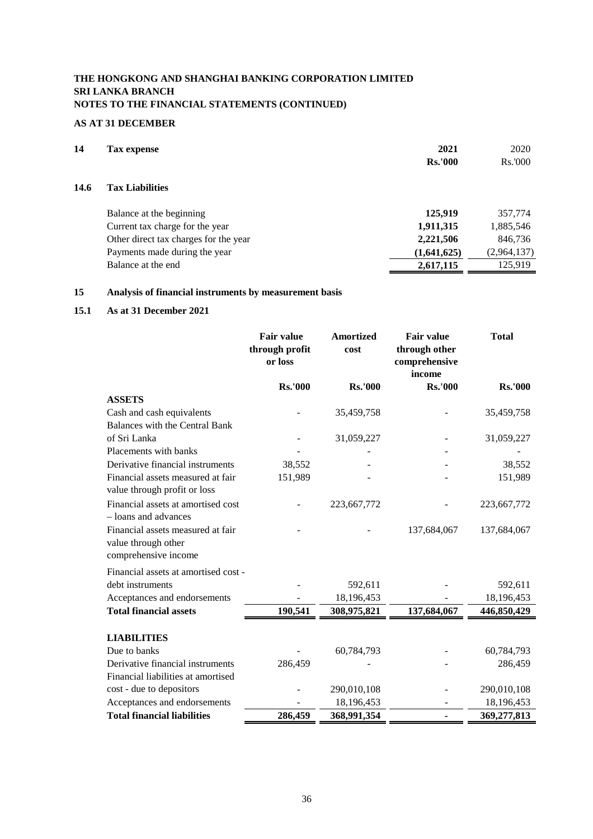## **AS AT 31 DECEMBER**

| Tax expense                           | 2021           | 2020        |
|---------------------------------------|----------------|-------------|
|                                       | <b>Rs.'000</b> | Rs.'000     |
| <b>Tax Liabilities</b>                |                |             |
| Balance at the beginning              | 125,919        | 357,774     |
| Current tax charge for the year       | 1,911,315      | 1,885,546   |
| Other direct tax charges for the year | 2,221,506      | 846,736     |
| Payments made during the year         | (1,641,625)    | (2,964,137) |
| Balance at the end                    | 2,617,115      | 125,919     |
|                                       |                |             |

# **15 Analysis of financial instruments by measurement basis**

## **15.1 As at 31 December 2021**

|                                                                                  | <b>Fair value</b><br>through profit<br>or loss | <b>Amortized</b><br>cost | <b>Fair value</b><br>through other<br>comprehensive<br>income | <b>Total</b>   |
|----------------------------------------------------------------------------------|------------------------------------------------|--------------------------|---------------------------------------------------------------|----------------|
|                                                                                  | <b>Rs.'000</b>                                 | <b>Rs.'000</b>           | <b>Rs.'000</b>                                                | <b>Rs.'000</b> |
| <b>ASSETS</b>                                                                    |                                                |                          |                                                               |                |
| Cash and cash equivalents                                                        |                                                | 35,459,758               |                                                               | 35,459,758     |
| <b>Balances with the Central Bank</b>                                            |                                                |                          |                                                               |                |
| of Sri Lanka                                                                     |                                                | 31,059,227               |                                                               | 31,059,227     |
| Placements with banks                                                            |                                                |                          |                                                               |                |
| Derivative financial instruments                                                 | 38,552                                         |                          |                                                               | 38,552         |
| Financial assets measured at fair<br>value through profit or loss                | 151,989                                        |                          |                                                               | 151,989        |
| Financial assets at amortised cost<br>- loans and advances                       |                                                | 223,667,772              |                                                               | 223,667,772    |
| Financial assets measured at fair<br>value through other<br>comprehensive income |                                                |                          | 137,684,067                                                   | 137,684,067    |
| Financial assets at amortised cost -                                             |                                                |                          |                                                               |                |
| debt instruments                                                                 |                                                | 592,611                  |                                                               | 592,611        |
| Acceptances and endorsements                                                     |                                                | 18,196,453               |                                                               | 18,196,453     |
| <b>Total financial assets</b>                                                    | 190,541                                        | 308,975,821              | 137,684,067                                                   | 446,850,429    |
| <b>LIABILITIES</b>                                                               |                                                |                          |                                                               |                |
| Due to banks                                                                     |                                                | 60,784,793               |                                                               | 60,784,793     |
| Derivative financial instruments                                                 | 286,459                                        |                          |                                                               | 286,459        |
| Financial liabilities at amortised                                               |                                                |                          |                                                               |                |
| cost - due to depositors                                                         |                                                | 290,010,108              |                                                               | 290,010,108    |
| Acceptances and endorsements                                                     |                                                | 18,196,453               |                                                               | 18,196,453     |
| <b>Total financial liabilities</b>                                               | 286,459                                        | 368,991,354              | ۰                                                             | 369,277,813    |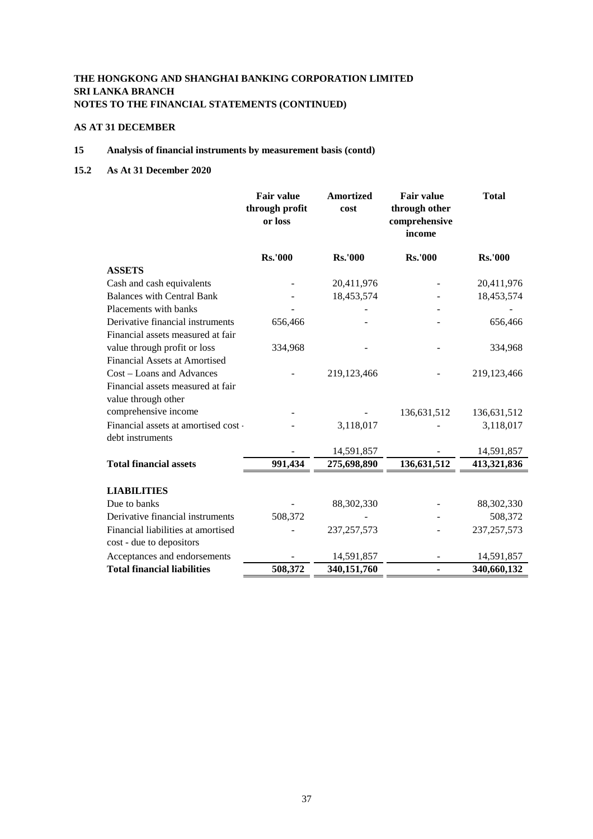## **AS AT 31 DECEMBER**

## **15 Analysis of financial instruments by measurement basis (contd)**

# **15.2 As At 31 December 2020**

|                                      | <b>Fair value</b><br>through profit<br>or loss | <b>Amortized</b><br>cost | <b>Fair value</b><br>through other<br>comprehensive<br>income | <b>Total</b>   |
|--------------------------------------|------------------------------------------------|--------------------------|---------------------------------------------------------------|----------------|
|                                      | <b>Rs.'000</b>                                 | <b>Rs.'000</b>           | <b>Rs.'000</b>                                                | <b>Rs.'000</b> |
| <b>ASSETS</b>                        |                                                |                          |                                                               |                |
| Cash and cash equivalents            |                                                | 20,411,976               |                                                               | 20,411,976     |
| <b>Balances with Central Bank</b>    |                                                | 18,453,574               |                                                               | 18,453,574     |
| Placements with banks                |                                                |                          |                                                               |                |
| Derivative financial instruments     | 656,466                                        |                          |                                                               | 656,466        |
| Financial assets measured at fair    |                                                |                          |                                                               |                |
| value through profit or loss         | 334,968                                        |                          |                                                               | 334,968        |
| <b>Financial Assets at Amortised</b> |                                                |                          |                                                               |                |
| Cost – Loans and Advances            |                                                | 219, 123, 466            |                                                               | 219, 123, 466  |
| Financial assets measured at fair    |                                                |                          |                                                               |                |
| value through other                  |                                                |                          |                                                               |                |
| comprehensive income                 |                                                |                          | 136,631,512                                                   | 136,631,512    |
| Financial assets at amortised cost - |                                                | 3,118,017                |                                                               | 3,118,017      |
| debt instruments                     |                                                |                          |                                                               |                |
|                                      |                                                | 14,591,857               |                                                               | 14,591,857     |
| <b>Total financial assets</b>        | 991,434                                        | 275,698,890              | 136,631,512                                                   | 413,321,836    |
|                                      |                                                |                          |                                                               |                |
| <b>LIABILITIES</b>                   |                                                |                          |                                                               |                |
| Due to banks                         |                                                | 88,302,330               |                                                               | 88,302,330     |
| Derivative financial instruments     | 508,372                                        |                          |                                                               | 508,372        |
| Financial liabilities at amortised   |                                                | 237, 257, 573            |                                                               | 237, 257, 573  |
| cost - due to depositors             |                                                |                          |                                                               |                |
| Acceptances and endorsements         |                                                | 14,591,857               |                                                               | 14,591,857     |
| <b>Total financial liabilities</b>   | 508,372                                        | 340,151,760              | ٠                                                             | 340,660,132    |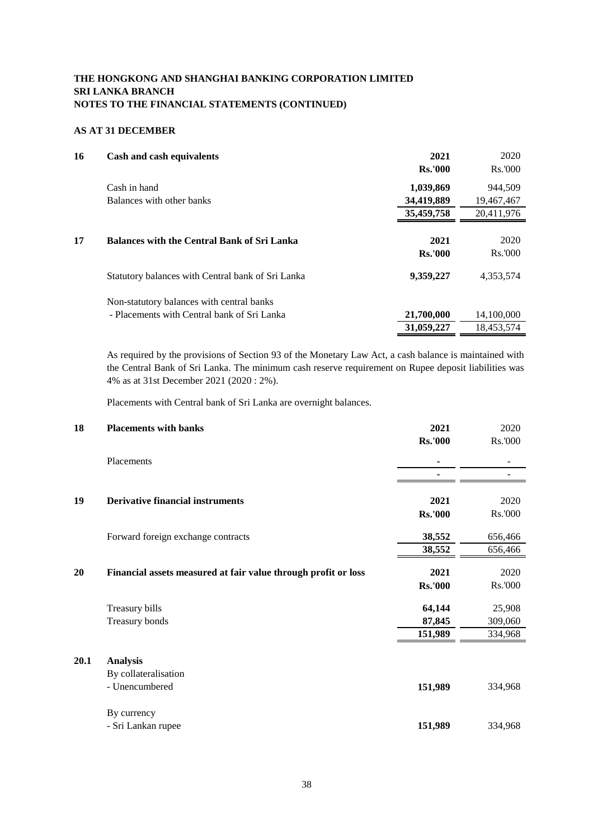## **AS AT 31 DECEMBER**

| 16 | Cash and cash equivalents                          | 2021           | 2020       |
|----|----------------------------------------------------|----------------|------------|
|    | Cash in hand                                       | <b>Rs.'000</b> | Rs.'000    |
|    |                                                    | 1,039,869      | 944,509    |
|    | Balances with other banks                          | 34,419,889     | 19,467,467 |
|    |                                                    | 35,459,758     | 20,411,976 |
|    |                                                    |                |            |
| 17 | <b>Balances with the Central Bank of Sri Lanka</b> | 2021           | 2020       |
|    |                                                    | <b>Rs.'000</b> | Rs.'000    |
|    | Statutory balances with Central bank of Sri Lanka  | 9,359,227      | 4,353,574  |
|    | Non-statutory balances with central banks          |                |            |
|    | - Placements with Central bank of Sri Lanka        | 21,700,000     | 14,100,000 |
|    |                                                    | 31,059,227     | 18,453,574 |

As required by the provisions of Section 93 of the Monetary Law Act, a cash balance is maintained with the Central Bank of Sri Lanka. The minimum cash reserve requirement on Rupee deposit liabilities was 4% as at 31st December 2021 (2020 : 2%).

Placements with Central bank of Sri Lanka are overnight balances.

| 18   | <b>Placements with banks</b>                                   | 2021           | 2020    |
|------|----------------------------------------------------------------|----------------|---------|
|      |                                                                | <b>Rs.'000</b> | Rs.'000 |
|      | Placements                                                     |                |         |
|      |                                                                |                |         |
| 19   | <b>Derivative financial instruments</b>                        | 2021           | 2020    |
|      |                                                                | <b>Rs.'000</b> | Rs.'000 |
|      | Forward foreign exchange contracts                             | 38,552         | 656,466 |
|      |                                                                | 38,552         | 656,466 |
| 20   | Financial assets measured at fair value through profit or loss | 2021           | 2020    |
|      |                                                                | <b>Rs.'000</b> | Rs.'000 |
|      | Treasury bills                                                 | 64,144         | 25,908  |
|      | Treasury bonds                                                 | 87,845         | 309,060 |
|      |                                                                | 151,989        | 334,968 |
| 20.1 | <b>Analysis</b>                                                |                |         |
|      | By collateralisation                                           |                |         |
|      | - Unencumbered                                                 | 151,989        | 334,968 |
|      | By currency                                                    |                |         |
|      | - Sri Lankan rupee                                             | 151,989        | 334,968 |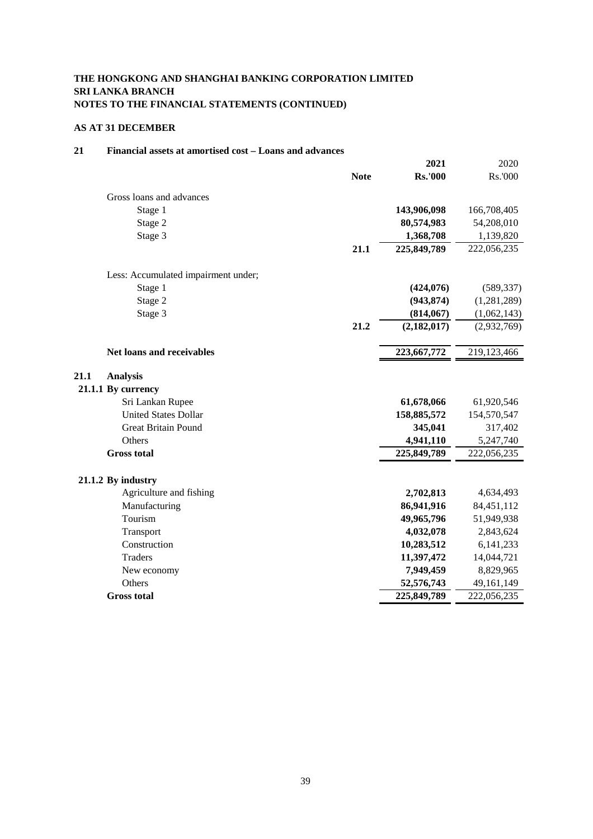## **AS AT 31 DECEMBER**

## **21 Financial assets at amortised cost – Loans and advances**

|                                     |             | 2021           | 2020        |
|-------------------------------------|-------------|----------------|-------------|
|                                     | <b>Note</b> | <b>Rs.'000</b> | Rs.'000     |
| Gross loans and advances            |             |                |             |
| Stage 1                             |             | 143,906,098    | 166,708,405 |
| Stage 2                             |             | 80,574,983     | 54,208,010  |
| Stage 3                             |             | 1,368,708      | 1,139,820   |
|                                     | 21.1        | 225,849,789    | 222,056,235 |
| Less: Accumulated impairment under; |             |                |             |
| Stage 1                             |             | (424, 076)     | (589, 337)  |
| Stage 2                             |             | (943, 874)     | (1,281,289) |
| Stage 3                             |             | (814, 067)     | (1,062,143) |
|                                     | 21.2        | (2, 182, 017)  | (2,932,769) |
| <b>Net loans and receivables</b>    |             | 223,667,772    | 219,123,466 |
| 21.1<br><b>Analysis</b>             |             |                |             |
| 21.1.1 By currency                  |             |                |             |
| Sri Lankan Rupee                    |             | 61,678,066     | 61,920,546  |
| <b>United States Dollar</b>         |             | 158,885,572    | 154,570,547 |
| <b>Great Britain Pound</b>          |             | 345,041        | 317,402     |
| Others                              |             | 4,941,110      | 5,247,740   |
| <b>Gross total</b>                  |             | 225,849,789    | 222,056,235 |
| 21.1.2 By industry                  |             |                |             |
| Agriculture and fishing             |             | 2,702,813      | 4,634,493   |
| Manufacturing                       |             | 86,941,916     | 84,451,112  |
| Tourism                             |             | 49,965,796     | 51,949,938  |
| Transport                           |             | 4,032,078      | 2,843,624   |
| Construction                        |             | 10,283,512     | 6,141,233   |
| <b>Traders</b>                      |             | 11,397,472     | 14,044,721  |
| New economy                         |             | 7,949,459      | 8,829,965   |
| Others                              |             | 52,576,743     | 49,161,149  |
| <b>Gross total</b>                  |             | 225,849,789    | 222,056,235 |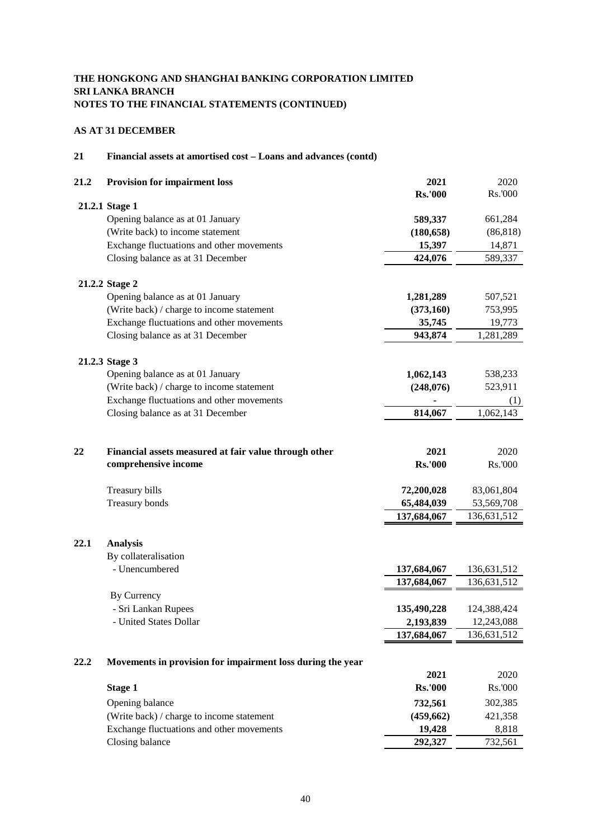# **AS AT 31 DECEMBER**

## **21 Financial assets at amortised cost – Loans and advances (contd)**

| 21.2 | <b>Provision for impairment loss</b>                       | 2021           | 2020        |
|------|------------------------------------------------------------|----------------|-------------|
|      |                                                            | <b>Rs.'000</b> | Rs.'000     |
|      | 21.2.1 Stage 1                                             |                |             |
|      | Opening balance as at 01 January                           | 589,337        | 661,284     |
|      | (Write back) to income statement                           | (180, 658)     | (86, 818)   |
|      | Exchange fluctuations and other movements                  | 15,397         | 14,871      |
|      | Closing balance as at 31 December                          | 424,076        | 589,337     |
|      | 21.2.2 Stage 2                                             |                |             |
|      | Opening balance as at 01 January                           | 1,281,289      | 507,521     |
|      | (Write back) / charge to income statement                  | (373,160)      | 753,995     |
|      | Exchange fluctuations and other movements                  | 35,745         | 19,773      |
|      | Closing balance as at 31 December                          | 943,874        | 1,281,289   |
|      | 21.2.3 Stage 3                                             |                |             |
|      | Opening balance as at 01 January                           | 1,062,143      | 538,233     |
|      | (Write back) / charge to income statement                  | (248,076)      | 523,911     |
|      | Exchange fluctuations and other movements                  |                | (1)         |
|      | Closing balance as at 31 December                          | 814,067        | 1,062,143   |
|      |                                                            |                |             |
| 22   | Financial assets measured at fair value through other      | 2021           | 2020        |
|      | comprehensive income                                       | <b>Rs.'000</b> | Rs.'000     |
|      | Treasury bills                                             | 72,200,028     | 83,061,804  |
|      | Treasury bonds                                             | 65,484,039     | 53,569,708  |
|      |                                                            | 137,684,067    | 136,631,512 |
| 22.1 | <b>Analysis</b>                                            |                |             |
|      | By collateralisation                                       |                |             |
|      | - Unencumbered                                             | 137,684,067    | 136,631,512 |
|      |                                                            | 137,684,067    | 136,631,512 |
|      | By Currency                                                |                |             |
|      | - Sri Lankan Rupees                                        | 135,490,228    | 124,388,424 |
|      | <b>United States Dollar</b>                                | 2,193,839      | 12,243,088  |
|      |                                                            | 137,684,067    | 136,631,512 |
| 22.2 | Movements in provision for impairment loss during the year |                |             |
|      |                                                            | 2021           | 2020        |
|      | <b>Stage 1</b>                                             | <b>Rs.'000</b> | Rs.'000     |
|      | Opening balance                                            | 732,561        | 302,385     |
|      | (Write back) / charge to income statement                  | (459, 662)     | 421,358     |
|      | Exchange fluctuations and other movements                  | 19,428         | 8,818       |
|      | Closing balance                                            | 292,327        | 732,561     |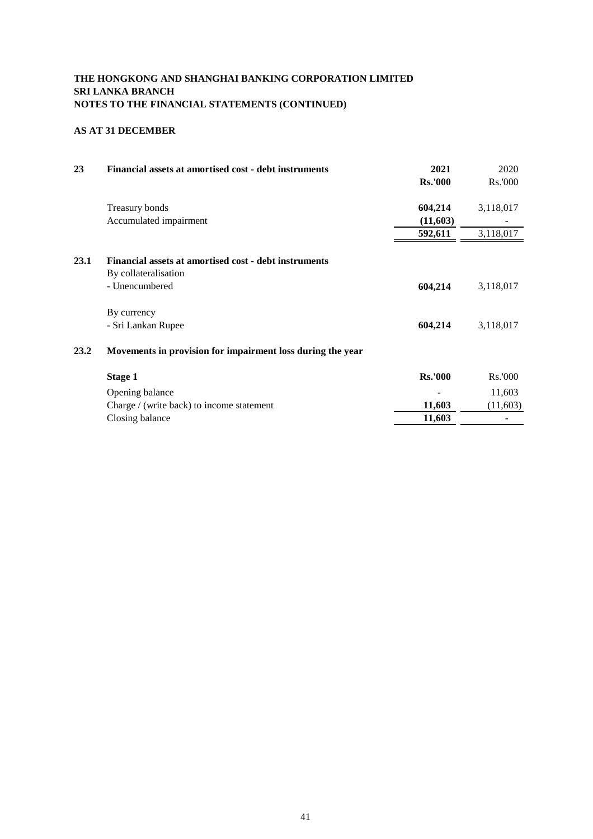# **AS AT 31 DECEMBER**

| 23   | Financial assets at amortised cost - debt instruments                         | 2021           | 2020      |
|------|-------------------------------------------------------------------------------|----------------|-----------|
|      |                                                                               | <b>Rs.'000</b> | Rs.'000   |
|      | Treasury bonds                                                                | 604,214        | 3,118,017 |
|      | Accumulated impairment                                                        | (11,603)       |           |
|      |                                                                               | 592,611        | 3,118,017 |
| 23.1 | Financial assets at amortised cost - debt instruments<br>By collateralisation |                |           |
|      | - Unencumbered                                                                | 604,214        | 3,118,017 |
|      | By currency                                                                   |                |           |
|      | - Sri Lankan Rupee                                                            | 604,214        | 3,118,017 |
| 23.2 | Movements in provision for impairment loss during the year                    |                |           |
|      | <b>Stage 1</b>                                                                | <b>Rs.'000</b> | Rs.'000   |
|      | Opening balance                                                               |                | 11,603    |
|      | Charge / (write back) to income statement                                     | 11,603         | (11,603)  |
|      | Closing balance                                                               | 11,603         |           |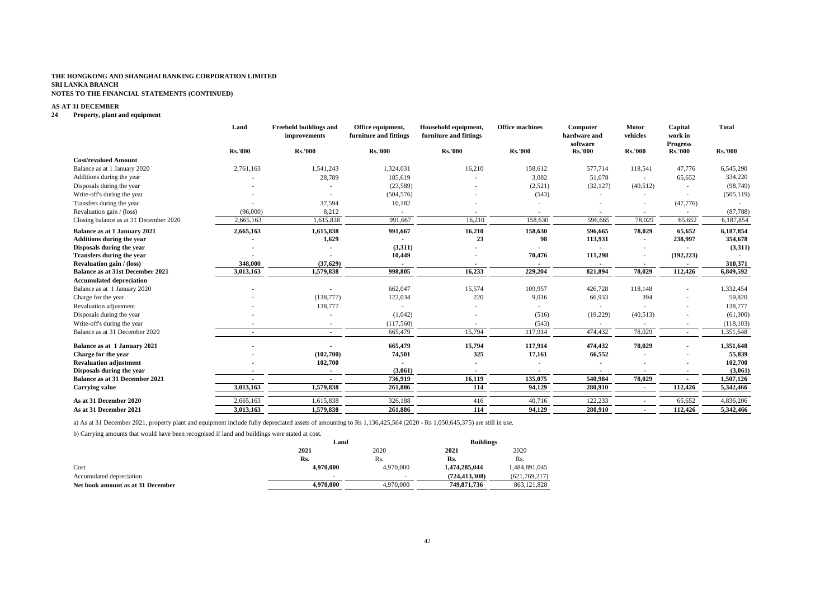#### **AS AT 31 DECEMBER**

#### **24 Property, plant and equipment**

| Land                                                 | <b>Freehold buildings and</b><br>improvements | Office equipment,<br>furniture and fittings | Household equipment,<br>furniture and fittings | <b>Office machines</b> | Computer<br>hardware and<br>software | Motor<br>vehicles | Capital<br>work in<br><b>Progress</b> | <b>Total</b>   |
|------------------------------------------------------|-----------------------------------------------|---------------------------------------------|------------------------------------------------|------------------------|--------------------------------------|-------------------|---------------------------------------|----------------|
| <b>Rs.'000</b>                                       | <b>Rs.'000</b>                                | <b>Rs.'000</b>                              | <b>Rs.'000</b>                                 | <b>Rs.'000</b>         | <b>Rs.'000</b>                       | <b>Rs.'000</b>    | <b>Rs.'000</b>                        | <b>Rs.'000</b> |
| <b>Cost/revalued Amount</b>                          |                                               |                                             |                                                |                        |                                      |                   |                                       |                |
| Balance as at 1 January 2020<br>2,761,163            | 1,541,243                                     | 1,324,031                                   | 16,210                                         | 158,612                | 577,714                              | 118,541           | 47,776                                | 6,545,290      |
| Additions during the year                            | 28,789                                        | 185,619                                     |                                                | 3,082                  | 51,078                               | $\sim$            | 65,652                                | 334,220        |
| Disposals during the year                            |                                               | (23,589)                                    |                                                | (2,521)                | (32, 127)                            | (40,512)          |                                       | (98, 749)      |
| Write-off's during the year                          |                                               | (504, 576)                                  |                                                | (543)                  |                                      |                   |                                       | (505, 119)     |
| Transfers during the year                            | 37,594                                        | 10,182                                      |                                                |                        |                                      |                   | (47, 776)                             |                |
| Revaluation gain / (loss)<br>(96,000)                | 8,212                                         |                                             |                                                |                        |                                      |                   |                                       | (87, 788)      |
| 2,665,163<br>Closing balance as at 31 December 2020  | 1,615,838                                     | 991,667                                     | 16,210                                         | 158,630                | 596,665                              | 78,029            | 65,652                                | 6,187,854      |
| Balance as at 1 January 2021<br>2,665,163            | 1,615,838                                     | 991,667                                     | 16,210                                         | 158,630                | 596,665                              | 78,029            | 65,652                                | 6,187,854      |
| Additions during the year                            | 1,629                                         |                                             | 23                                             | 98                     | 113,931                              |                   | 238,997                               | 354,678        |
| Disposals during the year                            |                                               | (3,311)                                     |                                                |                        |                                      |                   |                                       | (3,311)        |
| Transfers during the year                            |                                               | 10,449                                      |                                                | 70,476                 | 111,298                              |                   | (192, 223)                            |                |
| 348,000<br>Revaluation gain / (loss)                 | (37, 629)                                     |                                             |                                                |                        | $\blacksquare$                       |                   |                                       | 310,371        |
| <b>Balance as at 31st December 2021</b><br>3,013,163 | 1,579,838                                     | 998,805                                     | 16,233                                         | 229,204                | 821,894                              | 78,029            | 112,426                               | 6,849,592      |
| <b>Accumulated depreciation</b>                      |                                               |                                             |                                                |                        |                                      |                   |                                       |                |
| Balance as at 1 January 2020                         |                                               | 662,047                                     | 15,574                                         | 109,957                | 426,728                              | 118,148           |                                       | 1,332,454      |
| Charge for the year                                  | (138, 777)                                    | 122,034                                     | 220                                            | 9,016                  | 66,933                               | 394               |                                       | 59,820         |
| Revaluation adjustment                               | 138,777                                       |                                             |                                                |                        |                                      |                   |                                       | 138,777        |
| Disposals during the year                            |                                               | (1,042)                                     |                                                | (516)                  | (19,229)                             | (40,513)          |                                       | (61,300)       |
| Write-off's during the year                          |                                               | (117, 560)                                  |                                                | (543)                  | $\sim$                               |                   |                                       | (118, 103)     |
| Balance as at 31 December 2020<br>$\sim$             | $\sim$                                        | 665,479                                     | 15,794                                         | 117,914                | 474,432                              | 78,029            |                                       | 1,351,648      |
| Balance as at 1 January 2021                         |                                               | 665,479                                     | 15,794                                         | 117,914                | 474,432                              | 78,029            |                                       | 1,351,648      |
| Charge for the year                                  | (102,700)                                     | 74,501                                      | 325                                            | 17,161                 | 66,552                               |                   |                                       | 55,839         |
| <b>Revaluation adjustment</b>                        | 102,700                                       |                                             |                                                |                        |                                      |                   |                                       | 102,700        |
| Disposals during the year                            | $\blacksquare$                                | (3,061)                                     |                                                |                        | $\blacksquare$                       |                   |                                       | (3,061)        |
| <b>Balance as at 31 December 2021</b>                |                                               | 736,919                                     | 16,119                                         | 135,075                | 540.984                              | 78.029            |                                       | 1.507.126      |
| 3,013,163<br><b>Carrying value</b>                   | 1,579,838                                     | 261.886                                     | 114                                            | 94,129                 | 280,910                              |                   | 112,426                               | 5,342,466      |
| 2,665,163<br>As at 31 December 2020                  | 1,615,838                                     | 326,188                                     | 416                                            | 40,716                 | 122,233                              |                   | 65,652                                | 4,836,206      |
| As at 31 December 2021<br>3,013,163                  | 1,579,838                                     | 261,886                                     | 114                                            | 94,129                 | 280.910                              |                   | 112,426                               | 5,342,466      |

a) As at 31 December 2021, property plant and equipment include fully depreciated assets of amounting to Rs 1,136,425,564 (2020 - Rs 1,050,645,375) are still in use.

b) Carrying amounts that would have been recognised if land and buildings were stated at cost.

|                                   | Land      |           | <b>Buildings</b> |               |
|-----------------------------------|-----------|-----------|------------------|---------------|
|                                   | 2021      | 2020      | 2021             | 2020          |
|                                   | Rs.       | Rs.       | Rs.              | Rs.           |
| Cost                              | 4.970.000 | 4,970,000 | 1.474.285.044    | 484,891,045   |
| Accumulated depreciation          | -         |           | (724.413.308)    | (621.769.217) |
| Net book amount as at 31 December | 4.970.000 | 4,970,000 | 749.871.736      | 863,121,828   |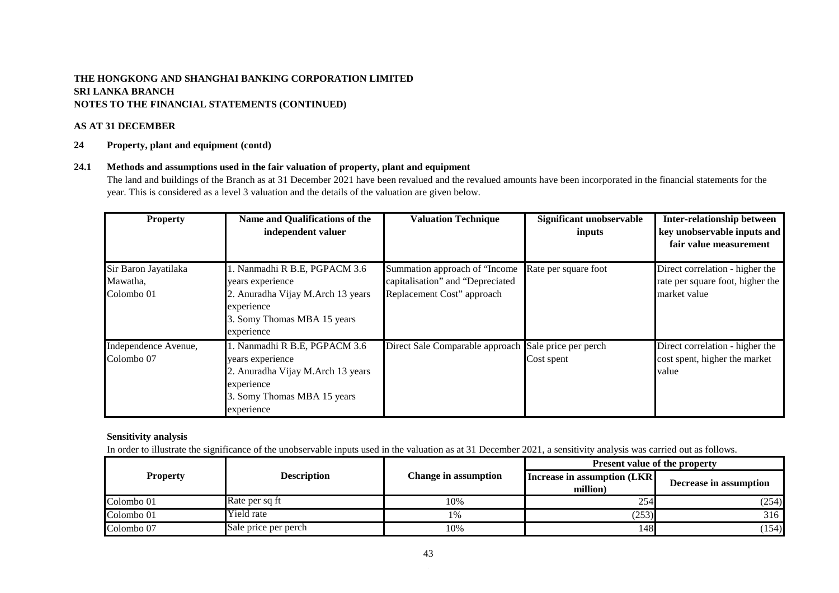## **AS AT 31 DECEMBER**

## **24 Property, plant and equipment (contd)**

#### **24.1 Methods and assumptions used in the fair valuation of property, plant and equipment**

The land and buildings of the Branch as at 31 December 2021 have been revalued and the revalued amounts have been incorporated in the financial statements for the year. This is considered as a level 3 valuation and the details of the valuation are given below.

| <b>Property</b>                                | Name and Qualifications of the<br>independent valuer                                                                                              | <b>Valuation Technique</b>                                                                       | Significant unobservable<br>inputs | <b>Inter-relationship between</b><br>key unobservable inputs and<br>fair value measurement |
|------------------------------------------------|---------------------------------------------------------------------------------------------------------------------------------------------------|--------------------------------------------------------------------------------------------------|------------------------------------|--------------------------------------------------------------------------------------------|
| Sir Baron Jayatilaka<br>Mawatha,<br>Colombo 01 | 1. Nanmadhi R B.E, PGPACM 3.6<br>years experience<br>2. Anuradha Vijay M.Arch 13 years<br>experience<br>3. Somy Thomas MBA 15 years<br>experience | Summation approach of "Income"<br>capitalisation" and "Depreciated<br>Replacement Cost" approach | Rate per square foot               | Direct correlation - higher the<br>rate per square foot, higher the<br>market value        |
| Independence Avenue,<br>Colombo <sub>07</sub>  | 1. Nanmadhi R B.E, PGPACM 3.6<br>years experience<br>2. Anuradha Vijay M.Arch 13 years<br>experience<br>3. Somy Thomas MBA 15 years<br>experience | Direct Sale Comparable approach Sale price per perch                                             | Cost spent                         | Direct correlation - higher the<br>cost spent, higher the market<br>value                  |

#### **Sensitivity analysis**

In order to illustrate the significance of the unobservable inputs used in the valuation as at 31 December 2021, a sensitivity analysis was carried out as follows.

|                 |                      |                      | <b>Present value of the property</b>            |                        |  |
|-----------------|----------------------|----------------------|-------------------------------------------------|------------------------|--|
| <b>Property</b> | <b>Description</b>   | Change in assumption | <b>Increase in assumption (LKR)</b><br>million) | Decrease in assumption |  |
| Colombo 01      | Rate per sq ft       | 10%                  | 254                                             | (254)                  |  |
| Colombo 01      | Yield rate           | 1%                   | (253)                                           | 316                    |  |
| Colombo 07      | Sale price per perch | 10%                  | 148I                                            | (154)                  |  |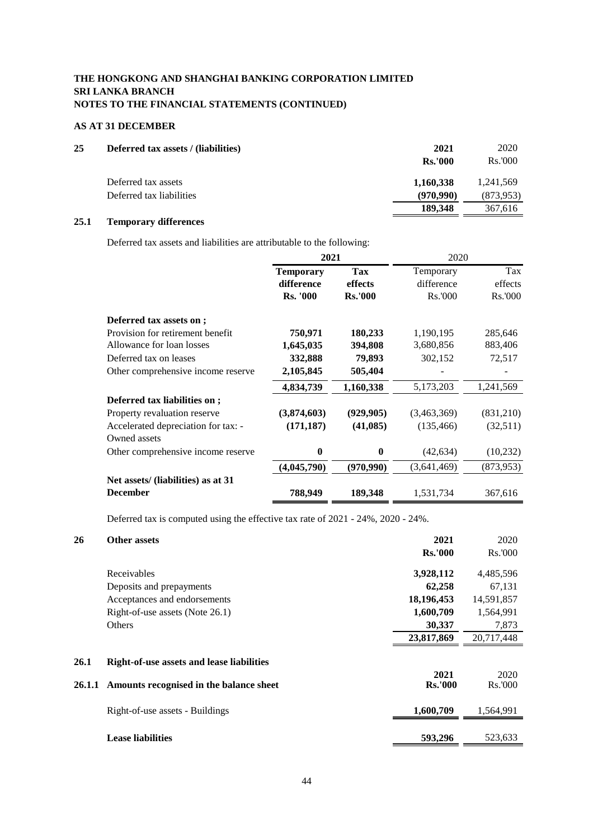## **AS AT 31 DECEMBER**

| 25 | Deferred tax assets / (liabilities) | 2021<br><b>Rs.'000</b> | 2020<br>Rs.'000 |
|----|-------------------------------------|------------------------|-----------------|
|    | Deferred tax assets                 | 1,160,338              | 1,241,569       |
|    | Deferred tax liabilities            | (970.990)              | (873,953)       |
|    |                                     | 189,348                | 367,616         |
|    | ----                                |                        |                 |

# **25.1 Temporary differences**

Deferred tax assets and liabilities are attributable to the following:

|                                     | 2021             |                  | 2020        |            |
|-------------------------------------|------------------|------------------|-------------|------------|
|                                     | <b>Temporary</b> | Tax              | Temporary   | Tax        |
|                                     | difference       | effects          | difference  | effects    |
|                                     | <b>Rs.</b> '000  | <b>Rs.'000</b>   | Rs.'000     | Rs.'000    |
| Deferred tax assets on ;            |                  |                  |             |            |
| Provision for retirement benefit    | 750,971          | 180,233          | 1,190,195   | 285,646    |
| Allowance for loan losses           | 1,645,035        | 394,808          | 3,680,856   | 883,406    |
| Deferred tax on leases              | 332,888          | 79,893           | 302,152     | 72,517     |
| Other comprehensive income reserve  | 2,105,845        | 505,404          |             |            |
|                                     | 4,834,739        | 1,160,338        | 5,173,203   | 1,241,569  |
| Deferred tax liabilities on ;       |                  |                  |             |            |
| Property revaluation reserve        | (3,874,603)      | (929, 905)       | (3,463,369) | (831,210)  |
| Accelerated depreciation for tax: - | (171, 187)       | (41, 085)        | (135, 466)  | (32,511)   |
| Owned assets                        |                  |                  |             |            |
| Other comprehensive income reserve  | 0                | $\boldsymbol{0}$ | (42, 634)   | (10,232)   |
|                                     | (4,045,790)      | (970, 990)       | (3,641,469) | (873, 953) |
| Net assets/ (liabilities) as at 31  |                  |                  |             |            |
| <b>December</b>                     | 788,949          | 189,348          | 1,531,734   | 367,616    |

Deferred tax is computed using the effective tax rate of 2021 - 24%, 2020 - 24%.

| 26             | Other assets                                                                                                            | 2021<br><b>Rs.'000</b>              | 2020<br>Rs.'000              |
|----------------|-------------------------------------------------------------------------------------------------------------------------|-------------------------------------|------------------------------|
|                | Receivables                                                                                                             | 3,928,112                           | 4,485,596                    |
|                | Deposits and prepayments                                                                                                | 62,258                              | 67,131                       |
|                | Acceptances and endorsements                                                                                            | 18,196,453                          | 14,591,857                   |
|                | Right-of-use assets (Note 26.1)                                                                                         | 1,600,709                           | 1,564,991                    |
|                | Others                                                                                                                  | 30,337                              | 7,873                        |
|                |                                                                                                                         | 23,817,869                          | 20,717,448                   |
| 26.1<br>26.1.1 | Right-of-use assets and lease liabilities<br>Amounts recognised in the balance sheet<br>Right-of-use assets - Buildings | 2021<br><b>Rs.'000</b><br>1,600,709 | 2020<br>Rs.'000<br>1,564,991 |
|                |                                                                                                                         |                                     |                              |
|                | <b>Lease liabilities</b>                                                                                                | 593,296                             | 523,633                      |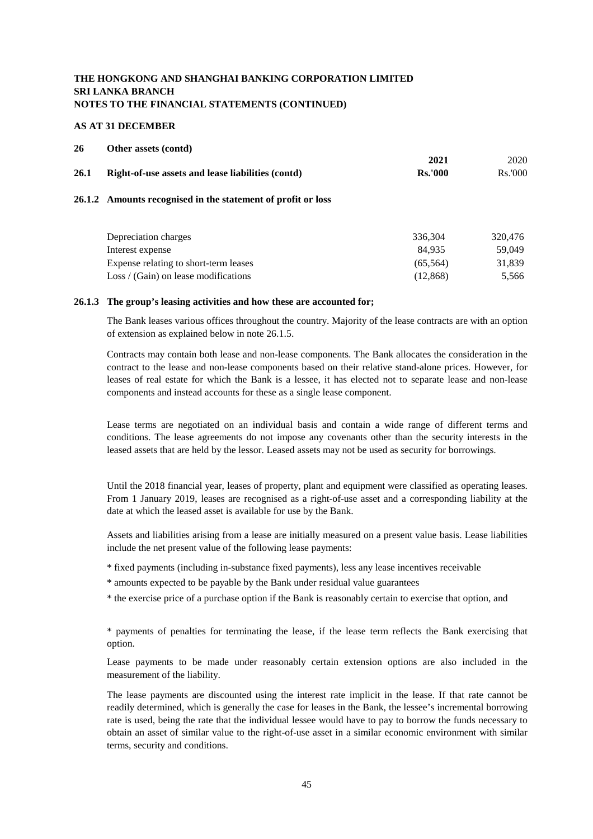#### **AS AT 31 DECEMBER**

#### **26 Other assets (contd)**

|      |                                                              | 2021           | 2020    |
|------|--------------------------------------------------------------|----------------|---------|
| 26.1 | Right-of-use assets and lease liabilities (contd)            | <b>Rs.'000</b> | Rs.'000 |
|      |                                                              |                |         |
|      | 26.1.2 Amounts recognised in the statement of profit or loss |                |         |
|      |                                                              |                |         |
|      |                                                              |                |         |

| Depreciation charges                                 | 336,304  | 320,476 |
|------------------------------------------------------|----------|---------|
| Interest expense                                     | 84.935   | 59,049  |
| Expense relating to short-term leases                | (65.564) | 31.839  |
| $\text{Loss} / (\text{Gain})$ on lease modifications | (12.868) | 5.566   |

#### **26.1.3 The group's leasing activities and how these are accounted for;**

The Bank leases various offices throughout the country. Majority of the lease contracts are with an option of extension as explained below in note 26.1.5.

Contracts may contain both lease and non-lease components. The Bank allocates the consideration in the contract to the lease and non-lease components based on their relative stand-alone prices. However, for leases of real estate for which the Bank is a lessee, it has elected not to separate lease and non-lease components and instead accounts for these as a single lease component.

Lease terms are negotiated on an individual basis and contain a wide range of different terms and conditions. The lease agreements do not impose any covenants other than the security interests in the leased assets that are held by the lessor. Leased assets may not be used as security for borrowings.

Until the 2018 financial year, leases of property, plant and equipment were classified as operating leases. From 1 January 2019, leases are recognised as a right-of-use asset and a corresponding liability at the date at which the leased asset is available for use by the Bank.

Assets and liabilities arising from a lease are initially measured on a present value basis. Lease liabilities include the net present value of the following lease payments:

- \* fixed payments (including in-substance fixed payments), less any lease incentives receivable
- \* amounts expected to be payable by the Bank under residual value guarantees
- \* the exercise price of a purchase option if the Bank is reasonably certain to exercise that option, and

\* payments of penalties for terminating the lease, if the lease term reflects the Bank exercising that option.

Lease payments to be made under reasonably certain extension options are also included in the measurement of the liability.

The lease payments are discounted using the interest rate implicit in the lease. If that rate cannot be readily determined, which is generally the case for leases in the Bank, the lessee's incremental borrowing rate is used, being the rate that the individual lessee would have to pay to borrow the funds necessary to obtain an asset of similar value to the right-of-use asset in a similar economic environment with similar terms, security and conditions.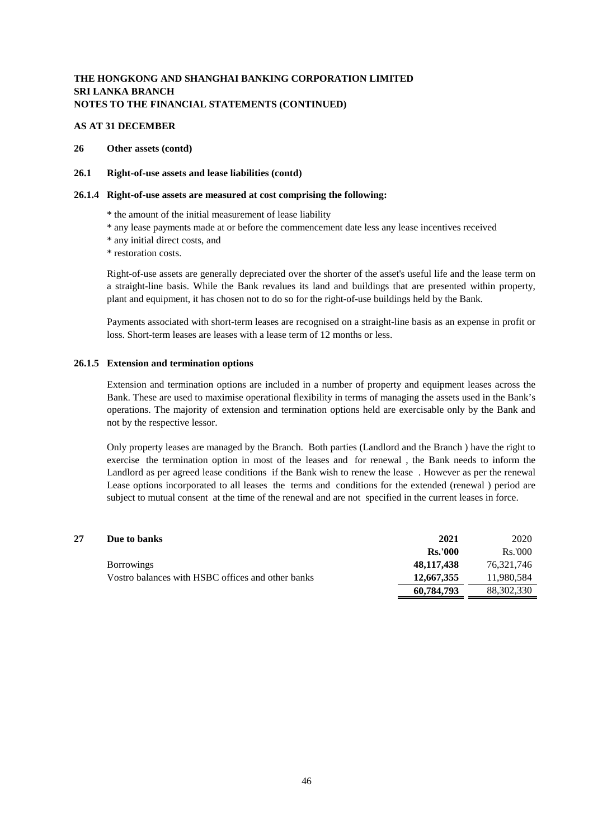#### **AS AT 31 DECEMBER**

## **26 Other assets (contd)**

## **26.1 Right-of-use assets and lease liabilities (contd)**

#### **26.1.4 Right-of-use assets are measured at cost comprising the following:**

- \* the amount of the initial measurement of lease liability
- \* any lease payments made at or before the commencement date less any lease incentives received
- \* any initial direct costs, and
- \* restoration costs.

Right-of-use assets are generally depreciated over the shorter of the asset's useful life and the lease term on a straight-line basis. While the Bank revalues its land and buildings that are presented within property, plant and equipment, it has chosen not to do so for the right-of-use buildings held by the Bank.

Payments associated with short-term leases are recognised on a straight-line basis as an expense in profit or loss. Short-term leases are leases with a lease term of 12 months or less.

#### **26.1.5 Extension and termination options**

Extension and termination options are included in a number of property and equipment leases across the Bank. These are used to maximise operational flexibility in terms of managing the assets used in the Bank's operations. The majority of extension and termination options held are exercisable only by the Bank and not by the respective lessor.

Only property leases are managed by the Branch. Both parties (Landlord and the Branch ) have the right to exercise the termination option in most of the leases and for renewal , the Bank needs to inform the Landlord as per agreed lease conditions if the Bank wish to renew the lease . However as per the renewal Lease options incorporated to all leases the terms and conditions for the extended (renewal ) period are subject to mutual consent at the time of the renewal and are not specified in the current leases in force.

| 27 | Due to banks                                      | 2021           | 2020       |
|----|---------------------------------------------------|----------------|------------|
|    |                                                   | <b>Rs.'000</b> | Rs.'000    |
|    | <b>Borrowings</b>                                 | 48.117.438     | 76.321.746 |
|    | Vostro balances with HSBC offices and other banks | 12,667,355     | 11.980.584 |
|    |                                                   | 60,784,793     | 88,302,330 |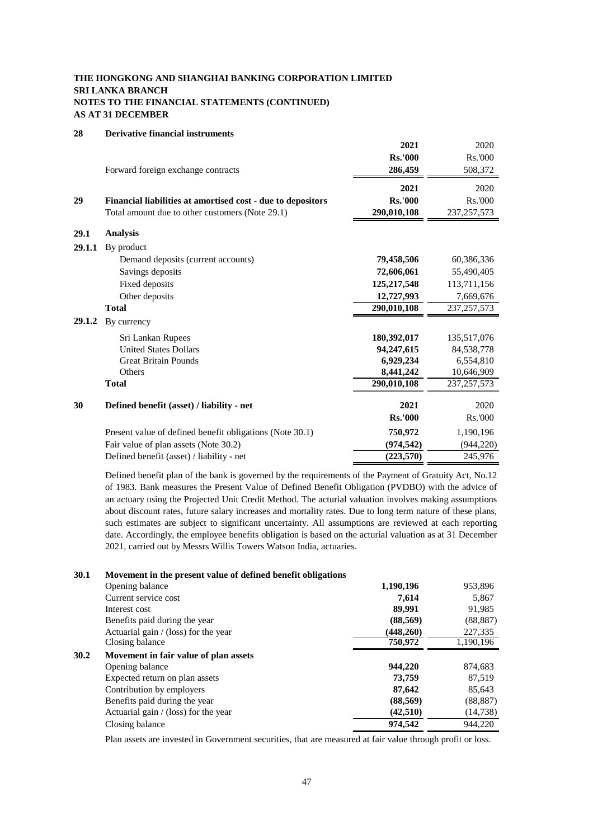#### **28 Derivative financial instruments**

|        | Forward foreign exchange contracts                          | 2021<br><b>Rs.'000</b><br>286,459 | 2020<br>Rs.'000<br>508,372 |
|--------|-------------------------------------------------------------|-----------------------------------|----------------------------|
| 29     | Financial liabilities at amortised cost - due to depositors | 2021<br><b>Rs.'000</b>            | 2020<br>Rs.'000            |
|        | Total amount due to other customers (Note 29.1)             | 290,010,108                       | 237, 257, 573              |
| 29.1   | <b>Analysis</b>                                             |                                   |                            |
| 29.1.1 | By product                                                  |                                   |                            |
|        | Demand deposits (current accounts)                          | 79,458,506                        | 60,386,336                 |
|        | Savings deposits                                            | 72,606,061                        | 55,490,405                 |
|        | Fixed deposits                                              | 125, 217, 548                     | 113,711,156                |
|        | Other deposits                                              | 12,727,993                        | 7,669,676                  |
|        | <b>Total</b>                                                | 290,010,108                       | 237, 257, 573              |
| 29.1.2 | By currency                                                 |                                   |                            |
|        | Sri Lankan Rupees                                           | 180,392,017                       | 135,517,076                |
|        | <b>United States Dollars</b>                                | 94,247,615                        | 84,538,778                 |
|        | <b>Great Britain Pounds</b>                                 | 6,929,234                         | 6,554,810                  |
|        | Others                                                      | 8,441,242                         | 10,646,909                 |
|        | <b>Total</b>                                                | 290,010,108                       | 237, 257, 573              |
| 30     | Defined benefit (asset) / liability - net                   | 2021                              | 2020                       |
|        |                                                             | <b>Rs.'000</b>                    | Rs.'000                    |
|        | Present value of defined benefit obligations (Note 30.1)    | 750,972                           | 1,190,196                  |
|        | Fair value of plan assets (Note 30.2)                       | (974, 542)                        | (944, 220)                 |
|        | Defined benefit (asset) / liability - net                   | (223, 570)                        | 245,976                    |

Defined benefit plan of the bank is governed by the requirements of the Payment of Gratuity Act, No.12 of 1983. Bank measures the Present Value of Defined Benefit Obligation (PVDBO) with the advice of an actuary using the Projected Unit Credit Method. The acturial valuation involves making assumptions about discount rates, future salary increases and mortality rates. Due to long term nature of these plans, such estimates are subject to significant uncertainty. All assumptions are reviewed at each reporting date. Accordingly, the employee benefits obligation is based on the acturial valuation as at 31 December 2021, carried out by Messrs Willis Towers Watson India, actuaries.

## **30.1 Movement in the present value of defined benefit obligations**

|      | Opening balance                        | 1,190,196  | 953,896   |
|------|----------------------------------------|------------|-----------|
|      | Current service cost                   | 7,614      | 5,867     |
|      | Interest cost                          | 89,991     | 91,985    |
|      | Benefits paid during the year          | (88, 569)  | (88, 887) |
|      | Actuarial gain $/$ (loss) for the year | (448, 260) | 227,335   |
|      | Closing balance                        | 750,972    | 1,190,196 |
| 30.2 | Movement in fair value of plan assets  |            |           |
|      | Opening balance                        | 944,220    | 874,683   |
|      | Expected return on plan assets         | 73,759     | 87,519    |
|      | Contribution by employers              | 87,642     | 85,643    |
|      | Benefits paid during the year          | (88, 569)  | (88, 887) |
|      | Actuarial gain $/$ (loss) for the year | (42, 510)  | (14, 738) |
|      | Closing balance                        | 974,542    | 944,220   |
|      |                                        |            |           |

Plan assets are invested in Government securities, that are measured at fair value through profit or loss.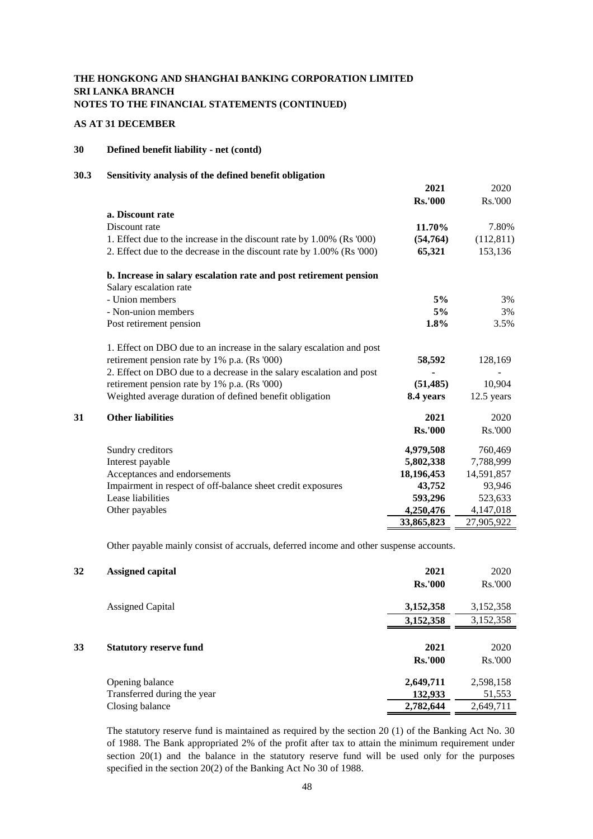## **AS AT 31 DECEMBER**

## **30 Defined benefit liability - net (contd)**

## **30.3 Sensitivity analysis of the defined benefit obligation**

|    |                                                                       | 2021           | 2020       |
|----|-----------------------------------------------------------------------|----------------|------------|
|    |                                                                       | <b>Rs.'000</b> | Rs.'000    |
|    | a. Discount rate                                                      |                |            |
|    | Discount rate                                                         | 11.70%         | 7.80%      |
|    | 1. Effect due to the increase in the discount rate by 1.00% (Rs '000) | (54, 764)      | (112, 811) |
|    | 2. Effect due to the decrease in the discount rate by 1.00% (Rs '000) | 65,321         | 153,136    |
|    | b. Increase in salary escalation rate and post retirement pension     |                |            |
|    | Salary escalation rate                                                |                |            |
|    | - Union members                                                       | 5%             | 3%         |
|    | - Non-union members                                                   | 5%             | 3%         |
|    | Post retirement pension                                               | 1.8%           | 3.5%       |
|    | 1. Effect on DBO due to an increase in the salary escalation and post |                |            |
|    | retirement pension rate by 1% p.a. (Rs '000)                          | 58,592         | 128,169    |
|    | 2. Effect on DBO due to a decrease in the salary escalation and post  |                |            |
|    | retirement pension rate by 1% p.a. (Rs '000)                          | (51, 485)      | 10,904     |
|    | Weighted average duration of defined benefit obligation               | 8.4 years      | 12.5 years |
| 31 | <b>Other liabilities</b>                                              | 2021           | 2020       |
|    |                                                                       | <b>Rs.'000</b> | Rs.'000    |
|    | Sundry creditors                                                      | 4,979,508      | 760,469    |
|    | Interest payable                                                      | 5,802,338      | 7,788,999  |
|    | Acceptances and endorsements                                          | 18,196,453     | 14,591,857 |
|    | Impairment in respect of off-balance sheet credit exposures           | 43,752         | 93,946     |
|    | Lease liabilities                                                     | 593,296        | 523,633    |
|    | Other payables                                                        | 4,250,476      | 4,147,018  |
|    |                                                                       | 33,865,823     | 27,905,922 |

Other payable mainly consist of accruals, deferred income and other suspense accounts.

|                               | 2021                    | 2020      |
|-------------------------------|-------------------------|-----------|
|                               | <b>Rs.'000</b>          | Rs.'000   |
| <b>Assigned Capital</b>       | 3,152,358               | 3,152,358 |
|                               | 3,152,358               | 3,152,358 |
| <b>Statutory reserve fund</b> | 2021                    | 2020      |
|                               | <b>Rs.'000</b>          | Rs.'000   |
|                               | <b>Assigned capital</b> |           |

Opening balance **2,649,711** 2,598,158 Transferred during the year **132,933** 51,553 Closing balance **2,782,644** 2,649,711

The statutory reserve fund is maintained as required by the section 20 (1) of the Banking Act No. 30 of 1988. The Bank appropriated 2% of the profit after tax to attain the minimum requirement under section 20(1) and the balance in the statutory reserve fund will be used only for the purposes specified in the section 20(2) of the Banking Act No 30 of 1988.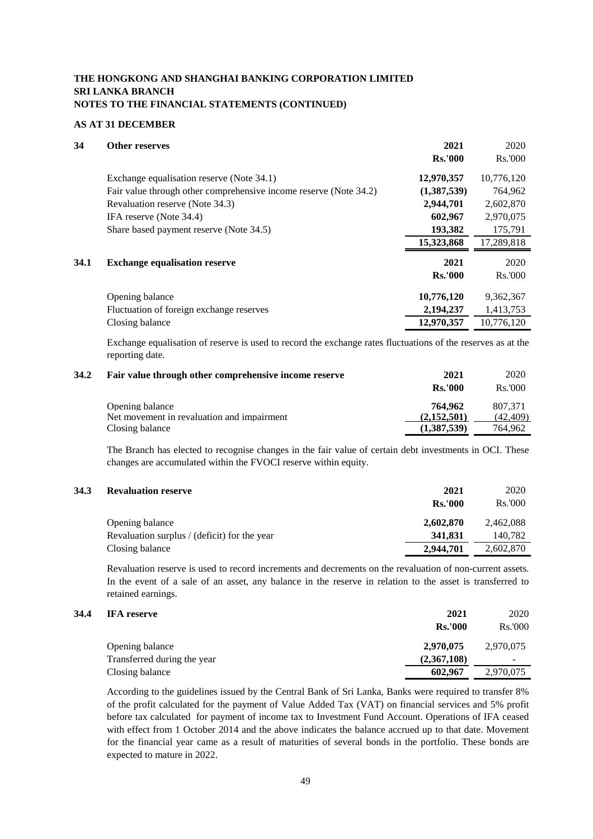#### **AS AT 31 DECEMBER**

#### **34 Other reserves 2021** 2020

|      |                                                                   | <b>Rs.'000</b> | Rs.'000    |
|------|-------------------------------------------------------------------|----------------|------------|
|      | Exchange equalisation reserve (Note 34.1)                         | 12,970,357     | 10,776,120 |
|      | Fair value through other comprehensive income reserve (Note 34.2) | (1,387,539)    | 764,962    |
|      | Revaluation reserve (Note 34.3)                                   | 2,944,701      | 2,602,870  |
|      | IFA reserve (Note 34.4)                                           | 602,967        | 2,970,075  |
|      | Share based payment reserve (Note 34.5)                           | 193,382        | 175,791    |
|      |                                                                   | 15,323,868     | 17,289,818 |
| 34.1 | <b>Exchange equalisation reserve</b>                              | 2021           | 2020       |
|      |                                                                   | <b>Rs.'000</b> | Rs.'000    |
|      | Opening balance                                                   | 10,776,120     | 9,362,367  |
|      | Fluctuation of foreign exchange reserves                          | 2,194,237      | 1,413,753  |
|      | Closing balance                                                   | 12,970,357     | 10,776,120 |

Exchange equalisation of reserve is used to record the exchange rates fluctuations of the reserves as at the reporting date.

| 34.2 | Fair value through other comprehensive income reserve | 2021           | 2020      |
|------|-------------------------------------------------------|----------------|-----------|
|      |                                                       | <b>Rs.'000</b> | Rs.'000   |
|      | Opening balance                                       | 764.962        | 807.371   |
|      | Net movement in revaluation and impairment            | (2.152.501)    | (42, 409) |
|      | Closing balance                                       | (1,387,539)    | 764.962   |

The Branch has elected to recognise changes in the fair value of certain debt investments in OCI. These changes are accumulated within the FVOCI reserve within equity.

## **34.3 Revaluation reserve 2021** 2020

|                                              | <b>Rs.'000</b> | Rs.'000   |
|----------------------------------------------|----------------|-----------|
| Opening balance                              | 2.602.870      | 2,462,088 |
| Revaluation surplus / (deficit) for the year | 341,831        | 140.782   |
| Closing balance                              | 2.944.701      | 2,602,870 |

Revaluation reserve is used to record increments and decrements on the revaluation of non-current assets. In the event of a sale of an asset, any balance in the reserve in relation to the asset is transferred to retained earnings.

#### **34.4 IFA reserve 2021** 2020

|                             | <b>Rs.'000</b> | Rs.'000   |
|-----------------------------|----------------|-----------|
| Opening balance             | 2,970,075      | 2,970,075 |
| Transferred during the year | (2,367,108)    |           |
| Closing balance             | 602.967        | 2.970.075 |

According to the guidelines issued by the Central Bank of Sri Lanka, Banks were required to transfer 8% of the profit calculated for the payment of Value Added Tax (VAT) on financial services and 5% profit before tax calculated for payment of income tax to Investment Fund Account. Operations of IFA ceased with effect from 1 October 2014 and the above indicates the balance accrued up to that date. Movement for the financial year came as a result of maturities of several bonds in the portfolio. These bonds are expected to mature in 2022.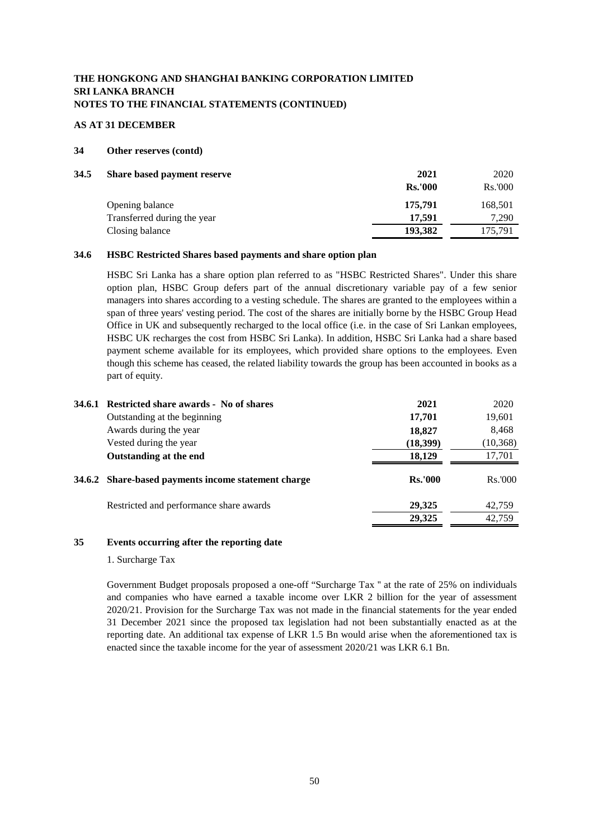## **AS AT 31 DECEMBER**

## **34 Other reserves (contd)**

| 34.5<br>Share based payment reserve | 2021           | 2020    |
|-------------------------------------|----------------|---------|
|                                     | <b>Rs.'000</b> | Rs.'000 |
| Opening balance                     | 175,791        | 168,501 |
| Transferred during the year         | 17.591         | 7,290   |
| Closing balance                     | 193,382        | 175.791 |

## **34.6 HSBC Restricted Shares based payments and share option plan**

HSBC Sri Lanka has a share option plan referred to as "HSBC Restricted Shares". Under this share option plan, HSBC Group defers part of the annual discretionary variable pay of a few senior managers into shares according to a vesting schedule. The shares are granted to the employees within a span of three years' vesting period. The cost of the shares are initially borne by the HSBC Group Head Office in UK and subsequently recharged to the local office (i.e. in the case of Sri Lankan employees, HSBC UK recharges the cost from HSBC Sri Lanka). In addition, HSBC Sri Lanka had a share based payment scheme available for its employees, which provided share options to the employees. Even though this scheme has ceased, the related liability towards the group has been accounted in books as a part of equity.

| 34.6.1 | Restricted share awards - No of shares              | 2021           | 2020      |
|--------|-----------------------------------------------------|----------------|-----------|
|        | Outstanding at the beginning                        | 17,701         | 19,601    |
|        | Awards during the year                              | 18,827         | 8,468     |
|        | Vested during the year                              | (18, 399)      | (10, 368) |
|        | Outstanding at the end                              | 18,129         | 17,701    |
|        | 34.6.2 Share-based payments income statement charge | <b>Rs.'000</b> | Rs.'000   |
|        | Restricted and performance share awards             | 29,325         | 42,759    |
|        |                                                     | 29,325         | 42.759    |

#### **35 Events occurring after the reporting date**

#### 1. Surcharge Tax

Government Budget proposals proposed a one-off "Surcharge Tax '' at the rate of 25% on individuals and companies who have earned a taxable income over LKR 2 billion for the year of assessment 2020/21. Provision for the Surcharge Tax was not made in the financial statements for the year ended 31 December 2021 since the proposed tax legislation had not been substantially enacted as at the reporting date. An additional tax expense of LKR 1.5 Bn would arise when the aforementioned tax is enacted since the taxable income for the year of assessment 2020/21 was LKR 6.1 Bn.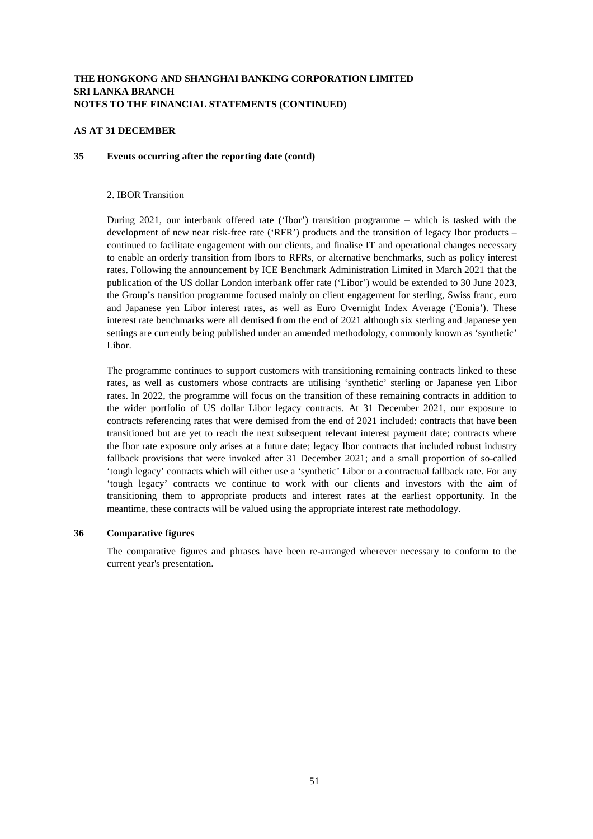#### **AS AT 31 DECEMBER**

#### **35 Events occurring after the reporting date (contd)**

## 2. IBOR Transition

During 2021, our interbank offered rate ('Ibor') transition programme – which is tasked with the development of new near risk-free rate ('RFR') products and the transition of legacy Ibor products – continued to facilitate engagement with our clients, and finalise IT and operational changes necessary to enable an orderly transition from Ibors to RFRs, or alternative benchmarks, such as policy interest rates. Following the announcement by ICE Benchmark Administration Limited in March 2021 that the publication of the US dollar London interbank offer rate ('Libor') would be extended to 30 June 2023, the Group's transition programme focused mainly on client engagement for sterling, Swiss franc, euro and Japanese yen Libor interest rates, as well as Euro Overnight Index Average ('Eonia'). These interest rate benchmarks were all demised from the end of 2021 although six sterling and Japanese yen settings are currently being published under an amended methodology, commonly known as 'synthetic' Libor.

The programme continues to support customers with transitioning remaining contracts linked to these rates, as well as customers whose contracts are utilising 'synthetic' sterling or Japanese yen Libor rates. In 2022, the programme will focus on the transition of these remaining contracts in addition to the wider portfolio of US dollar Libor legacy contracts. At 31 December 2021, our exposure to contracts referencing rates that were demised from the end of 2021 included: contracts that have been transitioned but are yet to reach the next subsequent relevant interest payment date; contracts where the Ibor rate exposure only arises at a future date; legacy Ibor contracts that included robust industry fallback provisions that were invoked after 31 December 2021; and a small proportion of so-called 'tough legacy' contracts which will either use a 'synthetic' Libor or a contractual fallback rate. For any 'tough legacy' contracts we continue to work with our clients and investors with the aim of transitioning them to appropriate products and interest rates at the earliest opportunity. In the meantime, these contracts will be valued using the appropriate interest rate methodology.

## **36 Comparative figures**

The comparative figures and phrases have been re-arranged wherever necessary to conform to the current year's presentation.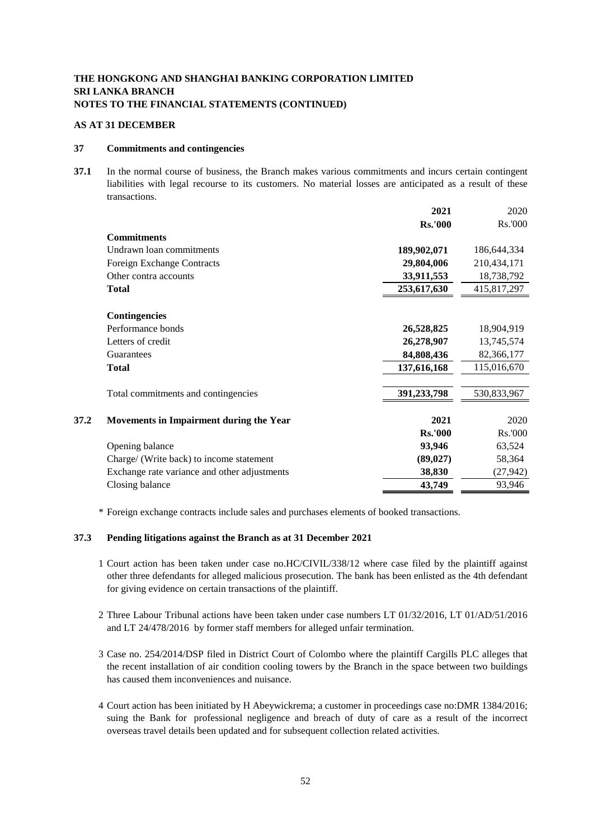## **AS AT 31 DECEMBER**

#### **37 Commitments and contingencies**

**37.1** In the normal course of business, the Branch makes various commitments and incurs certain contingent liabilities with legal recourse to its customers. No material losses are anticipated as a result of these transactions.

|      |                                              | 2021           | 2020        |
|------|----------------------------------------------|----------------|-------------|
|      |                                              | <b>Rs.'000</b> | Rs.'000     |
|      | <b>Commitments</b>                           |                |             |
|      | Undrawn loan commitments                     | 189,902,071    | 186,644,334 |
|      | Foreign Exchange Contracts                   | 29,804,006     | 210,434,171 |
|      | Other contra accounts                        | 33,911,553     | 18,738,792  |
|      | <b>Total</b>                                 | 253,617,630    | 415,817,297 |
|      | <b>Contingencies</b>                         |                |             |
|      | Performance bonds                            | 26,528,825     | 18,904,919  |
|      | Letters of credit                            | 26,278,907     | 13,745,574  |
|      | Guarantees                                   | 84,808,436     | 82,366,177  |
|      | <b>Total</b>                                 | 137,616,168    | 115,016,670 |
|      | Total commitments and contingencies          | 391,233,798    | 530,833,967 |
| 37.2 | Movements in Impairment during the Year      | 2021           | 2020        |
|      |                                              | <b>Rs.'000</b> | Rs.'000     |
|      | Opening balance                              | 93,946         | 63,524      |
|      | Charge/ (Write back) to income statement     | (89, 027)      | 58,364      |
|      | Exchange rate variance and other adjustments | 38,830         | (27, 942)   |
|      | Closing balance                              | 43,749         | 93,946      |
|      |                                              |                |             |

\* Foreign exchange contracts include sales and purchases elements of booked transactions.

## **37.3 Pending litigations against the Branch as at 31 December 2021**

- 1 Court action has been taken under case no.HC/CIVIL/338/12 where case filed by the plaintiff against other three defendants for alleged malicious prosecution. The bank has been enlisted as the 4th defendant for giving evidence on certain transactions of the plaintiff.
- 2 Three Labour Tribunal actions have been taken under case numbers LT 01/32/2016, LT 01/AD/51/2016 and LT 24/478/2016 by former staff members for alleged unfair termination.
- 3 Case no. 254/2014/DSP filed in District Court of Colombo where the plaintiff Cargills PLC alleges that the recent installation of air condition cooling towers by the Branch in the space between two buildings has caused them inconveniences and nuisance.
- 4 Court action has been initiated by H Abeywickrema; a customer in proceedings case no:DMR 1384/2016; suing the Bank for professional negligence and breach of duty of care as a result of the incorrect overseas travel details been updated and for subsequent collection related activities.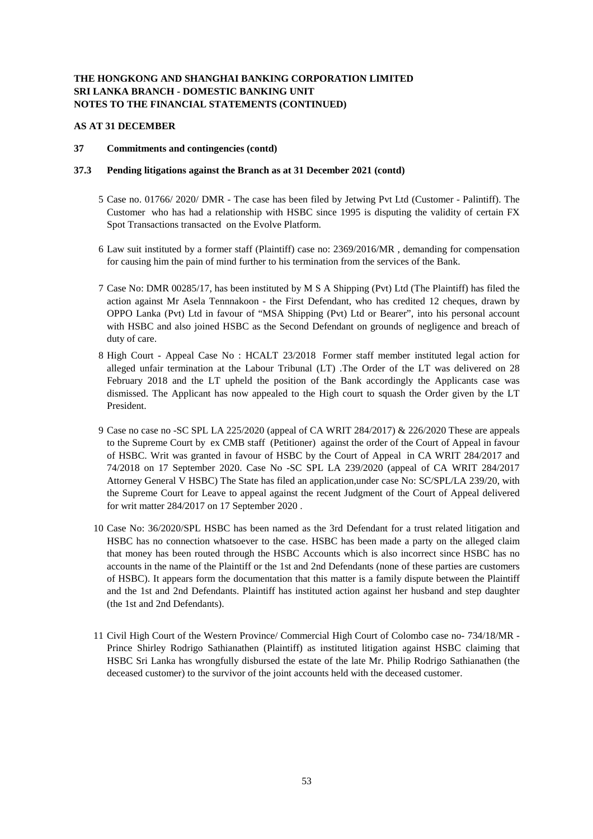## **AS AT 31 DECEMBER**

## **37 Commitments and contingencies (contd)**

## **37.3 Pending litigations against the Branch as at 31 December 2021 (contd)**

- 5 Case no. 01766/ 2020/ DMR The case has been filed by Jetwing Pvt Ltd (Customer Palintiff). The Customer who has had a relationship with HSBC since 1995 is disputing the validity of certain FX Spot Transactions transacted on the Evolve Platform.
- 6 Law suit instituted by a former staff (Plaintiff) case no: 2369/2016/MR , demanding for compensation for causing him the pain of mind further to his termination from the services of the Bank.
- 7 Case No: DMR 00285/17, has been instituted by M S A Shipping (Pvt) Ltd (The Plaintiff) has filed the action against Mr Asela Tennnakoon - the First Defendant, who has credited 12 cheques, drawn by OPPO Lanka (Pvt) Ltd in favour of "MSA Shipping (Pvt) Ltd or Bearer", into his personal account with HSBC and also joined HSBC as the Second Defendant on grounds of negligence and breach of duty of care.
- 8 High Court Appeal Case No : HCALT 23/2018 Former staff member instituted legal action for alleged unfair termination at the Labour Tribunal (LT) .The Order of the LT was delivered on 28 February 2018 and the LT upheld the position of the Bank accordingly the Applicants case was dismissed. The Applicant has now appealed to the High court to squash the Order given by the LT President.
- 9 Case no case no -SC SPL LA 225/2020 (appeal of CA WRIT 284/2017) & 226/2020 These are appeals to the Supreme Court by ex CMB staff (Petitioner) against the order of the Court of Appeal in favour of HSBC. Writ was granted in favour of HSBC by the Court of Appeal in CA WRIT 284/2017 and 74/2018 on 17 September 2020. Case No -SC SPL LA 239/2020 (appeal of CA WRIT 284/2017 Attorney General V HSBC) The State has filed an application,under case No: SC/SPL/LA 239/20, with the Supreme Court for Leave to appeal against the recent Judgment of the Court of Appeal delivered for writ matter 284/2017 on 17 September 2020 .
- 10 Case No: 36/2020/SPL HSBC has been named as the 3rd Defendant for a trust related litigation and HSBC has no connection whatsoever to the case. HSBC has been made a party on the alleged claim that money has been routed through the HSBC Accounts which is also incorrect since HSBC has no accounts in the name of the Plaintiff or the 1st and 2nd Defendants (none of these parties are customers of HSBC). It appears form the documentation that this matter is a family dispute between the Plaintiff and the 1st and 2nd Defendants. Plaintiff has instituted action against her husband and step daughter (the 1st and 2nd Defendants).
- 11 Civil High Court of the Western Province/ Commercial High Court of Colombo case no- 734/18/MR Prince Shirley Rodrigo Sathianathen (Plaintiff) as instituted litigation against HSBC claiming that HSBC Sri Lanka has wrongfully disbursed the estate of the late Mr. Philip Rodrigo Sathianathen (the deceased customer) to the survivor of the joint accounts held with the deceased customer.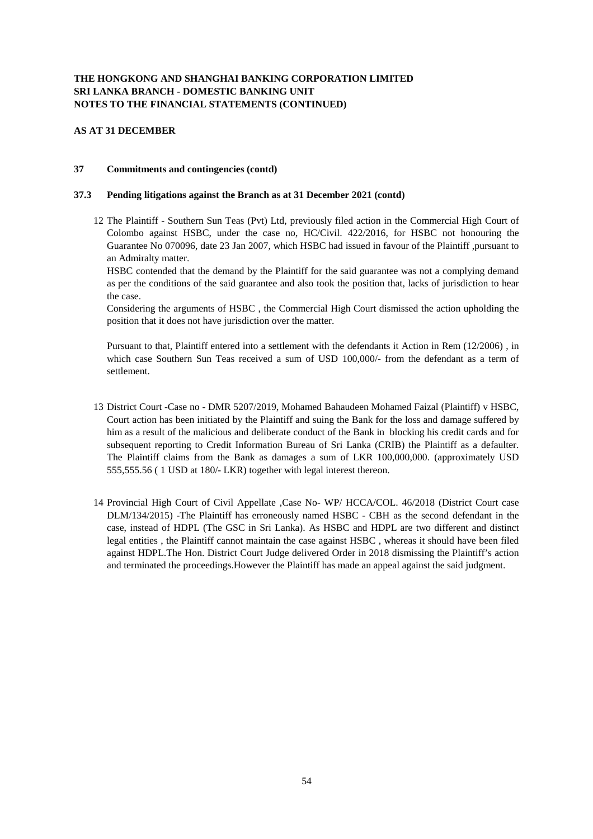## **AS AT 31 DECEMBER**

## **37 Commitments and contingencies (contd)**

#### **37.3 Pending litigations against the Branch as at 31 December 2021 (contd)**

12 The Plaintiff - Southern Sun Teas (Pvt) Ltd, previously filed action in the Commercial High Court of Colombo against HSBC, under the case no, HC/Civil. 422/2016, for HSBC not honouring the Guarantee No 070096, date 23 Jan 2007, which HSBC had issued in favour of the Plaintiff ,pursuant to an Admiralty matter.

HSBC contended that the demand by the Plaintiff for the said guarantee was not a complying demand as per the conditions of the said guarantee and also took the position that, lacks of jurisdiction to hear the case.

Considering the arguments of HSBC , the Commercial High Court dismissed the action upholding the position that it does not have jurisdiction over the matter.

Pursuant to that, Plaintiff entered into a settlement with the defendants it Action in Rem (12/2006) , in which case Southern Sun Teas received a sum of USD 100,000/- from the defendant as a term of settlement.

- 13 District Court -Case no DMR 5207/2019, Mohamed Bahaudeen Mohamed Faizal (Plaintiff) v HSBC, Court action has been initiated by the Plaintiff and suing the Bank for the loss and damage suffered by him as a result of the malicious and deliberate conduct of the Bank in blocking his credit cards and for subsequent reporting to Credit Information Bureau of Sri Lanka (CRIB) the Plaintiff as a defaulter. The Plaintiff claims from the Bank as damages a sum of LKR 100,000,000. (approximately USD 555,555.56 ( 1 USD at 180/- LKR) together with legal interest thereon.
- 14 Provincial High Court of Civil Appellate ,Case No- WP/ HCCA/COL. 46/2018 (District Court case DLM/134/2015) -The Plaintiff has erroneously named HSBC - CBH as the second defendant in the case, instead of HDPL (The GSC in Sri Lanka). As HSBC and HDPL are two different and distinct legal entities , the Plaintiff cannot maintain the case against HSBC , whereas it should have been filed against HDPL.The Hon. District Court Judge delivered Order in 2018 dismissing the Plaintiff's action and terminated the proceedings.However the Plaintiff has made an appeal against the said judgment.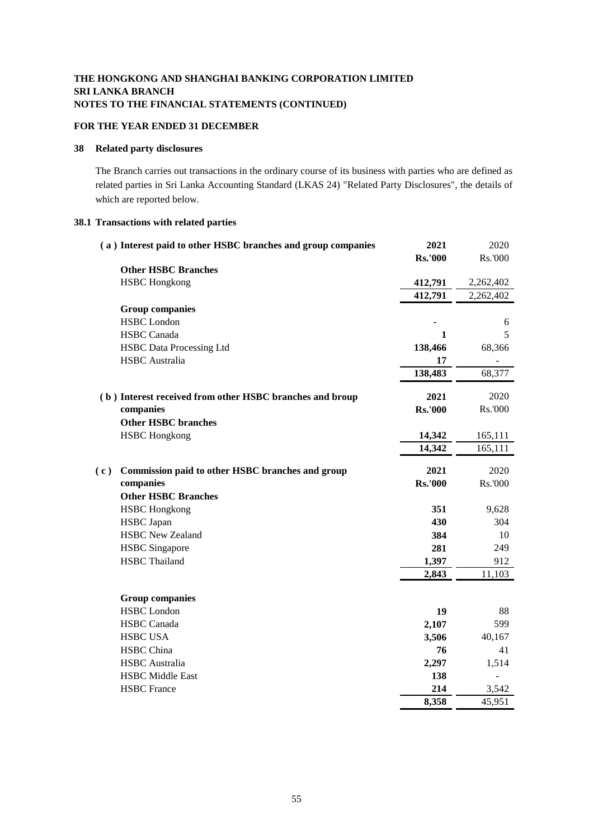## **FOR THE YEAR ENDED 31 DECEMBER**

## **38 Related party disclosures**

The Branch carries out transactions in the ordinary course of its business with parties who are defined as related parties in Sri Lanka Accounting Standard (LKAS 24) "Related Party Disclosures", the details of which are reported below.

## **38.1 Transactions with related parties**

| (a) Interest paid to other HSBC branches and group companies | 2021           | 2020           |
|--------------------------------------------------------------|----------------|----------------|
|                                                              | <b>Rs.'000</b> | Rs.'000        |
| <b>Other HSBC Branches</b>                                   |                |                |
| <b>HSBC</b> Hongkong                                         | 412,791        | 2,262,402      |
|                                                              | 412,791        | 2,262,402      |
| <b>Group companies</b>                                       |                |                |
| <b>HSBC</b> London                                           |                | 6              |
| <b>HSBC</b> Canada                                           | 1              | 5              |
| <b>HSBC</b> Data Processing Ltd                              | 138,466        | 68,366         |
| <b>HSBC</b> Australia                                        | 17             |                |
|                                                              | 138,483        | 68,377         |
| (b) Interest received from other HSBC branches and broup     | 2021           | 2020           |
| companies                                                    | <b>Rs.'000</b> | Rs.'000        |
| <b>Other HSBC branches</b>                                   |                |                |
| <b>HSBC</b> Hongkong                                         | 14,342         | 165,111        |
|                                                              | 14,342         | 165,111        |
| Commission paid to other HSBC branches and group<br>(c)      | 2021           | 2020           |
| companies                                                    | <b>Rs.'000</b> | Rs.'000        |
| <b>Other HSBC Branches</b>                                   |                |                |
| <b>HSBC</b> Hongkong                                         | 351            | 9,628          |
| <b>HSBC</b> Japan                                            | 430            | 304            |
| <b>HSBC New Zealand</b>                                      | 384            | 10             |
| <b>HSBC</b> Singapore                                        | 281            | 249            |
| <b>HSBC</b> Thailand                                         | 1,397          | 912            |
|                                                              | 2,843          | 11,103         |
| <b>Group companies</b>                                       |                |                |
| <b>HSBC</b> London                                           | 19             | 88             |
| <b>HSBC</b> Canada                                           | 2,107          | 599            |
| <b>HSBC USA</b>                                              | 3,506          | 40,167         |
| <b>HSBC</b> China                                            | 76             | 41             |
| <b>HSBC</b> Australia                                        | 2,297          | 1,514          |
| <b>HSBC</b> Middle East                                      | 138            | $\overline{a}$ |
| <b>HSBC</b> France                                           | 214            | 3,542          |
|                                                              | 8,358          | 45,951         |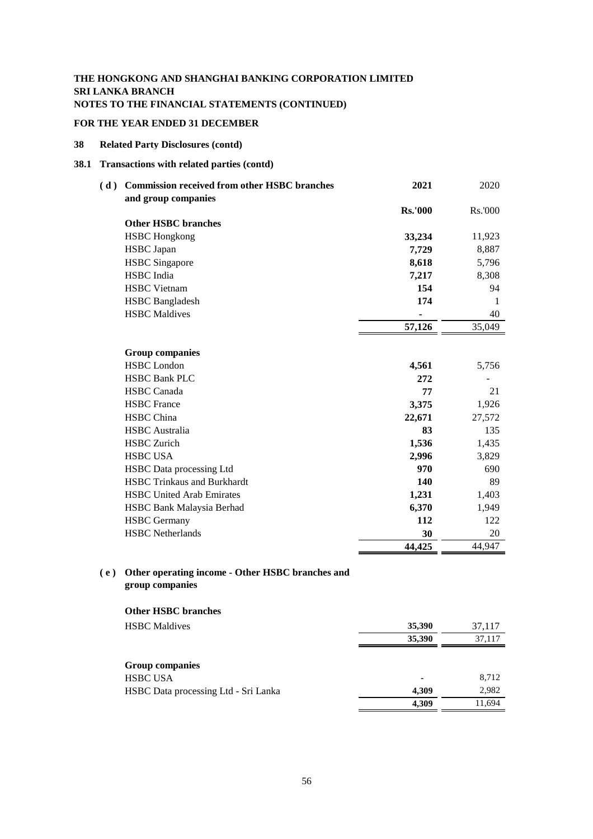## **FOR THE YEAR ENDED 31 DECEMBER**

## **38 Related Party Disclosures (contd)**

## **38.1 Transactions with related parties (contd)**

| (d) | <b>Commission received from other HSBC branches</b> | 2021           | 2020    |
|-----|-----------------------------------------------------|----------------|---------|
|     | and group companies                                 |                |         |
|     |                                                     | <b>Rs.'000</b> | Rs.'000 |
|     | <b>Other HSBC branches</b>                          |                |         |
|     | <b>HSBC</b> Hongkong                                | 33,234         | 11,923  |
|     | <b>HSBC</b> Japan                                   | 7,729          | 8,887   |
|     | <b>HSBC</b> Singapore                               | 8,618          | 5,796   |
|     | <b>HSBC</b> India                                   | 7,217          | 8,308   |
|     | <b>HSBC</b> Vietnam                                 | 154            | 94      |
|     | <b>HSBC</b> Bangladesh                              | 174            | 1       |
|     | <b>HSBC</b> Maldives                                |                | 40      |
|     |                                                     | 57,126         | 35,049  |
|     |                                                     |                |         |
|     | <b>Group companies</b>                              |                |         |
|     | <b>HSBC</b> London                                  | 4,561          | 5,756   |
|     | <b>HSBC Bank PLC</b>                                | 272            |         |
|     | <b>HSBC</b> Canada                                  | 77             | 21      |
|     | <b>HSBC</b> France                                  | 3,375          | 1,926   |
|     | <b>HSBC</b> China                                   | 22,671         | 27,572  |
|     | <b>HSBC</b> Australia                               | 83             | 135     |
|     | <b>HSBC</b> Zurich                                  | 1,536          | 1,435   |
|     | <b>HSBC USA</b>                                     | 2,996          | 3,829   |
|     | <b>HSBC</b> Data processing Ltd                     | 970            | 690     |
|     | <b>HSBC Trinkaus and Burkhardt</b>                  | 140            | 89      |
|     | <b>HSBC United Arab Emirates</b>                    | 1,231          | 1,403   |
|     | HSBC Bank Malaysia Berhad                           | 6,370          | 1,949   |
|     | <b>HSBC</b> Germany                                 | 112            | 122     |
|     | <b>HSBC</b> Netherlands                             | 30             | 20      |
|     |                                                     | 44,425         | 44,947  |

#### **( e ) Other operating income - Other HSBC branches and group companies**

#### **Other HSBC branches**

| <b>HSBC</b> Maldives                 | 35,390 | 37,117 |
|--------------------------------------|--------|--------|
|                                      | 35,390 | 37,117 |
| <b>Group companies</b>               |        |        |
| <b>HSBC USA</b>                      | ۰      | 8,712  |
| HSBC Data processing Ltd - Sri Lanka | 4.309  | 2,982  |
|                                      | 4,309  | 11.694 |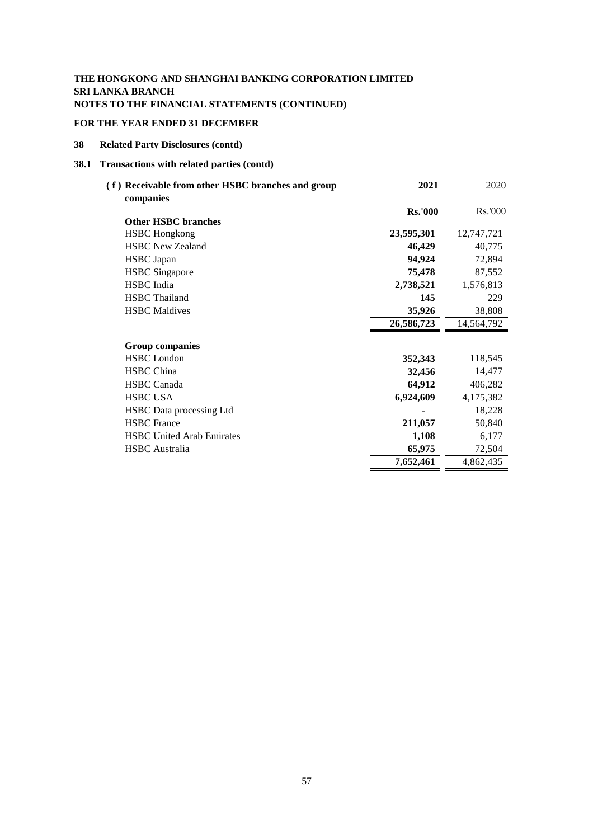## **FOR THE YEAR ENDED 31 DECEMBER**

## **38 Related Party Disclosures (contd)**

## **38.1 Transactions with related parties (contd)**

| (f) Receivable from other HSBC branches and group<br>companies | 2021           | 2020           |
|----------------------------------------------------------------|----------------|----------------|
|                                                                | <b>Rs.'000</b> | <b>Rs.'000</b> |
| <b>Other HSBC branches</b>                                     |                |                |
| <b>HSBC</b> Hongkong                                           | 23,595,301     | 12,747,721     |
| <b>HSBC New Zealand</b>                                        | 46,429         | 40,775         |
| <b>HSBC</b> Japan                                              | 94,924         | 72,894         |
| <b>HSBC</b> Singapore                                          | 75,478         | 87,552         |
| <b>HSBC</b> India                                              | 2,738,521      | 1,576,813      |
| <b>HSBC</b> Thailand                                           | 145            | 229            |
| <b>HSBC</b> Maldives                                           | 35,926         | 38,808         |
|                                                                | 26,586,723     | 14,564,792     |
| <b>Group companies</b>                                         |                |                |
| <b>HSBC</b> London                                             | 352,343        | 118,545        |
| HSBC China                                                     | 32,456         | 14,477         |
| <b>HSBC</b> Canada                                             | 64,912         | 406,282        |
| <b>HSBC USA</b>                                                | 6,924,609      | 4,175,382      |
| <b>HSBC</b> Data processing Ltd                                |                | 18,228         |
| <b>HSBC</b> France                                             | 211,057        | 50,840         |
| <b>HSBC United Arab Emirates</b>                               | 1,108          | 6,177          |
| <b>HSBC</b> Australia                                          | 65,975         | 72,504         |
|                                                                | 7,652,461      | 4,862,435      |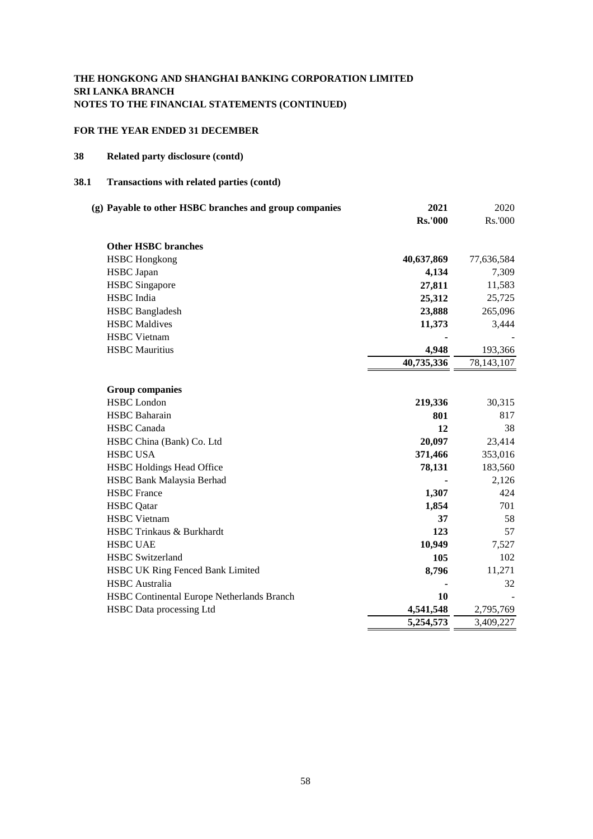## **FOR THE YEAR ENDED 31 DECEMBER**

## **38 Related party disclosure (contd)**

## **38.1 Transactions with related parties (contd)**

| (g) Payable to other HSBC branches and group companies | 2021           | 2020       |
|--------------------------------------------------------|----------------|------------|
|                                                        | <b>Rs.'000</b> | Rs.'000    |
| <b>Other HSBC branches</b>                             |                |            |
| <b>HSBC</b> Hongkong                                   | 40,637,869     | 77,636,584 |
| <b>HSBC</b> Japan                                      | 4,134          | 7,309      |
| <b>HSBC</b> Singapore                                  | 27,811         | 11,583     |
| <b>HSBC</b> India                                      | 25,312         | 25,725     |
| <b>HSBC</b> Bangladesh                                 | 23,888         | 265,096    |
| <b>HSBC</b> Maldives                                   | 11,373         | 3,444      |
| <b>HSBC</b> Vietnam                                    |                |            |
| <b>HSBC</b> Mauritius                                  | 4,948          | 193,366    |
|                                                        | 40,735,336     | 78,143,107 |
|                                                        |                |            |
| <b>Group companies</b>                                 |                |            |
| <b>HSBC</b> London                                     | 219,336        | 30,315     |
| <b>HSBC</b> Baharain                                   | 801            | 817        |
| <b>HSBC</b> Canada                                     | 12             | 38         |
| HSBC China (Bank) Co. Ltd                              | 20,097         | 23,414     |
| <b>HSBC USA</b>                                        | 371,466        | 353,016    |
| <b>HSBC Holdings Head Office</b>                       | 78,131         | 183,560    |
| HSBC Bank Malaysia Berhad                              |                | 2,126      |
| <b>HSBC</b> France                                     | 1,307          | 424        |
| <b>HSBC</b> Qatar                                      | 1,854          | 701        |
| <b>HSBC</b> Vietnam                                    | 37             | 58         |
| HSBC Trinkaus & Burkhardt                              | 123            | 57         |
| <b>HSBC UAE</b>                                        | 10,949         | 7,527      |
| <b>HSBC</b> Switzerland                                | 105            | 102        |
| HSBC UK Ring Fenced Bank Limited                       | 8,796          | 11,271     |
| <b>HSBC</b> Australia                                  |                | 32         |
| HSBC Continental Europe Netherlands Branch             | 10             |            |
| <b>HSBC</b> Data processing Ltd                        | 4,541,548      | 2,795,769  |
|                                                        | 5,254,573      | 3,409,227  |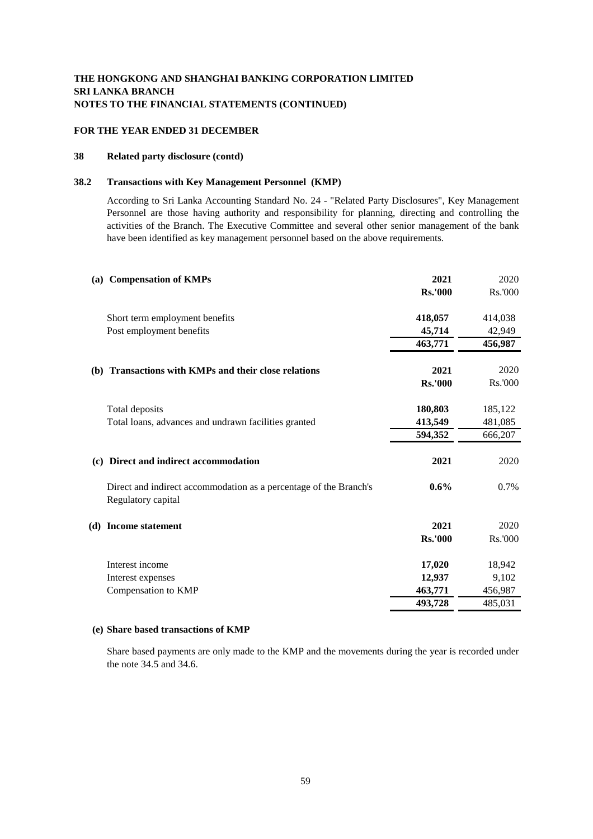## **FOR THE YEAR ENDED 31 DECEMBER**

#### **38 Related party disclosure (contd)**

## **38.2 Transactions with Key Management Personnel (KMP)**

According to Sri Lanka Accounting Standard No. 24 - "Related Party Disclosures", Key Management Personnel are those having authority and responsibility for planning, directing and controlling the activities of the Branch. The Executive Committee and several other senior management of the bank have been identified as key management personnel based on the above requirements.

| (a) Compensation of KMPs                                                                | 2021<br><b>Rs.'000</b> | 2020<br>Rs.'000 |
|-----------------------------------------------------------------------------------------|------------------------|-----------------|
| Short term employment benefits                                                          | 418,057                | 414,038         |
| Post employment benefits                                                                | 45,714                 | 42,949          |
|                                                                                         | 463,771                | 456,987         |
| <b>Transactions with KMPs and their close relations</b><br>(b)                          | 2021                   | 2020            |
|                                                                                         | <b>Rs.'000</b>         | Rs.'000         |
| Total deposits                                                                          | 180,803                | 185,122         |
| Total loans, advances and undrawn facilities granted                                    | 413,549                | 481,085         |
|                                                                                         | 594,352                | 666,207         |
| (c) Direct and indirect accommodation                                                   | 2021                   | 2020            |
| Direct and indirect accommodation as a percentage of the Branch's<br>Regulatory capital | 0.6%                   | 0.7%            |
| Income statement<br>(d)                                                                 | 2021                   | 2020            |
|                                                                                         | <b>Rs.'000</b>         | Rs.'000         |
| Interest income                                                                         | 17,020                 | 18,942          |
| Interest expenses                                                                       | 12,937                 | 9,102           |
| Compensation to KMP                                                                     | 463,771                | 456,987         |
|                                                                                         | 493,728                | 485,031         |

#### **(e) Share based transactions of KMP**

Share based payments are only made to the KMP and the movements during the year is recorded under the note 34.5 and 34.6.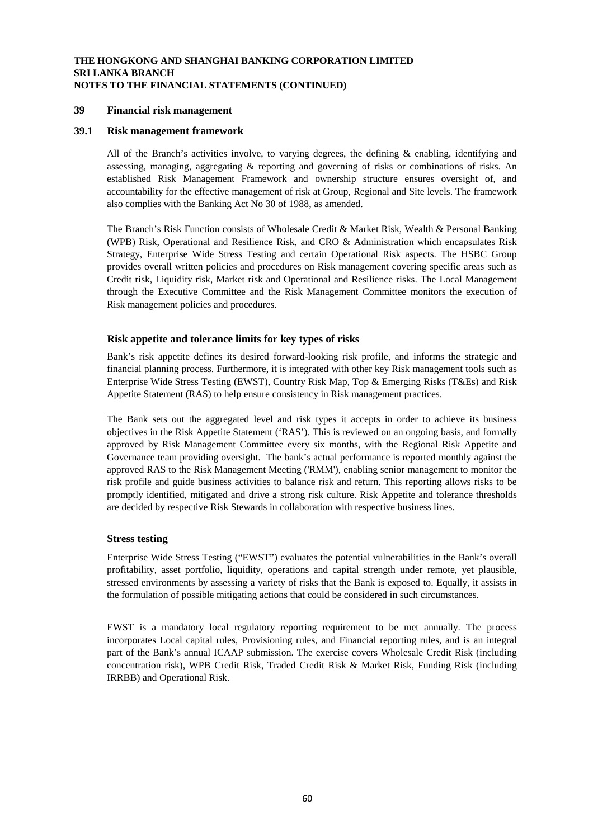## **39 Financial risk management**

## **39.1 Risk management framework**

All of the Branch's activities involve, to varying degrees, the defining  $\&$  enabling, identifying and assessing, managing, aggregating & reporting and governing of risks or combinations of risks. An established Risk Management Framework and ownership structure ensures oversight of, and accountability for the effective management of risk at Group, Regional and Site levels. The framework also complies with the Banking Act No 30 of 1988, as amended.

The Branch's Risk Function consists of Wholesale Credit & Market Risk, Wealth & Personal Banking (WPB) Risk, Operational and Resilience Risk, and CRO & Administration which encapsulates Risk Strategy, Enterprise Wide Stress Testing and certain Operational Risk aspects. The HSBC Group provides overall written policies and procedures on Risk management covering specific areas such as Credit risk, Liquidity risk, Market risk and Operational and Resilience risks. The Local Management through the Executive Committee and the Risk Management Committee monitors the execution of Risk management policies and procedures.

## **Risk appetite and tolerance limits for key types of risks**

Bank's risk appetite defines its desired forward-looking risk profile, and informs the strategic and financial planning process. Furthermore, it is integrated with other key Risk management tools such as Enterprise Wide Stress Testing (EWST), Country Risk Map, Top & Emerging Risks (T&Es) and Risk Appetite Statement (RAS) to help ensure consistency in Risk management practices.

The Bank sets out the aggregated level and risk types it accepts in order to achieve its business objectives in the Risk Appetite Statement ('RAS'). This is reviewed on an ongoing basis, and formally approved by Risk Management Committee every six months, with the Regional Risk Appetite and Governance team providing oversight. The bank's actual performance is reported monthly against the approved RAS to the Risk Management Meeting ('RMM'), enabling senior management to monitor the risk profile and guide business activities to balance risk and return. This reporting allows risks to be promptly identified, mitigated and drive a strong risk culture. Risk Appetite and tolerance thresholds are decided by respective Risk Stewards in collaboration with respective business lines.

## **Stress testing**

Enterprise Wide Stress Testing ("EWST") evaluates the potential vulnerabilities in the Bank's overall profitability, asset portfolio, liquidity, operations and capital strength under remote, yet plausible, stressed environments by assessing a variety of risks that the Bank is exposed to. Equally, it assists in the formulation of possible mitigating actions that could be considered in such circumstances.

EWST is a mandatory local regulatory reporting requirement to be met annually. The process incorporates Local capital rules, Provisioning rules, and Financial reporting rules, and is an integral part of the Bank's annual ICAAP submission. The exercise covers Wholesale Credit Risk (including concentration risk), WPB Credit Risk, Traded Credit Risk & Market Risk, Funding Risk (including IRRBB) and Operational Risk.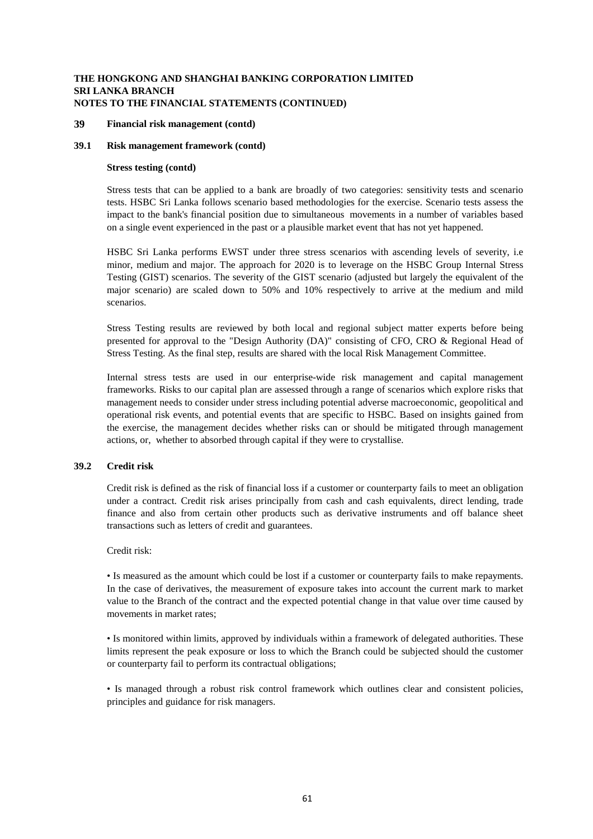#### **39 Financial risk management (contd)**

#### **39.1 Risk management framework (contd)**

#### **Stress testing (contd)**

Stress tests that can be applied to a bank are broadly of two categories: sensitivity tests and scenario tests. HSBC Sri Lanka follows scenario based methodologies for the exercise. Scenario tests assess the impact to the bank's financial position due to simultaneous movements in a number of variables based on a single event experienced in the past or a plausible market event that has not yet happened.

HSBC Sri Lanka performs EWST under three stress scenarios with ascending levels of severity, i.e minor, medium and major. The approach for 2020 is to leverage on the HSBC Group Internal Stress Testing (GIST) scenarios. The severity of the GIST scenario (adjusted but largely the equivalent of the major scenario) are scaled down to 50% and 10% respectively to arrive at the medium and mild scenarios.

Stress Testing results are reviewed by both local and regional subject matter experts before being presented for approval to the "Design Authority (DA)" consisting of CFO, CRO & Regional Head of Stress Testing. As the final step, results are shared with the local Risk Management Committee.

Internal stress tests are used in our enterprise-wide risk management and capital management frameworks. Risks to our capital plan are assessed through a range of scenarios which explore risks that management needs to consider under stress including potential adverse macroeconomic, geopolitical and operational risk events, and potential events that are specific to HSBC. Based on insights gained from the exercise, the management decides whether risks can or should be mitigated through management actions, or, whether to absorbed through capital if they were to crystallise.

## **39.2 Credit risk**

Credit risk is defined as the risk of financial loss if a customer or counterparty fails to meet an obligation under a contract. Credit risk arises principally from cash and cash equivalents, direct lending, trade finance and also from certain other products such as derivative instruments and off balance sheet transactions such as letters of credit and guarantees.

Credit risk:

• Is measured as the amount which could be lost if a customer or counterparty fails to make repayments. In the case of derivatives, the measurement of exposure takes into account the current mark to market value to the Branch of the contract and the expected potential change in that value over time caused by movements in market rates;

• Is monitored within limits, approved by individuals within a framework of delegated authorities. These limits represent the peak exposure or loss to which the Branch could be subjected should the customer or counterparty fail to perform its contractual obligations;

• Is managed through a robust risk control framework which outlines clear and consistent policies, principles and guidance for risk managers.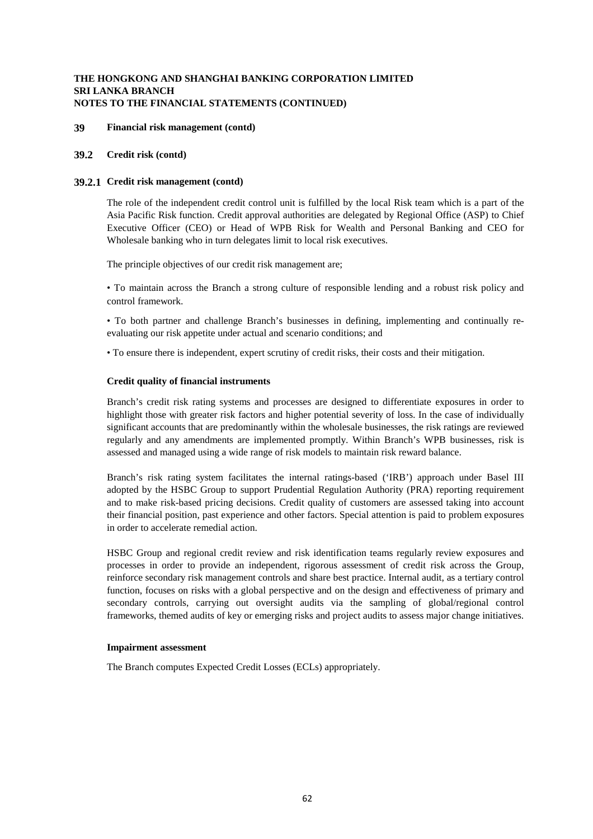#### **39 Financial risk management (contd)**

#### **39.2 Credit risk (contd)**

#### **39.2.1 Credit risk management (contd)**

The role of the independent credit control unit is fulfilled by the local Risk team which is a part of the Asia Pacific Risk function. Credit approval authorities are delegated by Regional Office (ASP) to Chief Executive Officer (CEO) or Head of WPB Risk for Wealth and Personal Banking and CEO for Wholesale banking who in turn delegates limit to local risk executives.

The principle objectives of our credit risk management are;

• To maintain across the Branch a strong culture of responsible lending and a robust risk policy and control framework.

• To both partner and challenge Branch's businesses in defining, implementing and continually reevaluating our risk appetite under actual and scenario conditions; and

• To ensure there is independent, expert scrutiny of credit risks, their costs and their mitigation.

#### **Credit quality of financial instruments**

Branch's credit risk rating systems and processes are designed to differentiate exposures in order to highlight those with greater risk factors and higher potential severity of loss. In the case of individually significant accounts that are predominantly within the wholesale businesses, the risk ratings are reviewed regularly and any amendments are implemented promptly. Within Branch's WPB businesses, risk is assessed and managed using a wide range of risk models to maintain risk reward balance.

Branch's risk rating system facilitates the internal ratings-based ('IRB') approach under Basel III adopted by the HSBC Group to support Prudential Regulation Authority (PRA) reporting requirement and to make risk-based pricing decisions. Credit quality of customers are assessed taking into account their financial position, past experience and other factors. Special attention is paid to problem exposures in order to accelerate remedial action.

HSBC Group and regional credit review and risk identification teams regularly review exposures and processes in order to provide an independent, rigorous assessment of credit risk across the Group, reinforce secondary risk management controls and share best practice. Internal audit, as a tertiary control function, focuses on risks with a global perspective and on the design and effectiveness of primary and secondary controls, carrying out oversight audits via the sampling of global/regional control frameworks, themed audits of key or emerging risks and project audits to assess major change initiatives.

#### **Impairment assessment**

The Branch computes Expected Credit Losses (ECLs) appropriately.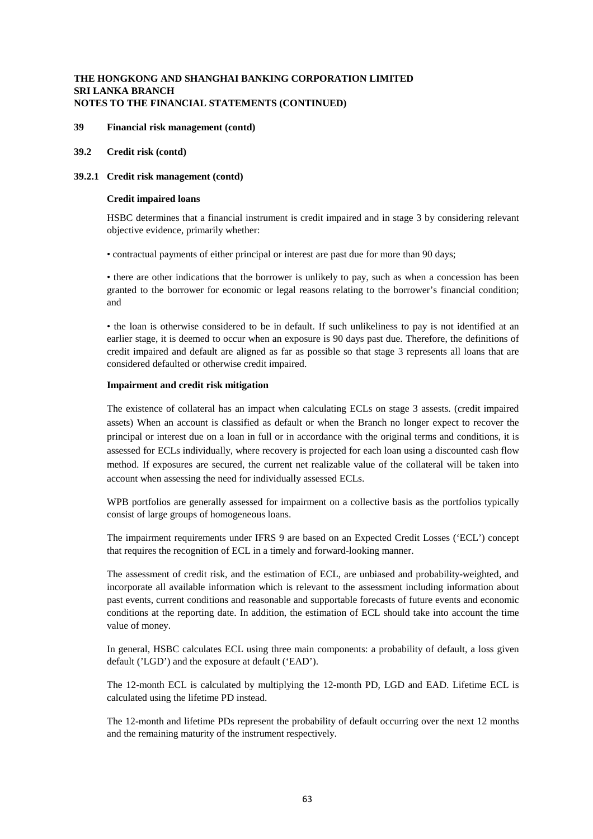#### **39 Financial risk management (contd)**

#### **39.2 Credit risk (contd)**

#### **39.2.1 Credit risk management (contd)**

#### **Credit impaired loans**

HSBC determines that a financial instrument is credit impaired and in stage 3 by considering relevant objective evidence, primarily whether:

• contractual payments of either principal or interest are past due for more than 90 days;

• there are other indications that the borrower is unlikely to pay, such as when a concession has been granted to the borrower for economic or legal reasons relating to the borrower's financial condition; and

• the loan is otherwise considered to be in default. If such unlikeliness to pay is not identified at an earlier stage, it is deemed to occur when an exposure is 90 days past due. Therefore, the definitions of credit impaired and default are aligned as far as possible so that stage 3 represents all loans that are considered defaulted or otherwise credit impaired.

#### **Impairment and credit risk mitigation**

The existence of collateral has an impact when calculating ECLs on stage 3 assests. (credit impaired assets) When an account is classified as default or when the Branch no longer expect to recover the principal or interest due on a loan in full or in accordance with the original terms and conditions, it is assessed for ECLs individually, where recovery is projected for each loan using a discounted cash flow method. If exposures are secured, the current net realizable value of the collateral will be taken into account when assessing the need for individually assessed ECLs.

WPB portfolios are generally assessed for impairment on a collective basis as the portfolios typically consist of large groups of homogeneous loans.

The impairment requirements under IFRS 9 are based on an Expected Credit Losses ('ECL') concept that requires the recognition of ECL in a timely and forward-looking manner.

The assessment of credit risk, and the estimation of ECL, are unbiased and probability-weighted, and incorporate all available information which is relevant to the assessment including information about past events, current conditions and reasonable and supportable forecasts of future events and economic conditions at the reporting date. In addition, the estimation of ECL should take into account the time value of money.

In general, HSBC calculates ECL using three main components: a probability of default, a loss given default ('LGD') and the exposure at default ('EAD').

The 12-month ECL is calculated by multiplying the 12-month PD, LGD and EAD. Lifetime ECL is calculated using the lifetime PD instead.

The 12-month and lifetime PDs represent the probability of default occurring over the next 12 months and the remaining maturity of the instrument respectively.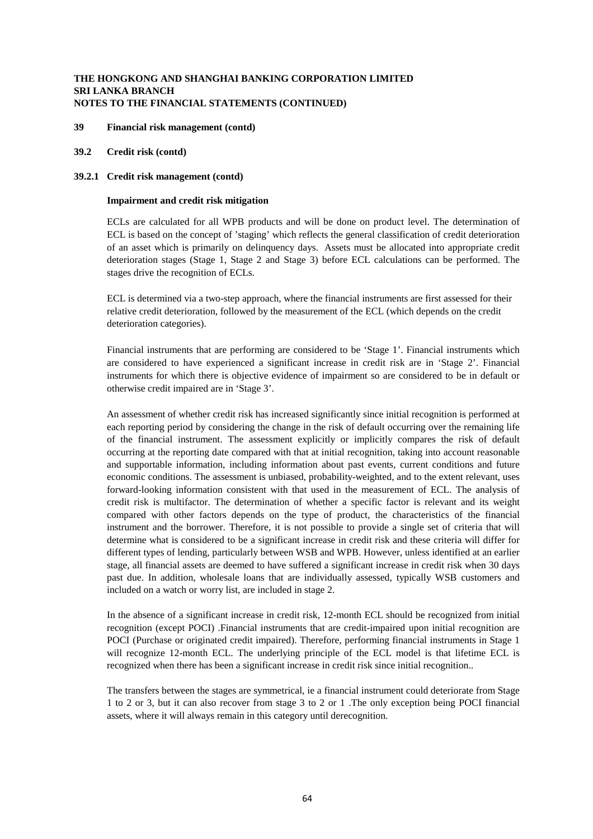## **39 Financial risk management (contd)**

#### **39.2 Credit risk (contd)**

#### **39.2.1 Credit risk management (contd)**

#### **Impairment and credit risk mitigation**

ECLs are calculated for all WPB products and will be done on product level. The determination of ECL is based on the concept of 'staging' which reflects the general classification of credit deterioration of an asset which is primarily on delinquency days. Assets must be allocated into appropriate credit deterioration stages (Stage 1, Stage 2 and Stage 3) before ECL calculations can be performed. The stages drive the recognition of ECLs.

ECL is determined via a two-step approach, where the financial instruments are first assessed for their relative credit deterioration, followed by the measurement of the ECL (which depends on the credit deterioration categories).

Financial instruments that are performing are considered to be 'Stage 1'. Financial instruments which are considered to have experienced a significant increase in credit risk are in 'Stage 2'. Financial instruments for which there is objective evidence of impairment so are considered to be in default or otherwise credit impaired are in 'Stage 3'.

An assessment of whether credit risk has increased significantly since initial recognition is performed at each reporting period by considering the change in the risk of default occurring over the remaining life of the financial instrument. The assessment explicitly or implicitly compares the risk of default occurring at the reporting date compared with that at initial recognition, taking into account reasonable and supportable information, including information about past events, current conditions and future economic conditions. The assessment is unbiased, probability-weighted, and to the extent relevant, uses forward-looking information consistent with that used in the measurement of ECL. The analysis of credit risk is multifactor. The determination of whether a specific factor is relevant and its weight compared with other factors depends on the type of product, the characteristics of the financial instrument and the borrower. Therefore, it is not possible to provide a single set of criteria that will determine what is considered to be a significant increase in credit risk and these criteria will differ for different types of lending, particularly between WSB and WPB. However, unless identified at an earlier stage, all financial assets are deemed to have suffered a significant increase in credit risk when 30 days past due. In addition, wholesale loans that are individually assessed, typically WSB customers and included on a watch or worry list, are included in stage 2.

In the absence of a significant increase in credit risk, 12-month ECL should be recognized from initial recognition (except POCI) .Financial instruments that are credit-impaired upon initial recognition are POCI (Purchase or originated credit impaired). Therefore, performing financial instruments in Stage 1 will recognize 12-month ECL. The underlying principle of the ECL model is that lifetime ECL is recognized when there has been a significant increase in credit risk since initial recognition..

The transfers between the stages are symmetrical, ie a financial instrument could deteriorate from Stage 1 to 2 or 3, but it can also recover from stage 3 to 2 or 1 .The only exception being POCI financial assets, where it will always remain in this category until derecognition.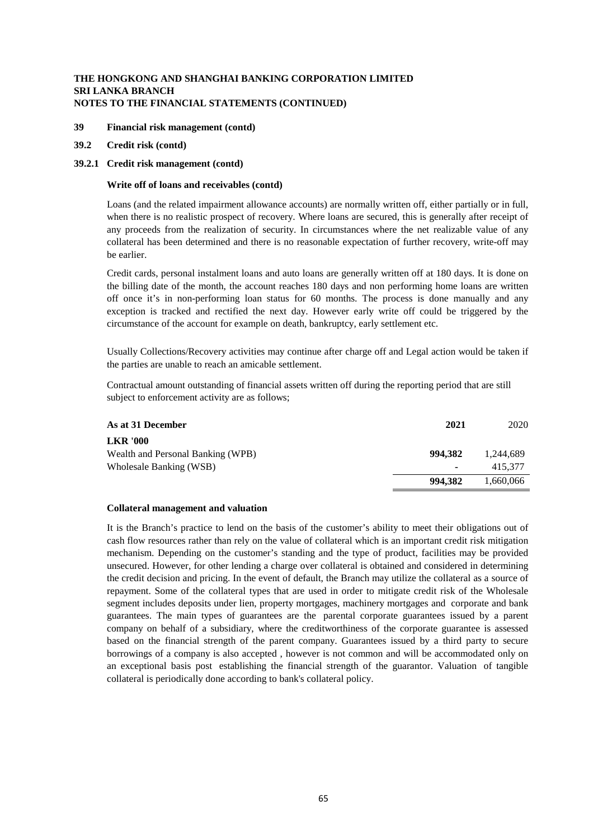**39 Financial risk management (contd)**

#### **39.2 Credit risk (contd)**

#### **39.2.1 Credit risk management (contd)**

#### **Write off of loans and receivables (contd)**

Loans (and the related impairment allowance accounts) are normally written off, either partially or in full, when there is no realistic prospect of recovery. Where loans are secured, this is generally after receipt of any proceeds from the realization of security. In circumstances where the net realizable value of any collateral has been determined and there is no reasonable expectation of further recovery, write-off may be earlier.

Credit cards, personal instalment loans and auto loans are generally written off at 180 days. It is done on the billing date of the month, the account reaches 180 days and non performing home loans are written off once it's in non-performing loan status for 60 months. The process is done manually and any exception is tracked and rectified the next day. However early write off could be triggered by the circumstance of the account for example on death, bankruptcy, early settlement etc.

Usually Collections/Recovery activities may continue after charge off and Legal action would be taken if the parties are unable to reach an amicable settlement.

Contractual amount outstanding of financial assets written off during the reporting period that are still subject to enforcement activity are as follows;

| As at 31 December                 | 2021           | 2020      |
|-----------------------------------|----------------|-----------|
| <b>LKR '000</b>                   |                |           |
| Wealth and Personal Banking (WPB) | 994.382        | 1.244.689 |
| Wholesale Banking (WSB)           | $\blacksquare$ | 415.377   |
|                                   | 994.382        | 1,660,066 |

#### **Collateral management and valuation**

It is the Branch's practice to lend on the basis of the customer's ability to meet their obligations out of cash flow resources rather than rely on the value of collateral which is an important credit risk mitigation mechanism. Depending on the customer's standing and the type of product, facilities may be provided unsecured. However, for other lending a charge over collateral is obtained and considered in determining the credit decision and pricing. In the event of default, the Branch may utilize the collateral as a source of repayment. Some of the collateral types that are used in order to mitigate credit risk of the Wholesale segment includes deposits under lien, property mortgages, machinery mortgages and corporate and bank guarantees. The main types of guarantees are the parental corporate guarantees issued by a parent company on behalf of a subsidiary, where the creditworthiness of the corporate guarantee is assessed based on the financial strength of the parent company. Guarantees issued by a third party to secure borrowings of a company is also accepted , however is not common and will be accommodated only on an exceptional basis post establishing the financial strength of the guarantor. Valuation of tangible collateral is periodically done according to bank's collateral policy.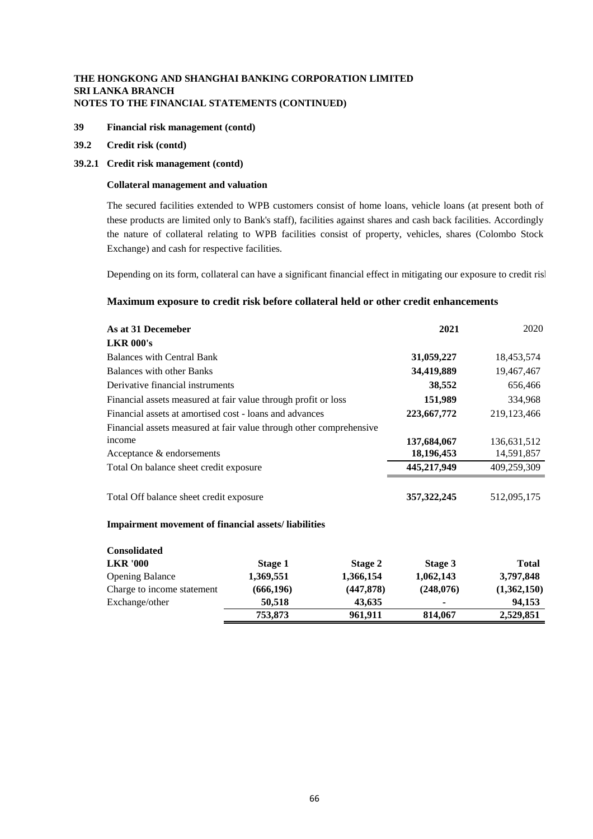## **39 Financial risk management (contd)**

#### **39.2 Credit risk (contd)**

## **39.2.1 Credit risk management (contd)**

#### **Collateral management and valuation**

The secured facilities extended to WPB customers consist of home loans, vehicle loans (at present both of these products are limited only to Bank's staff), facilities against shares and cash back facilities. Accordingly the nature of collateral relating to WPB facilities consist of property, vehicles, shares (Colombo Stock Exchange) and cash for respective facilities.

Depending on its form, collateral can have a significant financial effect in mitigating our exposure to credit risl.

## **Maximum exposure to credit risk before collateral held or other credit enhancements**

| As at 31 Decemeber                                                  |            |            | 2021          | 2020         |
|---------------------------------------------------------------------|------------|------------|---------------|--------------|
| <b>LKR 000's</b>                                                    |            |            |               |              |
| <b>Balances with Central Bank</b>                                   |            |            | 31,059,227    | 18,453,574   |
| <b>Balances with other Banks</b>                                    |            |            | 34,419,889    | 19,467,467   |
| Derivative financial instruments                                    |            |            | 38,552        | 656,466      |
| Financial assets measured at fair value through profit or loss      |            |            | 151,989       | 334,968      |
| Financial assets at amortised cost - loans and advances             |            |            | 223,667,772   | 219,123,466  |
| Financial assets measured at fair value through other comprehensive |            |            |               |              |
| income                                                              |            |            | 137,684,067   | 136,631,512  |
| Acceptance & endorsements                                           |            |            | 18,196,453    | 14,591,857   |
| Total On balance sheet credit exposure                              |            |            | 445,217,949   | 409,259,309  |
| Total Off balance sheet credit exposure                             |            |            | 357, 322, 245 | 512,095,175  |
| <b>Impairment movement of financial assets/liabilities</b>          |            |            |               |              |
| <b>Consolidated</b>                                                 |            |            |               |              |
| <b>LKR '000</b>                                                     | Stage 1    | Stage 2    | Stage 3       | <b>Total</b> |
| <b>Opening Balance</b>                                              | 1,369,551  | 1,366,154  | 1,062,143     | 3,797,848    |
| Charge to income statement                                          | (666, 196) | (447, 878) | (248, 076)    | (1,362,150)  |
| Exchange/other                                                      | 50,518     | 43,635     |               | 94,153       |
|                                                                     | 753,873    | 961,911    | 814,067       | 2,529,851    |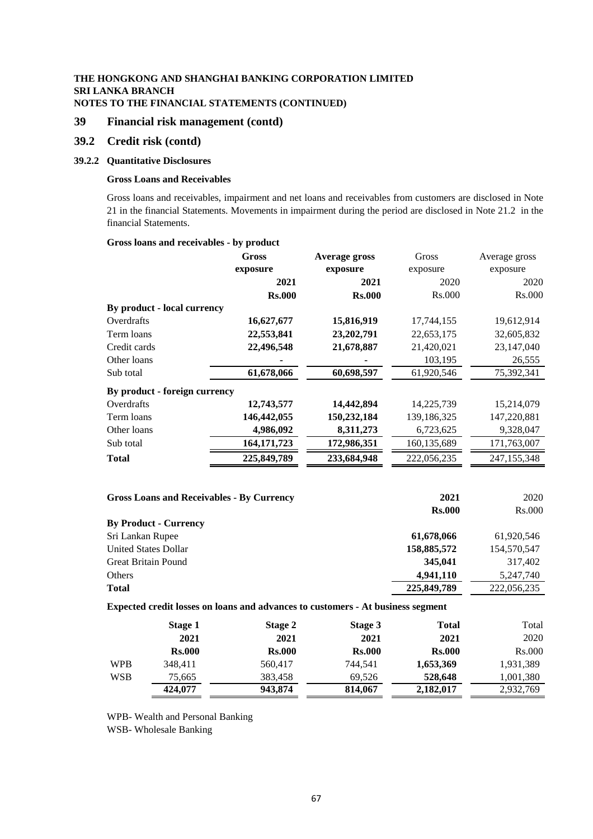# **39 Financial risk management (contd)**

## **39.2 Credit risk (contd)**

## **39.2.2 Quantitative Disclosures**

## **Gross Loans and Receivables**

Gross loans and receivables, impairment and net loans and receivables from customers are disclosed in Note 21 in the financial Statements. Movements in impairment during the period are disclosed in Note 21.2 in the financial Statements.

#### **Gross loans and receivables - by product**

|                               | Gross         | <b>Average gross</b> | Gross         | Average gross |
|-------------------------------|---------------|----------------------|---------------|---------------|
|                               | exposure      | exposure             | exposure      | exposure      |
|                               | 2021          | 2021                 | 2020          | 2020          |
|                               | <b>Rs.000</b> | <b>Rs.000</b>        | <b>Rs.000</b> | <b>Rs.000</b> |
| By product - local currency   |               |                      |               |               |
| Overdrafts                    | 16,627,677    | 15,816,919           | 17,744,155    | 19,612,914    |
| Term loans                    | 22,553,841    | 23, 202, 791         | 22,653,175    | 32,605,832    |
| Credit cards                  | 22,496,548    | 21,678,887           | 21,420,021    | 23,147,040    |
| Other loans                   |               |                      | 103,195       | 26,555        |
| Sub total                     | 61,678,066    | 60,698,597           | 61,920,546    | 75,392,341    |
| By product - foreign currency |               |                      |               |               |
| Overdrafts                    | 12,743,577    | 14,442,894           | 14,225,739    | 15,214,079    |
| Term loans                    | 146,442,055   | 150,232,184          | 139, 186, 325 | 147,220,881   |
| Other loans                   | 4,986,092     | 8,311,273            | 6,723,625     | 9,328,047     |
| Sub total                     | 164, 171, 723 | 172,986,351          | 160,135,689   | 171,763,007   |
| <b>Total</b>                  | 225,849,789   | 233,684,948          | 222,056,235   | 247,155,348   |

| <b>Gross Loans and Receivables - By Currency</b> |                              |                                                                                        |               | 2021          | 2020          |
|--------------------------------------------------|------------------------------|----------------------------------------------------------------------------------------|---------------|---------------|---------------|
|                                                  |                              |                                                                                        |               | <b>Rs.000</b> | <b>Rs.000</b> |
|                                                  | <b>By Product - Currency</b> |                                                                                        |               |               |               |
| Sri Lankan Rupee                                 |                              |                                                                                        |               | 61,678,066    | 61,920,546    |
|                                                  | <b>United States Dollar</b>  |                                                                                        |               | 158,885,572   | 154,570,547   |
|                                                  | <b>Great Britain Pound</b>   |                                                                                        |               | 345,041       | 317,402       |
| <b>Others</b>                                    |                              |                                                                                        |               | 4,941,110     | 5,247,740     |
| <b>Total</b>                                     |                              |                                                                                        |               | 225,849,789   | 222,056,235   |
|                                                  |                              | <b>Expected credit losses on loans and advances to customers - At business segment</b> |               |               |               |
|                                                  | Stage 1                      | Stage 2                                                                                | Stage 3       | <b>Total</b>  | Total         |
|                                                  | 2021                         | 2021                                                                                   | 2021          | 2021          | 2020          |
|                                                  | <b>Rs.000</b>                | <b>Rs.000</b>                                                                          | <b>Rs.000</b> | <b>Rs.000</b> | Rs.000        |
| <b>WPB</b>                                       | 348.411                      | 560.417                                                                                | 744,541       | 1,653,369     | 1.931.389     |

WSB 75,665 383,458 69,526 **528,648** 1,001,380

**424,077** 943,874 814,067 2,182,017 2,932,769

WPB- Wealth and Personal Banking

WSB- Wholesale Banking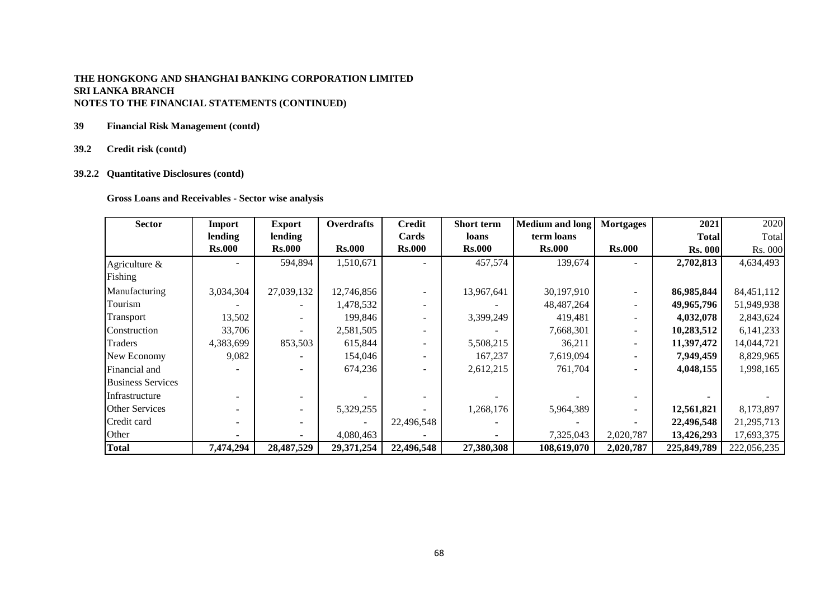## **39 Financial Risk Management (contd)**

## **39.2 Credit risk (contd)**

#### **39.2.2 Quantitative Disclosures (contd)**

## **Gross Loans and Receivables - Sector wise analysis**

| <b>Sector</b>            | Import                   | Export                   | Overdrafts    | <b>Credit</b> | <b>Short term</b> | <b>Medium and long</b> | <b>Mortgages</b> | 2021           | 2020        |
|--------------------------|--------------------------|--------------------------|---------------|---------------|-------------------|------------------------|------------------|----------------|-------------|
|                          | lending                  | lending                  |               | Cards         | loans             | term loans             |                  | <b>Total</b>   | Total       |
|                          | <b>Rs.000</b>            | <b>Rs.000</b>            | <b>Rs.000</b> | <b>Rs.000</b> | <b>Rs.000</b>     | <b>Rs.000</b>          | <b>Rs.000</b>    | <b>Rs. 000</b> | Rs. 000     |
| Agriculture $\&$         |                          | 594,894                  | 1,510,671     |               | 457,574           | 139,674                |                  | 2,702,813      | 4,634,493   |
| Fishing                  |                          |                          |               |               |                   |                        |                  |                |             |
| Manufacturing            | 3,034,304                | 27,039,132               | 12,746,856    |               | 13,967,641        | 30,197,910             |                  | 86,985,844     | 84,451,112  |
| Tourism                  |                          |                          | 1,478,532     |               |                   | 48,487,264             |                  | 49,965,796     | 51,949,938  |
| Transport                | 13,502                   |                          | 199,846       |               | 3,399,249         | 419,481                |                  | 4,032,078      | 2,843,624   |
| Construction             | 33,706                   |                          | 2,581,505     |               |                   | 7,668,301              |                  | 10,283,512     | 6,141,233   |
| Traders                  | 4,383,699                | 853,503                  | 615,844       |               | 5,508,215         | 36,211                 |                  | 11,397,472     | 14,044,721  |
| New Economy              | 9,082                    |                          | 154,046       |               | 167,237           | 7,619,094              |                  | 7,949,459      | 8,829,965   |
| Financial and            |                          |                          | 674,236       |               | 2,612,215         | 761,704                |                  | 4,048,155      | 1,998,165   |
| <b>Business Services</b> |                          |                          |               |               |                   |                        |                  |                |             |
| Infrastructure           | $\overline{\phantom{a}}$ | $\overline{\phantom{a}}$ |               |               |                   |                        |                  |                |             |
| <b>Other Services</b>    |                          |                          | 5,329,255     |               | 1,268,176         | 5,964,389              |                  | 12,561,821     | 8,173,897   |
| Credit card              |                          |                          |               | 22,496,548    |                   |                        |                  | 22,496,548     | 21,295,713  |
| Other                    |                          |                          | 4,080,463     |               |                   | 7,325,043              | 2,020,787        | 13,426,293     | 17,693,375  |
| <b>Total</b>             | 7,474,294                | 28,487,529               | 29,371,254    | 22,496,548    | 27,380,308        | 108,619,070            | 2,020,787        | 225,849,789    | 222,056,235 |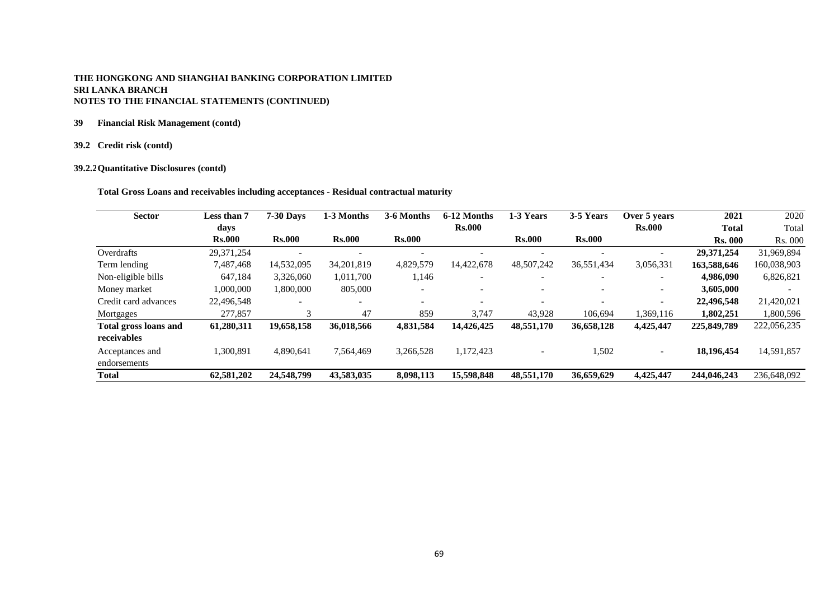## **39 Financial Risk Management (contd)**

## **39.2 Credit risk (contd)**

#### **39.2.2Quantitative Disclosures (contd)**

**Total Gross Loans and receivables including acceptances - Residual contractual maturity**

| <b>Sector</b>         | Less than 7   | <b>7-30 Days</b> | 1-3 Months    | 3-6 Months               | 6-12 Months   | 1-3 Years     | 3-5 Years     | Over 5 years  | 2021           | 2020        |
|-----------------------|---------------|------------------|---------------|--------------------------|---------------|---------------|---------------|---------------|----------------|-------------|
|                       | days          |                  |               |                          | <b>Rs.000</b> |               |               | <b>Rs.000</b> | <b>Total</b>   | Total       |
|                       | <b>Rs.000</b> | <b>Rs.000</b>    | <b>Rs.000</b> | <b>Rs.000</b>            |               | <b>Rs.000</b> | <b>Rs.000</b> |               | <b>Rs. 000</b> | Rs. 000     |
| Overdrafts            | 29,371,254    |                  |               |                          |               |               |               |               | 29,371,254     | 31,969,894  |
| Term lending          | 7,487,468     | 14,532,095       | 34,201,819    | 4,829,579                | 14,422,678    | 48,507,242    | 36,551,434    | 3,056,331     | 163,588,646    | 160,038,903 |
| Non-eligible bills    | 647,184       | 3,326,060        | 1,011,700     | 1,146                    |               |               |               |               | 4.986.090      | 6,826,821   |
| Money market          | ,000,000      | 1,800,000        | 805,000       |                          |               |               |               |               | 3,605,000      |             |
| Credit card advances  | 22,496,548    |                  |               | $\overline{\phantom{0}}$ |               |               |               |               | 22,496,548     | 21,420,021  |
| Mortgages             | 277,857       | 3                | 47            | 859                      | 3,747         | 43,928        | 106.694       | 1,369,116     | 1,802,251      | 1,800,596   |
| Total gross loans and | 61,280,311    | 19,658,158       | 36,018,566    | 4,831,584                | 14,426,425    | 48,551,170    | 36,658,128    | 4,425,447     | 225,849,789    | 222,056,235 |
| receivables           |               |                  |               |                          |               |               |               |               |                |             |
| Acceptances and       | ,300,891      | 4.890.641        | 7.564.469     | 3,266,528                | 1,172,423     |               | 1,502         |               | 18,196,454     | 14,591,857  |
| endorsements          |               |                  |               |                          |               |               |               |               |                |             |
| <b>Total</b>          | 62,581,202    | 24,548,799       | 43,583,035    | 8.098.113                | 15,598,848    | 48,551,170    | 36,659,629    | 4,425,447     | 244,046,243    | 236,648,092 |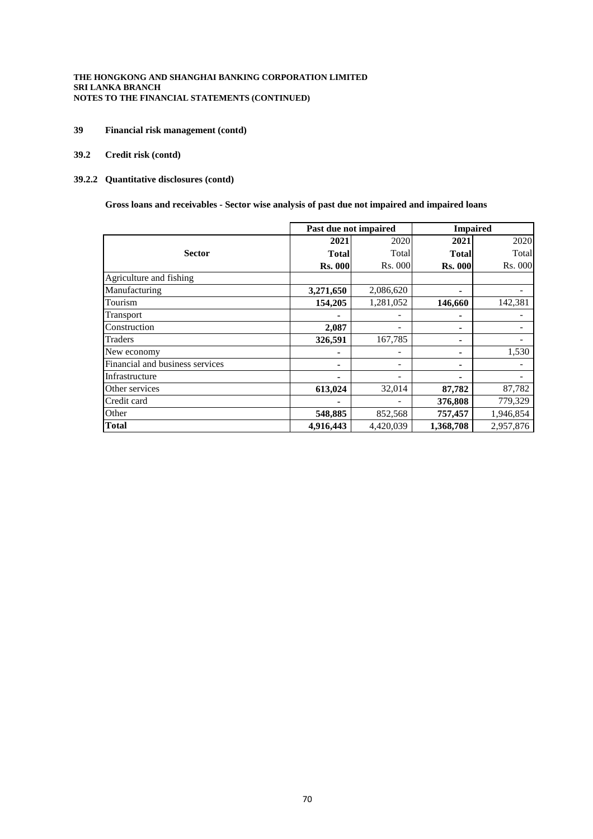- **39 Financial risk management (contd)**
- **39.2 Credit risk (contd)**
- **39.2.2 Quantitative disclosures (contd)**

**Gross loans and receivables - Sector wise analysis of past due not impaired and impaired loans**

|                                 |                | Past due not impaired |                | <b>Impaired</b> |
|---------------------------------|----------------|-----------------------|----------------|-----------------|
|                                 | 2021           | 2020                  | 2021           | 2020            |
| <b>Sector</b>                   | Total          | Total                 | <b>Total</b>   | Total           |
|                                 | <b>Rs. 000</b> | Rs. 000               | <b>Rs. 000</b> | Rs. 000         |
| Agriculture and fishing         |                |                       |                |                 |
| Manufacturing                   | 3,271,650      | 2,086,620             |                |                 |
| Tourism                         | 154,205        | 1,281,052             | 146,660        | 142,381         |
| Transport                       |                |                       |                |                 |
| Construction                    | 2,087          |                       |                |                 |
| Traders                         | 326,591        | 167,785               |                |                 |
| New economy                     | ۰              |                       |                | 1,530           |
| Financial and business services | ٠              | ۰                     |                |                 |
| Infrastructure                  |                |                       |                |                 |
| Other services                  | 613,024        | 32,014                | 87,782         | 87,782          |
| Credit card                     |                |                       | 376,808        | 779,329         |
| Other                           | 548,885        | 852,568               | 757,457        | 1,946,854       |
| <b>Total</b>                    | 4,916,443      | 4,420,039             | 1,368,708      | 2,957,876       |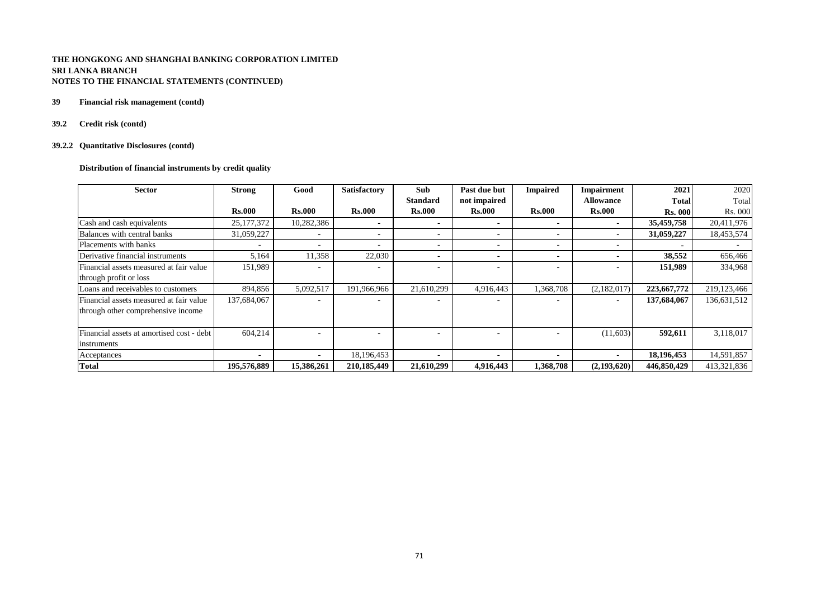#### **39 Financial risk management (contd)**

### **39.2 Credit risk (contd)**

### **39.2.2 Quantitative Disclosures (contd)**

### **Distribution of financial instruments by credit quality**

| <b>Sector</b>                             | <b>Strong</b> | Good                     | <b>Satisfactory</b> | <b>Sub</b>               | Past due but             | <b>Impaired</b>          | <b>Impairment</b>        | 2021           | 2020        |
|-------------------------------------------|---------------|--------------------------|---------------------|--------------------------|--------------------------|--------------------------|--------------------------|----------------|-------------|
|                                           |               |                          |                     | <b>Standard</b>          | not impaired             |                          | <b>Allowance</b>         | Total          | Total       |
|                                           | <b>Rs.000</b> | <b>Rs.000</b>            | <b>Rs.000</b>       | <b>Rs.000</b>            | <b>Rs.000</b>            | <b>Rs.000</b>            | <b>Rs.000</b>            | <b>Rs. 000</b> | Rs. 000     |
| Cash and cash equivalents                 | 25,177,372    | 10,282,386               |                     |                          | $\overline{\phantom{a}}$ |                          |                          | 35,459,758     | 20,411,976  |
| Balances with central banks               | 31,059,227    | ٠                        |                     | $\overline{\phantom{a}}$ | $\overline{\phantom{a}}$ | $\overline{\phantom{a}}$ |                          | 31,059,227     | 18,453,574  |
| Placements with banks                     |               | ٠                        |                     |                          | $\overline{\phantom{a}}$ |                          |                          |                |             |
| Derivative financial instruments          | 5,164         | 11,358                   | 22,030              |                          | $\overline{\phantom{a}}$ |                          |                          | 38,552         | 656,466     |
| Financial assets measured at fair value   | 151,989       |                          |                     |                          | $\overline{\phantom{a}}$ |                          |                          | 151,989        | 334,968     |
| through profit or loss                    |               |                          |                     |                          |                          |                          |                          |                |             |
| Loans and receivables to customers        | 894,856       | 5,092,517                | 191.966.966         | 21,610,299               | 4,916,443                | 1,368,708                | (2,182,017)              | 223,667,772    | 219,123,466 |
| Financial assets measured at fair value   | 137,684,067   | $\overline{\phantom{a}}$ |                     |                          | $\overline{\phantom{a}}$ |                          | $\overline{\phantom{a}}$ | 137,684,067    | 136,631,512 |
| through other comprehensive income        |               |                          |                     |                          |                          |                          |                          |                |             |
|                                           |               |                          |                     |                          |                          |                          |                          |                |             |
| Financial assets at amortised cost - debt | 604,214       |                          |                     |                          |                          |                          | (11,603)                 | 592,611        | 3,118,017   |
| instruments                               |               |                          |                     |                          |                          |                          |                          |                |             |
| Acceptances                               |               | $\overline{\phantom{a}}$ | 18,196,453          |                          | $\overline{\phantom{a}}$ |                          |                          | 18,196,453     | 14,591,857  |
| <b>Total</b>                              | 195,576,889   | 15,386,261               | 210,185,449         | 21,610,299               | 4,916,443                | 1,368,708                | (2,193,620)              | 446,850,429    | 413,321,836 |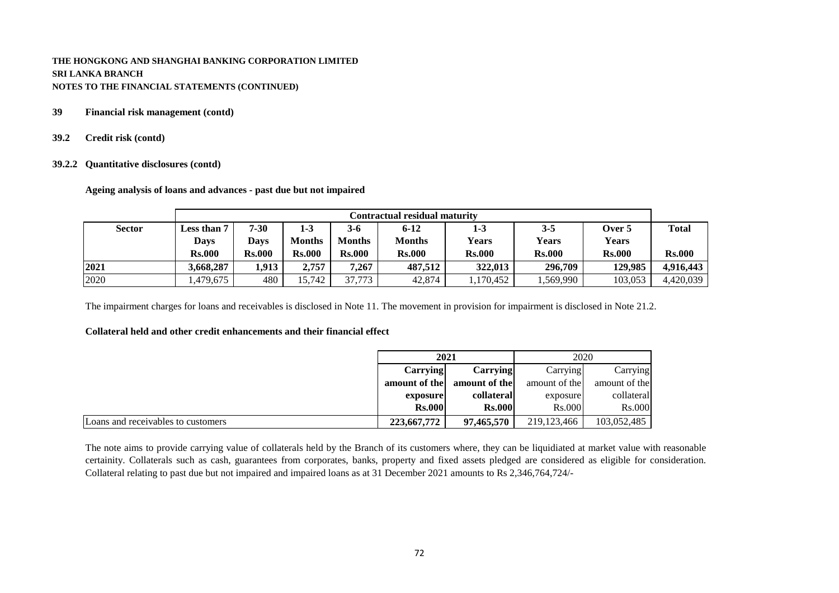### **39 Financial risk management (contd)**

### **39.2 Credit risk (contd)**

### **39.2.2 Quantitative disclosures (contd)**

**Ageing analysis of loans and advances - past due but not impaired**

|               |               | Contractual residual maturitv                                    |               |               |               |               |               |               |               |  |  |
|---------------|---------------|------------------------------------------------------------------|---------------|---------------|---------------|---------------|---------------|---------------|---------------|--|--|
| <b>Sector</b> | Less than 7   | 7-30<br>$6 - 12$<br>$1-3$<br>$3 - 5$<br>Over 5<br>$1 - 3$<br>3-6 |               |               |               |               |               |               |               |  |  |
|               | <b>Days</b>   | Davs                                                             | <b>Months</b> | <b>Months</b> | <b>Months</b> | <b>Years</b>  | <b>Years</b>  | <b>Years</b>  |               |  |  |
|               | <b>Rs.000</b> | <b>Rs.000</b>                                                    | <b>Rs.000</b> | <b>Rs.000</b> | <b>Rs.000</b> | <b>Rs.000</b> | <b>Rs.000</b> | <b>Rs.000</b> | <b>Rs.000</b> |  |  |
| 2021          | 3.668.287     | 1,913                                                            | 2,757         | 7.267         | 487,512       | 322,013       | 296,709       | 129,985       | 4,916,443     |  |  |
| 2020          | .479.675      | 480                                                              | 15.742        | 37.773        | 42,874        | 1,170,452     | ,569,990      | 103,053       | 4,420,039     |  |  |

The impairment charges for loans and receivables is disclosed in Note 11. The movement in provision for impairment is disclosed in Note 21.2.

#### **Collateral held and other credit enhancements and their financial effect**

| 2021                           |               | 2020          |               |  |
|--------------------------------|---------------|---------------|---------------|--|
| <b>Carrying</b>                | Carrving      | Carrying      | Carrying      |  |
| amount of the<br>amount of the |               | amount of the | amount of the |  |
| exposure                       | collateral    | exposure      | collateral    |  |
| <b>Rs.000</b>                  | <b>Rs.000</b> | <b>Rs.000</b> | Rs.000        |  |
| 223,667,772                    | 97,465,570    | 219,123,466   | 103,052,485   |  |

The note aims to provide carrying value of collaterals held by the Branch of its customers where, they can be liquidiated at market value with reasonable certainity. Collaterals such as cash, guarantees from corporates, banks, property and fixed assets pledged are considered as eligible for consideration. Collateral relating to past due but not impaired and impaired loans as at 31 December 2021 amounts to Rs 2,346,764,724/-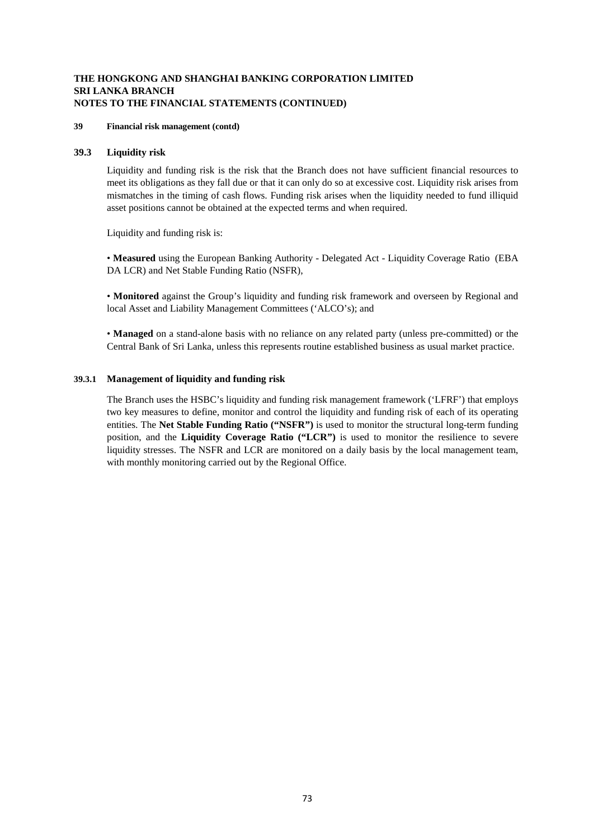### **39 Financial risk management (contd)**

### **39.3 Liquidity risk**

Liquidity and funding risk is the risk that the Branch does not have sufficient financial resources to meet its obligations as they fall due or that it can only do so at excessive cost. Liquidity risk arises from mismatches in the timing of cash flows. Funding risk arises when the liquidity needed to fund illiquid asset positions cannot be obtained at the expected terms and when required.

Liquidity and funding risk is:

• **Measured** using the European Banking Authority - Delegated Act - Liquidity Coverage Ratio (EBA DA LCR) and Net Stable Funding Ratio (NSFR),

• **Monitored** against the Group's liquidity and funding risk framework and overseen by Regional and local Asset and Liability Management Committees ('ALCO's); and

• **Managed** on a stand-alone basis with no reliance on any related party (unless pre-committed) or the Central Bank of Sri Lanka, unless this represents routine established business as usual market practice.

#### **39.3.1 Management of liquidity and funding risk**

The Branch uses the HSBC's liquidity and funding risk management framework ('LFRF') that employs two key measures to define, monitor and control the liquidity and funding risk of each of its operating entities. The **Net Stable Funding Ratio ("NSFR")** is used to monitor the structural long-term funding position, and the **Liquidity Coverage Ratio ("LCR")** is used to monitor the resilience to severe liquidity stresses. The NSFR and LCR are monitored on a daily basis by the local management team, with monthly monitoring carried out by the Regional Office.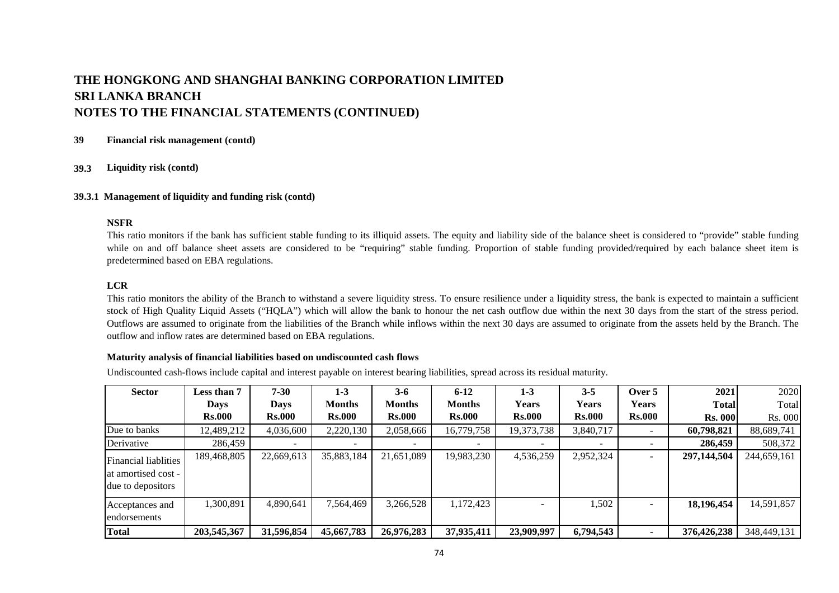### **39 Financial risk management (contd)**

**39.3 Liquidity risk (contd)**

### **39.3.1 Management of liquidity and funding risk (contd)**

### **NSFR**

This ratio monitors if the bank has sufficient stable funding to its illiquid assets. The equity and liability side of the balance sheet is considered to "provide" stable funding while on and off balance sheet assets are considered to be "requiring" stable funding. Proportion of stable funding provided/required by each balance sheet item is predetermined based on EBA regulations.

### **LCR**

This ratio monitors the ability of the Branch to withstand a severe liquidity stress. To ensure resilience under a liquidity stress, the bank is expected to maintain a sufficient stock of High Quality Liquid Assets ("HQLA") which will allow the bank to honour the net cash outflow due within the next 30 days from the start of the stress period. Outflows are assumed to originate from the liabilities of the Branch while inflows within the next 30 days are assumed to originate from the assets held by the Branch. The outflow and inflow rates are determined based on EBA regulations.

#### **Maturity analysis of financial liabilities based on undiscounted cash flows**

Undiscounted cash-flows include capital and interest payable on interest bearing liabilities, spread across its residual maturity.

| <b>Sector</b>                                                           | Less than 7   | $7 - 30$      | $1 - 3$                  | $3-6$         | $6 - 12$      | $1 - 3$                  | $3 - 5$       | Over 5                   | 2021           | 2020        |
|-------------------------------------------------------------------------|---------------|---------------|--------------------------|---------------|---------------|--------------------------|---------------|--------------------------|----------------|-------------|
|                                                                         | <b>Days</b>   | <b>Days</b>   | <b>Months</b>            | <b>Months</b> | <b>Months</b> | Years                    | <b>Years</b>  | <b>Years</b>             | <b>Total</b>   | Total       |
|                                                                         | <b>Rs.000</b> | <b>Rs.000</b> | <b>Rs.000</b>            | <b>Rs.000</b> | <b>Rs.000</b> | <b>Rs.000</b>            | <b>Rs.000</b> | <b>Rs.000</b>            | <b>Rs. 000</b> | Rs. 000     |
| Due to banks                                                            | 12,489,212    | 4,036,600     | 2,220,130                | 2,058,666     | 16,779,758    | 19,373,738               | 3,840,717     | $\overline{\phantom{a}}$ | 60,798,821     | 88,689,741  |
| Derivative                                                              | 286,459       |               | $\overline{\phantom{a}}$ |               |               | $\overline{\phantom{0}}$ |               | $\overline{\phantom{a}}$ | 286,459        | 508,372     |
| <b>Financial liablities</b><br>at amortised cost -<br>due to depositors | 189,468,805   | 22,669,613    | 35,883,184               | 21,651,089    | 19,983,230    | 4,536,259                | 2,952,324     | $\overline{\phantom{a}}$ | 297,144,504    | 244,659,161 |
| Acceptances and<br>endorsements                                         | 1,300,891     | 4,890,641     | 7,564,469                | 3,266,528     | 1,172,423     | $\overline{\phantom{a}}$ | 1,502         | $\overline{\phantom{a}}$ | 18,196,454     | 14,591,857  |
| <b>Total</b>                                                            | 203,545,367   | 31,596,854    | 45,667,783               | 26,976,283    | 37,935,411    | 23,909,997               | 6,794,543     |                          | 376,426,238    | 348,449,131 |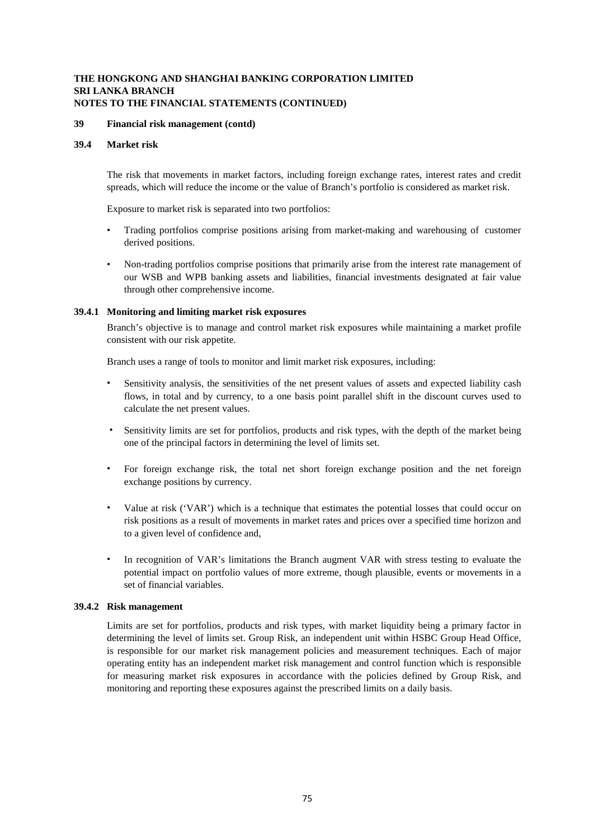## **39 Financial risk management (contd)**

## **39.4 Market risk**

The risk that movements in market factors, including foreign exchange rates, interest rates and credit spreads, which will reduce the income or the value of Branch's portfolio is considered as market risk.

Exposure to market risk is separated into two portfolios:

- Trading portfolios comprise positions arising from market-making and warehousing of customer derived positions.
- Non-trading portfolios comprise positions that primarily arise from the interest rate management of our WSB and WPB banking assets and liabilities, financial investments designated at fair value through other comprehensive income.

## **39.4.1 Monitoring and limiting market risk exposures**

Branch's objective is to manage and control market risk exposures while maintaining a market profile consistent with our risk appetite.

Branch uses a range of tools to monitor and limit market risk exposures, including:

- Sensitivity analysis, the sensitivities of the net present values of assets and expected liability cash flows, in total and by currency, to a one basis point parallel shift in the discount curves used to calculate the net present values.
- Sensitivity limits are set for portfolios, products and risk types, with the depth of the market being one of the principal factors in determining the level of limits set.
- For foreign exchange risk, the total net short foreign exchange position and the net foreign exchange positions by currency.
- Value at risk ('VAR') which is a technique that estimates the potential losses that could occur on risk positions as a result of movements in market rates and prices over a specified time horizon and to a given level of confidence and,
- In recognition of VAR's limitations the Branch augment VAR with stress testing to evaluate the potential impact on portfolio values of more extreme, though plausible, events or movements in a set of financial variables.

## **39.4.2 Risk management**

Limits are set for portfolios, products and risk types, with market liquidity being a primary factor in determining the level of limits set. Group Risk, an independent unit within HSBC Group Head Office, is responsible for our market risk management policies and measurement techniques. Each of major operating entity has an independent market risk management and control function which is responsible for measuring market risk exposures in accordance with the policies defined by Group Risk, and monitoring and reporting these exposures against the prescribed limits on a daily basis.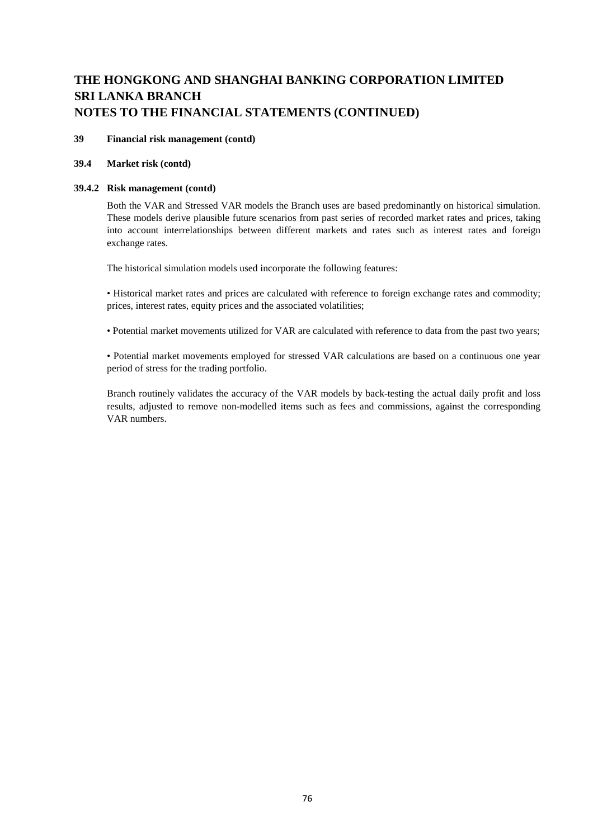## **39 Financial risk management (contd)**

## **39.4 Market risk (contd)**

## **39.4.2 Risk management (contd)**

Both the VAR and Stressed VAR models the Branch uses are based predominantly on historical simulation. These models derive plausible future scenarios from past series of recorded market rates and prices, taking into account interrelationships between different markets and rates such as interest rates and foreign exchange rates.

The historical simulation models used incorporate the following features:

• Historical market rates and prices are calculated with reference to foreign exchange rates and commodity; prices, interest rates, equity prices and the associated volatilities;

• Potential market movements utilized for VAR are calculated with reference to data from the past two years;

• Potential market movements employed for stressed VAR calculations are based on a continuous one year period of stress for the trading portfolio.

Branch routinely validates the accuracy of the VAR models by back-testing the actual daily profit and loss results, adjusted to remove non-modelled items such as fees and commissions, against the corresponding VAR numbers.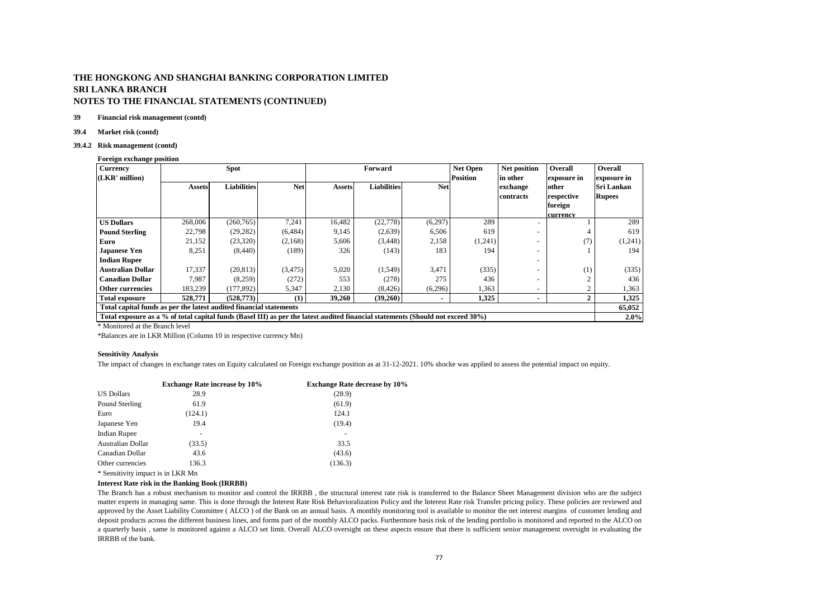#### **39 Financial risk management (contd)**

#### **39.4 Market risk (contd)**

#### **39.4.2 Risk management (contd)**

#### **Foreign exchange position**

| Currency                                                                                                                        |               | <b>Spot</b>        |            |               | Forward            |            | <b>Net Open</b> | Net position             | Overall     | Overall       |
|---------------------------------------------------------------------------------------------------------------------------------|---------------|--------------------|------------|---------------|--------------------|------------|-----------------|--------------------------|-------------|---------------|
| $(LKR'$ million $)$                                                                                                             |               |                    |            |               |                    |            | <b>Position</b> | in other                 | exposure in | exposure in   |
|                                                                                                                                 | <b>Assets</b> | <b>Liabilities</b> | <b>Net</b> | <b>Assets</b> | <b>Liabilities</b> | <b>Net</b> |                 | exchange                 | other       | Sri Lankan    |
|                                                                                                                                 |               |                    |            |               |                    |            |                 | contracts                | respective  | <b>Rupees</b> |
|                                                                                                                                 |               |                    |            |               |                    |            |                 |                          | foreign     |               |
|                                                                                                                                 |               |                    |            |               |                    |            |                 |                          | currency    |               |
| <b>US Dollars</b>                                                                                                               | 268,006       | (260, 765)         | 7,241      | 16,482        | (22, 778)          | (6,297)    | 289             |                          |             | 289           |
| <b>Pound Sterling</b>                                                                                                           | 22,798        | (29, 282)          | (6,484)    | 9,145         | (2,639)            | 6,506      | 619             |                          |             | 619           |
| Euro                                                                                                                            | 21,152        | (23,320)           | (2,168)    | 5,606         | (3, 448)           | 2,158      | (1,241)         |                          | (7)         | (1,241)       |
| <b>Japanese Yen</b>                                                                                                             | 8,251         | (8,440)            | (189)      | 326           | (143)              | 183        | 194             |                          |             | 194           |
| <b>Indian Rupee</b>                                                                                                             |               |                    |            |               |                    |            |                 | $\overline{\phantom{a}}$ |             |               |
| Australian Dollar                                                                                                               | 17,337        | (20, 813)          | (3, 475)   | 5,020         | (1,549)            | 3,471      | (335)           |                          | (1)         | (335)         |
| <b>Canadian Dollar</b>                                                                                                          | 7,987         | (8,259)            | (272)      | 553           | (278)              | 275        | 436             |                          |             | 436           |
| Other currencies                                                                                                                | 183,239       | (177, 892)         | 5,347      | 2,130         | (8, 426)           | (6,296)    | 1,363           |                          |             | 1,363         |
| <b>Total exposure</b>                                                                                                           | 528,771       | (528, 773)         | (1)        | 39,260        | (39,260)           |            | 1,325           | $\blacksquare$           |             | 1,325         |
| Total capital funds as per the latest audited financial statements                                                              |               |                    |            |               |                    |            |                 |                          |             | 65,052        |
| Total exposure as a % of total capital funds (Basel III) as per the latest audited financial statements (Should not exceed 30%) |               |                    |            |               |                    |            |                 |                          | 2.0%        |               |

\* Monitored at the Branch level

\*Balances are in LKR Million (Column 10 in respective currency Mn)

#### **Sensitivity Analysis**

The impact of changes in exchange rates on Equity calculated on Foreign exchange position as at 31-12-2021. 10% shocke was applied to assess the potential impact on equity.

|                                   | <b>Exchange Rate increase by 10%</b> | <b>Exchange Rate decrease by 10%</b> |
|-----------------------------------|--------------------------------------|--------------------------------------|
| <b>US Dollars</b>                 | 28.9                                 | (28.9)                               |
| Pound Sterling                    | 61.9                                 | (61.9)                               |
| Euro                              | (124.1)                              | 124.1                                |
| Japanese Yen                      | 19.4                                 | (19.4)                               |
| <b>Indian Rupee</b>               |                                      |                                      |
| Australian Dollar                 | (33.5)                               | 33.5                                 |
| Canadian Dollar                   | 43.6                                 | (43.6)                               |
| Other currencies                  | 136.3                                | (136.3)                              |
| * Sensitivity impact is in LKR Mn |                                      |                                      |

#### **Interest Rate risk in the Banking Book (IRRBB)**

The Branch has a robust mechanism to monitor and control the IRRBB , the structural interest rate risk is transferred to the Balance Sheet Management division who are the subject matter experts in managing same. This is done through the Interest Rate Risk Behavioralization Policy and the Interest Rate risk Transfer pricing policy. These policies are reviewed and approved by the Asset Liability Committee (ALCO) of the Bank on an annual basis. A monthly monitoring tool is available to monitor the net interest margins of customer lending and deposit products across the different business lines, and forms part of the monthly ALCO packs. Furthermore basis risk of the lending portfolio is monitored and reported to the ALCO on a quarterly basis, same is monitored against a ALCO set limit. Overall ALCO oversight on these aspects ensure that there is sufficient senior management oversight in evaluating the IRRBB of the bank.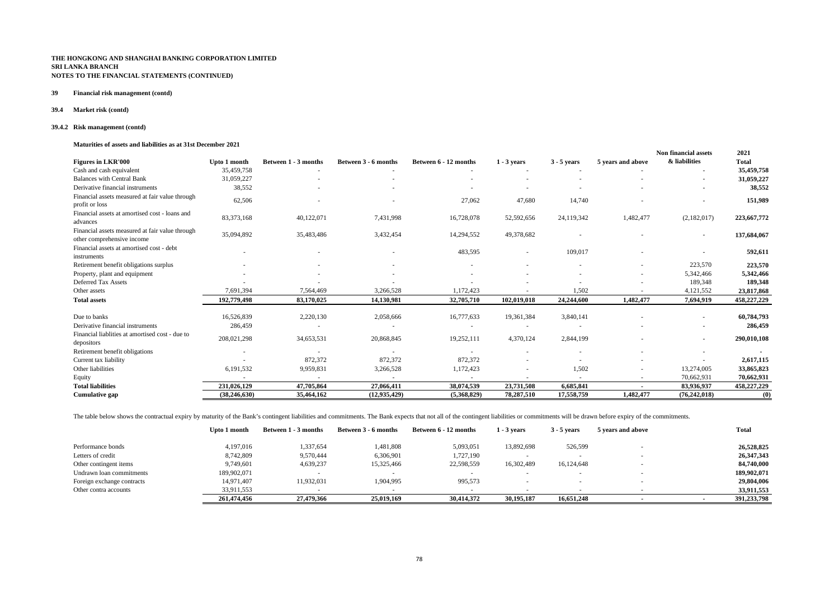#### **39 Financial risk management (contd)**

#### **39.4 Market risk (contd)**

#### **39.4.2 Risk management (contd)**

#### **Maturities of assets and liabilities as at 31st December 2021**

| $n$ aturities of assets and habilities as at 31st December 2021               |                          |                      |                      |                       |               |               |                   | Non financial assets | 2021        |
|-------------------------------------------------------------------------------|--------------------------|----------------------|----------------------|-----------------------|---------------|---------------|-------------------|----------------------|-------------|
| <b>Figures in LKR'000</b>                                                     | Upto 1 month             | Between 1 - 3 months | Between 3 - 6 months | Between 6 - 12 months | $1 - 3$ years | $3 - 5$ vears | 5 years and above | & liabilities        | Total       |
| Cash and cash equivalent                                                      | 35,459,758               |                      |                      |                       |               |               |                   |                      | 35,459,758  |
| <b>Balances with Central Bank</b>                                             | 31,059,227               |                      |                      |                       |               |               |                   |                      | 31,059,227  |
| Derivative financial instruments                                              | 38,552                   |                      |                      |                       |               |               |                   |                      | 38,552      |
| Financial assets measured at fair value through<br>profit or loss             | 62,506                   |                      |                      | 27,062                | 47,680        | 14,740        |                   |                      | 151,989     |
| Financial assets at amortised cost - loans and<br>advances                    | 83,373,168               | 40,122,071           | 7,431,998            | 16,728,078            | 52,592,656    | 24,119,342    | 1,482,477         | (2,182,017)          | 223,667,772 |
| Financial assets measured at fair value through<br>other comprehensive income | 35,094,892               | 35,483,486           | 3,432,454            | 14,294,552            | 49,378,682    |               |                   | $\sim$               | 137,684,067 |
| Financial assets at amortised cost - debt<br>instruments                      |                          |                      |                      | 483,595               |               | 109,017       |                   |                      | 592,611     |
| Retirement benefit obligations surplus                                        |                          |                      |                      |                       |               |               |                   | 223,570              | 223,570     |
| Property, plant and equipment                                                 |                          |                      |                      |                       |               |               |                   | 5,342,466            | 5,342,466   |
| <b>Deferred Tax Assets</b>                                                    |                          |                      |                      |                       |               |               |                   | 189,348              | 189,348     |
| Other assets                                                                  | 7,691,394                | 7,564,469            | 3,266,528            | 1,172,423             |               | 1,502         |                   | 4,121,552            | 23,817,868  |
| <b>Total assets</b>                                                           | 192,779,498              | 83,170,025           | 14,130,981           | 32,705,710            | 102,019,018   | 24,244,600    | 1,482,477         | 7,694,919            | 458,227,229 |
| Due to banks                                                                  | 16,526,839               | 2,220,130            | 2,058,666            | 16,777,633            | 19,361,384    | 3,840,141     |                   |                      | 60,784,793  |
| Derivative financial instruments                                              | 286,459                  | $\sim$               |                      |                       |               |               |                   |                      | 286,459     |
| Financial liablities at amortised cost - due to<br>depositors                 | 208,021,298              | 34,653,531           | 20,868,845           | 19,252,111            | 4,370,124     | 2,844,199     |                   |                      | 290,010,108 |
| Retirement benefit obligations                                                | $\overline{\phantom{a}}$ |                      |                      |                       |               |               |                   |                      |             |
| Current tax liability                                                         |                          | 872,372              | 872,372              | 872,372               |               |               |                   |                      | 2,617,115   |
| Other liabilities                                                             | 6,191,532                | 9,959,831            | 3,266,528            | 1,172,423             |               | 1,502         |                   | 13,274,005           | 33,865,823  |
| Equity                                                                        |                          |                      |                      |                       |               |               |                   | 70,662,931           | 70,662,931  |
| <b>Total liabilities</b>                                                      | 231,026,129              | 47,705,864           | 27,066,411           | 38,074,539            | 23,731,508    | 6,685,841     |                   | 83,936,937           | 458,227,229 |
| Cumulative gap                                                                | (38, 246, 630)           | 35,464,162           | (12, 935, 429)       | (5,368,829)           | 78,287,510    | 17,558,759    | 1,482,477         | (76, 242, 018)       | (0)         |

The table below shows the contractual expiry by maturity of the Bank's contingent liabilities and commitments. The Bank expects that not all of the contingent liabilities or commitments will be drawn before expiry of the c

|                            | Upto 1 month | Between 1 - 3 months | Between 3 - 6 months | Between 6 - 12 months | $1 - 3$ years | $3 - 5$ years | 5 years and above | <b>Total</b> |
|----------------------------|--------------|----------------------|----------------------|-----------------------|---------------|---------------|-------------------|--------------|
| Performance bonds          | 4.197.016    | 1.337.654            | 1,481,808            | 5,093,051             | 13,892,698    | 526,599       |                   | 26,528,825   |
| Letters of credit          | 8,742,809    | 9,570,444            | 6,306,901            | 1,727,190             |               |               |                   | 26,347,343   |
| Other contingent items     | 9.749.601    | 4,639,237            | 15,325,466           | 22,598,559            | 16,302,489    | 16,124,648    |                   | 84,740,000   |
| Undrawn loan commitments   | 189,902,071  |                      |                      |                       |               |               |                   | 189,902,071  |
| Foreign exchange contracts | 14.971.407   | 11.932.031           | .904.995             | 995,573               |               |               |                   | 29,804,006   |
| Other contra accounts      | 33,911,553   |                      |                      |                       |               |               |                   | 33,911,553   |
|                            | 261,474,456  | 27,479,366           | 25,019,169           | 30,414,372            | 30,195,187    | 16,651,248    |                   | 391,233,798  |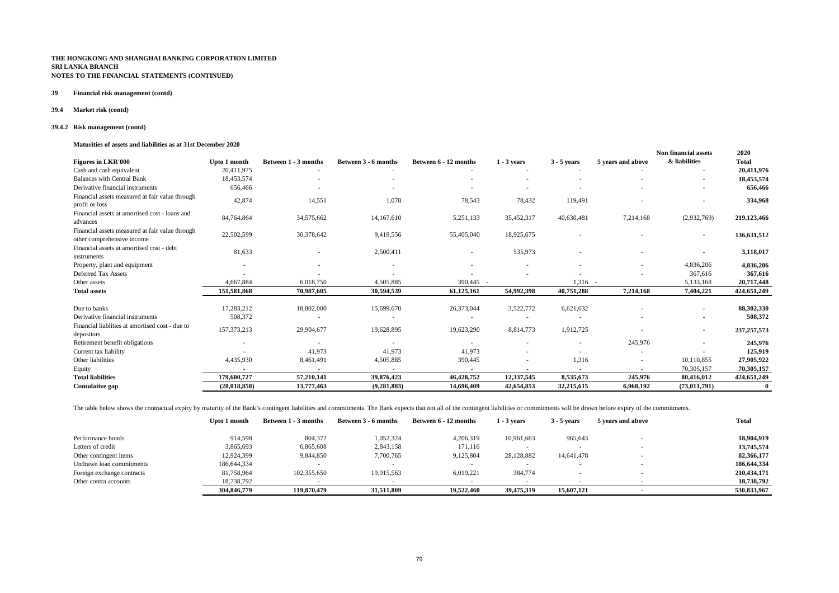#### **39 Financial risk management (contd)**

#### **39.4 Market risk (contd)**

#### **39.4.2 Risk management (contd)**

#### **Maturities of assets and liabilities as at 31st December 2020**

|                                                                               |               |                      |                      |                       |               |               |                   | Non financial assets | 2020          |
|-------------------------------------------------------------------------------|---------------|----------------------|----------------------|-----------------------|---------------|---------------|-------------------|----------------------|---------------|
| <b>Figures in LKR'000</b>                                                     | Upto 1 month  | Between 1 - 3 months | Between 3 - 6 months | Between 6 - 12 months | $1 - 3$ years | $3 - 5$ years | 5 years and above | & liabilities        | Total         |
| Cash and cash equivalent                                                      | 20,411,975    |                      |                      |                       |               |               |                   |                      | 20,411,976    |
| <b>Balances with Central Bank</b>                                             | 18,453,574    |                      |                      |                       |               |               |                   |                      | 18,453,574    |
| Derivative financial instruments                                              | 656,466       |                      |                      |                       |               |               |                   |                      | 656,466       |
| Financial assets measured at fair value through<br>profit or loss             | 42,874        | 14,551               | 1,078                | 78,543                | 78,432        | 119,491       |                   |                      | 334,968       |
| Financial assets at amortised cost - loans and<br>advances                    | 84,764,864    | 34,575,662           | 14,167,610           | 5,251,133             | 35,452,317    | 40,630,481    | 7,214,168         | (2,932,769)          | 219,123,466   |
| Financial assets measured at fair value through<br>other comprehensive income | 22,502,599    | 30,378,642           | 9,419,556            | 55,405,040            | 18,925,675    |               |                   | $\sim$               | 136,631,512   |
| Financial assets at amortised cost - debt<br>instruments                      | 81,633        |                      | 2,500,411            | ٠                     | 535,973       |               |                   |                      | 3,118,017     |
| Property, plant and equipment                                                 |               |                      |                      |                       |               |               |                   | 4,836,206            | 4,836,206     |
| Deferred Tax Assets                                                           | $\sim$        |                      |                      |                       |               |               |                   | 367,616              | 367,616       |
| Other assets                                                                  | 4,667,884     | 6,018,750            | 4,505,885            | 390,445 -             |               | $1,316 -$     |                   | 5,133,168            | 20,717,448    |
| <b>Total assets</b>                                                           | 151,581,868   | 70,987,605           | 30,594,539           | 61,125,161            | 54,992,398    | 40,751,288    | 7,214,168         | 7,404,221            | 424,651,249   |
| Due to banks                                                                  | 17,283,212    | 18,802,000           | 15,699,670           | 26,373,044            | 3,522,772     | 6,621,632     |                   |                      | 88,302,330    |
| Derivative financial instruments                                              | 508,372       |                      |                      |                       |               |               |                   |                      | 508,372       |
| Financial liablities at amortised cost - due to<br>depositors                 | 157, 373, 213 | 29,904,677           | 19,628,895           | 19,623,290            | 8,814,773     | 1,912,725     |                   |                      | 237, 257, 573 |
| Retirement benefit obligations                                                |               | ٠                    | $\sim$               | $\sim$                |               |               | 245,976           |                      | 245,976       |
| Current tax liability                                                         |               | 41,973               | 41,973               | 41,973                |               |               | . .               |                      | 125,919       |
| Other liabilities                                                             | 4,435,930     | 8,461,491            | 4,505,885            | 390,445               |               | 1,316         |                   | 10,110,855           | 27,905,922    |
| Equity                                                                        |               |                      |                      | $\sim$                |               |               |                   | 70,305,157           | 70,305,157    |
| <b>Total liabilities</b>                                                      | 179,600,727   | 57,210,141           | 39,876,423           | 46,428,752            | 12,337,545    | 8,535,673     | 245,976           | 80,416,012           | 424,651,249   |
| Cumulative gap                                                                | (28.018.858)  | 13,777,463           | (9, 281, 883)        | 14,696,409            | 42,654,853    | 32,215,615    | 6.968.192         | (73, 011, 791)       | $\bf{0}$      |

The table below shows the contractual expiry by maturity of the Bank's contingent liabilities and commitments. The Bank expects that not all of the contingent liabilities or commitments will be drawn before expiry of the c

|                            | Upto 1 month | Between 1 - 3 months | Between 3 - 6 months | Between 6 - 12 months | $1 - 3$ years | $3 - 5$ years | 5 years and above | <b>Total</b> |
|----------------------------|--------------|----------------------|----------------------|-----------------------|---------------|---------------|-------------------|--------------|
| Performance bonds          | 914.598      | 804,372              | 1.052.324            | 4,206,319             | 10,961,663    | 965,643       |                   | 18,904,919   |
| Letters of credit          | 3,865,693    | 6,865,608            | 2,843,158            | 171,116               |               |               |                   | 13,745,574   |
| Other contingent items     | 12,924,399   | 9,844,850            | 7,700,765            | 9,125,804             | 28,128,882    | 14,641,478    |                   | 82,366,177   |
| Undrawn loan commitments   | 186,644,334  |                      |                      |                       |               |               |                   | 186,644,334  |
| Foreign exchange contracts | 81,758,964   | 102,355,650          | 19,915,563           | 6,019,221             | 384,774       |               |                   | 210,434,171  |
| Other contra accounts      | 18,738,792   |                      |                      |                       |               |               |                   | 18,738,792   |
|                            | 304,846,779  | 119,870,479          | 31,511,809           | 19,522,460            | 39,475,319    | 15,607,121    |                   | 530,833,967  |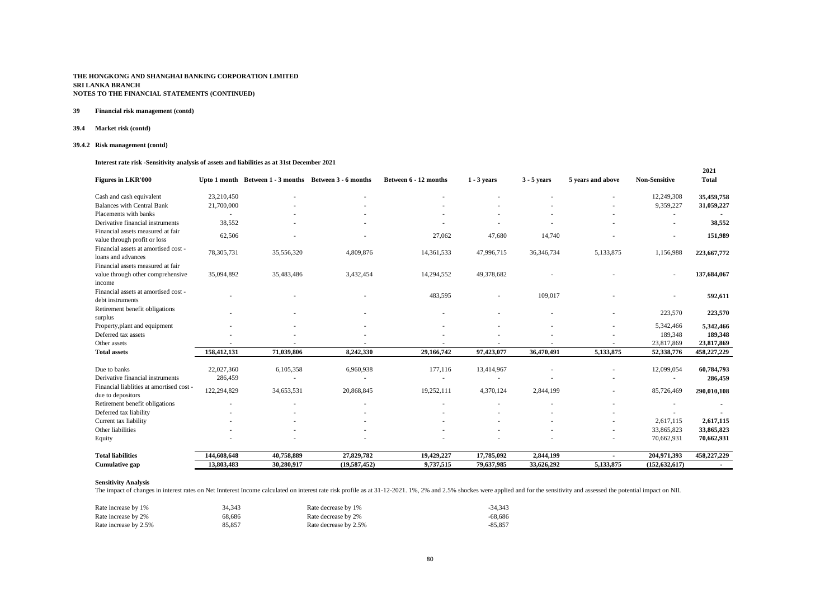#### **39 Financial risk management (contd)**

#### **39.4 Market risk (contd)**

#### **39.4.2 Risk management (contd)**

#### **Interest rate risk -Sensitivity analysis of assets and liabilities as at 31st December 2021**

| <b>Figures in LKR'000</b>                                                        |             | Upto 1 month Between 1 - 3 months Between 3 - 6 months |              | Between 6 - 12 months | $1 - 3$ years            | $3 - 5$ years | 5 years and above        | <b>Non-Sensitive</b> | 2021<br><b>Total</b> |
|----------------------------------------------------------------------------------|-------------|--------------------------------------------------------|--------------|-----------------------|--------------------------|---------------|--------------------------|----------------------|----------------------|
|                                                                                  |             |                                                        |              |                       |                          |               |                          |                      |                      |
| Cash and cash equivalent                                                         | 23,210,450  |                                                        |              |                       |                          |               |                          | 12,249,308           | 35,459,758           |
| <b>Balances with Central Bank</b>                                                | 21,700,000  |                                                        |              |                       |                          |               |                          | 9,359,227            | 31,059,227           |
| Placements with banks                                                            | ٠.          |                                                        |              |                       |                          |               |                          | $\sim$               |                      |
| Derivative financial instruments                                                 | 38,552      |                                                        |              |                       |                          |               |                          |                      | 38,552               |
| Financial assets measured at fair<br>value through profit or loss                | 62,506      |                                                        |              | 27,062                | 47,680                   | 14,740        |                          |                      | 151,989              |
| Financial assets at amortised cost -<br>loans and advances                       | 78,305,731  | 35,556,320                                             | 4,809,876    | 14,361,533            | 47,996,715               | 36,346,734    | 5,133,875                | 1,156,988            | 223,667,772          |
| Financial assets measured at fair<br>value through other comprehensive<br>income | 35,094,892  | 35,483,486                                             | 3,432,454    | 14,294,552            | 49,378,682               |               |                          |                      | 137,684,067          |
| Financial assets at amortised cost -<br>debt instruments                         |             |                                                        |              | 483,595               |                          | 109,017       |                          |                      | 592,611              |
| Retirement benefit obligations<br>surplus                                        |             |                                                        |              |                       |                          |               |                          | 223,570              | 223,570              |
| Property, plant and equipment                                                    |             |                                                        |              |                       |                          |               |                          | 5,342,466            | 5,342,466            |
| Deferred tax assets                                                              |             |                                                        |              |                       |                          |               |                          | 189,348              | 189,348              |
| Other assets                                                                     |             |                                                        |              |                       |                          |               |                          | 23,817,869           | 23,817,869           |
| <b>Total assets</b>                                                              | 158,412,131 | 71,039,806                                             | 8,242,330    | 29,166,742            | 97,423,077               | 36,470,491    | 5,133,875                | 52,338,776           | 458,227,229          |
| Due to banks                                                                     | 22,027,360  | 6,105,358                                              | 6,960,938    | 177,116               | 13,414,967               |               | $\overline{\phantom{a}}$ | 12,099,054           | 60,784,793           |
| Derivative financial instruments                                                 | 286,459     |                                                        |              |                       | ٠                        |               |                          |                      | 286,459              |
| Financial liablities at amortised cost -<br>due to depositors                    | 122,294,829 | 34,653,531                                             | 20,868,845   | 19,252,111            | 4,370,124                | 2,844,199     |                          | 85,726,469           | 290,010,108          |
| Retirement benefit obligations                                                   |             |                                                        |              |                       | $\overline{\phantom{a}}$ |               |                          |                      |                      |
| Deferred tax liability                                                           |             |                                                        |              |                       |                          |               |                          |                      |                      |
| Current tax liability                                                            |             |                                                        |              |                       |                          |               |                          | 2,617,115            | 2,617,115            |
| Other liabilities                                                                |             |                                                        |              |                       |                          |               |                          | 33,865,823           | 33,865,823           |
| Equity                                                                           |             |                                                        |              |                       |                          |               |                          | 70,662,931           | 70,662,931           |
| <b>Total liabilities</b>                                                         | 144,608,648 | 40,758,889                                             | 27,829,782   | 19,429,227            | 17,785,092               | 2,844,199     |                          | 204,971,393          | 458,227,229          |
| Cumulative gap                                                                   | 13,803,483  | 30,280,917                                             | (19,587,452) | 9,737,515             | 79,637,985               | 33,626,292    | 5,133,875                | (152, 632, 617)      | $\blacksquare$       |

#### **Sensitivity Analysis**

The impact of changes in interest rates on Net Innterest Income calculated on interest rate risk profile as at 31-12-2021. 1%, 2% and 2.5% shockes were applied and for the sensitivity and assessed the potential impact on N

| Rate increase by 1%   | 34.343 | Rate decrease by 1%   | $-34.343$ |
|-----------------------|--------|-----------------------|-----------|
| Rate increase by 2%   | 68.686 | Rate decrease by 2%   | $-68.686$ |
| Rate increase by 2.5% | 85.857 | Rate decrease by 2.5% | $-85.857$ |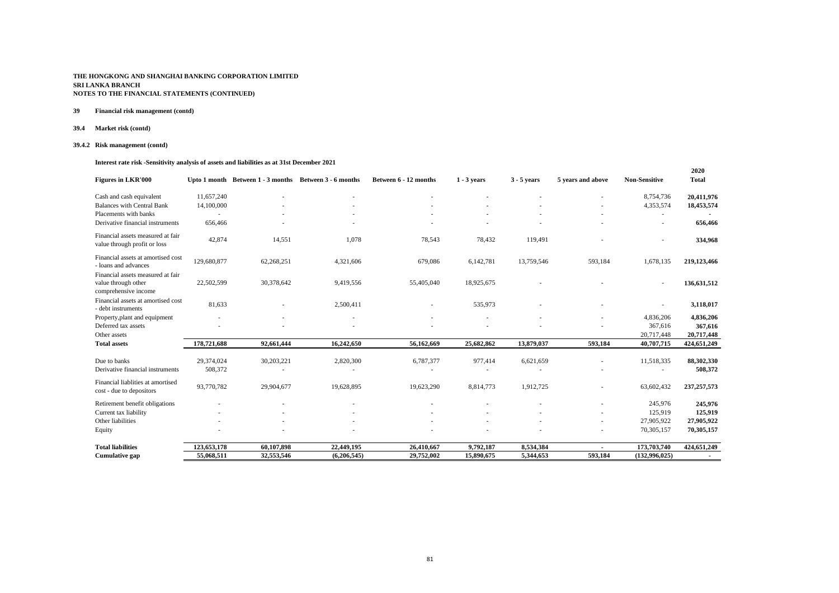#### **39 Financial risk management (contd)**

#### **39.4 Market risk (contd)**

#### **39.4.2 Risk management (contd)**

#### **Interest rate risk -Sensitivity analysis of assets and liabilities as at 31st December 2021**

| <b>Figures in LKR'000</b>                                                        |             | Upto 1 month Between 1 - 3 months Between 3 - 6 months |             | Between 6 - 12 months | $1 - 3$ years | $3 - 5$ years | 5 years and above | <b>Non-Sensitive</b>          | 2020<br><b>Total</b> |
|----------------------------------------------------------------------------------|-------------|--------------------------------------------------------|-------------|-----------------------|---------------|---------------|-------------------|-------------------------------|----------------------|
| Cash and cash equivalent<br><b>Balances with Central Bank</b>                    | 11,657,240  |                                                        |             |                       |               |               |                   | 8,754,736                     | 20,411,976           |
| Placements with banks                                                            | 14,100,000  |                                                        |             |                       |               |               |                   | 4,353,574                     | 18,453,574           |
| Derivative financial instruments                                                 | 656,466     |                                                        |             |                       |               |               |                   | $\overline{\phantom{a}}$<br>٠ | 656,466              |
| Financial assets measured at fair<br>value through profit or loss                | 42,874      | 14,551                                                 | 1,078       | 78,543                | 78,432        | 119,491       |                   | ٠                             | 334,968              |
| Financial assets at amortised cost<br>- loans and advances                       | 129,680,877 | 62,268,251                                             | 4,321,606   | 679,086               | 6,142,781     | 13,759,546    | 593,184           | 1,678,135                     | 219,123,466          |
| Financial assets measured at fair<br>value through other<br>comprehensive income | 22,502,599  | 30,378,642                                             | 9,419,556   | 55,405,040            | 18,925,675    |               |                   | ٠                             | 136,631,512          |
| Financial assets at amortised cost<br>- debt instruments                         | 81,633      |                                                        | 2,500,411   |                       | 535,973       |               |                   | ٠                             | 3,118,017            |
| Property, plant and equipment                                                    |             |                                                        |             |                       |               |               |                   | 4,836,206                     | 4,836,206            |
| Deferred tax assets                                                              |             |                                                        |             |                       |               |               |                   | 367,616                       | 367,616              |
| Other assets                                                                     |             |                                                        |             |                       |               |               |                   | 20,717,448                    | 20,717,448           |
| <b>Total assets</b>                                                              | 178,721,688 | 92,661,444                                             | 16,242,650  | 56,162,669            | 25,682,862    | 13,879,037    | 593,184           | 40,707,715                    | 424,651,249          |
| Due to banks                                                                     | 29,374,024  | 30,203,221                                             | 2,820,300   | 6,787,377             | 977,414       | 6,621,659     |                   | 11,518,335                    | 88,302,330           |
| Derivative financial instruments                                                 | 508,372     | ٠                                                      |             |                       |               | ٠             |                   | $\overline{\phantom{a}}$      | 508,372              |
| Financial liablities at amortised<br>cost - due to depositors                    | 93,770,782  | 29,904,677                                             | 19,628,895  | 19,623,290            | 8,814,773     | 1,912,725     |                   | 63,602,432                    | 237, 257, 573        |
| Retirement benefit obligations                                                   |             |                                                        |             |                       |               |               |                   | 245,976                       | 245,976              |
| Current tax liability                                                            |             |                                                        |             |                       |               |               |                   | 125,919                       | 125,919              |
| Other liabilities                                                                |             |                                                        |             |                       |               |               |                   | 27,905,922                    | 27,905,922           |
| Equity                                                                           |             |                                                        |             |                       |               |               |                   | 70,305,157                    | 70,305,157           |
| <b>Total liabilities</b>                                                         | 123,653,178 | 60,107,898                                             | 22,449,195  | 26,410,667            | 9,792,187     | 8,534,384     | $\blacksquare$    | 173,703,740                   | 424,651,249          |
| Cumulative gap                                                                   | 55,068,511  | 32,553,546                                             | (6,206,545) | 29,752,002            | 15,890,675    | 5,344,653     | 593,184           | (132,996,025)                 |                      |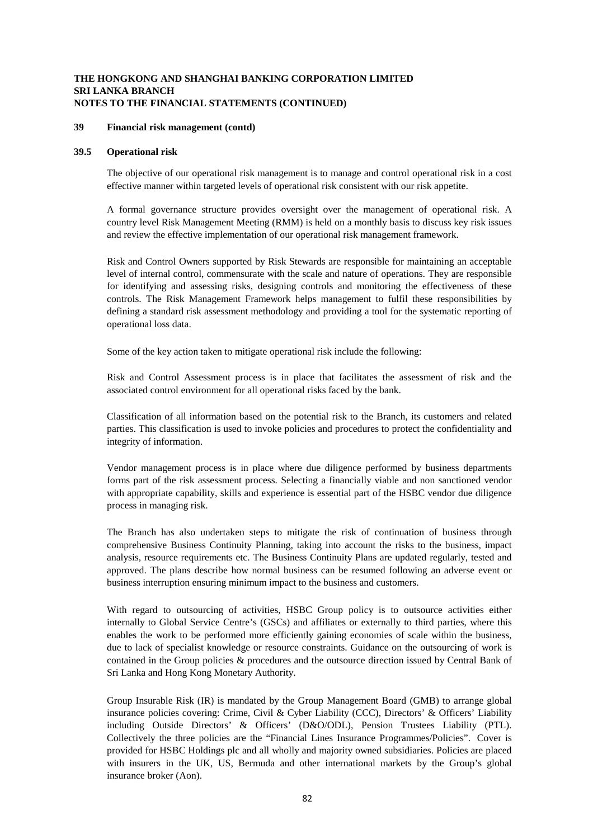## **39 Financial risk management (contd)**

### **39.5 Operational risk**

The objective of our operational risk management is to manage and control operational risk in a cost effective manner within targeted levels of operational risk consistent with our risk appetite.

A formal governance structure provides oversight over the management of operational risk. A country level Risk Management Meeting (RMM) is held on a monthly basis to discuss key risk issues and review the effective implementation of our operational risk management framework.

Risk and Control Owners supported by Risk Stewards are responsible for maintaining an acceptable level of internal control, commensurate with the scale and nature of operations. They are responsible for identifying and assessing risks, designing controls and monitoring the effectiveness of these controls. The Risk Management Framework helps management to fulfil these responsibilities by defining a standard risk assessment methodology and providing a tool for the systematic reporting of operational loss data.

Some of the key action taken to mitigate operational risk include the following:

Risk and Control Assessment process is in place that facilitates the assessment of risk and the associated control environment for all operational risks faced by the bank.

Classification of all information based on the potential risk to the Branch, its customers and related parties. This classification is used to invoke policies and procedures to protect the confidentiality and integrity of information.

Vendor management process is in place where due diligence performed by business departments forms part of the risk assessment process. Selecting a financially viable and non sanctioned vendor with appropriate capability, skills and experience is essential part of the HSBC vendor due diligence process in managing risk.

The Branch has also undertaken steps to mitigate the risk of continuation of business through comprehensive Business Continuity Planning, taking into account the risks to the business, impact analysis, resource requirements etc. The Business Continuity Plans are updated regularly, tested and approved. The plans describe how normal business can be resumed following an adverse event or business interruption ensuring minimum impact to the business and customers.

With regard to outsourcing of activities, HSBC Group policy is to outsource activities either internally to Global Service Centre's (GSCs) and affiliates or externally to third parties, where this enables the work to be performed more efficiently gaining economies of scale within the business, due to lack of specialist knowledge or resource constraints. Guidance on the outsourcing of work is contained in the Group policies & procedures and the outsource direction issued by Central Bank of Sri Lanka and Hong Kong Monetary Authority.

Group Insurable Risk (IR) is mandated by the Group Management Board (GMB) to arrange global insurance policies covering: Crime, Civil & Cyber Liability (CCC), Directors' & Officers' Liability including Outside Directors' & Officers' (D&O/ODL), Pension Trustees Liability (PTL). Collectively the three policies are the "Financial Lines Insurance Programmes/Policies". Cover is provided for HSBC Holdings plc and all wholly and majority owned subsidiaries. Policies are placed with insurers in the UK, US, Bermuda and other international markets by the Group's global insurance broker (Aon).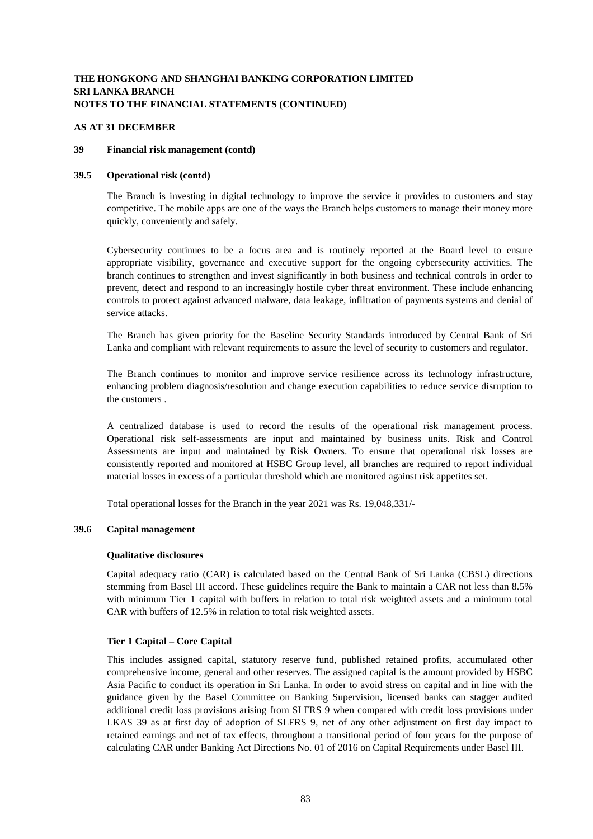## **AS AT 31 DECEMBER**

## **39 Financial risk management (contd)**

## **39.5 Operational risk (contd)**

The Branch is investing in digital technology to improve the service it provides to customers and stay competitive. The mobile apps are one of the ways the Branch helps customers to manage their money more quickly, conveniently and safely.

Cybersecurity continues to be a focus area and is routinely reported at the Board level to ensure appropriate visibility, governance and executive support for the ongoing cybersecurity activities. The branch continues to strengthen and invest significantly in both business and technical controls in order to prevent, detect and respond to an increasingly hostile cyber threat environment. These include enhancing controls to protect against advanced malware, data leakage, infiltration of payments systems and denial of service attacks.

The Branch has given priority for the Baseline Security Standards introduced by Central Bank of Sri Lanka and compliant with relevant requirements to assure the level of security to customers and regulator.

The Branch continues to monitor and improve service resilience across its technology infrastructure, enhancing problem diagnosis/resolution and change execution capabilities to reduce service disruption to the customers .

A centralized database is used to record the results of the operational risk management process. Operational risk self-assessments are input and maintained by business units. Risk and Control Assessments are input and maintained by Risk Owners. To ensure that operational risk losses are consistently reported and monitored at HSBC Group level, all branches are required to report individual material losses in excess of a particular threshold which are monitored against risk appetites set.

Total operational losses for the Branch in the year 2021 was Rs. 19,048,331/-

## **39.6 Capital management**

### **Qualitative disclosures**

Capital adequacy ratio (CAR) is calculated based on the Central Bank of Sri Lanka (CBSL) directions stemming from Basel III accord. These guidelines require the Bank to maintain a CAR not less than 8.5% with minimum Tier 1 capital with buffers in relation to total risk weighted assets and a minimum total CAR with buffers of 12.5% in relation to total risk weighted assets.

### **Tier 1 Capital – Core Capital**

This includes assigned capital, statutory reserve fund, published retained profits, accumulated other comprehensive income, general and other reserves. The assigned capital is the amount provided by HSBC Asia Pacific to conduct its operation in Sri Lanka. In order to avoid stress on capital and in line with the guidance given by the Basel Committee on Banking Supervision, licensed banks can stagger audited additional credit loss provisions arising from SLFRS 9 when compared with credit loss provisions under LKAS 39 as at first day of adoption of SLFRS 9, net of any other adjustment on first day impact to retained earnings and net of tax effects, throughout a transitional period of four years for the purpose of calculating CAR under Banking Act Directions No. 01 of 2016 on Capital Requirements under Basel III.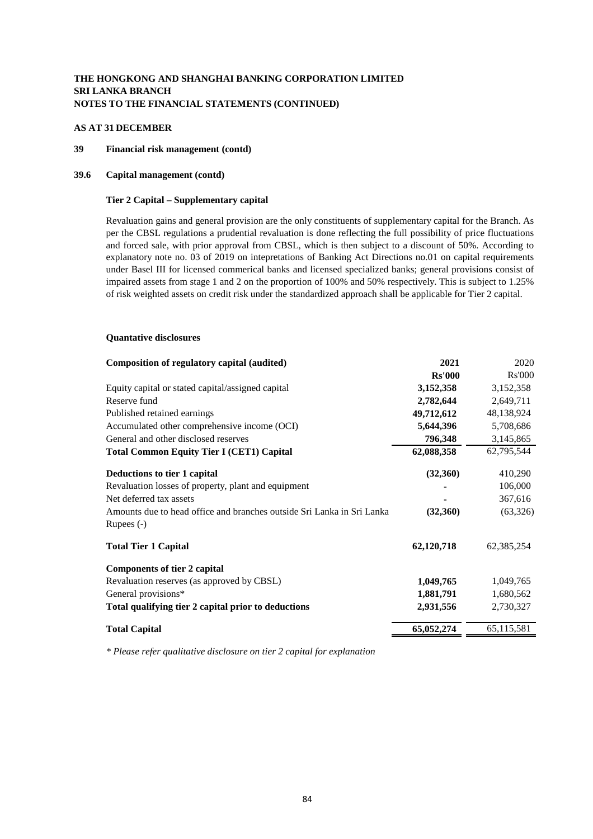## **AS AT 31 DECEMBER**

## **39 Financial risk management (contd)**

## **39.6 Capital management (contd)**

## **Tier 2 Capital – Supplementary capital**

Revaluation gains and general provision are the only constituents of supplementary capital for the Branch. As per the CBSL regulations a prudential revaluation is done reflecting the full possibility of price fluctuations and forced sale, with prior approval from CBSL, which is then subject to a discount of 50%. According to explanatory note no. 03 of 2019 on intepretations of Banking Act Directions no.01 on capital requirements under Basel III for licensed commerical banks and licensed specialized banks; general provisions consist of impaired assets from stage 1 and 2 on the proportion of 100% and 50% respectively. This is subject to 1.25% of risk weighted assets on credit risk under the standardized approach shall be applicable for Tier 2 capital.

## **Quantative disclosures**

| Composition of regulatory capital (audited)                            | 2021          | 2020          |
|------------------------------------------------------------------------|---------------|---------------|
|                                                                        | <b>Rs'000</b> | <b>Rs'000</b> |
| Equity capital or stated capital/assigned capital                      | 3,152,358     | 3,152,358     |
| Reserve fund                                                           | 2,782,644     | 2,649,711     |
| Published retained earnings                                            | 49,712,612    | 48,138,924    |
| Accumulated other comprehensive income (OCI)                           | 5,644,396     | 5,708,686     |
| General and other disclosed reserves                                   | 796,348       | 3,145,865     |
| <b>Total Common Equity Tier I (CET1) Capital</b>                       | 62,088,358    | 62,795,544    |
| Deductions to tier 1 capital                                           | (32,360)      | 410,290       |
| Revaluation losses of property, plant and equipment                    |               | 106,000       |
| Net deferred tax assets                                                |               | 367,616       |
| Amounts due to head office and branches outside Sri Lanka in Sri Lanka | (32,360)      | (63, 326)     |
| Rupees $(-)$                                                           |               |               |
| <b>Total Tier 1 Capital</b>                                            | 62,120,718    | 62,385,254    |
| <b>Components of tier 2 capital</b>                                    |               |               |
| Revaluation reserves (as approved by CBSL)                             | 1,049,765     | 1,049,765     |
| General provisions*                                                    | 1,881,791     | 1,680,562     |
| Total qualifying tier 2 capital prior to deductions                    | 2,931,556     | 2,730,327     |
| <b>Total Capital</b>                                                   | 65,052,274    | 65,115,581    |

*\* Please refer qualitative disclosure on tier 2 capital for explanation*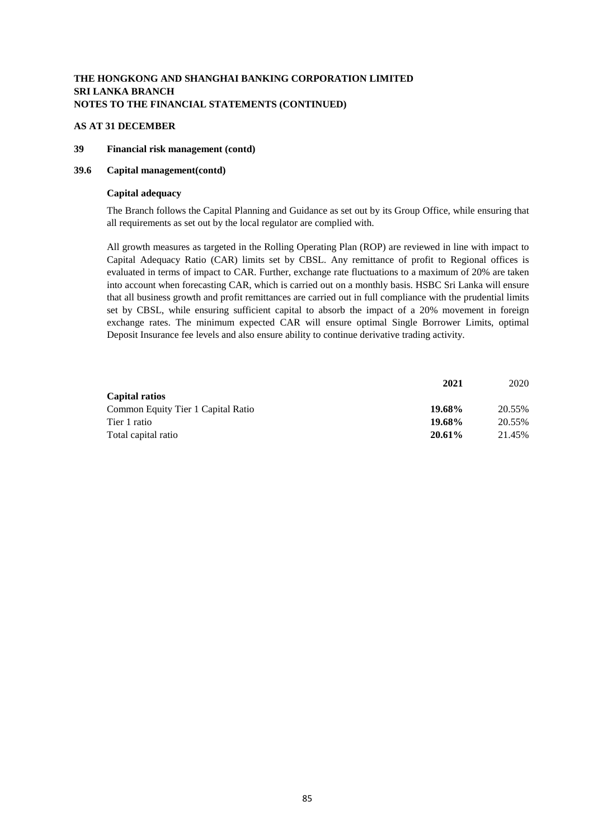## **AS AT 31 DECEMBER**

## **39 Financial risk management (contd)**

## **39.6 Capital management(contd)**

## **Capital adequacy**

The Branch follows the Capital Planning and Guidance as set out by its Group Office, while ensuring that all requirements as set out by the local regulator are complied with.

All growth measures as targeted in the Rolling Operating Plan (ROP) are reviewed in line with impact to Capital Adequacy Ratio (CAR) limits set by CBSL. Any remittance of profit to Regional offices is evaluated in terms of impact to CAR. Further, exchange rate fluctuations to a maximum of 20% are taken into account when forecasting CAR, which is carried out on a monthly basis. HSBC Sri Lanka will ensure that all business growth and profit remittances are carried out in full compliance with the prudential limits set by CBSL, while ensuring sufficient capital to absorb the impact of a 20% movement in foreign exchange rates. The minimum expected CAR will ensure optimal Single Borrower Limits, optimal Deposit Insurance fee levels and also ensure ability to continue derivative trading activity.

|                                    | 2021   | 2020   |
|------------------------------------|--------|--------|
| <b>Capital ratios</b>              |        |        |
| Common Equity Tier 1 Capital Ratio | 19.68% | 20.55% |
| Tier 1 ratio                       | 19.68% | 20.55% |
| Total capital ratio                | 20.61% | 21.45% |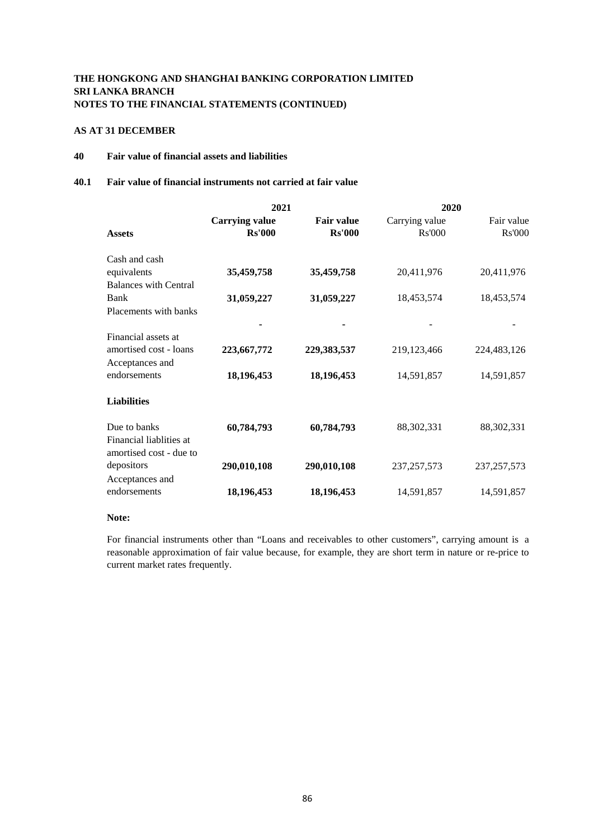## **AS AT 31 DECEMBER**

## **40 Fair value of financial assets and liabilities**

## **40.1 Fair value of financial instruments not carried at fair value**

|                                                                                  | 2021                                   |                                    | 2020                            |                             |  |
|----------------------------------------------------------------------------------|----------------------------------------|------------------------------------|---------------------------------|-----------------------------|--|
| <b>Assets</b>                                                                    | <b>Carrying value</b><br><b>Rs'000</b> | <b>Fair value</b><br><b>Rs'000</b> | Carrying value<br><b>Rs'000</b> | Fair value<br><b>Rs'000</b> |  |
| Cash and cash<br>equivalents<br><b>Balances with Central</b>                     | 35,459,758                             | 35,459,758                         | 20,411,976                      | 20,411,976                  |  |
| Bank<br>Placements with banks                                                    | 31,059,227                             | 31,059,227                         | 18,453,574                      | 18,453,574                  |  |
| Financial assets at<br>amortised cost - loans<br>Acceptances and<br>endorsements | 223,667,772<br>18,196,453              | 229,383,537<br>18,196,453          | 219, 123, 466<br>14,591,857     | 224,483,126<br>14,591,857   |  |
| <b>Liabilities</b>                                                               |                                        |                                    |                                 |                             |  |
| Due to banks<br>Financial liablities at<br>amortised cost - due to               | 60,784,793                             | 60,784,793                         | 88,302,331                      | 88,302,331                  |  |
| depositors<br>Acceptances and                                                    | 290,010,108                            | 290,010,108                        | 237, 257, 573                   | 237, 257, 573               |  |
| endorsements                                                                     | 18,196,453                             | 18,196,453                         | 14,591,857                      | 14,591,857                  |  |

## **Note:**

For financial instruments other than "Loans and receivables to other customers", carrying amount is a reasonable approximation of fair value because, for example, they are short term in nature or re-price to current market rates frequently.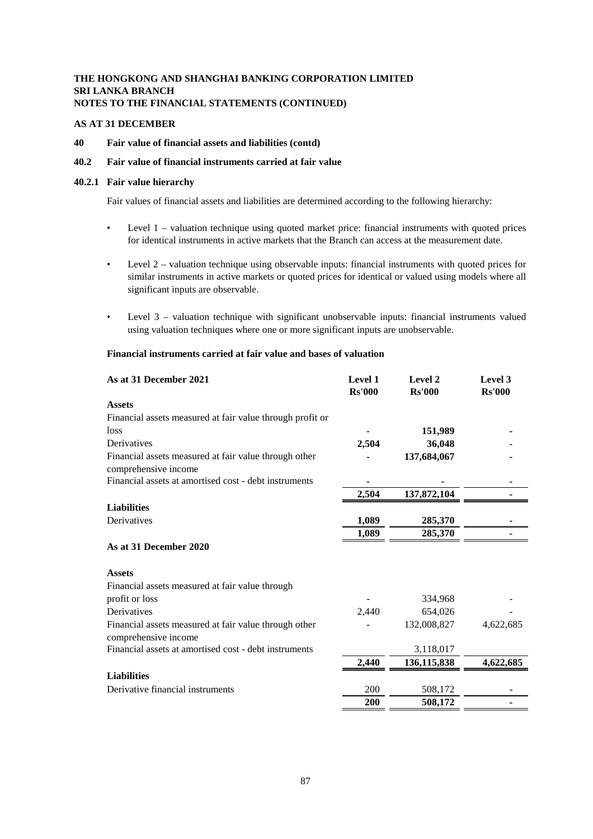## **AS AT 31 DECEMBER**

**40 Fair value of financial assets and liabilities (contd)**

## **40.2 Fair value of financial instruments carried at fair value**

### **40.2.1 Fair value hierarchy**

Fair values of financial assets and liabilities are determined according to the following hierarchy:

- Level 1 – valuation technique using quoted market price: financial instruments with quoted prices for identical instruments in active markets that the Branch can access at the measurement date.
- Level 2 – valuation technique using observable inputs: financial instruments with quoted prices for similar instruments in active markets or quoted prices for identical or valued using models where all significant inputs are observable.
- Level 3 – valuation technique with significant unobservable inputs: financial instruments valued using valuation techniques where one or more significant inputs are unobservable.

## **Financial instruments carried at fair value and bases of valuation**

| As at 31 December 2021                                                        | <b>Level 1</b><br><b>Rs'000</b> | Level 2<br><b>Rs'000</b> | Level 3<br><b>Rs'000</b> |
|-------------------------------------------------------------------------------|---------------------------------|--------------------------|--------------------------|
| <b>Assets</b>                                                                 |                                 |                          |                          |
| Financial assets measured at fair value through profit or                     |                                 |                          |                          |
| loss                                                                          |                                 | 151,989                  |                          |
| Derivatives                                                                   | 2,504                           | 36,048                   |                          |
| Financial assets measured at fair value through other<br>comprehensive income |                                 | 137,684,067              |                          |
| Financial assets at amortised cost - debt instruments                         |                                 |                          |                          |
|                                                                               | 2,504                           | 137,872,104              |                          |
| <b>Liabilities</b>                                                            |                                 |                          |                          |
| Derivatives                                                                   | 1,089                           | 285,370                  |                          |
|                                                                               | 1,089                           | 285,370                  |                          |
| As at 31 December 2020                                                        |                                 |                          |                          |
| <b>Assets</b>                                                                 |                                 |                          |                          |
| Financial assets measured at fair value through                               |                                 |                          |                          |
| profit or loss                                                                |                                 | 334,968                  |                          |
| Derivatives                                                                   | 2,440                           | 654,026                  |                          |
| Financial assets measured at fair value through other<br>comprehensive income |                                 | 132,008,827              | 4,622,685                |
| Financial assets at amortised cost - debt instruments                         |                                 | 3,118,017                |                          |
|                                                                               | 2.440                           | 136,115,838              | 4,622,685                |
| <b>Liabilities</b>                                                            |                                 |                          |                          |
| Derivative financial instruments                                              | 200                             | 508,172                  |                          |
|                                                                               | 200                             | 508,172                  |                          |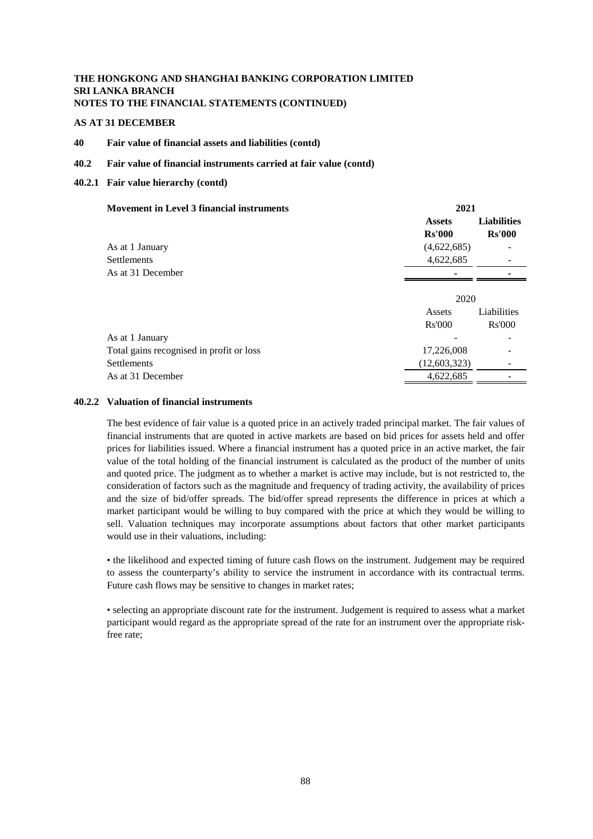## **AS AT 31 DECEMBER**

- **40 Fair value of financial assets and liabilities (contd)**
- **40.2 Fair value of financial instruments carried at fair value (contd)**
- **40.2.1 Fair value hierarchy (contd)**

## **Movement in Level 3 financial instruments**

|                                          | <b>Assets</b> | <b>Liabilities</b> |  |
|------------------------------------------|---------------|--------------------|--|
|                                          | <b>Rs'000</b> | <b>Rs'000</b>      |  |
| As at 1 January                          | (4,622,685)   |                    |  |
| <b>Settlements</b>                       | 4,622,685     |                    |  |
| As at 31 December                        |               |                    |  |
|                                          | 2020          |                    |  |
|                                          | Assets        | Liabilities        |  |
|                                          | <b>Rs'000</b> | <b>Rs'000</b>      |  |
| As at 1 January                          |               |                    |  |
| Total gains recognised in profit or loss | 17,226,008    |                    |  |
| Settlements                              | (12,603,323)  |                    |  |
| As at 31 December                        | 4.622.685     |                    |  |

**2021**

### **40.2.2 Valuation of financial instruments**

The best evidence of fair value is a quoted price in an actively traded principal market. The fair values of financial instruments that are quoted in active markets are based on bid prices for assets held and offer prices for liabilities issued. Where a financial instrument has a quoted price in an active market, the fair value of the total holding of the financial instrument is calculated as the product of the number of units and quoted price. The judgment as to whether a market is active may include, but is not restricted to, the consideration of factors such as the magnitude and frequency of trading activity, the availability of prices and the size of bid/offer spreads. The bid/offer spread represents the difference in prices at which a market participant would be willing to buy compared with the price at which they would be willing to sell. Valuation techniques may incorporate assumptions about factors that other market participants would use in their valuations, including:

• the likelihood and expected timing of future cash flows on the instrument. Judgement may be required to assess the counterparty's ability to service the instrument in accordance with its contractual terms. Future cash flows may be sensitive to changes in market rates;

• selecting an appropriate discount rate for the instrument. Judgement is required to assess what a market participant would regard as the appropriate spread of the rate for an instrument over the appropriate riskfree rate;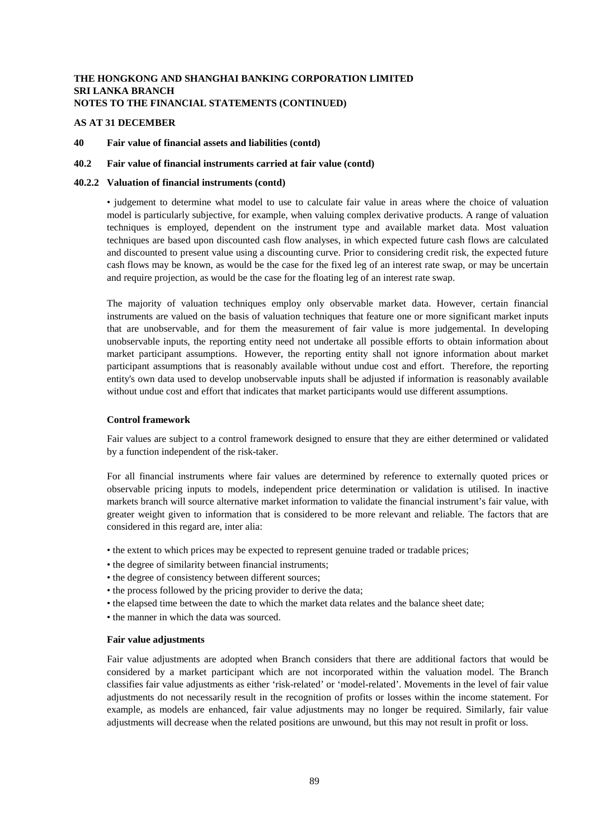## **AS AT 31 DECEMBER**

### **40 Fair value of financial assets and liabilities (contd)**

### **40.2 Fair value of financial instruments carried at fair value (contd)**

### **40.2.2 Valuation of financial instruments (contd)**

• judgement to determine what model to use to calculate fair value in areas where the choice of valuation model is particularly subjective, for example, when valuing complex derivative products. A range of valuation techniques is employed, dependent on the instrument type and available market data. Most valuation techniques are based upon discounted cash flow analyses, in which expected future cash flows are calculated and discounted to present value using a discounting curve. Prior to considering credit risk, the expected future cash flows may be known, as would be the case for the fixed leg of an interest rate swap, or may be uncertain and require projection, as would be the case for the floating leg of an interest rate swap.

The majority of valuation techniques employ only observable market data. However, certain financial instruments are valued on the basis of valuation techniques that feature one or more significant market inputs that are unobservable, and for them the measurement of fair value is more judgemental. In developing unobservable inputs, the reporting entity need not undertake all possible efforts to obtain information about market participant assumptions. However, the reporting entity shall not ignore information about market participant assumptions that is reasonably available without undue cost and effort. Therefore, the reporting entity's own data used to develop unobservable inputs shall be adjusted if information is reasonably available without undue cost and effort that indicates that market participants would use different assumptions.

### **Control framework**

Fair values are subject to a control framework designed to ensure that they are either determined or validated by a function independent of the risk-taker.

For all financial instruments where fair values are determined by reference to externally quoted prices or observable pricing inputs to models, independent price determination or validation is utilised. In inactive markets branch will source alternative market information to validate the financial instrument's fair value, with greater weight given to information that is considered to be more relevant and reliable. The factors that are considered in this regard are, inter alia:

- the extent to which prices may be expected to represent genuine traded or tradable prices;
- the degree of similarity between financial instruments;
- the degree of consistency between different sources;
- the process followed by the pricing provider to derive the data;
- the elapsed time between the date to which the market data relates and the balance sheet date;
- the manner in which the data was sourced.

#### **Fair value adjustments**

Fair value adjustments are adopted when Branch considers that there are additional factors that would be considered by a market participant which are not incorporated within the valuation model. The Branch classifies fair value adjustments as either 'risk-related' or 'model-related'. Movements in the level of fair value adjustments do not necessarily result in the recognition of profits or losses within the income statement. For example, as models are enhanced, fair value adjustments may no longer be required. Similarly, fair value adjustments will decrease when the related positions are unwound, but this may not result in profit or loss.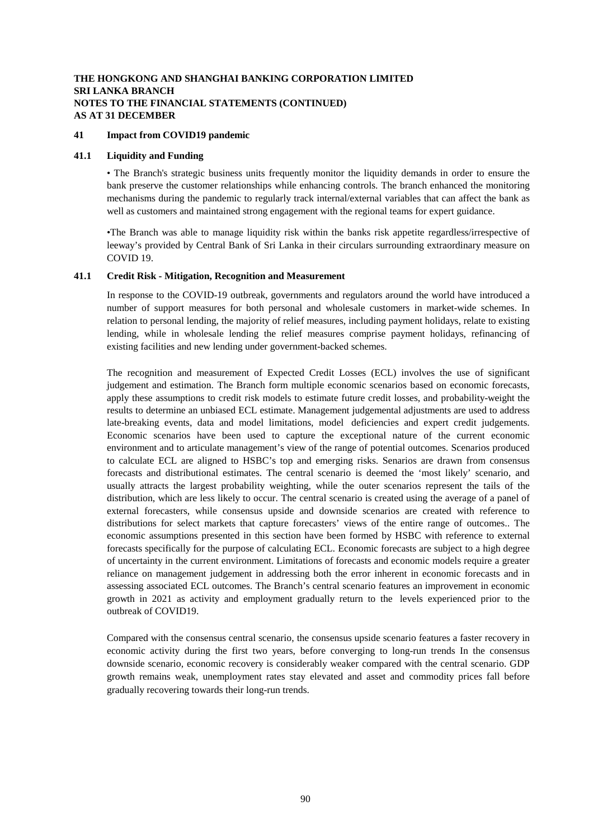## **41 Impact from COVID19 pandemic**

## **41.1 Liquidity and Funding**

• The Branch's strategic business units frequently monitor the liquidity demands in order to ensure the bank preserve the customer relationships while enhancing controls. The branch enhanced the monitoring mechanisms during the pandemic to regularly track internal/external variables that can affect the bank as well as customers and maintained strong engagement with the regional teams for expert guidance.

•The Branch was able to manage liquidity risk within the banks risk appetite regardless/irrespective of leeway's provided by Central Bank of Sri Lanka in their circulars surrounding extraordinary measure on COVID 19.

## **41.1 Credit Risk - Mitigation, Recognition and Measurement**

In response to the COVID-19 outbreak, governments and regulators around the world have introduced a number of support measures for both personal and wholesale customers in market-wide schemes. In relation to personal lending, the majority of relief measures, including payment holidays, relate to existing lending, while in wholesale lending the relief measures comprise payment holidays, refinancing of existing facilities and new lending under government-backed schemes.

The recognition and measurement of Expected Credit Losses (ECL) involves the use of significant judgement and estimation. The Branch form multiple economic scenarios based on economic forecasts, apply these assumptions to credit risk models to estimate future credit losses, and probability-weight the results to determine an unbiased ECL estimate. Management judgemental adjustments are used to address late-breaking events, data and model limitations, model deficiencies and expert credit judgements. Economic scenarios have been used to capture the exceptional nature of the current economic environment and to articulate management's view of the range of potential outcomes. Scenarios produced to calculate ECL are aligned to HSBC's top and emerging risks. Senarios are drawn from consensus forecasts and distributional estimates. The central scenario is deemed the 'most likely' scenario, and usually attracts the largest probability weighting, while the outer scenarios represent the tails of the distribution, which are less likely to occur. The central scenario is created using the average of a panel of external forecasters, while consensus upside and downside scenarios are created with reference to distributions for select markets that capture forecasters' views of the entire range of outcomes.. The economic assumptions presented in this section have been formed by HSBC with reference to external forecasts specifically for the purpose of calculating ECL. Economic forecasts are subject to a high degree of uncertainty in the current environment. Limitations of forecasts and economic models require a greater reliance on management judgement in addressing both the error inherent in economic forecasts and in assessing associated ECL outcomes. The Branch's central scenario features an improvement in economic growth in 2021 as activity and employment gradually return to the levels experienced prior to the outbreak of COVID19.

Compared with the consensus central scenario, the consensus upside scenario features a faster recovery in economic activity during the first two years, before converging to long-run trends In the consensus downside scenario, economic recovery is considerably weaker compared with the central scenario. GDP growth remains weak, unemployment rates stay elevated and asset and commodity prices fall before gradually recovering towards their long-run trends.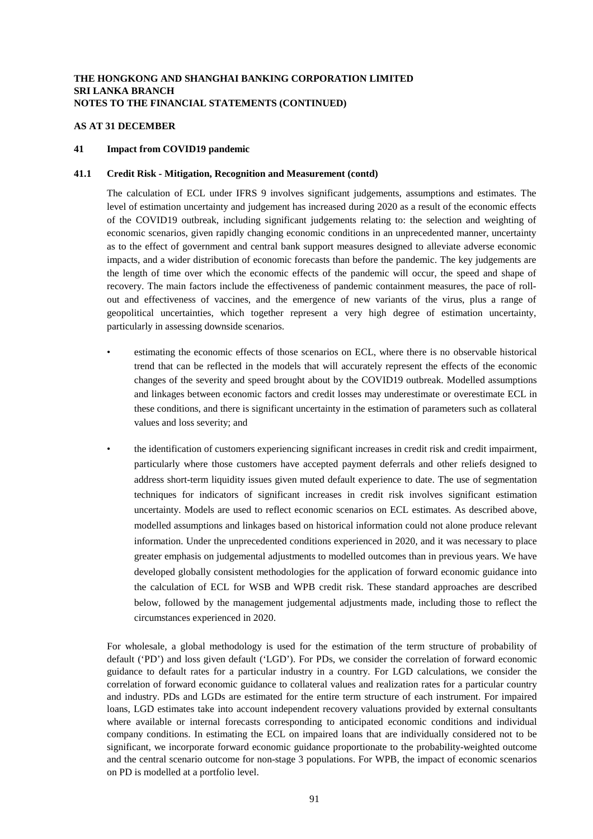## **AS AT 31 DECEMBER**

## **41 Impact from COVID19 pandemic**

### **41.1 Credit Risk - Mitigation, Recognition and Measurement (contd)**

The calculation of ECL under IFRS 9 involves significant judgements, assumptions and estimates. The level of estimation uncertainty and judgement has increased during 2020 as a result of the economic effects of the COVID19 outbreak, including significant judgements relating to: the selection and weighting of economic scenarios, given rapidly changing economic conditions in an unprecedented manner, uncertainty as to the effect of government and central bank support measures designed to alleviate adverse economic impacts, and a wider distribution of economic forecasts than before the pandemic. The key judgements are the length of time over which the economic effects of the pandemic will occur, the speed and shape of recovery. The main factors include the effectiveness of pandemic containment measures, the pace of rollout and effectiveness of vaccines, and the emergence of new variants of the virus, plus a range of geopolitical uncertainties, which together represent a very high degree of estimation uncertainty, particularly in assessing downside scenarios.

- estimating the economic effects of those scenarios on ECL, where there is no observable historical trend that can be reflected in the models that will accurately represent the effects of the economic changes of the severity and speed brought about by the COVID19 outbreak. Modelled assumptions and linkages between economic factors and credit losses may underestimate or overestimate ECL in these conditions, and there is significant uncertainty in the estimation of parameters such as collateral values and loss severity; and
- the identification of customers experiencing significant increases in credit risk and credit impairment, particularly where those customers have accepted payment deferrals and other reliefs designed to address short-term liquidity issues given muted default experience to date. The use of segmentation techniques for indicators of significant increases in credit risk involves significant estimation uncertainty. Models are used to reflect economic scenarios on ECL estimates. As described above, modelled assumptions and linkages based on historical information could not alone produce relevant information. Under the unprecedented conditions experienced in 2020, and it was necessary to place greater emphasis on judgemental adjustments to modelled outcomes than in previous years. We have developed globally consistent methodologies for the application of forward economic guidance into the calculation of ECL for WSB and WPB credit risk. These standard approaches are described below, followed by the management judgemental adjustments made, including those to reflect the circumstances experienced in 2020.

For wholesale, a global methodology is used for the estimation of the term structure of probability of default ('PD') and loss given default ('LGD'). For PDs, we consider the correlation of forward economic guidance to default rates for a particular industry in a country. For LGD calculations, we consider the correlation of forward economic guidance to collateral values and realization rates for a particular country and industry. PDs and LGDs are estimated for the entire term structure of each instrument. For impaired loans, LGD estimates take into account independent recovery valuations provided by external consultants where available or internal forecasts corresponding to anticipated economic conditions and individual company conditions. In estimating the ECL on impaired loans that are individually considered not to be significant, we incorporate forward economic guidance proportionate to the probability-weighted outcome and the central scenario outcome for non-stage 3 populations. For WPB, the impact of economic scenarios on PD is modelled at a portfolio level.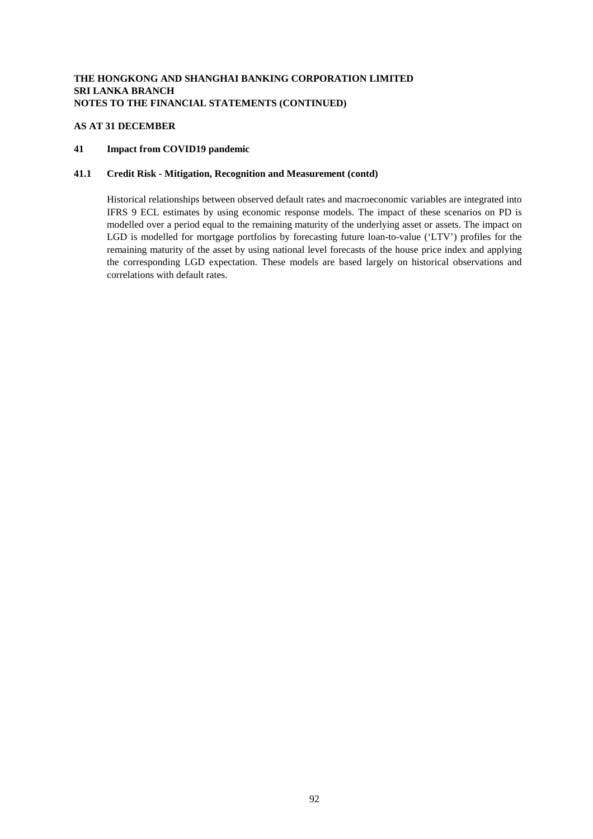## **AS AT 31 DECEMBER**

## **41 Impact from COVID19 pandemic**

## **41.1 Credit Risk - Mitigation, Recognition and Measurement (contd)**

Historical relationships between observed default rates and macroeconomic variables are integrated into IFRS 9 ECL estimates by using economic response models. The impact of these scenarios on PD is modelled over a period equal to the remaining maturity of the underlying asset or assets. The impact on LGD is modelled for mortgage portfolios by forecasting future loan-to-value ('LTV') profiles for the remaining maturity of the asset by using national level forecasts of the house price index and applying the corresponding LGD expectation. These models are based largely on historical observations and correlations with default rates.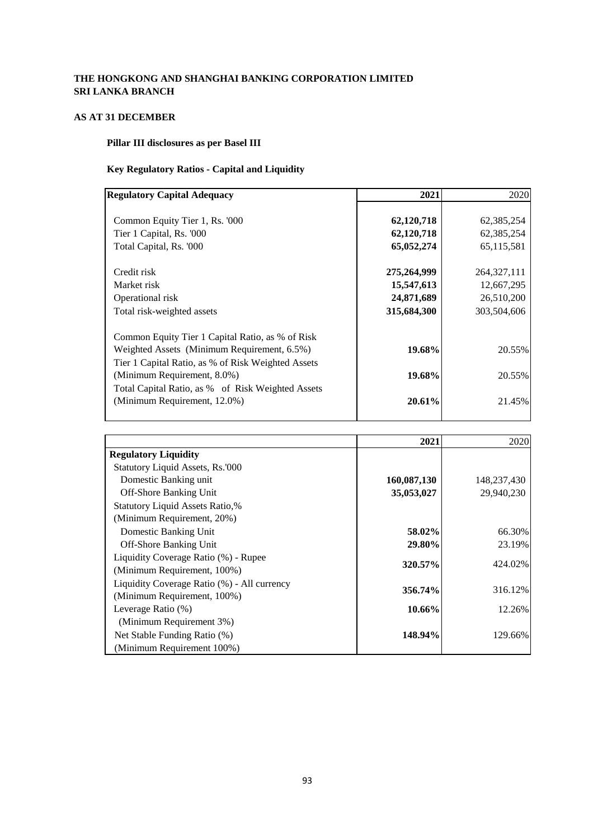## **AS AT 31 DECEMBER**

## **Pillar III disclosures as per Basel III**

## **Key Regulatory Ratios - Capital and Liquidity**

| <b>Regulatory Capital Adequacy</b>                 | 2021        | 2020          |
|----------------------------------------------------|-------------|---------------|
| Common Equity Tier 1, Rs. '000                     | 62,120,718  | 62,385,254    |
| Tier 1 Capital, Rs. '000                           | 62,120,718  | 62, 385, 254  |
| Total Capital, Rs. '000                            | 65,052,274  | 65,115,581    |
| Credit risk                                        | 275,264,999 | 264, 327, 111 |
| Market risk                                        | 15,547,613  | 12,667,295    |
| Operational risk                                   | 24,871,689  | 26,510,200    |
| Total risk-weighted assets                         | 315,684,300 | 303,504,606   |
| Common Equity Tier 1 Capital Ratio, as % of Risk   |             |               |
| Weighted Assets (Minimum Requirement, 6.5%)        | 19.68%      | 20.55%        |
| Tier 1 Capital Ratio, as % of Risk Weighted Assets |             |               |
| (Minimum Requirement, 8.0%)                        | 19.68%      | 20.55%        |
| Total Capital Ratio, as % of Risk Weighted Assets  |             |               |
| (Minimum Requirement, 12.0%)                       | 20.61%      | 21.45%        |
|                                                    |             |               |

|                                             | 2021        | 2020        |
|---------------------------------------------|-------------|-------------|
| <b>Regulatory Liquidity</b>                 |             |             |
| Statutory Liquid Assets, Rs.'000            |             |             |
| Domestic Banking unit                       | 160,087,130 | 148,237,430 |
| <b>Off-Shore Banking Unit</b>               | 35,053,027  | 29,940,230  |
| <b>Statutory Liquid Assets Ratio,%</b>      |             |             |
| (Minimum Requirement, 20%)                  |             |             |
| Domestic Banking Unit                       | 58.02%      | 66.30%      |
| <b>Off-Shore Banking Unit</b>               | 29.80%      | 23.19%      |
| Liquidity Coverage Ratio (%) - Rupee        |             |             |
| (Minimum Requirement, 100%)                 | 320.57%     | 424.02%     |
| Liquidity Coverage Ratio (%) - All currency |             |             |
| (Minimum Requirement, 100%)                 | 356.74%     | 316.12%     |
| Leverage Ratio (%)                          | 10.66%      | 12.26%      |
| (Minimum Requirement 3%)                    |             |             |
| Net Stable Funding Ratio (%)                | 148.94%     | 129.66%     |
| (Minimum Requirement 100%)                  |             |             |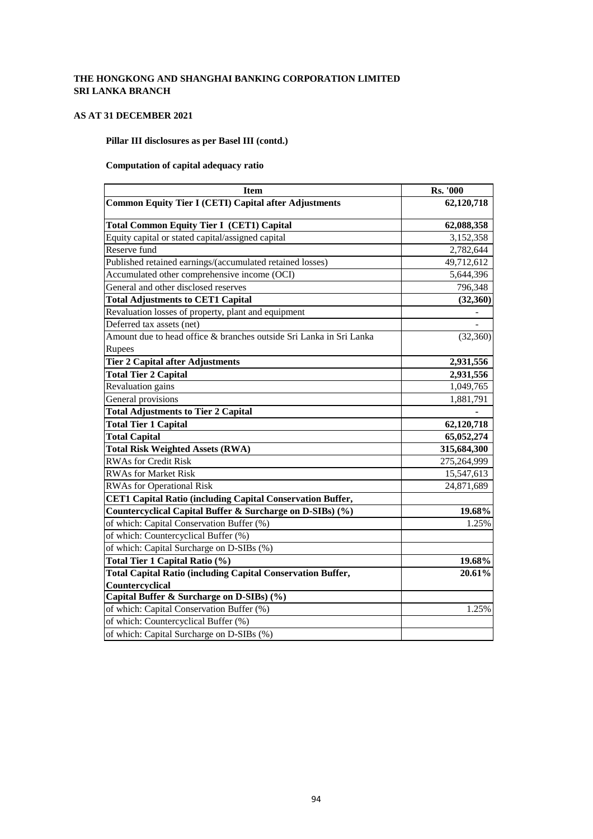## **AS AT 31 DECEMBER 2021**

## **Pillar III disclosures as per Basel III (contd.)**

**Computation of capital adequacy ratio**

| <b>Item</b>                                                         | Rs. '000    |
|---------------------------------------------------------------------|-------------|
| <b>Common Equity Tier I (CETI) Capital after Adjustments</b>        | 62,120,718  |
| <b>Total Common Equity Tier I (CET1) Capital</b>                    | 62,088,358  |
| Equity capital or stated capital/assigned capital                   | 3,152,358   |
| Reserve fund                                                        | 2,782,644   |
| Published retained earnings/(accumulated retained losses)           | 49,712,612  |
| Accumulated other comprehensive income (OCI)                        | 5,644,396   |
| General and other disclosed reserves                                | 796,348     |
| <b>Total Adjustments to CET1 Capital</b>                            | (32, 360)   |
| Revaluation losses of property, plant and equipment                 |             |
| Deferred tax assets (net)                                           |             |
| Amount due to head office & branches outside Sri Lanka in Sri Lanka | (32, 360)   |
| Rupees                                                              |             |
| <b>Tier 2 Capital after Adjustments</b>                             | 2,931,556   |
| <b>Total Tier 2 Capital</b>                                         | 2,931,556   |
| Revaluation gains                                                   | 1,049,765   |
| General provisions                                                  | 1,881,791   |
| <b>Total Adjustments to Tier 2 Capital</b>                          |             |
| <b>Total Tier 1 Capital</b>                                         | 62,120,718  |
| <b>Total Capital</b>                                                | 65,052,274  |
| <b>Total Risk Weighted Assets (RWA)</b>                             | 315,684,300 |
| <b>RWAs for Credit Risk</b>                                         | 275,264,999 |
| <b>RWAs for Market Risk</b>                                         | 15,547,613  |
| <b>RWAs for Operational Risk</b>                                    | 24,871,689  |
| <b>CET1 Capital Ratio (including Capital Conservation Buffer,</b>   |             |
| Countercyclical Capital Buffer & Surcharge on D-SIBs) (%)           | 19.68%      |
| of which: Capital Conservation Buffer (%)                           | 1.25%       |
| of which: Countercyclical Buffer (%)                                |             |
| of which: Capital Surcharge on D-SIBs (%)                           |             |
| Total Tier 1 Capital Ratio (%)                                      | 19.68%      |
| <b>Total Capital Ratio (including Capital Conservation Buffer,</b>  | 20.61%      |
| Countercyclical                                                     |             |
| Capital Buffer & Surcharge on D-SIBs) (%)                           |             |
| of which: Capital Conservation Buffer (%)                           | 1.25%       |
| of which: Countercyclical Buffer (%)                                |             |
| of which: Capital Surcharge on D-SIBs (%)                           |             |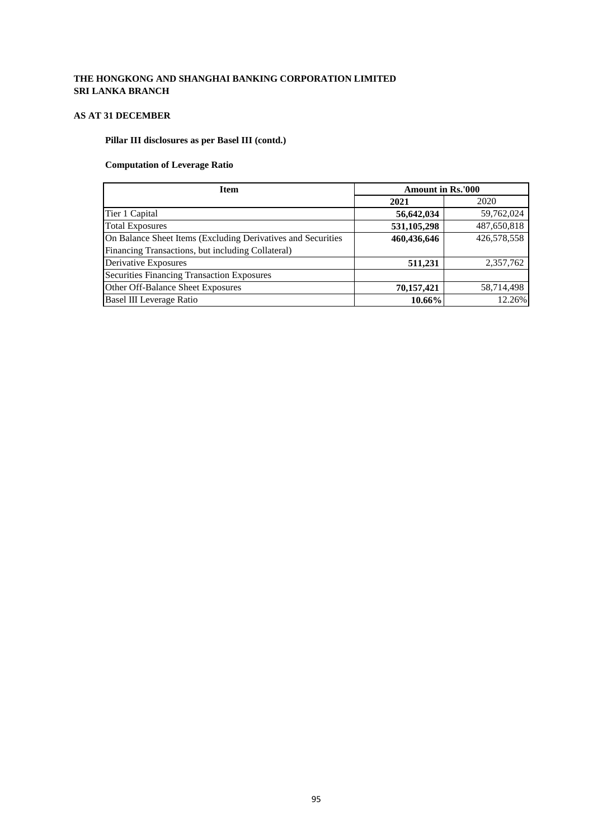## **AS AT 31 DECEMBER**

## **Pillar III disclosures as per Basel III (contd.)**

## **Computation of Leverage Ratio**

| <b>Item</b>                                                  | <b>Amount in Rs.'000</b> |             |  |
|--------------------------------------------------------------|--------------------------|-------------|--|
|                                                              | 2021                     | 2020        |  |
| Tier 1 Capital                                               | 56,642,034               | 59,762,024  |  |
| <b>Total Exposures</b>                                       | 531,105,298              | 487,650,818 |  |
| On Balance Sheet Items (Excluding Derivatives and Securities | 460,436,646              | 426,578,558 |  |
| Financing Transactions, but including Collateral)            |                          |             |  |
| Derivative Exposures                                         | 511,231                  | 2,357,762   |  |
| <b>Securities Financing Transaction Exposures</b>            |                          |             |  |
| Other Off-Balance Sheet Exposures                            | 70,157,421               | 58,714,498  |  |
| <b>Basel III Leverage Ratio</b>                              | 10.66%                   | 12.26%      |  |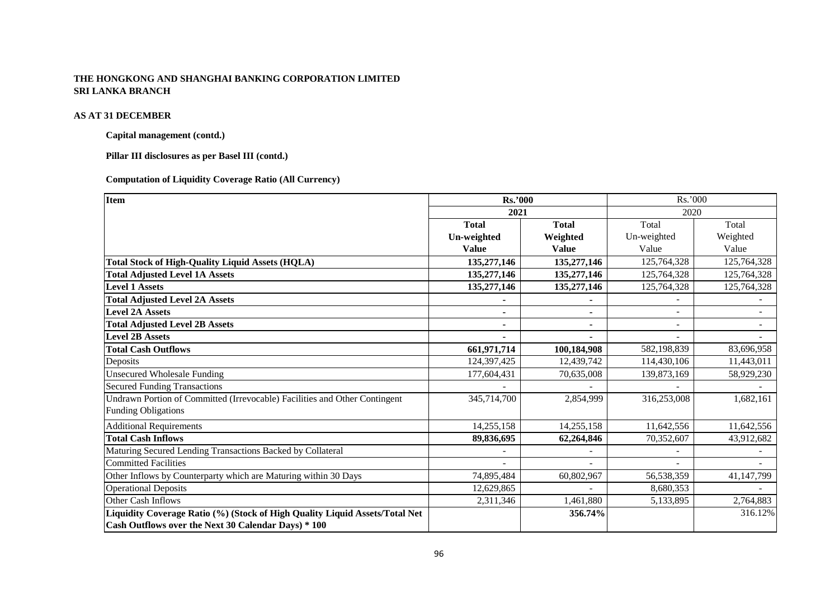## **AS AT 31 DECEMBER**

**Capital management (contd.)**

**Pillar III disclosures as per Basel III (contd.)**

**Computation of Liquidity Coverage Ratio (All Currency)**

| <b>Item</b>                                                                 | <b>Rs.'000</b> |              | Rs.'000     |             |  |
|-----------------------------------------------------------------------------|----------------|--------------|-------------|-------------|--|
|                                                                             | 2021           |              | 2020        |             |  |
|                                                                             | <b>Total</b>   | <b>Total</b> | Total       | Total       |  |
|                                                                             | Un-weighted    | Weighted     | Un-weighted | Weighted    |  |
|                                                                             | <b>Value</b>   | <b>Value</b> | Value       | Value       |  |
| <b>Total Stock of High-Quality Liquid Assets (HQLA)</b>                     | 135,277,146    | 135,277,146  | 125,764,328 | 125,764,328 |  |
| <b>Total Adjusted Level 1A Assets</b>                                       | 135,277,146    | 135,277,146  | 125,764,328 | 125,764,328 |  |
| <b>Level 1 Assets</b>                                                       | 135,277,146    | 135,277,146  | 125,764,328 | 125,764,328 |  |
| <b>Total Adjusted Level 2A Assets</b>                                       |                |              |             |             |  |
| <b>Level 2A Assets</b>                                                      | $\blacksquare$ |              |             |             |  |
| <b>Total Adjusted Level 2B Assets</b>                                       | $\blacksquare$ |              | ۳           |             |  |
| <b>Level 2B Assets</b>                                                      |                |              |             |             |  |
| <b>Total Cash Outflows</b>                                                  | 661,971,714    | 100,184,908  | 582,198,839 | 83,696,958  |  |
| Deposits                                                                    | 124,397,425    | 12,439,742   | 114,430,106 | 11,443,011  |  |
| <b>Unsecured Wholesale Funding</b>                                          | 177,604,431    | 70,635,008   | 139,873,169 | 58,929,230  |  |
| <b>Secured Funding Transactions</b>                                         |                |              |             |             |  |
| Undrawn Portion of Committed (Irrevocable) Facilities and Other Contingent  | 345,714,700    | 2,854,999    | 316,253,008 | 1,682,161   |  |
| <b>Funding Obligations</b>                                                  |                |              |             |             |  |
| <b>Additional Requirements</b>                                              | 14,255,158     | 14,255,158   | 11,642,556  | 11,642,556  |  |
| <b>Total Cash Inflows</b>                                                   | 89,836,695     | 62,264,846   | 70,352,607  | 43,912,682  |  |
| Maturing Secured Lending Transactions Backed by Collateral                  |                |              |             |             |  |
| <b>Committed Facilities</b>                                                 |                |              |             |             |  |
| Other Inflows by Counterparty which are Maturing within 30 Days             | 74,895,484     | 60,802,967   | 56,538,359  | 41,147,799  |  |
| <b>Operational Deposits</b>                                                 | 12,629,865     |              | 8,680,353   |             |  |
| Other Cash Inflows                                                          | 2,311,346      | 1,461,880    | 5,133,895   | 2,764,883   |  |
| Liquidity Coverage Ratio (%) (Stock of High Quality Liquid Assets/Total Net |                | 356.74%      |             | 316.12%     |  |
| Cash Outflows over the Next 30 Calendar Days) * 100                         |                |              |             |             |  |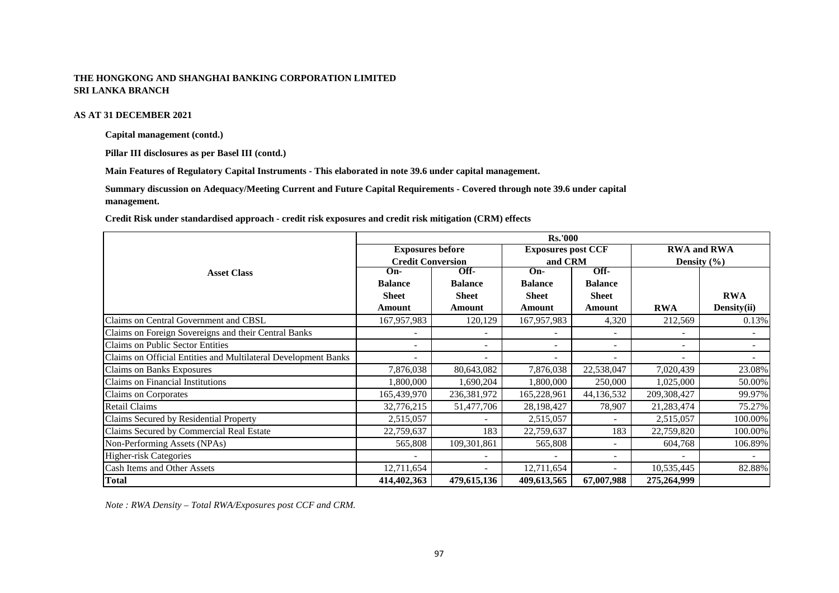## **AS AT 31 DECEMBER 2021**

**Capital management (contd.)**

**Pillar III disclosures as per Basel III (contd.)**

**Main Features of Regulatory Capital Instruments - This elaborated in note 39.6 under capital management.**

**Summary discussion on Adequacy/Meeting Current and Future Capital Requirements - Covered through note 39.6 under capital management.**

**Credit Risk under standardised approach - credit risk exposures and credit risk mitigation (CRM) effects**

|                                                                |                          |                          | <b>Rs.'000</b>            |                |                          |             |  |  |
|----------------------------------------------------------------|--------------------------|--------------------------|---------------------------|----------------|--------------------------|-------------|--|--|
|                                                                | <b>Exposures before</b>  |                          | <b>Exposures post CCF</b> |                | <b>RWA and RWA</b>       |             |  |  |
|                                                                | <b>Credit Conversion</b> |                          | and CRM                   |                | Density $(\% )$          |             |  |  |
| <b>Asset Class</b>                                             | On-                      | Off-                     | On-                       | Off-           |                          |             |  |  |
|                                                                | <b>Balance</b>           | <b>Balance</b>           | <b>Balance</b>            | <b>Balance</b> |                          |             |  |  |
|                                                                | <b>Sheet</b>             | <b>Sheet</b>             | <b>Sheet</b>              | <b>Sheet</b>   |                          | <b>RWA</b>  |  |  |
|                                                                | Amount                   | Amount                   | Amount                    | Amount         | <b>RWA</b>               | Density(ii) |  |  |
| Claims on Central Government and CBSL                          | 167,957,983              | 120,129                  | 167,957,983               | 4,320          | 212,569                  | 0.13%       |  |  |
| Claims on Foreign Sovereigns and their Central Banks           |                          |                          | $\overline{\phantom{a}}$  |                |                          |             |  |  |
| Claims on Public Sector Entities                               |                          | $\overline{\phantom{a}}$ | $\overline{\phantom{a}}$  |                | $\overline{\phantom{a}}$ |             |  |  |
| Claims on Official Entities and Multilateral Development Banks |                          |                          |                           |                |                          |             |  |  |
| Claims on Banks Exposures                                      | 7,876,038                | 80,643,082               | 7,876,038                 | 22,538,047     | 7,020,439                | 23.08%      |  |  |
| Claims on Financial Institutions                               | 1,800,000                | 1,690,204                | 1,800,000                 | 250,000        | 1,025,000                | 50.00%      |  |  |
| Claims on Corporates                                           | 165,439,970              | 236,381,972              | 165,228,961               | 44,136,532     | 209,308,427              | 99.97%      |  |  |
| <b>Retail Claims</b>                                           | 32,776,215               | 51,477,706               | 28,198,427                | 78,907         | 21,283,474               | 75.27%      |  |  |
| Claims Secured by Residential Property                         | 2,515,057                |                          | 2,515,057                 |                | 2,515,057                | 100.00%     |  |  |
| Claims Secured by Commercial Real Estate                       | 22,759,637               | 183                      | 22,759,637                | 183            | 22,759,820               | 100.00%     |  |  |
| Non-Performing Assets (NPAs)                                   | 565,808                  | 109,301,861              | 565,808                   |                | 604,768                  | 106.89%     |  |  |
| Higher-risk Categories                                         |                          | $\overline{\phantom{a}}$ |                           |                |                          |             |  |  |
| <b>Cash Items and Other Assets</b>                             | 12,711,654               |                          | 12,711,654                |                | 10,535,445               | 82.88%      |  |  |
| <b>Total</b>                                                   | 414,402,363              | 479,615,136              | 409,613,565               | 67,007,988     | 275,264,999              |             |  |  |

*Note : RWA Density – Total RWA/Exposures post CCF and CRM.*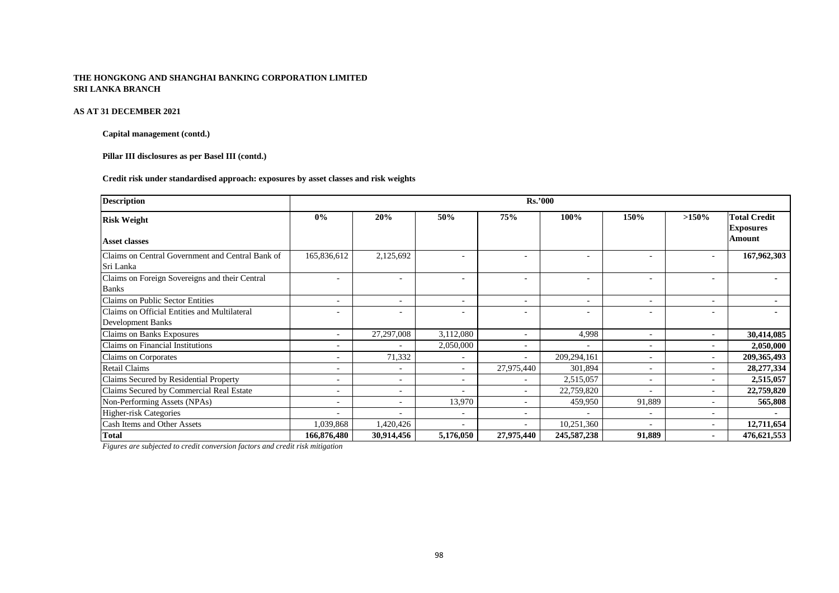#### **AS AT 31 DECEMBER 2021**

#### **Capital management (contd.)**

#### **Pillar III disclosures as per Basel III (contd.)**

## **Credit risk under standardised approach: exposures by asset classes and risk weights**

| <b>Description</b>                                                |                          |                |                          | <b>Rs.'000</b>           |                          |                          |                          |                                                          |
|-------------------------------------------------------------------|--------------------------|----------------|--------------------------|--------------------------|--------------------------|--------------------------|--------------------------|----------------------------------------------------------|
| <b>Risk Weight</b><br><b>Asset classes</b>                        | $0\%$                    | 20%            | 50%                      | <b>75%</b>               | 100%                     | 150%                     | $>150\%$                 | <b>Total Credit</b><br><b>Exposures</b><br><b>Amount</b> |
| Claims on Central Government and Central Bank of<br>Sri Lanka     | 165,836,612              | 2,125,692      |                          | $\overline{\phantom{a}}$ | $\overline{\phantom{a}}$ | $\overline{\phantom{a}}$ | $\overline{\phantom{a}}$ | 167,962,303                                              |
| Claims on Foreign Sovereigns and their Central<br><b>Banks</b>    |                          |                |                          | $\overline{\phantom{a}}$ |                          | $\overline{\phantom{a}}$ |                          |                                                          |
| Claims on Public Sector Entities                                  | $\sim$                   | $\overline{a}$ | $\sim$                   | $\overline{a}$           | $\sim$                   | $\overline{a}$           | $\overline{\phantom{a}}$ |                                                          |
| Claims on Official Entities and Multilateral<br>Development Banks |                          |                |                          | $\overline{\phantom{a}}$ | $\overline{\phantom{a}}$ |                          | ٠                        |                                                          |
| Claims on Banks Exposures                                         | $\overline{\phantom{a}}$ | 27,297,008     | 3,112,080                | $\overline{\phantom{a}}$ | 4,998                    | $\overline{\phantom{a}}$ | $\overline{\phantom{a}}$ | 30,414,085                                               |
| Claims on Financial Institutions                                  |                          |                | 2,050,000                | $\overline{\phantom{a}}$ |                          |                          | $\overline{\phantom{0}}$ | 2,050,000                                                |
| Claims on Corporates                                              |                          | 71,332         |                          | $\overline{\phantom{a}}$ | 209,294,161              |                          | ۰                        | 209, 365, 493                                            |
| <b>Retail Claims</b>                                              | $\overline{\phantom{0}}$ |                | $\overline{\phantom{a}}$ | 27,975,440               | 301,894                  | $\overline{\phantom{a}}$ | $\overline{\phantom{a}}$ | 28,277,334                                               |
| Claims Secured by Residential Property                            |                          | $\overline{a}$ | $\sim$                   | $\overline{a}$           | 2,515,057                | $\overline{\phantom{a}}$ | $\overline{\phantom{0}}$ | 2,515,057                                                |
| Claims Secured by Commercial Real Estate                          |                          |                |                          | $\overline{\phantom{a}}$ | 22,759,820               |                          | ۰                        | 22,759,820                                               |
| Non-Performing Assets (NPAs)                                      | $\sim$                   | $\overline{a}$ | 13,970                   | $\overline{\phantom{a}}$ | 459,950                  | 91,889                   | $\overline{\phantom{a}}$ | 565,808                                                  |
| Higher-risk Categories                                            |                          |                |                          | $\overline{\phantom{a}}$ |                          |                          | $\overline{\phantom{0}}$ |                                                          |
| Cash Items and Other Assets                                       | 1,039,868                | 1,420,426      |                          | $\overline{\phantom{a}}$ | 10,251,360               |                          | $\overline{\phantom{0}}$ | 12,711,654                                               |
| <b>Total</b>                                                      | 166,876,480              | 30,914,456     | 5,176,050                | 27,975,440               | 245,587,238              | 91,889                   | ۰                        | 476,621,553                                              |

*Figures are subjected to credit conversion factors and credit risk mitigation*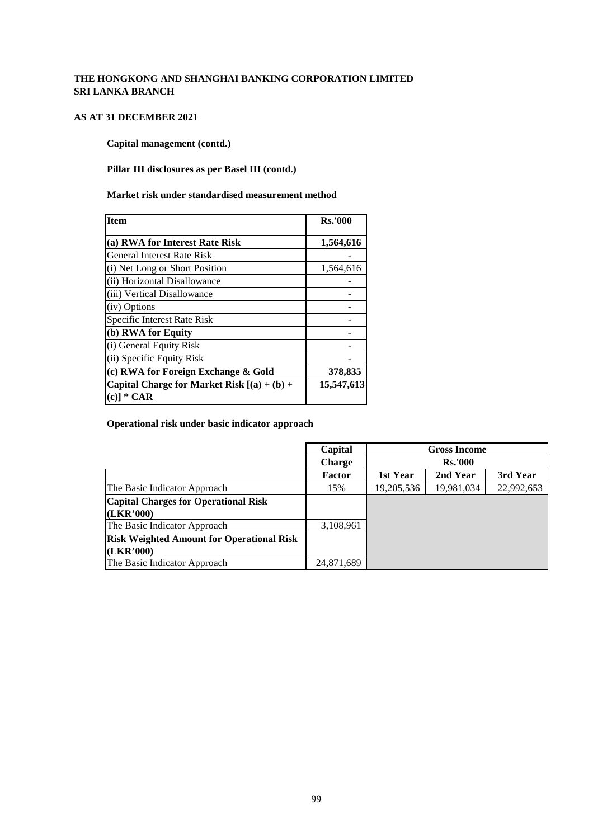## **AS AT 31 DECEMBER 2021**

**Capital management (contd.)**

## **Pillar III disclosures as per Basel III (contd.)**

**Market risk under standardised measurement method**

| <b>Item</b>                                                   | <b>Rs.'000</b> |
|---------------------------------------------------------------|----------------|
| (a) RWA for Interest Rate Risk                                | 1,564,616      |
| <b>General Interest Rate Risk</b>                             |                |
| (i) Net Long or Short Position                                | 1,564,616      |
| (ii) Horizontal Disallowance                                  |                |
| (iii) Vertical Disallowance                                   |                |
| (iv) Options                                                  |                |
| Specific Interest Rate Risk                                   |                |
| (b) RWA for Equity                                            |                |
| (i) General Equity Risk                                       |                |
| (ii) Specific Equity Risk                                     |                |
| (c) RWA for Foreign Exchange & Gold                           | 378,835        |
| Capital Charge for Market Risk $[(a) + (b) +$<br>$(c)]$ * CAR | 15,547,613     |

**Operational risk under basic indicator approach**

|                                                  | Capital       |            | <b>Gross Income</b> |            |
|--------------------------------------------------|---------------|------------|---------------------|------------|
|                                                  | <b>Charge</b> |            | <b>Rs.'000</b>      |            |
|                                                  | Factor        | 1st Year   | 2nd Year            | 3rd Year   |
| The Basic Indicator Approach                     | 15%           | 19,205,536 | 19,981,034          | 22,992,653 |
| <b>Capital Charges for Operational Risk</b>      |               |            |                     |            |
| (LKR'000)                                        |               |            |                     |            |
| The Basic Indicator Approach                     | 3,108,961     |            |                     |            |
| <b>Risk Weighted Amount for Operational Risk</b> |               |            |                     |            |
| (LKR'000)                                        |               |            |                     |            |
| The Basic Indicator Approach                     | 24,871,689    |            |                     |            |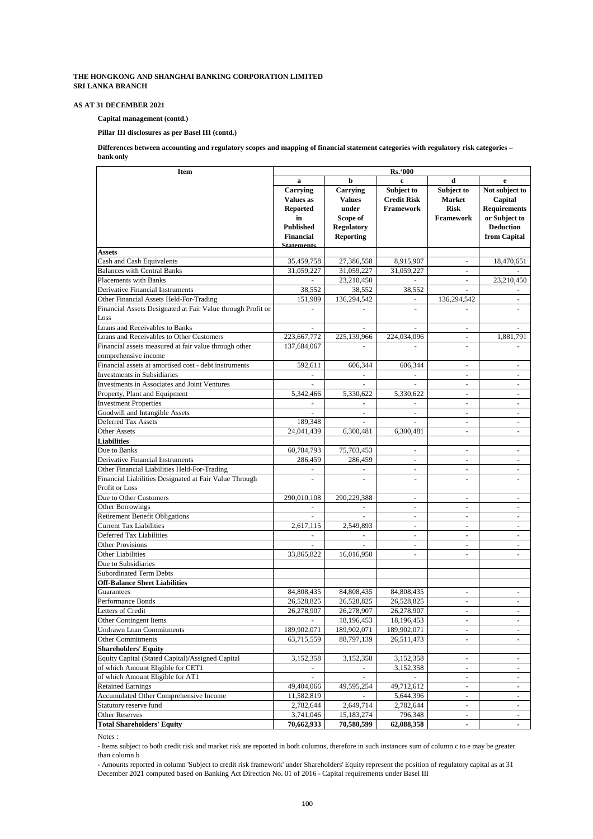### **AS AT 31 DECEMBER 2021**

**Capital management (contd.)**

**Pillar III disclosures as per Basel III (contd.)**

**Differences between accounting and regulatory scopes and mapping of financial statement categories with regulatory risk categories – bank only**

| Item                                                        |                  |                          | Rs.'000                  |                          |                          |
|-------------------------------------------------------------|------------------|--------------------------|--------------------------|--------------------------|--------------------------|
|                                                             | a                | b                        | $\mathbf c$              | d                        | e                        |
|                                                             | Carrying         | Carrying                 | Subject to               | Subject to               | Not subject to           |
|                                                             | <b>Values as</b> | <b>Values</b>            | <b>Credit Risk</b>       | <b>Market</b>            | Capital                  |
|                                                             | <b>Reported</b>  | under                    | <b>Framework</b>         | <b>Risk</b>              | <b>Requirements</b>      |
|                                                             | in               | Scope of                 |                          | Framework                | or Subject to            |
|                                                             | <b>Published</b> | <b>Regulatory</b>        |                          |                          | <b>Deduction</b>         |
|                                                             | <b>Financial</b> |                          |                          |                          |                          |
|                                                             | Statements       | <b>Reporting</b>         |                          |                          | from Capital             |
| <b>Assets</b>                                               |                  |                          |                          |                          |                          |
| Cash and Cash Equivalents                                   | 35,459,758       | 27,386,558               | 8,915,907                |                          | 18,470,651               |
| <b>Balances with Central Banks</b>                          | 31,059,227       | 31,059,227               | 31,059,227               | $\sim$                   |                          |
| <b>Placements with Banks</b>                                |                  | 23,210,450               |                          | $\sim$                   | 23,210,450               |
| Derivative Financial Instruments                            | 38,552           | 38.552                   | 38.552                   | $\overline{\phantom{a}}$ |                          |
| Other Financial Assets Held-For-Trading                     | 151,989          | 136,294,542              |                          | 136,294,542              | $\sim$                   |
| Financial Assets Designated at Fair Value through Profit or |                  |                          |                          |                          |                          |
| Loss                                                        |                  |                          |                          |                          |                          |
| Loans and Receivables to Banks                              |                  |                          |                          |                          |                          |
| Loans and Receivables to Other Customers                    | 223,667,772      | 225,139,966              | 224,034,096              | $\overline{\phantom{a}}$ | 1,881,791                |
| Financial assets measured at fair value through other       | 137,684,067      | $\sim$                   |                          | $\sim$                   |                          |
| comprehensive income                                        |                  |                          |                          |                          |                          |
| Financial assets at amortised cost - debt instruments       | 592,611          | 606,344                  | 606,344                  | $\sim$                   | $\sim$                   |
| <b>Investments in Subsidiaries</b>                          |                  |                          |                          |                          |                          |
| Investments in Associates and Joint Ventures                | $\blacksquare$   |                          |                          | $\overline{\phantom{a}}$ |                          |
| Property, Plant and Equipment                               | 5,342,466        | 5.330.622                | 5.330.622                | $\overline{\phantom{a}}$ | $\overline{\phantom{a}}$ |
| <b>Investment Properties</b>                                | $\omega$         | $\omega$                 | $\sim$                   | $\omega$                 | $\sim$                   |
| Goodwill and Intangible Assets                              |                  |                          | $\overline{\phantom{a}}$ |                          |                          |
| <b>Deferred Tax Assets</b>                                  | 189,348          | $\sim$                   | $\mathbf{r}$             | $\bar{\phantom{a}}$      | $\omega$                 |
| <b>Other Assets</b>                                         | 24,041,439       | 6,300,481                | 6,300,481                | $\sim$                   | $\overline{\phantom{a}}$ |
| <b>Liabilities</b>                                          |                  |                          |                          |                          |                          |
| Due to Banks                                                | 60,784,793       | 75,703,453               | $\blacksquare$           | $\overline{\phantom{a}}$ | $\overline{\phantom{a}}$ |
| Derivative Financial Instruments                            | 286,459          | 286,459                  | $\overline{\phantom{a}}$ | $\overline{\phantom{a}}$ | $\overline{\phantom{a}}$ |
| Other Financial Liabilities Held-For-Trading                |                  |                          | L,                       | $\sim$                   | $\overline{\phantom{a}}$ |
| Financial Liabilities Designated at Fair Value Through      | $\sim$           | $\sim$                   | $\ddot{\phantom{1}}$     | $\sim$                   | $\overline{a}$           |
| Profit or Loss                                              |                  |                          |                          |                          |                          |
| Due to Other Customers                                      | 290,010,108      | 290,229,388              | $\overline{\phantom{a}}$ | $\overline{\phantom{a}}$ |                          |
| Other Borrowings                                            |                  |                          |                          | $\overline{\phantom{a}}$ | $\overline{\phantom{a}}$ |
| <b>Retirement Benefit Obligations</b>                       | $\blacksquare$   | $\overline{\phantom{a}}$ | $\blacksquare$           | $\overline{\phantom{a}}$ | $\overline{\phantom{a}}$ |
| <b>Current Tax Liabilities</b>                              | 2,617,115        | 2,549,893                | $\sim$                   | $\sim$                   | ÷                        |
| Deferred Tax Liabilities                                    | $\sim$           | $\sim$                   | $\sim$                   | $\sim$                   | $\sim$                   |
| <b>Other Provisions</b>                                     |                  |                          | $\tilde{\phantom{a}}$    | $\overline{a}$           | $\sim$                   |
| Other Liabilities                                           | 33,865,822       | 16,016,950               |                          | $\sim$                   |                          |
| Due to Subsidiaries                                         |                  |                          |                          |                          |                          |
| <b>Subordinated Term Debts</b>                              |                  |                          |                          |                          |                          |
| <b>Off-Balance Sheet Liabilities</b>                        |                  |                          |                          |                          |                          |
| Guarantees                                                  | 84,808,435       | 84,808,435               | 84,808,435               |                          | $\sim$                   |
| Performance Bonds                                           | 26,528,825       | 26,528,825               | 26.528.825               | $\sim$                   | $\sim$                   |
| Letters of Credit                                           | 26,278,907       | 26,278,907               | 26,278,907               | $\overline{\phantom{a}}$ |                          |
| Other Contingent Items                                      |                  | 18,196,453               | 18,196,453               | $\overline{\phantom{a}}$ | $\overline{\phantom{a}}$ |
| <b>Undrawn Loan Commitments</b>                             | 189,902,071      | 189,902,071              | 189,902,071              | $\overline{\phantom{a}}$ | $\overline{\phantom{a}}$ |
| <b>Other Commitments</b>                                    | 63,715,559       | 88,797,139               | 26,511,473               | $\overline{\phantom{a}}$ | $\sim$                   |
| <b>Shareholders' Equity</b>                                 |                  |                          |                          |                          |                          |
| Equity Capital (Stated Capital)/Assigned Capital            | 3,152,358        | 3,152,358                | 3,152,358                | $\overline{\phantom{a}}$ | $\blacksquare$           |
| of which Amount Eligible for CET1                           |                  |                          | 3,152,358                |                          |                          |
| of which Amount Eligible for AT1                            | $\blacksquare$   | $\overline{\phantom{a}}$ |                          | $\overline{\phantom{a}}$ | $\overline{\phantom{a}}$ |
| <b>Retained Earnings</b>                                    | 49,404,066       | 49,595,254               | 49,712,612               | $\overline{\phantom{a}}$ | $\overline{\phantom{a}}$ |
| Accumulated Other Comprehensive Income                      | 11,582,819       |                          | 5,644,396                | $\blacksquare$           | $\blacksquare$           |
| Statutory reserve fund                                      | 2,782,644        | 2,649,714                | 2,782,644                |                          |                          |
| <b>Other Reserves</b>                                       | 3,741,046        | 15,183,274               | 796,348                  | $\bar{\phantom{a}}$      | $\sim$                   |
| <b>Total Shareholders' Equity</b>                           | 70,662,933       | 70,580,599               | 62,088,358               | $\blacksquare$           | $\overline{\phantom{a}}$ |

Notes :

- Items subject to both credit risk and market risk are reported in both columns, therefore in such instances sum of column c to e may be greater than column b

- Amounts reported in column 'Subject to credit risk framework' under Shareholders' Equity represent the position of regulatory capital as at 31 December 2021 computed based on Banking Act Direction No. 01 of 2016 - Capital requirements under Basel III